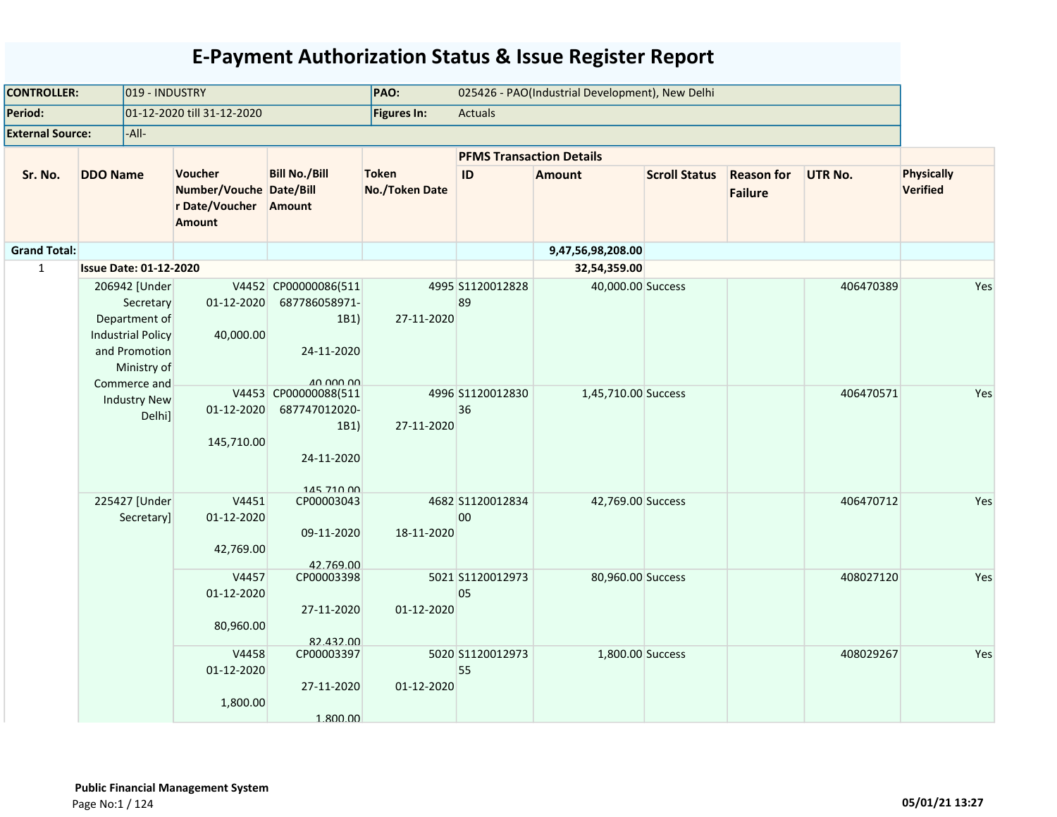| <b>CONTROLLER:</b>      |                                                                                             | 019 - INDUSTRY           |                                                                       |                                                                                | PAO:                           | 025426 - PAO(Industrial Development), New Delhi |                     |                      |                                     |                |                                      |
|-------------------------|---------------------------------------------------------------------------------------------|--------------------------|-----------------------------------------------------------------------|--------------------------------------------------------------------------------|--------------------------------|-------------------------------------------------|---------------------|----------------------|-------------------------------------|----------------|--------------------------------------|
| Period:                 |                                                                                             |                          | 01-12-2020 till 31-12-2020                                            |                                                                                | <b>Figures In:</b>             | <b>Actuals</b>                                  |                     |                      |                                     |                |                                      |
| <b>External Source:</b> | -All-                                                                                       |                          |                                                                       |                                                                                |                                |                                                 |                     |                      |                                     |                |                                      |
|                         |                                                                                             |                          |                                                                       |                                                                                |                                | <b>PFMS Transaction Details</b>                 |                     |                      |                                     |                |                                      |
| Sr. No.                 | <b>DDO Name</b>                                                                             |                          | Voucher<br>Number/Vouche Date/Bill<br>r Date/Voucher<br><b>Amount</b> | <b>Bill No./Bill</b><br>Amount                                                 | <b>Token</b><br>No./Token Date | ID                                              | <b>Amount</b>       | <b>Scroll Status</b> | <b>Reason for</b><br><b>Failure</b> | <b>UTR No.</b> | <b>Physically</b><br><b>Verified</b> |
| <b>Grand Total:</b>     |                                                                                             |                          |                                                                       |                                                                                |                                |                                                 | 9,47,56,98,208.00   |                      |                                     |                |                                      |
| $\mathbf{1}$            | <b>Issue Date: 01-12-2020</b>                                                               |                          |                                                                       |                                                                                |                                |                                                 | 32,54,359.00        |                      |                                     |                |                                      |
|                         | 206942 [Under<br>Department of<br><b>Industrial Policy</b><br>and Promotion<br>Commerce and | Secretary<br>Ministry of | 01-12-2020<br>40,000.00                                               | V4452 CP00000086(511<br>687786058971-<br>1B1<br>24-11-2020<br><b>AN NON NO</b> | 27-11-2020                     | 4995 S1120012828<br>89                          | 40,000.00 Success   |                      |                                     | 406470389      | Yes                                  |
|                         | <b>Industry New</b>                                                                         | Delhi]                   | 01-12-2020<br>145,710.00                                              | V4453 CP00000088(511<br>687747012020-<br>1B1)<br>24-11-2020<br>145 710 00      | 27-11-2020                     | 4996 S1120012830<br>36                          | 1,45,710.00 Success |                      |                                     | 406470571      | Yes                                  |
|                         | 225427 [Under                                                                               | Secretary]               | V4451<br>01-12-2020<br>42,769.00                                      | CP00003043<br>09-11-2020<br>42.769.00                                          | 18-11-2020                     | 4682 S1120012834<br>00                          | 42,769.00 Success   |                      |                                     | 406470712      | Yes                                  |
|                         |                                                                                             |                          | V4457<br>01-12-2020<br>80,960.00                                      | CP00003398<br>27-11-2020<br>82.432.00                                          | 01-12-2020                     | 5021 S1120012973<br>05                          | 80,960.00 Success   |                      |                                     | 408027120      | Yes                                  |
|                         |                                                                                             |                          | V4458<br>01-12-2020<br>1,800.00                                       | CP00003397<br>27-11-2020<br>1.800.00                                           | 01-12-2020                     | 5020 S1120012973<br>55                          | 1,800.00 Success    |                      |                                     | 408029267      | Yes                                  |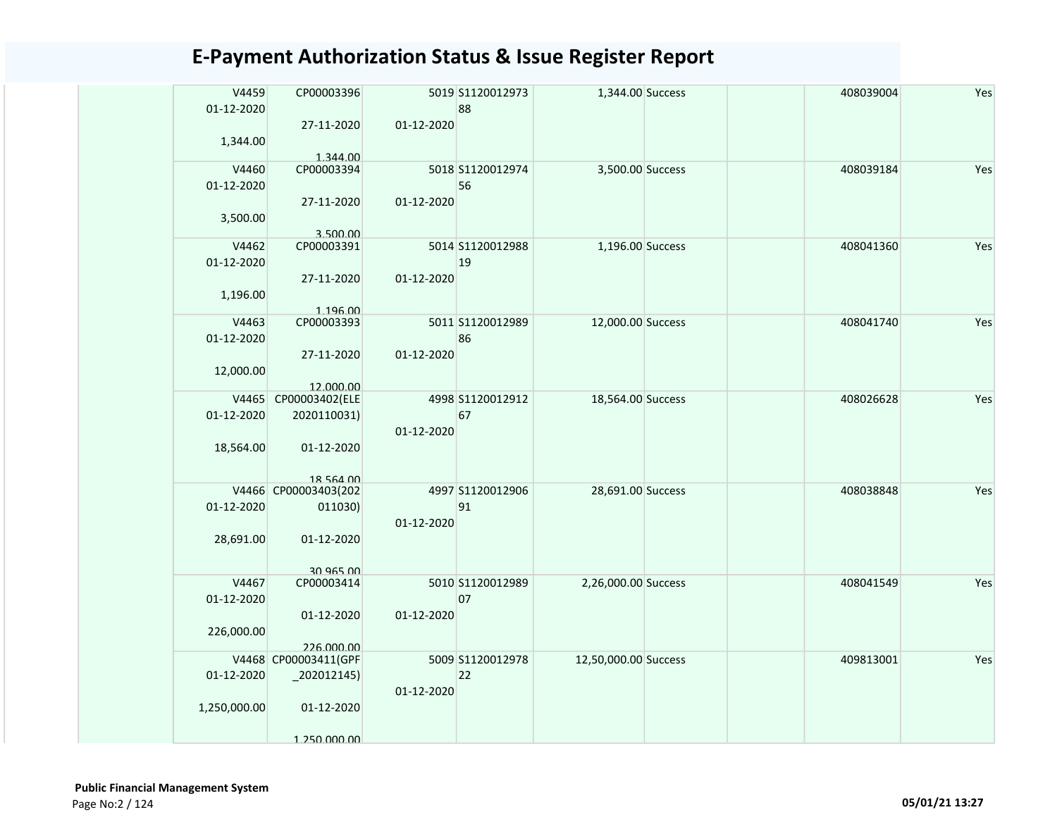| V4459<br>01-12-2020 | CP00003396                         |            | 5019 S1120012973<br>88 | 1,344.00 Success     |  | 408039004 | Yes |
|---------------------|------------------------------------|------------|------------------------|----------------------|--|-----------|-----|
| 1,344.00            | 27-11-2020<br>1.344.00             | 01-12-2020 |                        |                      |  |           |     |
| V4460               | CP00003394                         |            | 5018 S1120012974       | 3,500.00 Success     |  | 408039184 | Yes |
| 01-12-2020          |                                    |            | 56                     |                      |  |           |     |
| 3,500.00            | 27-11-2020<br>3.500.00             | 01-12-2020 |                        |                      |  |           |     |
| V4462               | CP00003391                         |            | 5014 S1120012988       | 1,196.00 Success     |  | 408041360 | Yes |
| 01-12-2020          |                                    |            | 19                     |                      |  |           |     |
|                     | 27-11-2020                         | 01-12-2020 |                        |                      |  |           |     |
| 1,196.00            |                                    |            |                        |                      |  |           |     |
|                     | 1.196.00                           |            |                        |                      |  |           |     |
| V4463               | CP00003393                         |            | 5011 S1120012989       | 12,000.00 Success    |  | 408041740 | Yes |
| 01-12-2020          |                                    |            | 86                     |                      |  |           |     |
|                     | 27-11-2020                         | 01-12-2020 |                        |                      |  |           |     |
| 12,000.00           | 12.000.00                          |            |                        |                      |  |           |     |
| V4465               | CP00003402(ELE                     |            | 4998 S1120012912       | 18,564.00 Success    |  | 408026628 | Yes |
| 01-12-2020          | 2020110031)                        |            | 67                     |                      |  |           |     |
|                     |                                    | 01-12-2020 |                        |                      |  |           |     |
| 18,564.00           | 01-12-2020                         |            |                        |                      |  |           |     |
|                     |                                    |            |                        |                      |  |           |     |
|                     | 18 564 00                          |            |                        |                      |  |           |     |
|                     | V4466 CP00003403(202               |            | 4997 S1120012906<br>91 | 28,691.00 Success    |  | 408038848 | Yes |
| 01-12-2020          | 011030)                            | 01-12-2020 |                        |                      |  |           |     |
| 28,691.00           | 01-12-2020                         |            |                        |                      |  |           |     |
|                     |                                    |            |                        |                      |  |           |     |
|                     | 30 965 00                          |            |                        |                      |  |           |     |
| V4467               | CP00003414                         |            | 5010 S1120012989       | 2,26,000.00 Success  |  | 408041549 | Yes |
| 01-12-2020          |                                    |            | 07                     |                      |  |           |     |
|                     | 01-12-2020                         | 01-12-2020 |                        |                      |  |           |     |
| 226,000.00          |                                    |            |                        |                      |  |           |     |
|                     | 226.000.00<br>V4468 CP00003411(GPF |            | 5009 S1120012978       | 12,50,000.00 Success |  | 409813001 | Yes |
| 01-12-2020          | $-202012145$                       |            | 22                     |                      |  |           |     |
|                     |                                    | 01-12-2020 |                        |                      |  |           |     |
| 1,250,000.00        | 01-12-2020                         |            |                        |                      |  |           |     |
|                     |                                    |            |                        |                      |  |           |     |
|                     | 1 250 000 00                       |            |                        |                      |  |           |     |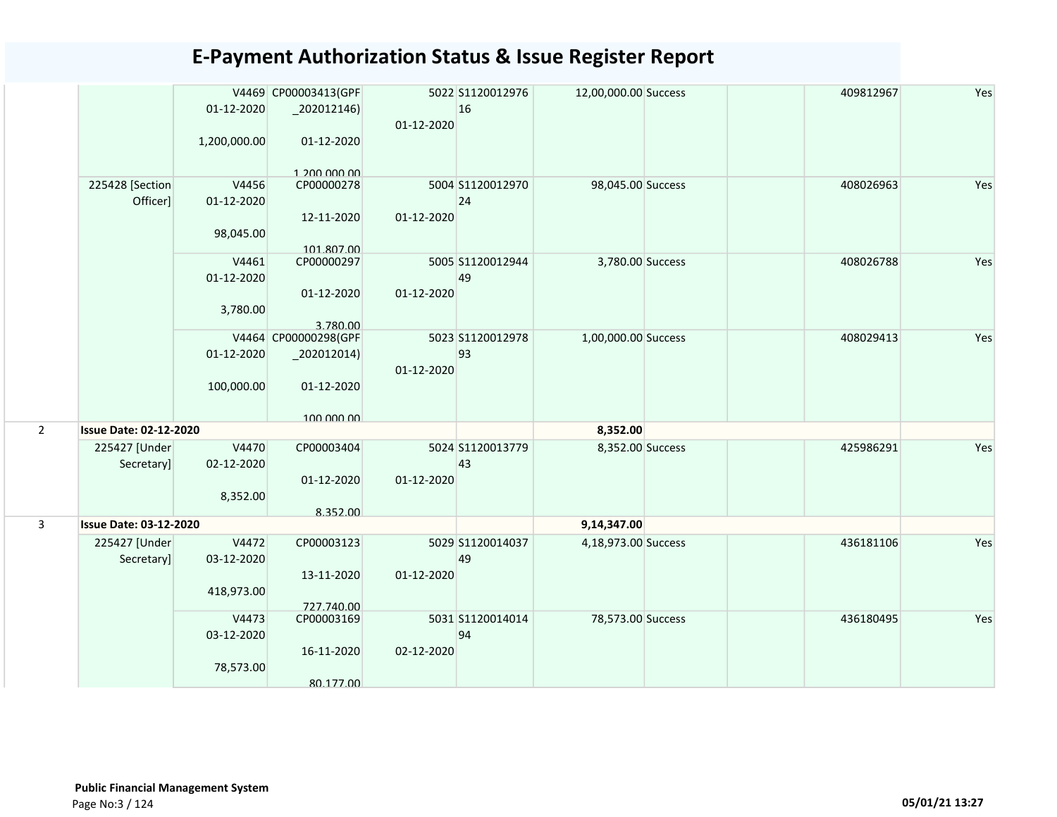|                |                               | 01-12-2020<br>1,200,000.00        | V4469 CP00003413(GPF<br>$-202012146$<br>01-12-2020  | 01-12-2020 | 5022 S1120012976<br>16 | 12,00,000.00 Success | 409812967 | Yes |
|----------------|-------------------------------|-----------------------------------|-----------------------------------------------------|------------|------------------------|----------------------|-----------|-----|
|                | 225428 [Section               | V4456                             | $1.200$ 000 00<br>CP00000278                        |            | 5004 S1120012970       | 98,045.00 Success    | 408026963 | Yes |
|                | Officer]                      | 01-12-2020<br>98,045.00           | 12-11-2020<br>101.807.00                            | 01-12-2020 | 24                     |                      |           |     |
|                |                               | V4461<br>01-12-2020<br>3,780.00   | CP00000297<br>01-12-2020<br>3.780.00                | 01-12-2020 | 5005 S1120012944<br>49 | 3,780.00 Success     | 408026788 | Yes |
|                |                               | 01-12-2020<br>100,000.00          | V4464 CP00000298(GPF<br>$-202012014)$<br>01-12-2020 | 01-12-2020 | 5023 S1120012978<br>93 | 1,00,000.00 Success  | 408029413 | Yes |
|                |                               |                                   | 100 000 00                                          |            |                        |                      |           |     |
| $\overline{2}$ | <b>Issue Date: 02-12-2020</b> |                                   |                                                     |            |                        | 8,352.00             |           |     |
|                | 225427 [Under<br>Secretary]   | V4470<br>02-12-2020<br>8,352.00   | CP00003404<br>01-12-2020                            | 01-12-2020 | 5024 S1120013779<br>43 | 8,352.00 Success     | 425986291 | Yes |
|                |                               |                                   | 8.352.00                                            |            |                        |                      |           |     |
| 3              | <b>Issue Date: 03-12-2020</b> |                                   |                                                     |            |                        | 9,14,347.00          |           |     |
|                | 225427 [Under<br>Secretary]   | V4472<br>03-12-2020<br>418,973.00 | CP00003123<br>13-11-2020                            | 01-12-2020 | 5029 S1120014037<br>49 | 4,18,973.00 Success  | 436181106 | Yes |
|                |                               | V4473<br>03-12-2020<br>78,573.00  | 727.740.00<br>CP00003169<br>16-11-2020<br>80.177.00 | 02-12-2020 | 5031 S1120014014<br>94 | 78,573.00 Success    | 436180495 | Yes |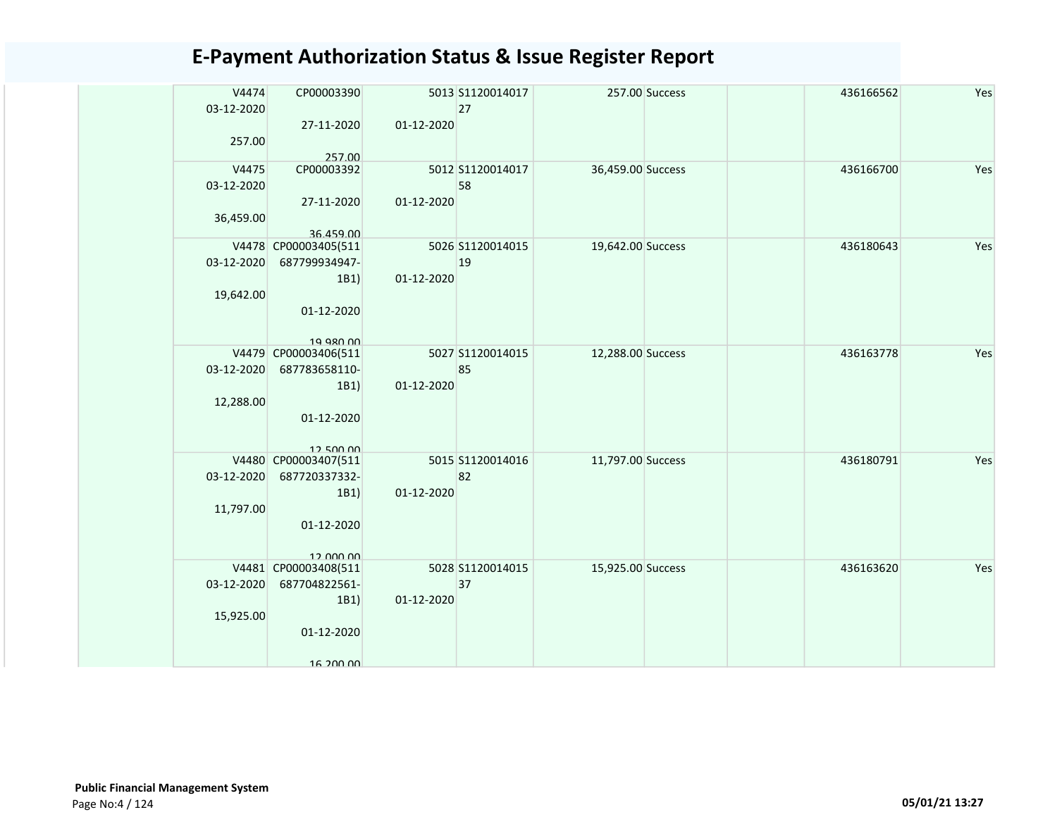| V4474<br>03-12-2020 | CP00003390           |            | 5013 S1120014017<br>27 |                   | 257.00 Success | 436166562 | Yes |
|---------------------|----------------------|------------|------------------------|-------------------|----------------|-----------|-----|
|                     | 27-11-2020           | 01-12-2020 |                        |                   |                |           |     |
| 257.00              |                      |            |                        |                   |                |           |     |
|                     | 257.00               |            |                        |                   |                |           |     |
| V4475<br>03-12-2020 | CP00003392           |            | 5012 S1120014017<br>58 | 36,459.00 Success |                | 436166700 | Yes |
|                     | 27-11-2020           | 01-12-2020 |                        |                   |                |           |     |
| 36,459.00           |                      |            |                        |                   |                |           |     |
|                     | 36.459.00            |            |                        |                   |                |           |     |
|                     | V4478 CP00003405(511 |            | 5026 S1120014015       | 19,642.00 Success |                | 436180643 | Yes |
| 03-12-2020          | 687799934947-        |            | 19                     |                   |                |           |     |
|                     | 1B1)                 | 01-12-2020 |                        |                   |                |           |     |
| 19,642.00           |                      |            |                        |                   |                |           |     |
|                     | 01-12-2020           |            |                        |                   |                |           |     |
|                     | 19 980 00            |            |                        |                   |                |           |     |
|                     | V4479 CP00003406(511 |            | 5027 S1120014015       | 12,288.00 Success |                | 436163778 | Yes |
| 03-12-2020          | 687783658110-        |            | 85                     |                   |                |           |     |
|                     | 1B1)                 | 01-12-2020 |                        |                   |                |           |     |
| 12,288.00           |                      |            |                        |                   |                |           |     |
|                     | 01-12-2020           |            |                        |                   |                |           |     |
|                     | 12.500.00            |            |                        |                   |                |           |     |
|                     | V4480 CP00003407(511 |            | 5015 S1120014016       | 11,797.00 Success |                | 436180791 | Yes |
| 03-12-2020          | 687720337332-        |            | 82                     |                   |                |           |     |
|                     | 1B1)                 | 01-12-2020 |                        |                   |                |           |     |
| 11,797.00           |                      |            |                        |                   |                |           |     |
|                     | 01-12-2020           |            |                        |                   |                |           |     |
|                     | 12.000.00            |            |                        |                   |                |           |     |
|                     | V4481 CP00003408(511 |            | 5028 S1120014015       | 15,925.00 Success |                | 436163620 | Yes |
| 03-12-2020          | 687704822561-        |            | 37                     |                   |                |           |     |
|                     | 1B1)                 | 01-12-2020 |                        |                   |                |           |     |
| 15,925.00           |                      |            |                        |                   |                |           |     |
|                     | 01-12-2020           |            |                        |                   |                |           |     |
|                     |                      |            |                        |                   |                |           |     |
|                     | 16 200 00            |            |                        |                   |                |           |     |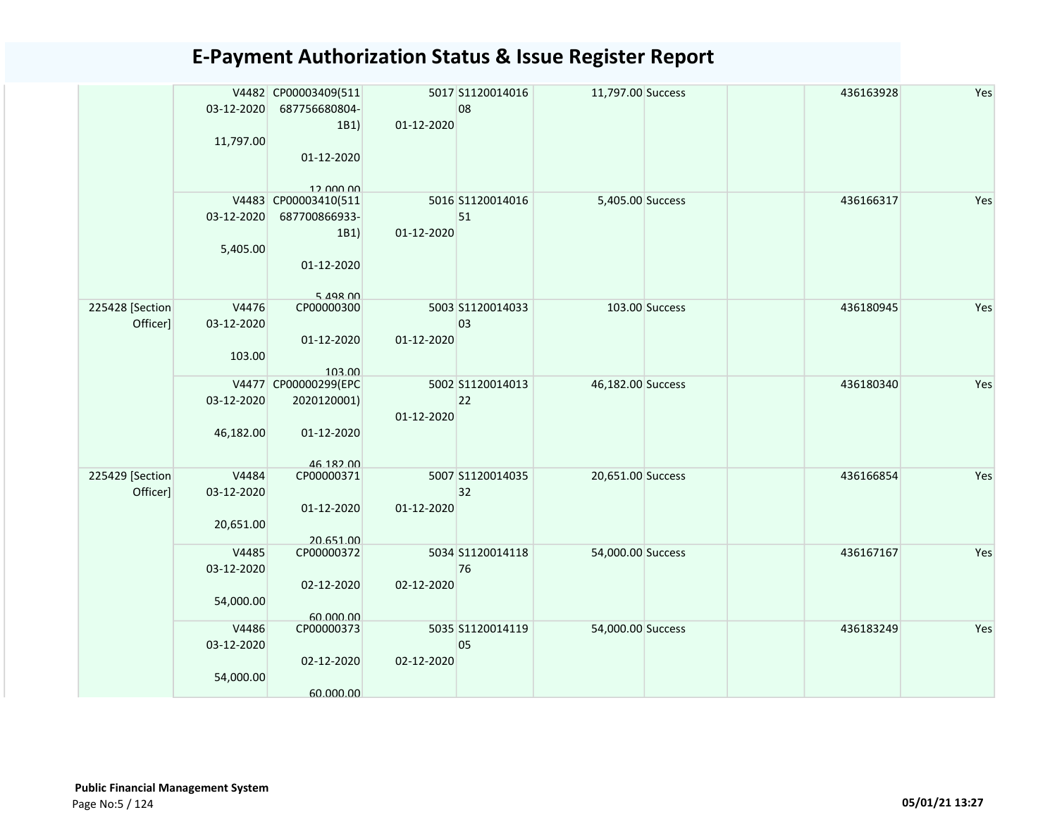|                             | 03-12-2020<br>11,797.00          | V4482 CP00003409(511<br>687756680804-<br>1B1)<br>01-12-2020<br>12 000 00    | 01-12-2020 | 5017 S1120014016<br>08 | 11,797.00 Success |                | 436163928 | Yes |
|-----------------------------|----------------------------------|-----------------------------------------------------------------------------|------------|------------------------|-------------------|----------------|-----------|-----|
|                             | 03-12-2020<br>5,405.00           | V4483 CP00003410(511<br>687700866933-<br>1B1)<br>01-12-2020<br>$5.198$ $00$ | 01-12-2020 | 5016 S1120014016<br>51 | 5,405.00 Success  |                | 436166317 | Yes |
| 225428 [Section<br>Officer] | V4476<br>03-12-2020<br>103.00    | CP00000300<br>01-12-2020<br>103.00                                          | 01-12-2020 | 5003 S1120014033<br>03 |                   | 103.00 Success | 436180945 | Yes |
|                             | 03-12-2020<br>46,182.00          | V4477 CP00000299(EPC<br>2020120001)<br>01-12-2020<br>46 182 00              | 01-12-2020 | 5002 S1120014013<br>22 | 46,182.00 Success |                | 436180340 | Yes |
| 225429 [Section<br>Officer] | V4484<br>03-12-2020<br>20,651.00 | CP00000371<br>01-12-2020<br>20.651.00                                       | 01-12-2020 | 5007 S1120014035<br>32 | 20,651.00 Success |                | 436166854 | Yes |
|                             | V4485<br>03-12-2020<br>54,000.00 | CP00000372<br>02-12-2020<br>60.000.00                                       | 02-12-2020 | 5034 S1120014118<br>76 | 54,000.00 Success |                | 436167167 | Yes |
|                             | V4486<br>03-12-2020<br>54,000.00 | CP00000373<br>02-12-2020<br>60.000.00                                       | 02-12-2020 | 5035 S1120014119<br>05 | 54,000.00 Success |                | 436183249 | Yes |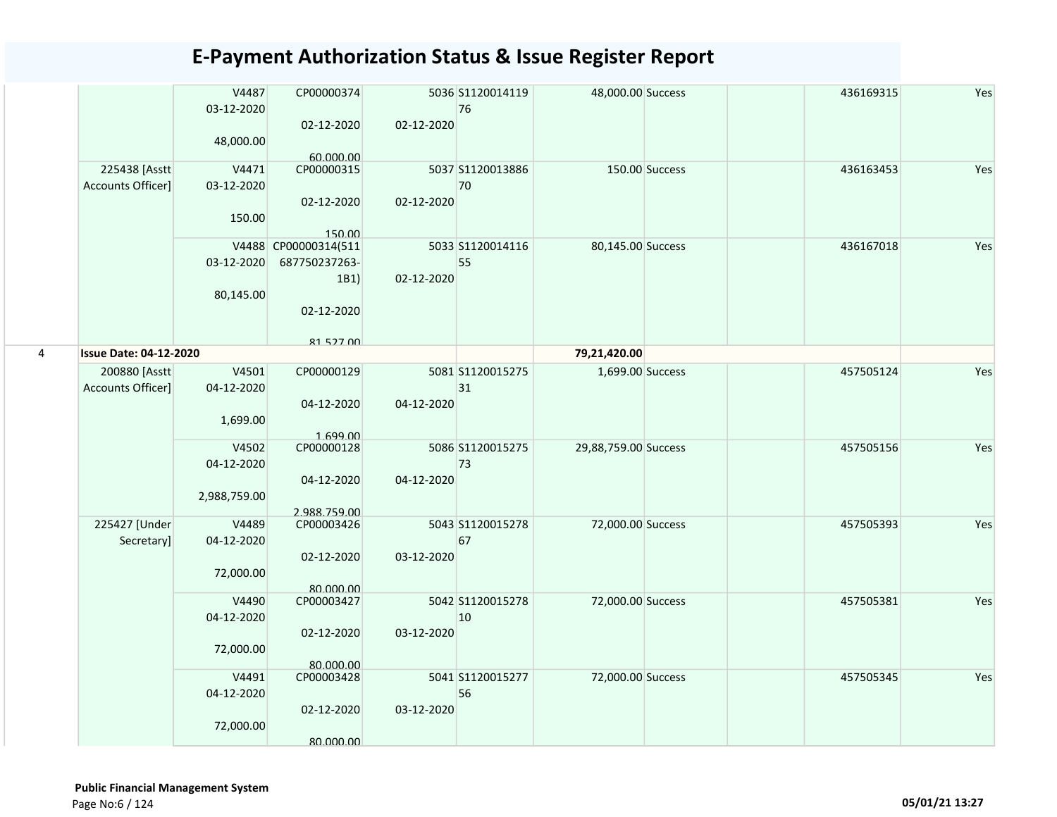|   |                                    | V4487<br>03-12-2020<br>48,000.00    | CP00000374<br>02-12-2020<br>60,000,00                                           | 02-12-2020 | 5036 S1120014119<br>76 | 48,000.00 Success    |                | 436169315 | Yes |
|---|------------------------------------|-------------------------------------|---------------------------------------------------------------------------------|------------|------------------------|----------------------|----------------|-----------|-----|
|   | 225438 [Asstt<br>Accounts Officer] | V4471<br>03-12-2020<br>150.00       | CP00000315<br>02-12-2020<br>150.00                                              | 02-12-2020 | 5037 S1120013886<br>70 |                      | 150.00 Success | 436163453 | Yes |
|   |                                    | 03-12-2020<br>80,145.00             | V4488 CP00000314(511<br>687750237263-<br>1B1)<br>02-12-2020<br><b>81 527 00</b> | 02-12-2020 | 5033 S1120014116<br>55 | 80,145.00 Success    |                | 436167018 | Yes |
| 4 | <b>Issue Date: 04-12-2020</b>      |                                     |                                                                                 |            |                        | 79,21,420.00         |                |           |     |
|   | 200880 [Asstt<br>Accounts Officer] | V4501<br>04-12-2020<br>1,699.00     | CP00000129<br>04-12-2020<br>1.699.00                                            | 04-12-2020 | 5081 S1120015275<br>31 | 1,699.00 Success     |                | 457505124 | Yes |
|   |                                    | V4502<br>04-12-2020<br>2,988,759.00 | CP00000128<br>04-12-2020<br>2.988.759.00                                        | 04-12-2020 | 5086 S1120015275<br>73 | 29,88,759.00 Success |                | 457505156 | Yes |
|   | 225427 [Under<br>Secretary]        | V4489<br>04-12-2020<br>72,000.00    | CP00003426<br>02-12-2020<br>80.000.00                                           | 03-12-2020 | 5043 S1120015278<br>67 | 72,000.00 Success    |                | 457505393 | Yes |
|   |                                    | V4490<br>04-12-2020<br>72,000.00    | CP00003427<br>02-12-2020<br>80.000.00                                           | 03-12-2020 | 5042 S1120015278<br>10 | 72,000.00 Success    |                | 457505381 | Yes |
|   |                                    | V4491<br>04-12-2020<br>72,000.00    | CP00003428<br>02-12-2020<br>80.000.00                                           | 03-12-2020 | 5041 S1120015277<br>56 | 72,000.00 Success    |                | 457505345 | Yes |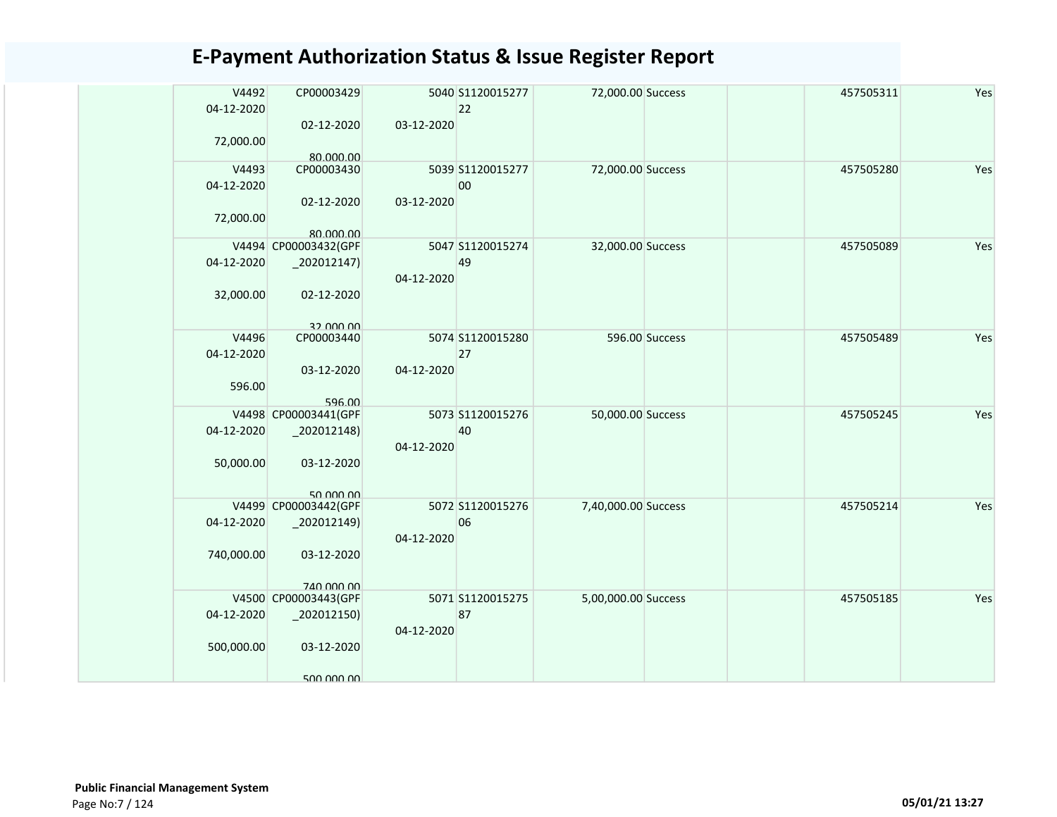| V4492      | CP00003429                        |            | 5040 S1120015277 | 72,000.00 Success   |                | 457505311 | Yes |
|------------|-----------------------------------|------------|------------------|---------------------|----------------|-----------|-----|
| 04-12-2020 |                                   |            | 22               |                     |                |           |     |
|            | 02-12-2020                        | 03-12-2020 |                  |                     |                |           |     |
| 72,000.00  |                                   |            |                  |                     |                |           |     |
| V4493      | 80.000.00<br>CP00003430           |            | 5039 S1120015277 | 72,000.00 Success   |                | 457505280 | Yes |
| 04-12-2020 |                                   |            | 00               |                     |                |           |     |
|            | 02-12-2020                        | 03-12-2020 |                  |                     |                |           |     |
| 72,000.00  |                                   |            |                  |                     |                |           |     |
|            | 80.000.00                         |            |                  |                     |                |           |     |
|            | V4494 CP00003432(GPF              |            | 5047 S1120015274 | 32,000.00 Success   |                | 457505089 | Yes |
| 04-12-2020 | $-202012147$                      |            | 49               |                     |                |           |     |
|            |                                   | 04-12-2020 |                  |                     |                |           |     |
| 32,000.00  | 02-12-2020                        |            |                  |                     |                |           |     |
|            |                                   |            |                  |                     |                |           |     |
| V4496      | 32 000 00<br>CP00003440           |            | 5074 S1120015280 |                     | 596.00 Success | 457505489 | Yes |
| 04-12-2020 |                                   |            | 27               |                     |                |           |     |
|            | 03-12-2020                        | 04-12-2020 |                  |                     |                |           |     |
| 596.00     |                                   |            |                  |                     |                |           |     |
|            | 596.00                            |            |                  |                     |                |           |     |
|            | V4498 CP00003441(GPF              |            | 5073 S1120015276 | 50,000.00 Success   |                | 457505245 | Yes |
| 04-12-2020 | $-202012148$                      |            | 40               |                     |                |           |     |
|            |                                   | 04-12-2020 |                  |                     |                |           |     |
| 50,000.00  | 03-12-2020                        |            |                  |                     |                |           |     |
|            |                                   |            |                  |                     |                |           |     |
|            | 50,000,00<br>V4499 CP00003442(GPF |            | 5072 S1120015276 | 7,40,000.00 Success |                | 457505214 | Yes |
| 04-12-2020 | 202012149)                        |            | 06               |                     |                |           |     |
|            |                                   | 04-12-2020 |                  |                     |                |           |     |
| 740,000.00 | 03-12-2020                        |            |                  |                     |                |           |     |
|            |                                   |            |                  |                     |                |           |     |
|            | 740,000,00                        |            |                  |                     |                |           |     |
|            | V4500 CP00003443(GPF              |            | 5071 S1120015275 | 5,00,000.00 Success |                | 457505185 | Yes |
| 04-12-2020 | $-202012150$                      |            | 87               |                     |                |           |     |
|            |                                   | 04-12-2020 |                  |                     |                |           |     |
| 500,000.00 | 03-12-2020                        |            |                  |                     |                |           |     |
|            |                                   |            |                  |                     |                |           |     |
|            | 500 000 00                        |            |                  |                     |                |           |     |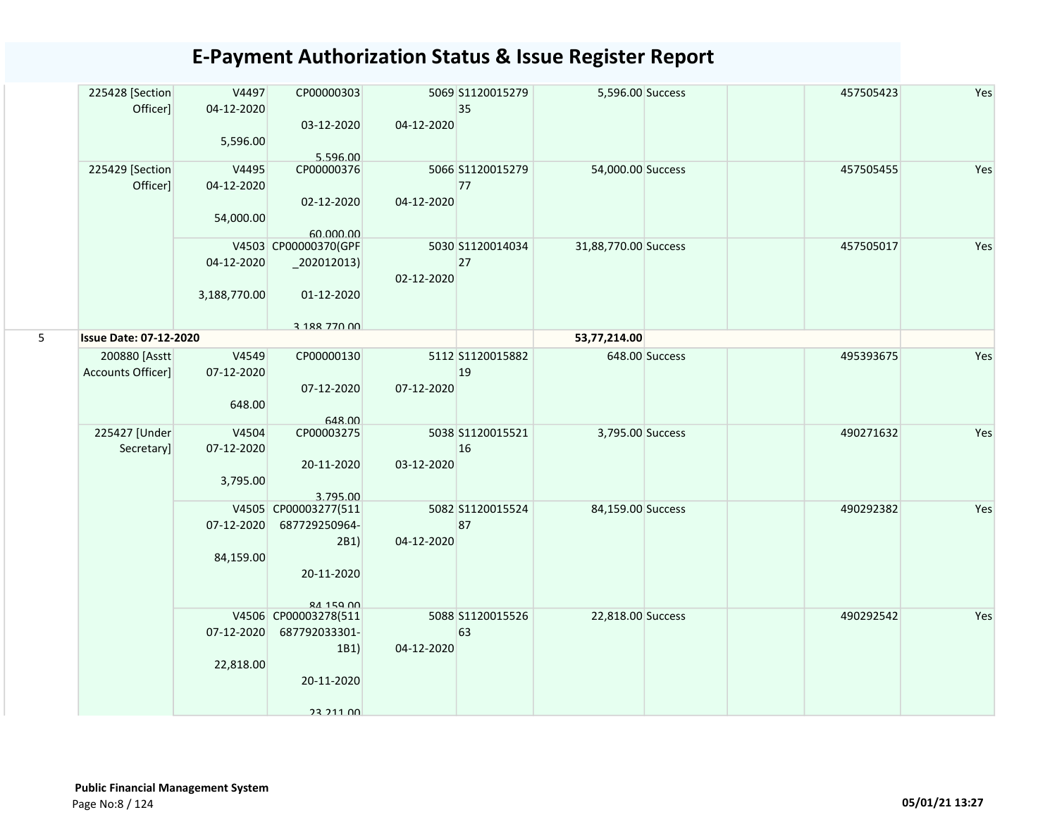|   | 225428 [Section<br>Officer]   | V4497<br>04-12-2020 | CP00000303                       |            | 5069 S1120015279<br>35 | 5,596.00 Success     |                | 457505423 | Yes |
|---|-------------------------------|---------------------|----------------------------------|------------|------------------------|----------------------|----------------|-----------|-----|
|   |                               | 5,596.00            | 03-12-2020                       | 04-12-2020 |                        |                      |                |           |     |
|   | 225429 [Section               | V4495               | 5.596.00<br>CP00000376           |            | 5066 S1120015279       | 54,000.00 Success    |                | 457505455 | Yes |
|   | Officer]                      | 04-12-2020          |                                  |            | 77                     |                      |                |           |     |
|   |                               |                     | 02-12-2020                       | 04-12-2020 |                        |                      |                |           |     |
|   |                               | 54,000.00           |                                  |            |                        |                      |                |           |     |
|   |                               |                     | 60.000.00                        |            |                        |                      |                |           |     |
|   |                               |                     | V4503 CP00000370(GPF             |            | 5030 S1120014034       | 31,88,770.00 Success |                | 457505017 | Yes |
|   |                               | 04-12-2020          | $_2$ 202012013)                  |            | 27                     |                      |                |           |     |
|   |                               |                     |                                  | 02-12-2020 |                        |                      |                |           |     |
|   |                               | 3,188,770.00        | 01-12-2020                       |            |                        |                      |                |           |     |
|   |                               |                     |                                  |            |                        |                      |                |           |     |
| 5 | <b>Issue Date: 07-12-2020</b> |                     | 3 188 770 00                     |            |                        | 53,77,214.00         |                |           |     |
|   | 200880 [Asstt                 | V4549               | CP00000130                       |            | 5112 S1120015882       |                      | 648.00 Success | 495393675 | Yes |
|   | Accounts Officer]             | 07-12-2020          |                                  |            | 19                     |                      |                |           |     |
|   |                               |                     | 07-12-2020                       | 07-12-2020 |                        |                      |                |           |     |
|   |                               | 648.00              |                                  |            |                        |                      |                |           |     |
|   |                               |                     | 648.00                           |            |                        |                      |                |           |     |
|   | 225427 [Under                 | V4504               | CP00003275                       |            | 5038 S1120015521       | 3,795.00 Success     |                | 490271632 | Yes |
|   | Secretary]                    | 07-12-2020          |                                  |            | 16                     |                      |                |           |     |
|   |                               |                     | 20-11-2020                       | 03-12-2020 |                        |                      |                |           |     |
|   |                               | 3,795.00            |                                  |            |                        |                      |                |           |     |
|   |                               |                     | 3.795.00<br>V4505 CP00003277(511 |            | 5082 S1120015524       | 84,159.00 Success    |                | 490292382 | Yes |
|   |                               | 07-12-2020          | 687729250964-                    |            | 87                     |                      |                |           |     |
|   |                               |                     | 2B1)                             | 04-12-2020 |                        |                      |                |           |     |
|   |                               | 84,159.00           |                                  |            |                        |                      |                |           |     |
|   |                               |                     | 20-11-2020                       |            |                        |                      |                |           |     |
|   |                               |                     |                                  |            |                        |                      |                |           |     |
|   |                               |                     | <b>84 159 00</b>                 |            |                        |                      |                |           |     |
|   |                               |                     | V4506 CP00003278(511             |            | 5088 S1120015526       | 22,818.00 Success    |                | 490292542 | Yes |
|   |                               | 07-12-2020          | 687792033301-                    |            | 63                     |                      |                |           |     |
|   |                               | 22,818.00           | 1B1)                             | 04-12-2020 |                        |                      |                |           |     |
|   |                               |                     | 20-11-2020                       |            |                        |                      |                |           |     |
|   |                               |                     |                                  |            |                        |                      |                |           |     |
|   |                               |                     | 23 211 00                        |            |                        |                      |                |           |     |
|   |                               |                     |                                  |            |                        |                      |                |           |     |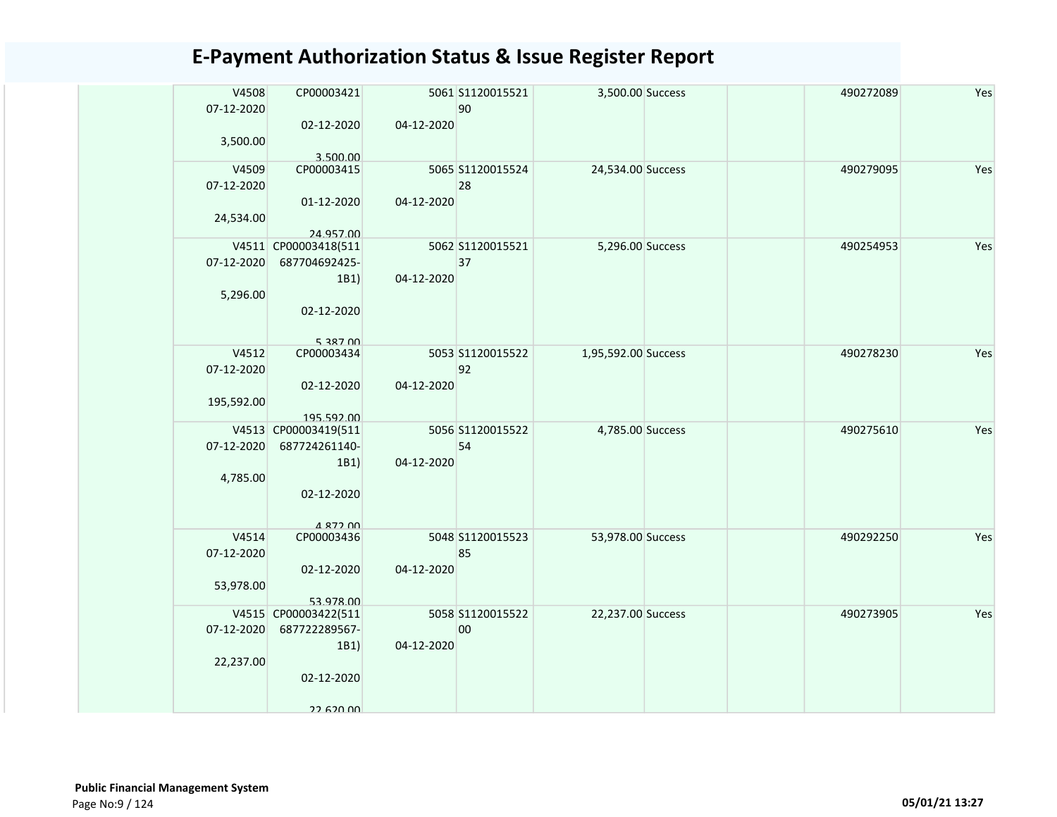| V4508<br>07-12-2020 | CP00003421                         |            | 5061 S1120015521<br>90 | 3,500.00 Success    | 490272089 | Yes |
|---------------------|------------------------------------|------------|------------------------|---------------------|-----------|-----|
|                     | 02-12-2020                         | 04-12-2020 |                        |                     |           |     |
| 3,500.00            |                                    |            |                        |                     |           |     |
| V4509               | 3.500.00<br>CP00003415             |            | 5065 S1120015524       | 24,534.00 Success   | 490279095 | Yes |
| 07-12-2020          |                                    |            | 28                     |                     |           |     |
|                     | 01-12-2020                         | 04-12-2020 |                        |                     |           |     |
| 24,534.00           |                                    |            |                        |                     |           |     |
|                     | 24.957.00                          |            |                        |                     |           |     |
|                     | V4511 CP00003418(511               |            | 5062 S1120015521       | 5,296.00 Success    | 490254953 | Yes |
| 07-12-2020          | 687704692425-                      |            | 37                     |                     |           |     |
|                     | 1B1)                               | 04-12-2020 |                        |                     |           |     |
| 5,296.00            |                                    |            |                        |                     |           |     |
|                     | 02-12-2020                         |            |                        |                     |           |     |
|                     |                                    |            |                        |                     |           |     |
|                     | 5 387 00                           |            |                        |                     |           |     |
| V4512               | CP00003434                         |            | 5053 S1120015522       | 1,95,592.00 Success | 490278230 | Yes |
| 07-12-2020          |                                    |            | 92                     |                     |           |     |
|                     | 02-12-2020                         | 04-12-2020 |                        |                     |           |     |
| 195,592.00          |                                    |            |                        |                     |           |     |
|                     | 195.592.00<br>V4513 CP00003419(511 |            | 5056 S1120015522       | 4,785.00 Success    | 490275610 | Yes |
| 07-12-2020          | 687724261140-                      |            | 54                     |                     |           |     |
|                     | 1B1)                               | 04-12-2020 |                        |                     |           |     |
| 4,785.00            |                                    |            |                        |                     |           |     |
|                     | 02-12-2020                         |            |                        |                     |           |     |
|                     |                                    |            |                        |                     |           |     |
|                     | A 877 00                           |            |                        |                     |           |     |
| V4514               | CP00003436                         |            | 5048 S1120015523       | 53,978.00 Success   | 490292250 | Yes |
| 07-12-2020          |                                    |            | 85                     |                     |           |     |
|                     | 02-12-2020                         | 04-12-2020 |                        |                     |           |     |
| 53,978.00           |                                    |            |                        |                     |           |     |
|                     | 53.978.00<br>V4515 CP00003422(511  |            | 5058 S1120015522       | 22,237.00 Success   | 490273905 | Yes |
| 07-12-2020          | 687722289567-                      |            | 00                     |                     |           |     |
|                     | 1B1)                               | 04-12-2020 |                        |                     |           |     |
| 22,237.00           |                                    |            |                        |                     |           |     |
|                     | 02-12-2020                         |            |                        |                     |           |     |
|                     |                                    |            |                        |                     |           |     |
|                     | 22.620.00                          |            |                        |                     |           |     |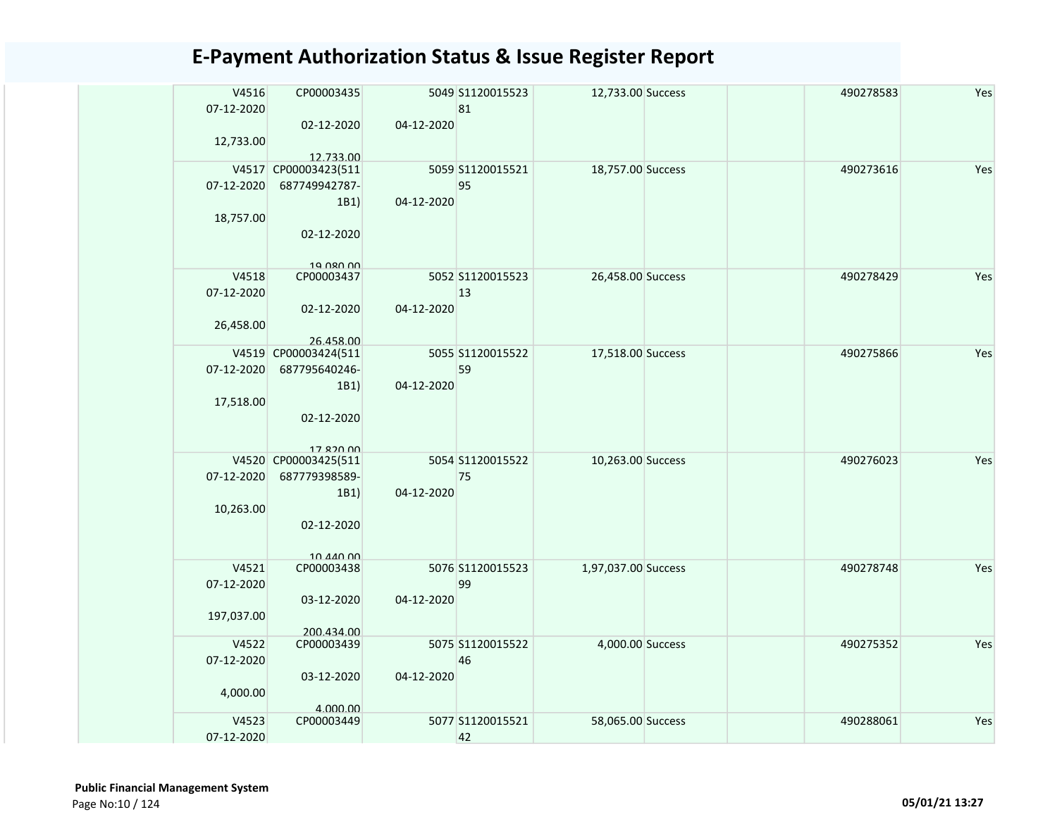| V4516<br>07-12-2020<br>12,733.00  | CP00003435<br>02-12-2020                                                              | 04-12-2020 | 5049 S1120015523<br>81 | 12,733.00 Success   | 490278583 | Yes |
|-----------------------------------|---------------------------------------------------------------------------------------|------------|------------------------|---------------------|-----------|-----|
| 07-12-2020<br>18,757.00           | 12.733.00<br>V4517 CP00003423(511<br>687749942787-<br>1B1)<br>02-12-2020<br>19 080 00 | 04-12-2020 | 5059 S1120015521<br>95 | 18,757.00 Success   | 490273616 | Yes |
| V4518<br>07-12-2020<br>26,458.00  | CP00003437<br>02-12-2020<br>26.458.00                                                 | 04-12-2020 | 5052 S1120015523<br>13 | 26,458.00 Success   | 490278429 | Yes |
| 07-12-2020<br>17,518.00           | V4519 CP00003424(511<br>687795640246-<br>1B1)<br>02-12-2020<br>17 820 00              | 04-12-2020 | 5055 S1120015522<br>59 | 17,518.00 Success   | 490275866 | Yes |
| 07-12-2020<br>10,263.00           | V4520 CP00003425(511<br>687779398589-<br>1B1)<br>02-12-2020<br>10 <i>AA</i> 0 00      | 04-12-2020 | 5054 S1120015522<br>75 | 10,263.00 Success   | 490276023 | Yes |
| V4521<br>07-12-2020<br>197,037.00 | CP00003438<br>03-12-2020<br>200.434.00                                                | 04-12-2020 | 5076 S1120015523<br>99 | 1,97,037.00 Success | 490278748 | Yes |
| V4522<br>07-12-2020<br>4,000.00   | CP00003439<br>03-12-2020<br>4.000.00                                                  | 04-12-2020 | 5075 S1120015522<br>46 | 4,000.00 Success    | 490275352 | Yes |
| V4523<br>07-12-2020               | CP00003449                                                                            |            | 5077 S1120015521<br>42 | 58,065.00 Success   | 490288061 | Yes |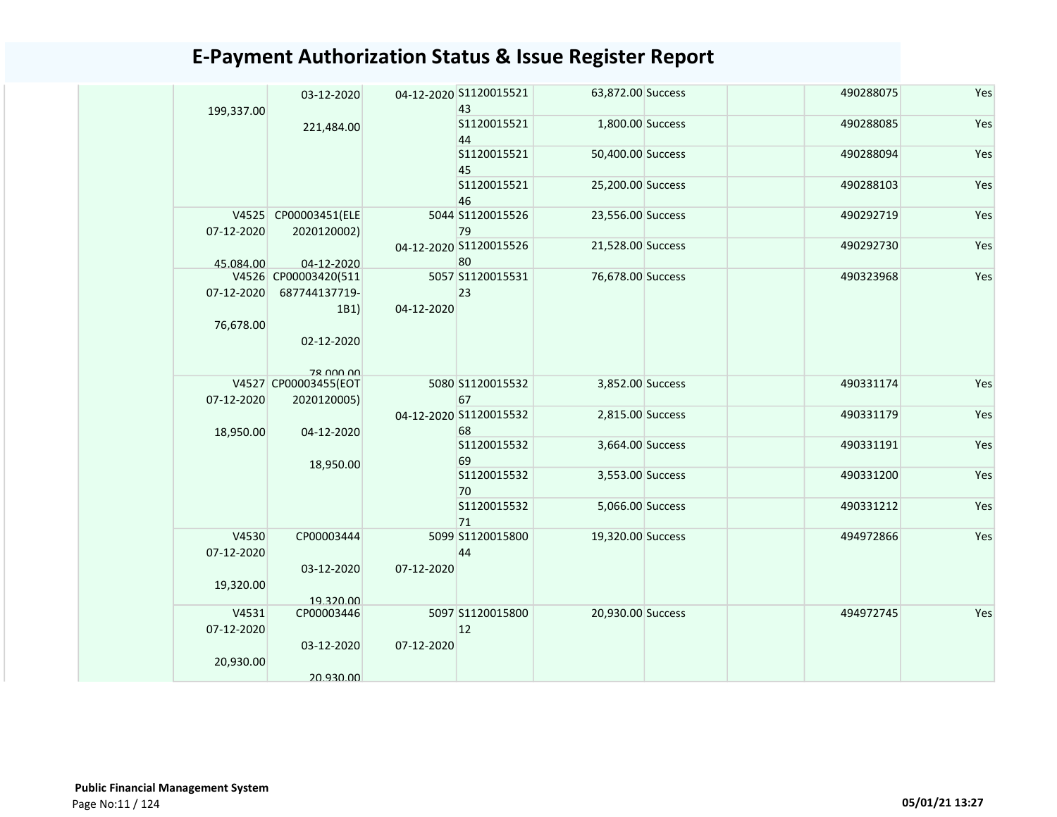| 199,337.00          | 03-12-2020                                    |            | 04-12-2020 S1120015521<br>43       | 63,872.00 Success | 490288075 | Yes |
|---------------------|-----------------------------------------------|------------|------------------------------------|-------------------|-----------|-----|
|                     | 221,484.00                                    |            | S1120015521<br>44                  | 1,800.00 Success  | 490288085 | Yes |
|                     |                                               |            | S1120015521<br>45                  | 50,400.00 Success | 490288094 | Yes |
|                     |                                               |            | S1120015521<br>46                  | 25,200.00 Success | 490288103 | Yes |
| 07-12-2020          | V4525 CP00003451(ELE<br>2020120002)           |            | 5044 S1120015526<br>79             | 23,556.00 Success | 490292719 | Yes |
| 45.084.00           | 04-12-2020                                    |            | 04-12-2020 S1120015526<br>80       | 21,528.00 Success | 490292730 | Yes |
| 07-12-2020          | V4526 CP00003420(511<br>687744137719-<br>1B1) | 04-12-2020 | 5057 S1120015531<br>23             | 76,678.00 Success | 490323968 | Yes |
| 76,678.00           | 02-12-2020<br>78 000 00                       |            |                                    |                   |           |     |
|                     | V4527 CP00003455(EOT                          |            | 5080 S1120015532                   | 3,852.00 Success  | 490331174 | Yes |
| 07-12-2020          | 2020120005)                                   |            | 67<br>04-12-2020 S1120015532<br>68 | 2,815.00 Success  | 490331179 | Yes |
| 18,950.00           | 04-12-2020<br>18,950.00                       |            | S1120015532<br>69                  | 3,664.00 Success  | 490331191 | Yes |
|                     |                                               |            | S1120015532<br>70                  | 3,553.00 Success  | 490331200 | Yes |
|                     |                                               |            | S1120015532<br>71                  | 5,066.00 Success  | 490331212 | Yes |
| V4530<br>07-12-2020 | CP00003444<br>03-12-2020                      | 07-12-2020 | 5099 S1120015800<br>44             | 19,320.00 Success | 494972866 | Yes |
| 19,320.00           | 19.320.00                                     |            |                                    |                   |           |     |
| V4531<br>07-12-2020 | CP00003446                                    |            | 5097 S1120015800<br>12             | 20,930.00 Success | 494972745 | Yes |
| 20,930.00           | 03-12-2020<br>20.930.00                       | 07-12-2020 |                                    |                   |           |     |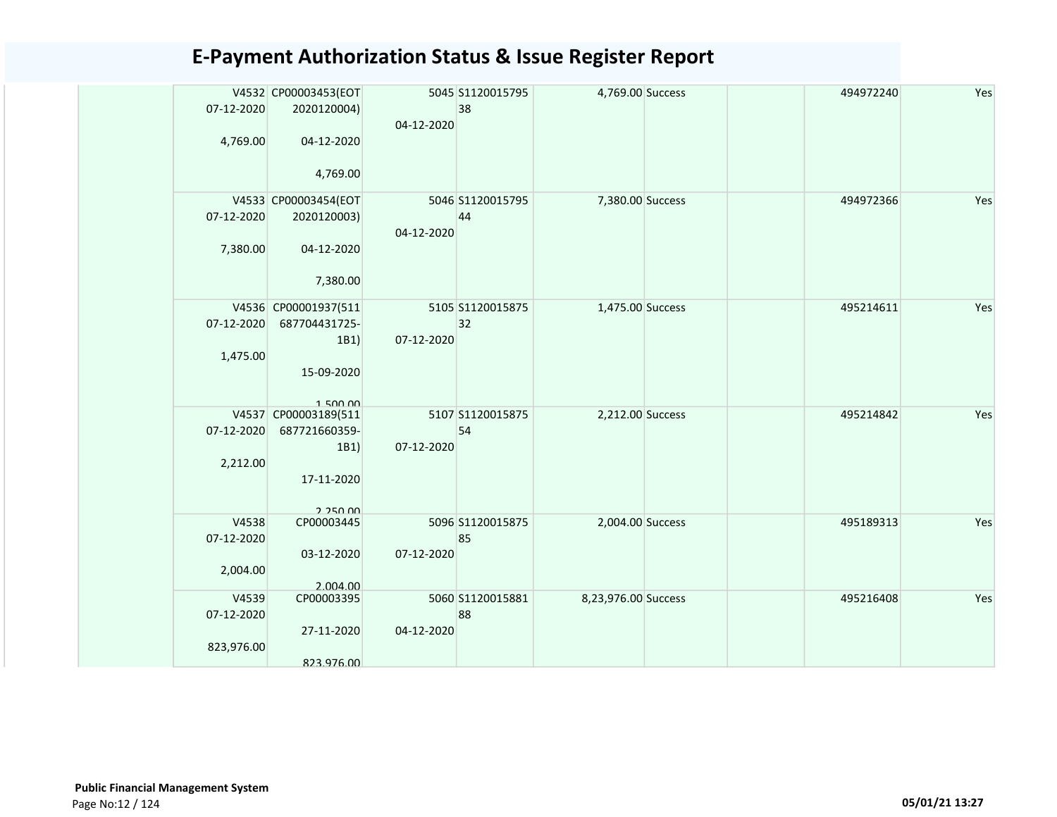|            | V4532 CP00003453(EOT                  |            | 5045 S1120015795       | 4,769.00 Success    |  | 494972240 | Yes |
|------------|---------------------------------------|------------|------------------------|---------------------|--|-----------|-----|
| 07-12-2020 | 2020120004)                           |            | 38                     |                     |  |           |     |
| 4,769.00   | 04-12-2020                            | 04-12-2020 |                        |                     |  |           |     |
|            |                                       |            |                        |                     |  |           |     |
|            | 4,769.00                              |            |                        |                     |  |           |     |
|            | V4533 CP00003454(EOT                  |            | 5046 S1120015795       | 7,380.00 Success    |  | 494972366 | Yes |
| 07-12-2020 | 2020120003)                           |            | 44                     |                     |  |           |     |
|            |                                       | 04-12-2020 |                        |                     |  |           |     |
| 7,380.00   | 04-12-2020                            |            |                        |                     |  |           |     |
|            | 7,380.00                              |            |                        |                     |  |           |     |
|            |                                       |            |                        |                     |  | 495214611 |     |
| 07-12-2020 | V4536 CP00001937(511<br>687704431725- |            | 5105 S1120015875<br>32 | 1,475.00 Success    |  |           | Yes |
|            | 1B1)                                  | 07-12-2020 |                        |                     |  |           |     |
| 1,475.00   |                                       |            |                        |                     |  |           |     |
|            | 15-09-2020                            |            |                        |                     |  |           |     |
|            |                                       |            |                        |                     |  |           |     |
|            | 150000                                |            |                        |                     |  |           |     |
|            | V4537 CP00003189(511                  |            | 5107 S1120015875       | 2,212.00 Success    |  | 495214842 | Yes |
| 07-12-2020 | 687721660359-                         |            | 54                     |                     |  |           |     |
|            | 1B1)                                  | 07-12-2020 |                        |                     |  |           |     |
| 2,212.00   |                                       |            |                        |                     |  |           |     |
|            | 17-11-2020                            |            |                        |                     |  |           |     |
|            |                                       |            |                        |                     |  |           |     |
| V4538      | 2.250.00<br>CP00003445                |            | 5096 S1120015875       | 2,004.00 Success    |  | 495189313 | Yes |
| 07-12-2020 |                                       |            | 85                     |                     |  |           |     |
|            | 03-12-2020                            | 07-12-2020 |                        |                     |  |           |     |
| 2,004.00   |                                       |            |                        |                     |  |           |     |
|            | 2.004.00                              |            |                        |                     |  |           |     |
| V4539      | CP00003395                            |            | 5060 S1120015881       | 8,23,976.00 Success |  | 495216408 | Yes |
| 07-12-2020 |                                       |            | 88                     |                     |  |           |     |
|            | 27-11-2020                            | 04-12-2020 |                        |                     |  |           |     |
| 823,976.00 |                                       |            |                        |                     |  |           |     |
|            | 823.976.00                            |            |                        |                     |  |           |     |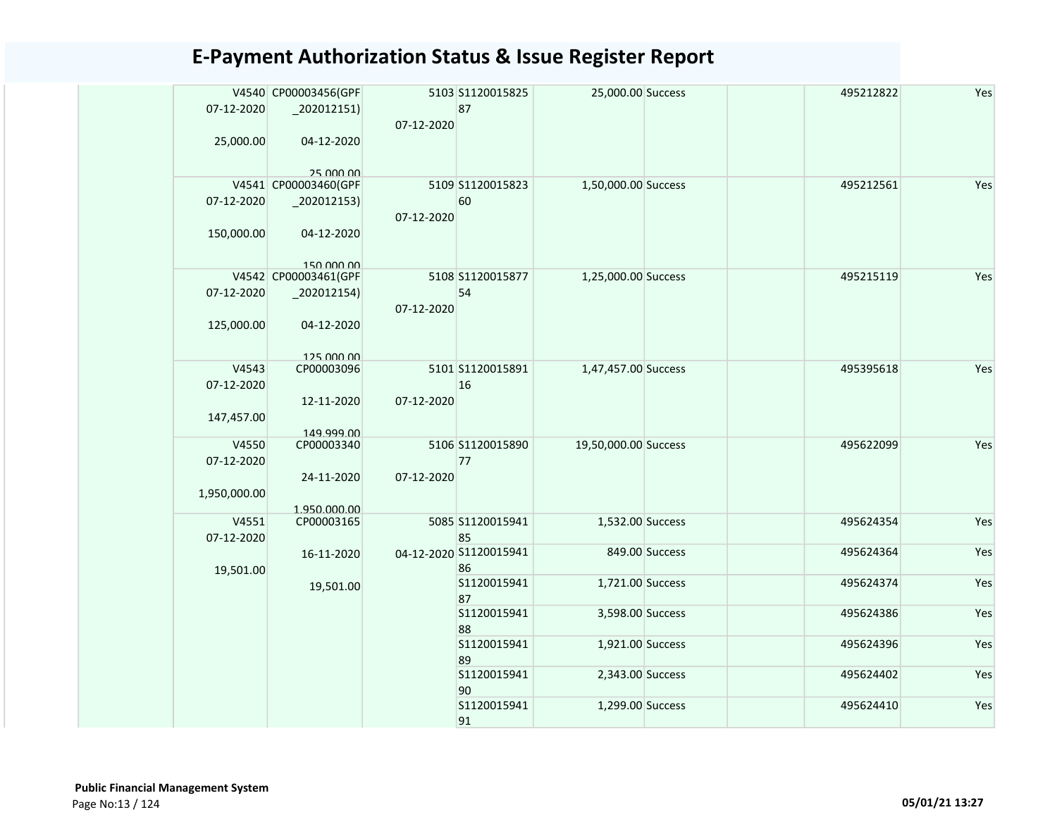| 07-12-2020               | V4540 CP00003456(GPF<br>$_2$ 02012151) | 07-12-2020 | 5103 S1120015825<br>87       | 25,000.00 Success    |                | 495212822 | Yes |
|--------------------------|----------------------------------------|------------|------------------------------|----------------------|----------------|-----------|-----|
| 25,000.00                | 04-12-2020<br>25 000 00                |            |                              |                      |                |           |     |
|                          | V4541 CP00003460(GPF                   |            | 5109 S1120015823             | 1,50,000.00 Success  |                | 495212561 | Yes |
| 07-12-2020               | $-202012153$                           | 07-12-2020 | 60                           |                      |                |           |     |
| 150,000.00               | 04-12-2020<br>150,000,00               |            |                              |                      |                |           |     |
|                          | V4542 CP00003461(GPF                   |            | 5108 S1120015877             | 1,25,000.00 Success  |                | 495215119 | Yes |
| 07-12-2020               | $_2$ 02012154)                         |            | 54                           |                      |                |           |     |
| 125,000.00               | 04-12-2020                             | 07-12-2020 |                              |                      |                |           |     |
|                          | 125,000,00                             |            |                              |                      |                |           |     |
| V4543                    | CP00003096                             |            | 5101 S1120015891             | 1,47,457.00 Success  |                | 495395618 | Yes |
| 07-12-2020<br>147,457.00 | 12-11-2020                             | 07-12-2020 | 16                           |                      |                |           |     |
|                          | 149.999.00                             |            |                              |                      |                |           |     |
| V4550<br>07-12-2020      | CP00003340                             |            | 5106 S1120015890<br>77       | 19,50,000.00 Success |                | 495622099 | Yes |
| 1,950,000.00             | 24-11-2020<br>1.950.000.00             | 07-12-2020 |                              |                      |                |           |     |
| V4551                    | CP00003165                             |            | 5085 S1120015941             | 1,532.00 Success     |                | 495624354 | Yes |
| 07-12-2020               |                                        |            | 85<br>04-12-2020 S1120015941 |                      | 849.00 Success | 495624364 | Yes |
| 19,501.00                | 16-11-2020                             |            | 86                           |                      |                |           |     |
|                          | 19,501.00                              |            | S1120015941<br>87            | 1,721.00 Success     |                | 495624374 | Yes |
|                          |                                        |            | S1120015941<br>88            | 3,598.00 Success     |                | 495624386 | Yes |
|                          |                                        |            | S1120015941<br>89            | 1,921.00 Success     |                | 495624396 | Yes |
|                          |                                        |            | S1120015941<br>90            | 2,343.00 Success     |                | 495624402 | Yes |
|                          |                                        |            | S1120015941<br>91            | 1,299.00 Success     |                | 495624410 | Yes |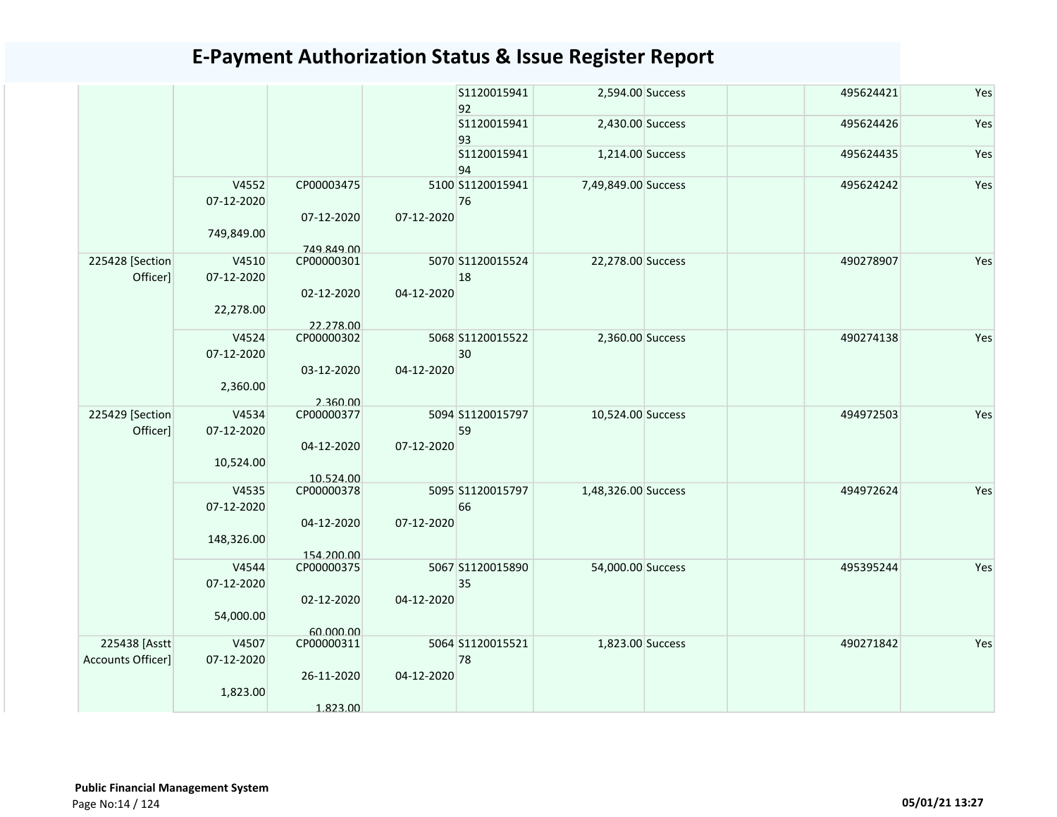|                                    |                                   |                          |            | S1120015941<br>92      | 2,594.00 Success    | 495624421 | Yes |
|------------------------------------|-----------------------------------|--------------------------|------------|------------------------|---------------------|-----------|-----|
|                                    |                                   |                          |            | S1120015941<br>93      | 2,430.00 Success    | 495624426 | Yes |
|                                    |                                   |                          |            | S1120015941<br>94      | 1,214.00 Success    | 495624435 | Yes |
|                                    | V4552<br>07-12-2020<br>749,849.00 | CP00003475<br>07-12-2020 | 07-12-2020 | 5100 S1120015941<br>76 | 7,49,849.00 Success | 495624242 | Yes |
|                                    |                                   | 749.849.00               |            |                        |                     |           |     |
| 225428 [Section<br>Officer]        | V4510<br>07-12-2020               | CP00000301<br>02-12-2020 | 04-12-2020 | 5070 S1120015524<br>18 | 22,278.00 Success   | 490278907 | Yes |
|                                    | 22,278.00                         | 22.278.00                |            |                        |                     |           |     |
|                                    | V4524<br>07-12-2020               | CP00000302               |            | 5068 S1120015522<br>30 | 2,360.00 Success    | 490274138 | Yes |
|                                    | 2,360.00                          | 03-12-2020<br>2.360.00   | 04-12-2020 |                        |                     |           |     |
| 225429 [Section<br>Officer]        | V4534<br>07-12-2020               | CP00000377               |            | 5094 S1120015797<br>59 | 10,524.00 Success   | 494972503 | Yes |
|                                    | 10,524.00                         | 04-12-2020<br>10.524.00  | 07-12-2020 |                        |                     |           |     |
|                                    | V4535<br>07-12-2020               | CP00000378               |            | 5095 S1120015797<br>66 | 1,48,326.00 Success | 494972624 | Yes |
|                                    | 148,326.00                        | 04-12-2020               | 07-12-2020 |                        |                     |           |     |
|                                    | V4544<br>07-12-2020               | 154.200.00<br>CP00000375 |            | 5067 S1120015890<br>35 | 54,000.00 Success   | 495395244 | Yes |
|                                    | 54,000.00                         | 02-12-2020               | 04-12-2020 |                        |                     |           |     |
| 225438 [Asstt<br>Accounts Officer] | V4507<br>07-12-2020               | 60.000.00<br>CP00000311  |            | 5064 S1120015521<br>78 | 1,823.00 Success    | 490271842 | Yes |
|                                    | 1,823.00                          | 26-11-2020<br>1.823.00   | 04-12-2020 |                        |                     |           |     |
|                                    |                                   |                          |            |                        |                     |           |     |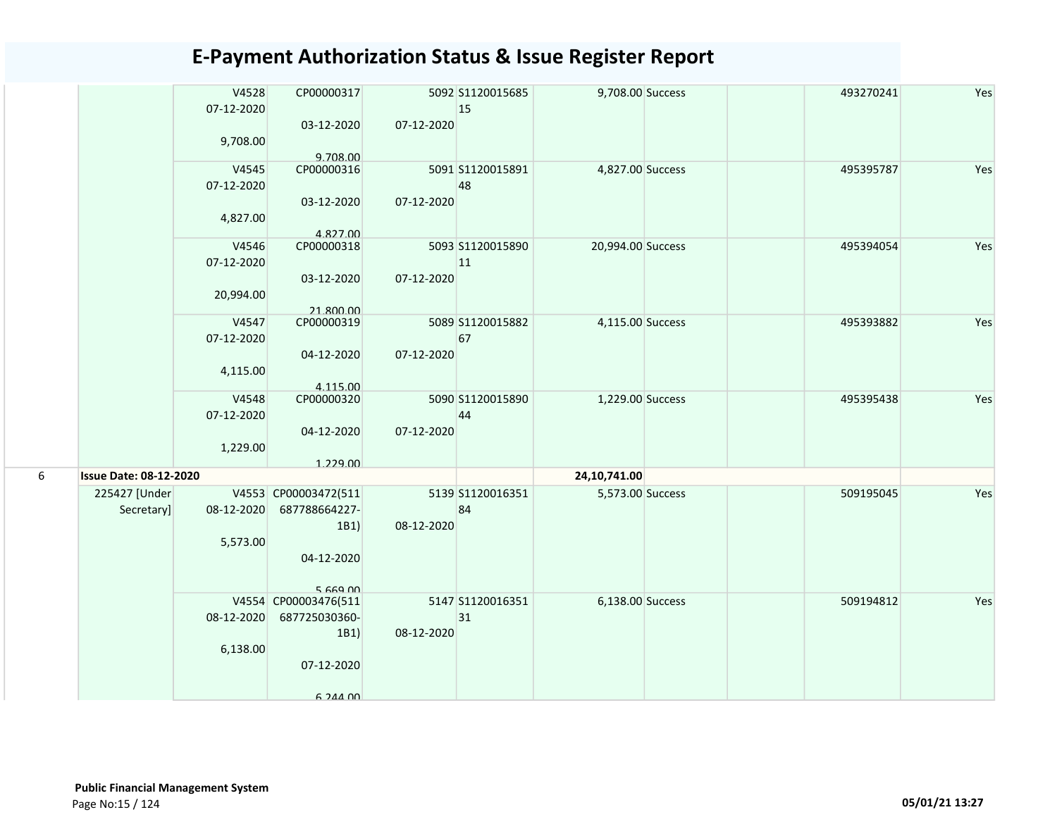|   |                               | V4528<br>07-12-2020 | CP00000317                            |            | 5092 S1120015685<br>15 | 9,708.00 Success  | 493270241 | Yes |
|---|-------------------------------|---------------------|---------------------------------------|------------|------------------------|-------------------|-----------|-----|
|   |                               | 9,708.00            | 03-12-2020<br>9.708.00                | 07-12-2020 |                        |                   |           |     |
|   |                               | V4545               | CP00000316                            |            | 5091 S1120015891       | 4,827.00 Success  | 495395787 | Yes |
|   |                               | 07-12-2020          | 03-12-2020                            | 07-12-2020 | 48                     |                   |           |     |
|   |                               | 4,827.00            |                                       |            |                        |                   |           |     |
|   |                               | V4546               | 4.827.00<br>CP00000318                |            | 5093 S1120015890       | 20,994.00 Success | 495394054 | Yes |
|   |                               | 07-12-2020          |                                       |            | 11                     |                   |           |     |
|   |                               |                     | 03-12-2020                            | 07-12-2020 |                        |                   |           |     |
|   |                               | 20,994.00           |                                       |            |                        |                   |           |     |
|   |                               |                     | 21.800.00                             |            |                        |                   |           |     |
|   |                               | V4547<br>07-12-2020 | CP00000319                            |            | 5089 S1120015882<br>67 | 4,115.00 Success  | 495393882 | Yes |
|   |                               |                     | 04-12-2020                            | 07-12-2020 |                        |                   |           |     |
|   |                               | 4,115.00            | 4.115.00                              |            |                        |                   |           |     |
|   |                               | V4548               | CP00000320                            |            | 5090 S1120015890       | 1,229.00 Success  | 495395438 | Yes |
|   |                               | 07-12-2020          |                                       |            | 44                     |                   |           |     |
|   |                               |                     | 04-12-2020                            | 07-12-2020 |                        |                   |           |     |
|   |                               | 1,229.00            |                                       |            |                        |                   |           |     |
|   |                               |                     | 1.229.00                              |            |                        |                   |           |     |
| 6 | <b>Issue Date: 08-12-2020</b> |                     |                                       |            |                        | 24,10,741.00      |           |     |
|   | 225427 [Under                 |                     | V4553 CP00003472(511                  |            | 5139 S1120016351       | 5,573.00 Success  | 509195045 | Yes |
|   | Secretary]                    | 08-12-2020          | 687788664227-<br>1B1                  | 08-12-2020 | 84                     |                   |           |     |
|   |                               | 5,573.00            |                                       |            |                        |                   |           |     |
|   |                               |                     | 04-12-2020                            |            |                        |                   |           |     |
|   |                               |                     |                                       |            |                        |                   |           |     |
|   |                               |                     | 5 669 00                              |            | 5147 S1120016351       |                   | 509194812 |     |
|   |                               | 08-12-2020          | V4554 CP00003476(511<br>687725030360- |            | 31                     | 6,138.00 Success  |           | Yes |
|   |                               |                     | 1B1)                                  | 08-12-2020 |                        |                   |           |     |
|   |                               | 6,138.00            |                                       |            |                        |                   |           |     |
|   |                               |                     | 07-12-2020                            |            |                        |                   |           |     |
|   |                               |                     |                                       |            |                        |                   |           |     |
|   |                               |                     | G 244 OO                              |            |                        |                   |           |     |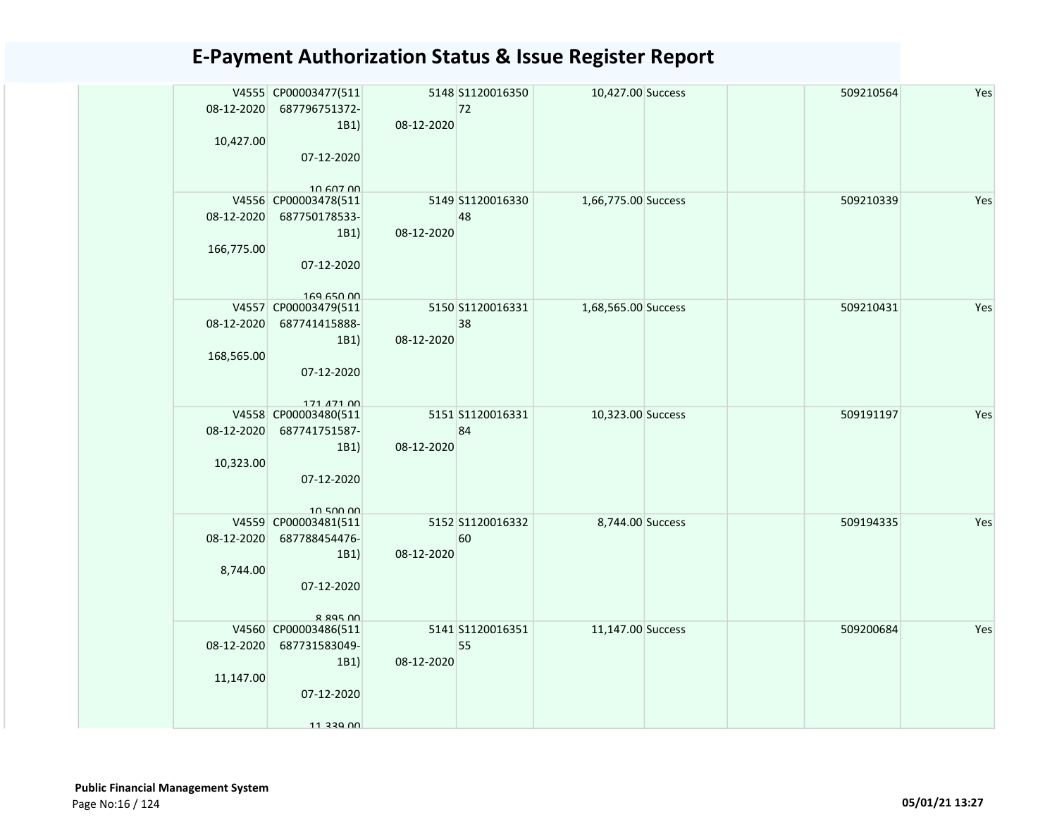| 08-12-2020<br>10,427.00  | V4555 CP00003477(511<br>687796751372-<br>1B1)<br>07-12-2020                                  | 08-12-2020 | 5148 S1120016350<br>72 | 10,427.00 Success   |  | 509210564 | Yes |
|--------------------------|----------------------------------------------------------------------------------------------|------------|------------------------|---------------------|--|-----------|-----|
| 08-12-2020<br>166,775.00 | 10 607 00<br>V4556 CP00003478(511<br>687750178533-<br>1B1)<br>07-12-2020<br>$169$ $650$ $00$ | 08-12-2020 | 5149 S1120016330<br>48 | 1,66,775.00 Success |  | 509210339 | Yes |
| 08-12-2020<br>168,565.00 | V4557 CP00003479(511<br>687741415888-<br>1B1)<br>07-12-2020<br>171 471 00                    | 08-12-2020 | 5150 S1120016331<br>38 | 1,68,565.00 Success |  | 509210431 | Yes |
| 08-12-2020<br>10,323.00  | V4558 CP00003480(511<br>687741751587-<br>1B1)<br>07-12-2020<br>10 500 00                     | 08-12-2020 | 5151 S1120016331<br>84 | 10,323.00 Success   |  | 509191197 | Yes |
| 08-12-2020<br>8,744.00   | V4559 CP00003481(511<br>687788454476-<br>1B1)<br>07-12-2020<br>$R$ $R$ $Q$ $S$ $R$ $D$ $D$   | 08-12-2020 | 5152 S1120016332<br>60 | 8,744.00 Success    |  | 509194335 | Yes |
| 08-12-2020<br>11,147.00  | V4560 CP00003486(511<br>687731583049-<br>1B1)<br>07-12-2020<br>11 220 NO                     | 08-12-2020 | 5141 S1120016351<br>55 | 11,147.00 Success   |  | 509200684 | Yes |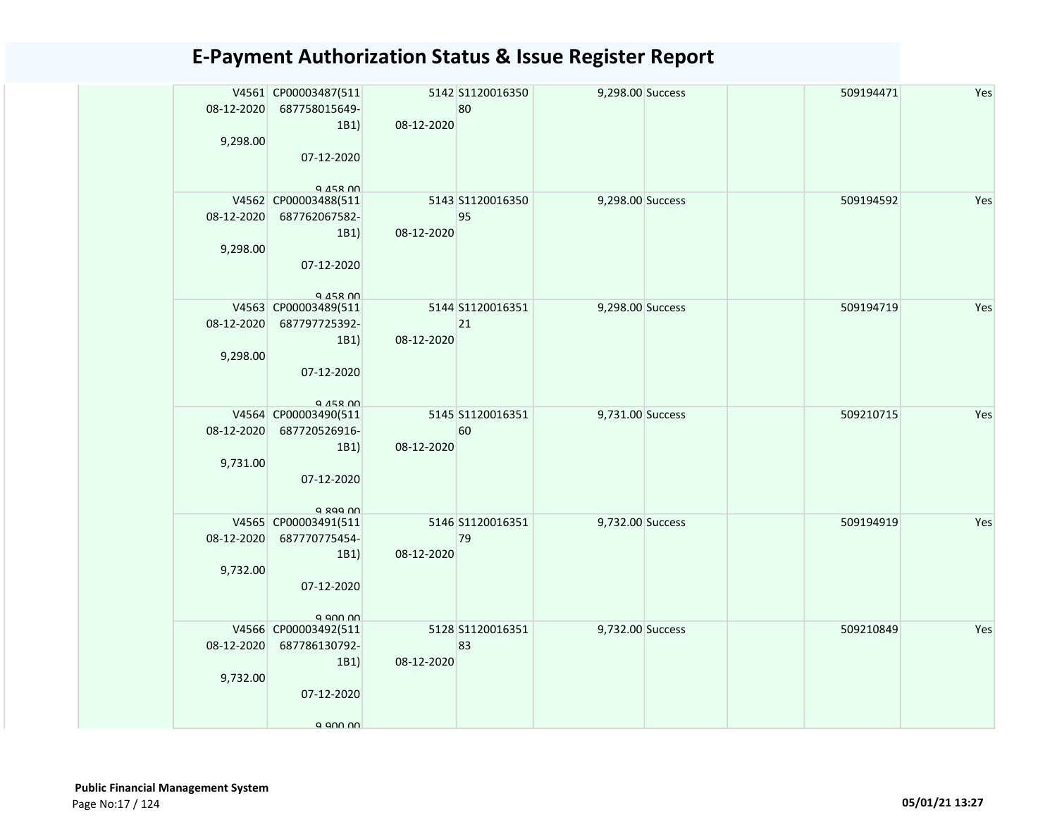| 08-12-2020 | V4561 CP00003487(511<br>687758015649-<br>1B1) | 08-12-2020 | 5142 S1120016350<br>80 | 9,298.00 Success |  | 509194471 | Yes |
|------------|-----------------------------------------------|------------|------------------------|------------------|--|-----------|-----|
| 9,298.00   | 07-12-2020                                    |            |                        |                  |  |           |     |
|            | $Q$ $A$ $S$ $R$ $O$                           |            |                        |                  |  |           |     |
|            | V4562 CP00003488(511                          |            | 5143 S1120016350       | 9,298.00 Success |  | 509194592 | Yes |
| 08-12-2020 | 687762067582-                                 |            | 95                     |                  |  |           |     |
|            | 1B1)                                          | 08-12-2020 |                        |                  |  |           |     |
| 9,298.00   | 07-12-2020                                    |            |                        |                  |  |           |     |
|            |                                               |            |                        |                  |  |           |     |
|            | $Q$ $A$ $S$ $R$ $O$                           |            |                        |                  |  |           |     |
|            | V4563 CP00003489(511                          |            | 5144 S1120016351       | 9,298.00 Success |  | 509194719 | Yes |
| 08-12-2020 | 687797725392-<br>1B1)                         | 08-12-2020 | 21                     |                  |  |           |     |
| 9,298.00   |                                               |            |                        |                  |  |           |     |
|            | 07-12-2020                                    |            |                        |                  |  |           |     |
|            |                                               |            |                        |                  |  |           |     |
|            | $Q$ $A5R$ $00$<br>V4564 CP00003490(511        |            | 5145 S1120016351       | 9,731.00 Success |  | 509210715 | Yes |
| 08-12-2020 | 687720526916-                                 |            | 60                     |                  |  |           |     |
|            | 1B1)                                          | 08-12-2020 |                        |                  |  |           |     |
| 9,731.00   |                                               |            |                        |                  |  |           |     |
|            | 07-12-2020                                    |            |                        |                  |  |           |     |
|            | a gaa nn                                      |            |                        |                  |  |           |     |
|            | V4565 CP00003491(511                          |            | 5146 S1120016351       | 9,732.00 Success |  | 509194919 | Yes |
| 08-12-2020 | 687770775454-                                 |            | 79                     |                  |  |           |     |
|            | 1B1)                                          | 08-12-2020 |                        |                  |  |           |     |
| 9,732.00   | 07-12-2020                                    |            |                        |                  |  |           |     |
|            |                                               |            |                        |                  |  |           |     |
|            | a ann nn                                      |            |                        |                  |  |           |     |
|            | V4566 CP00003492(511                          |            | 5128 \$1120016351      | 9,732.00 Success |  | 509210849 | Yes |
| 08-12-2020 | 687786130792-<br>1B1)                         | 08-12-2020 | 83                     |                  |  |           |     |
| 9,732.00   |                                               |            |                        |                  |  |           |     |
|            | 07-12-2020                                    |            |                        |                  |  |           |     |
|            |                                               |            |                        |                  |  |           |     |
|            | a ann nn                                      |            |                        |                  |  |           |     |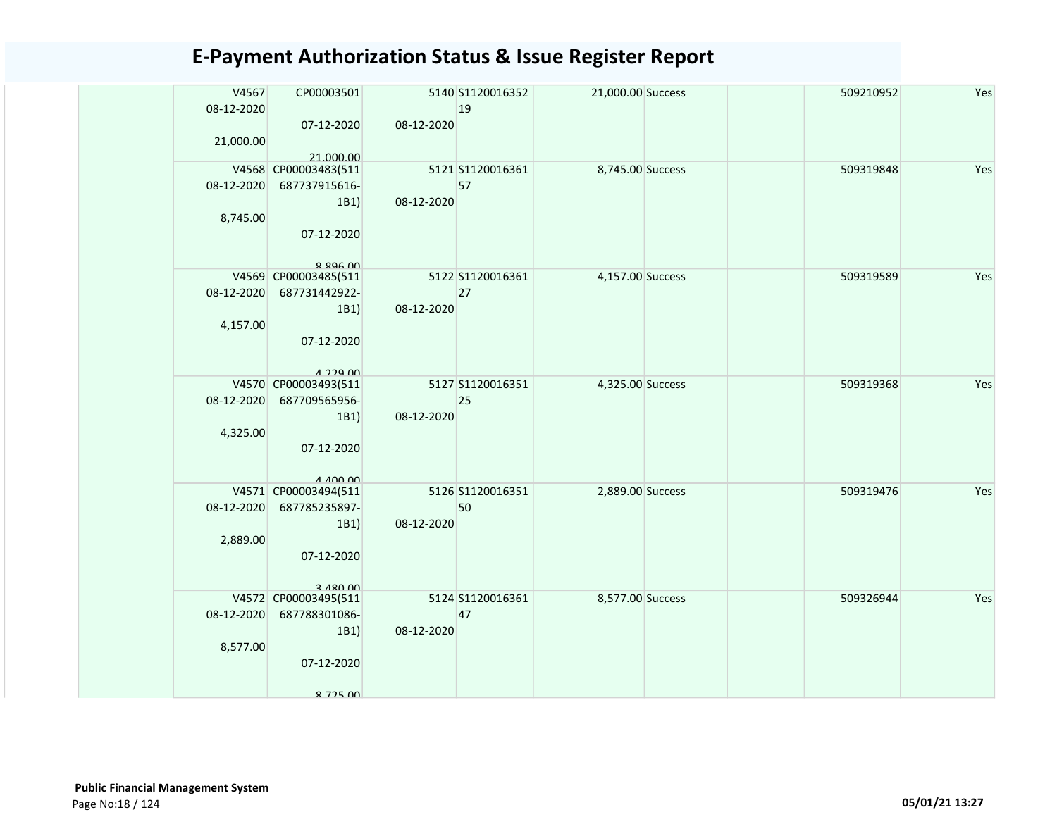| V4567<br>08-12-2020<br>21,000.00 | CP00003501<br>07-12-2020<br>21.000.00                                                         | 08-12-2020 | 5140 S1120016352<br>19 | 21,000.00 Success | 509210952 | Yes |
|----------------------------------|-----------------------------------------------------------------------------------------------|------------|------------------------|-------------------|-----------|-----|
| 08-12-2020<br>8,745.00           | V4568 CP00003483(511<br>687737915616-<br>1B1)<br>07-12-2020<br>$R$ $R$ $Q$ $G$ $R$ $n \Omega$ | 08-12-2020 | 5121 S1120016361<br>57 | 8,745.00 Success  | 509319848 | Yes |
| 08-12-2020<br>4,157.00           | V4569 CP00003485(511<br>687731442922-<br>1B1)<br>07-12-2020<br>$1.229$ $00$                   | 08-12-2020 | 5122 S1120016361<br>27 | 4,157.00 Success  | 509319589 | Yes |
| 08-12-2020<br>4,325.00           | V4570 CP00003493(511<br>687709565956-<br>1B1)<br>07-12-2020<br>$A$ $A$ $D$ $D$ $D$            | 08-12-2020 | 5127 S1120016351<br>25 | 4,325.00 Success  | 509319368 | Yes |
| 08-12-2020<br>2,889.00           | V4571 CP00003494(511<br>687785235897-<br>1B1)<br>07-12-2020<br>3 480 DD                       | 08-12-2020 | 5126 S1120016351<br>50 | 2,889.00 Success  | 509319476 | Yes |
| 08-12-2020<br>8,577.00           | V4572 CP00003495(511<br>687788301086-<br>1B1)<br>07-12-2020<br>8 7 7 5 N N                    | 08-12-2020 | 5124 S1120016361<br>47 | 8,577.00 Success  | 509326944 | Yes |

 Public Financial Management System Page No:18 / 124 05/01/21 13:27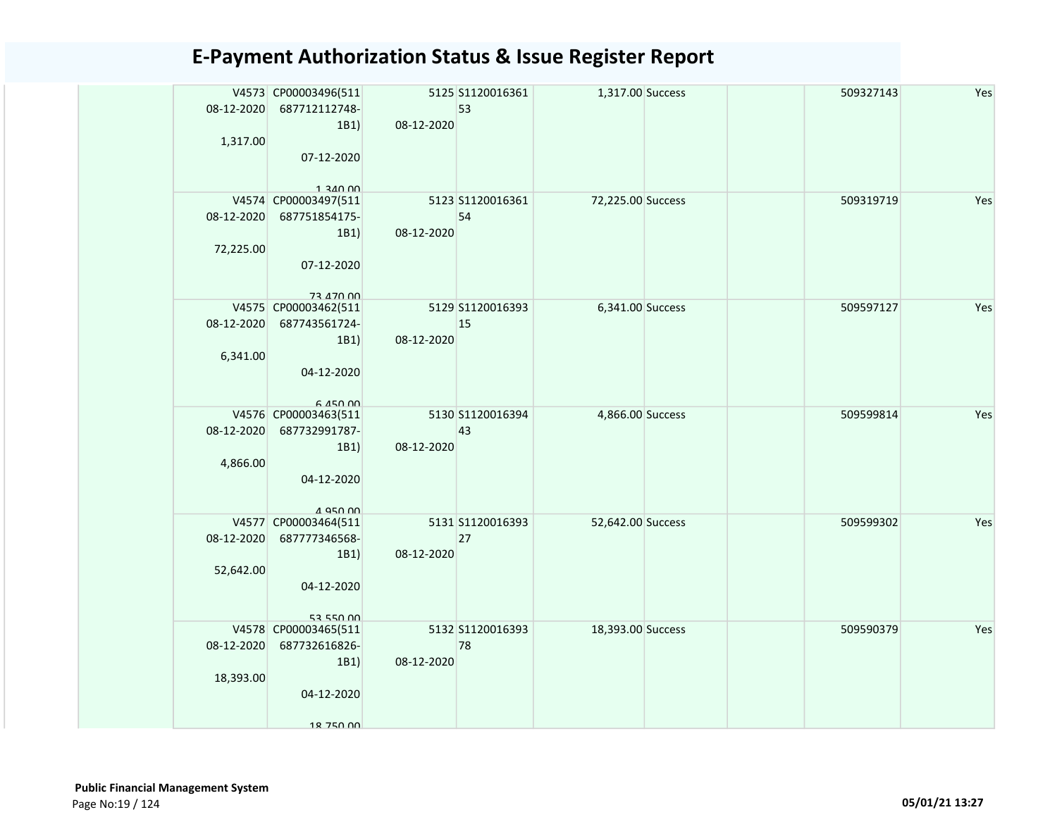| 08-12-2020<br>1,317.00  | V4573 CP00003496(511<br>687712112748-<br>1B1)<br>07-12-2020                            | 08-12-2020 | 5125 S1120016361<br>53 | 1,317.00 Success  |  | 509327143 | Yes |
|-------------------------|----------------------------------------------------------------------------------------|------------|------------------------|-------------------|--|-----------|-----|
| 08-12-2020<br>72,225.00 | $1.340$ 00<br>V4574 CP00003497(511<br>687751854175-<br>1B1<br>07-12-2020               | 08-12-2020 | 5123 S1120016361<br>54 | 72,225.00 Success |  | 509319719 | Yes |
| 08-12-2020<br>6,341.00  | 73 470 00<br>V4575 CP00003462(511<br>687743561724-<br>1B1)<br>04-12-2020<br>$6.450$ 00 | 08-12-2020 | 5129 S1120016393<br>15 | 6,341.00 Success  |  | 509597127 | Yes |
| 08-12-2020<br>4,866.00  | V4576 CP00003463(511<br>687732991787-<br>1B1)<br>04-12-2020<br>1 Q50 00                | 08-12-2020 | 5130 S1120016394<br>43 | 4,866.00 Success  |  | 509599814 | Yes |
| 08-12-2020<br>52,642.00 | V4577 CP00003464(511<br>687777346568-<br>1B1)<br>04-12-2020<br>52 550 00               | 08-12-2020 | 5131 S1120016393<br>27 | 52,642.00 Success |  | 509599302 | Yes |
| 08-12-2020<br>18,393.00 | V4578 CP00003465(511<br>687732616826-<br>1B1)<br>04-12-2020<br>18 750 00               | 08-12-2020 | 5132 S1120016393<br>78 | 18,393.00 Success |  | 509590379 | Yes |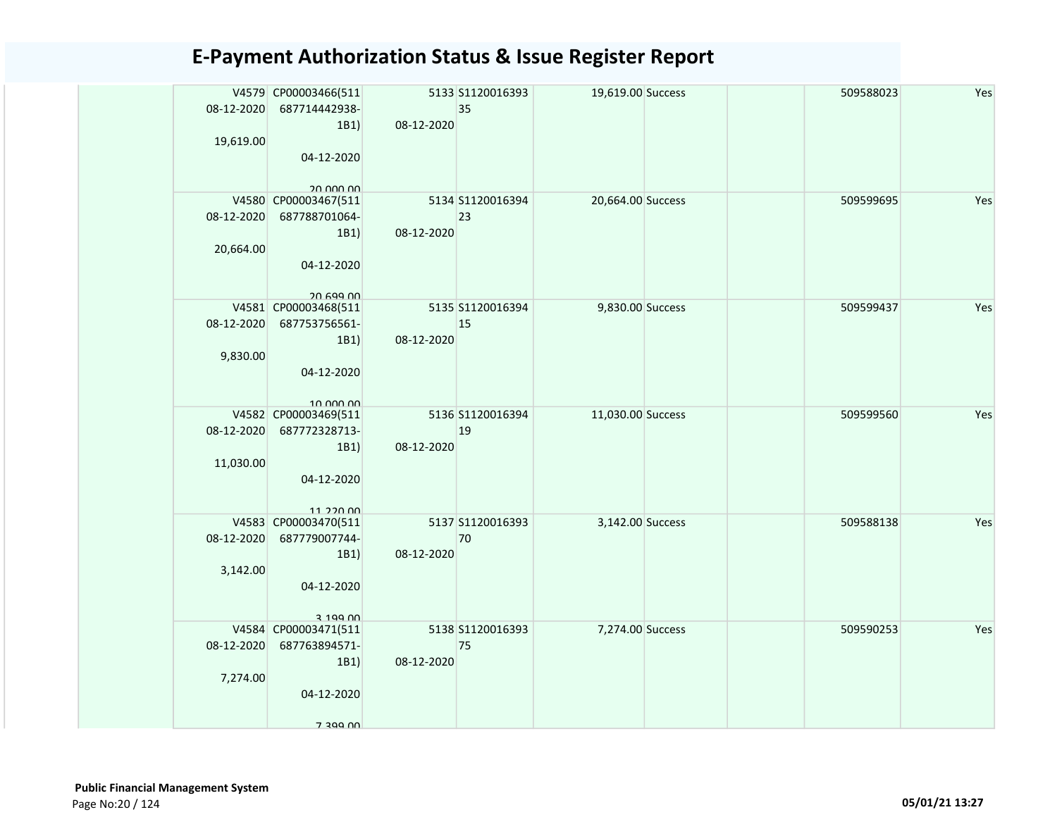| 08-12-2020<br>19,619.00 | V4579 CP00003466(511<br>687714442938-<br>1B1)<br>04-12-2020                             | 08-12-2020 | 5133 S1120016393<br>35 | 19,619.00 Success |  | 509588023 | Yes |
|-------------------------|-----------------------------------------------------------------------------------------|------------|------------------------|-------------------|--|-----------|-----|
| 08-12-2020<br>20,664.00 | 20 DDD DD<br>V4580 CP00003467(511<br>687788701064-<br>1B1)<br>04-12-2020<br>$20.699$ nn | 08-12-2020 | 5134 S1120016394<br>23 | 20,664.00 Success |  | 509599695 | Yes |
| 08-12-2020<br>9,830.00  | V4581 CP00003468(511<br>687753756561-<br>1B1)<br>04-12-2020<br>10.000.00                | 08-12-2020 | 5135 S1120016394<br>15 | 9,830.00 Success  |  | 509599437 | Yes |
| 08-12-2020<br>11,030.00 | V4582 CP00003469(511<br>687772328713-<br>1B1)<br>04-12-2020<br>11 220 00                | 08-12-2020 | 5136 S1120016394<br>19 | 11,030.00 Success |  | 509599560 | Yes |
| 08-12-2020<br>3,142.00  | V4583 CP00003470(511<br>687779007744-<br>1B1)<br>04-12-2020<br>2,100,00                 | 08-12-2020 | 5137 S1120016393<br>70 | 3,142.00 Success  |  | 509588138 | Yes |
| 08-12-2020<br>7,274.00  | V4584 CP00003471(511<br>687763894571-<br>1B1)<br>04-12-2020<br>7 200 NO                 | 08-12-2020 | 5138 S1120016393<br>75 | 7,274.00 Success  |  | 509590253 | Yes |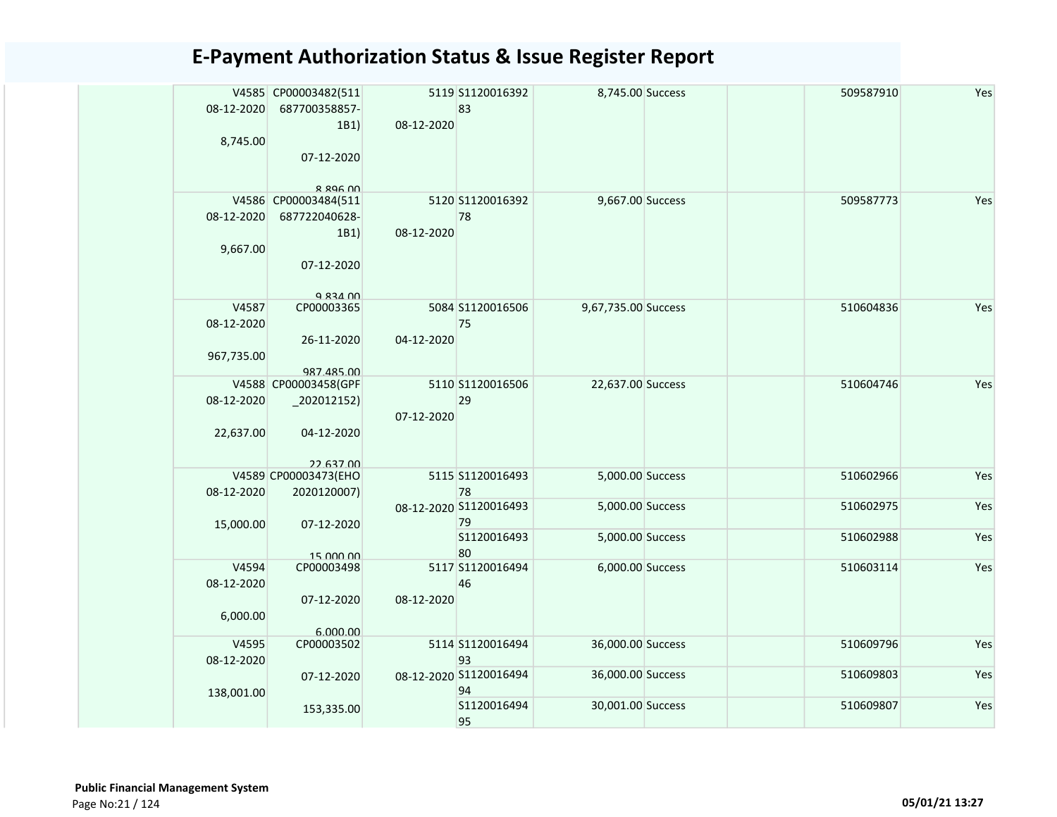| 08-12-2020          | V4585 CP00003482(511<br>687700358857- |            | 5119 S1120016392<br>83       | 8,745.00 Success    |  | 509587910 | Yes |
|---------------------|---------------------------------------|------------|------------------------------|---------------------|--|-----------|-----|
| 8,745.00            | 1B1)<br>07-12-2020                    | 08-12-2020 |                              |                     |  |           |     |
|                     | $R$ 896 $M$<br>V4586 CP00003484(511   |            | 5120 S1120016392             | 9,667.00 Success    |  | 509587773 | Yes |
| 08-12-2020          | 687722040628-                         |            | 78                           |                     |  |           |     |
|                     | 1B1)                                  | 08-12-2020 |                              |                     |  |           |     |
| 9,667.00            |                                       |            |                              |                     |  |           |     |
|                     | 07-12-2020                            |            |                              |                     |  |           |     |
|                     | Q 831 00                              |            |                              |                     |  |           |     |
| V4587<br>08-12-2020 | CP00003365                            |            | 5084 S1120016506<br>75       | 9,67,735.00 Success |  | 510604836 | Yes |
|                     | 26-11-2020                            | 04-12-2020 |                              |                     |  |           |     |
| 967,735.00          |                                       |            |                              |                     |  |           |     |
|                     | 987.485.00<br>V4588 CP00003458(GPF    |            | 5110 S1120016506             | 22,637.00 Success   |  | 510604746 | Yes |
| 08-12-2020          | $_2$ 202012152)                       |            | 29                           |                     |  |           |     |
| 22,637.00           | 04-12-2020                            | 07-12-2020 |                              |                     |  |           |     |
|                     | 22 637 00                             |            |                              |                     |  |           |     |
|                     | V4589 CP00003473(EHO                  |            | 5115 S1120016493             | 5,000.00 Success    |  | 510602966 | Yes |
| 08-12-2020          | 2020120007)                           |            | 78<br>08-12-2020 S1120016493 | 5,000.00 Success    |  | 510602975 | Yes |
|                     |                                       |            | 79                           |                     |  |           |     |
| 15,000.00           | 07-12-2020                            |            | S1120016493                  | 5,000.00 Success    |  | 510602988 | Yes |
|                     | 15,000,00                             |            | 80                           |                     |  |           |     |
| V4594               | CP00003498                            |            | 5117 S1120016494             | 6,000.00 Success    |  | 510603114 | Yes |
| 08-12-2020          |                                       |            | 46                           |                     |  |           |     |
|                     | 07-12-2020                            | 08-12-2020 |                              |                     |  |           |     |
| 6,000.00            |                                       |            |                              |                     |  |           |     |
| V4595               | 6.000.00<br>CP00003502                |            | 5114 S1120016494             | 36,000.00 Success   |  | 510609796 | Yes |
| 08-12-2020          |                                       |            | 93                           |                     |  |           |     |
|                     | 07-12-2020                            |            | 08-12-2020 S1120016494       | 36,000.00 Success   |  | 510609803 | Yes |
| 138,001.00          |                                       |            | 94                           |                     |  |           |     |
|                     | 153,335.00                            |            | S1120016494                  | 30,001.00 Success   |  | 510609807 | Yes |
|                     |                                       |            | 95                           |                     |  |           |     |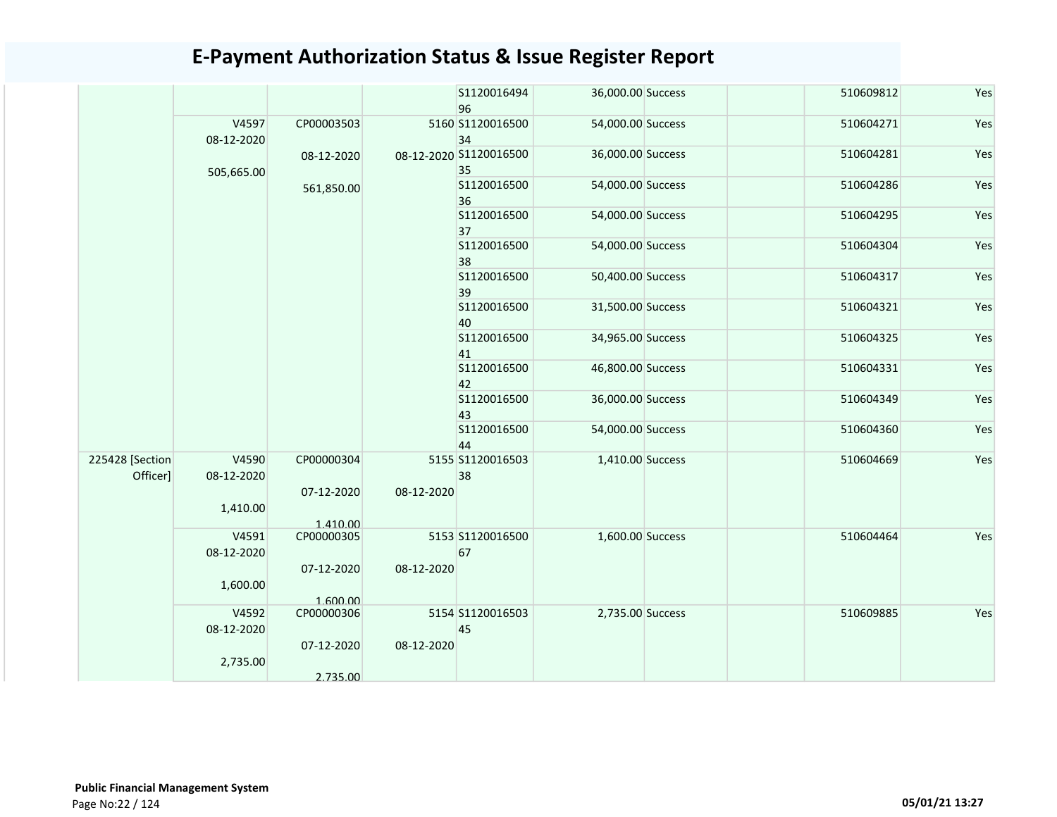|                             |                     |                        |            | S1120016494<br>96            | 36,000.00 Success | 510609812 | Yes |
|-----------------------------|---------------------|------------------------|------------|------------------------------|-------------------|-----------|-----|
|                             | V4597<br>08-12-2020 | CP00003503             |            | 5160 S1120016500<br>34       | 54,000.00 Success | 510604271 | Yes |
|                             | 505,665.00          | 08-12-2020             |            | 08-12-2020 S1120016500<br>35 | 36,000.00 Success | 510604281 | Yes |
|                             |                     | 561,850.00             |            | S1120016500<br>36            | 54,000.00 Success | 510604286 | Yes |
|                             |                     |                        |            | S1120016500<br>37            | 54,000.00 Success | 510604295 | Yes |
|                             |                     |                        |            | S1120016500<br>38            | 54,000.00 Success | 510604304 | Yes |
|                             |                     |                        |            | \$1120016500<br>39           | 50,400.00 Success | 510604317 | Yes |
|                             |                     |                        |            | S1120016500<br>40            | 31,500.00 Success | 510604321 | Yes |
|                             |                     |                        |            | S1120016500<br>41            | 34,965.00 Success | 510604325 | Yes |
|                             |                     |                        |            | S1120016500<br>42            | 46,800.00 Success | 510604331 | Yes |
|                             |                     |                        |            | S1120016500<br>43            | 36,000.00 Success | 510604349 | Yes |
|                             |                     |                        |            | S1120016500<br>44            | 54,000.00 Success | 510604360 | Yes |
| 225428 [Section<br>Officer] | V4590<br>08-12-2020 | CP00000304             |            | 5155 S1120016503<br>38       | 1,410.00 Success  | 510604669 | Yes |
|                             | 1,410.00            | 07-12-2020<br>1.410.00 | 08-12-2020 |                              |                   |           |     |
|                             | V4591<br>08-12-2020 | CP00000305             |            | 5153 S1120016500<br>67       | 1,600.00 Success  | 510604464 | Yes |
|                             | 1,600.00            | 07-12-2020<br>1.600.00 | 08-12-2020 |                              |                   |           |     |
|                             | V4592<br>08-12-2020 | CP00000306             |            | 5154 S1120016503<br>45       | 2,735.00 Success  | 510609885 | Yes |
|                             | 2,735.00            | 07-12-2020<br>2.735.00 | 08-12-2020 |                              |                   |           |     |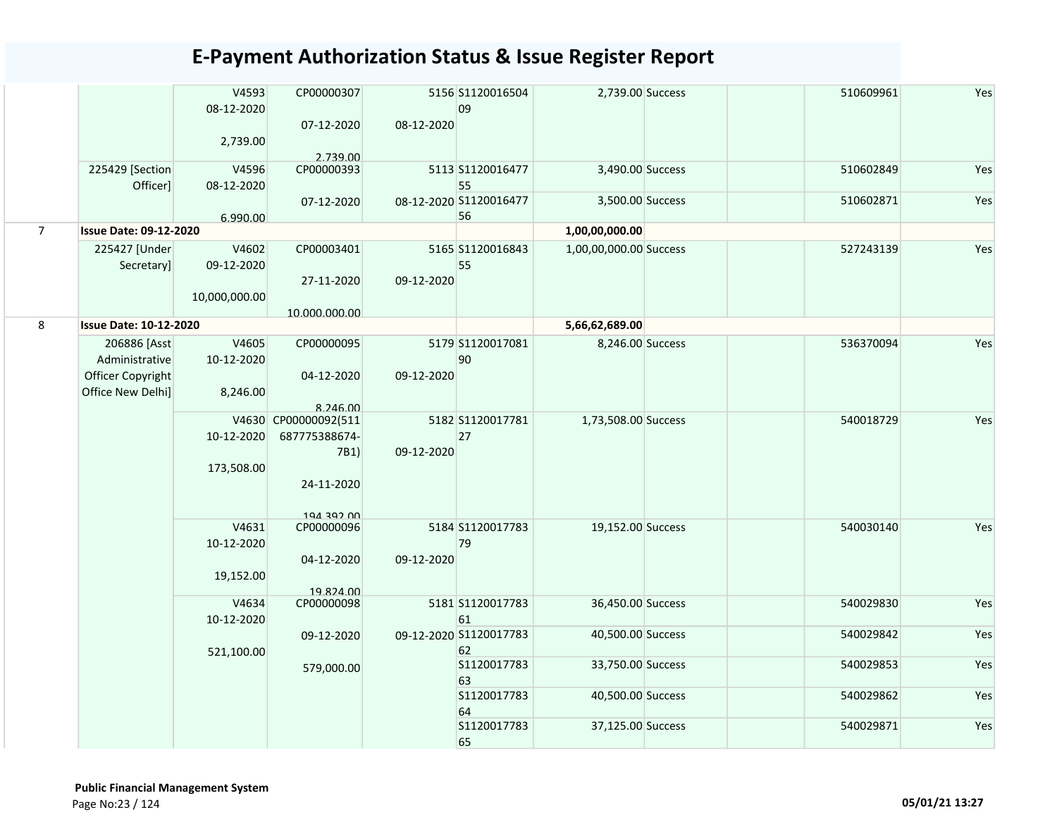|                             |       | CP00000307<br>07-12-2020                                                                             |                                                                                                                                                                                                                                                                                                                                                                                                | 09                |                                                                                                                                                                                                                                                                                                           | 510609961                                                                                                                                                                                                                                                                                       | Yes                                                                        |
|-----------------------------|-------|------------------------------------------------------------------------------------------------------|------------------------------------------------------------------------------------------------------------------------------------------------------------------------------------------------------------------------------------------------------------------------------------------------------------------------------------------------------------------------------------------------|-------------------|-----------------------------------------------------------------------------------------------------------------------------------------------------------------------------------------------------------------------------------------------------------------------------------------------------------|-------------------------------------------------------------------------------------------------------------------------------------------------------------------------------------------------------------------------------------------------------------------------------------------------|----------------------------------------------------------------------------|
|                             |       |                                                                                                      |                                                                                                                                                                                                                                                                                                                                                                                                |                   |                                                                                                                                                                                                                                                                                                           |                                                                                                                                                                                                                                                                                                 |                                                                            |
| 225429 [Section<br>Officer] |       | CP00000393                                                                                           |                                                                                                                                                                                                                                                                                                                                                                                                | 55                |                                                                                                                                                                                                                                                                                                           | 510602849                                                                                                                                                                                                                                                                                       | Yes                                                                        |
|                             |       | 07-12-2020                                                                                           |                                                                                                                                                                                                                                                                                                                                                                                                |                   |                                                                                                                                                                                                                                                                                                           |                                                                                                                                                                                                                                                                                                 | Yes                                                                        |
|                             |       |                                                                                                      |                                                                                                                                                                                                                                                                                                                                                                                                |                   |                                                                                                                                                                                                                                                                                                           |                                                                                                                                                                                                                                                                                                 |                                                                            |
| 225427 [Under<br>Secretary] |       | CP00003401                                                                                           |                                                                                                                                                                                                                                                                                                                                                                                                | 55                |                                                                                                                                                                                                                                                                                                           | 527243139                                                                                                                                                                                                                                                                                       | Yes                                                                        |
|                             |       | 27-11-2020                                                                                           |                                                                                                                                                                                                                                                                                                                                                                                                |                   |                                                                                                                                                                                                                                                                                                           |                                                                                                                                                                                                                                                                                                 |                                                                            |
|                             |       |                                                                                                      |                                                                                                                                                                                                                                                                                                                                                                                                |                   |                                                                                                                                                                                                                                                                                                           |                                                                                                                                                                                                                                                                                                 |                                                                            |
|                             |       |                                                                                                      |                                                                                                                                                                                                                                                                                                                                                                                                |                   |                                                                                                                                                                                                                                                                                                           |                                                                                                                                                                                                                                                                                                 |                                                                            |
| Administrative              |       |                                                                                                      |                                                                                                                                                                                                                                                                                                                                                                                                | 90                |                                                                                                                                                                                                                                                                                                           |                                                                                                                                                                                                                                                                                                 | Yes                                                                        |
| Office New Delhi]           |       |                                                                                                      |                                                                                                                                                                                                                                                                                                                                                                                                |                   |                                                                                                                                                                                                                                                                                                           |                                                                                                                                                                                                                                                                                                 |                                                                            |
|                             |       |                                                                                                      |                                                                                                                                                                                                                                                                                                                                                                                                |                   |                                                                                                                                                                                                                                                                                                           |                                                                                                                                                                                                                                                                                                 | Yes                                                                        |
|                             |       | 687775388674-                                                                                        |                                                                                                                                                                                                                                                                                                                                                                                                | 27                |                                                                                                                                                                                                                                                                                                           |                                                                                                                                                                                                                                                                                                 |                                                                            |
|                             |       | 7B1)                                                                                                 |                                                                                                                                                                                                                                                                                                                                                                                                |                   |                                                                                                                                                                                                                                                                                                           |                                                                                                                                                                                                                                                                                                 |                                                                            |
|                             |       |                                                                                                      |                                                                                                                                                                                                                                                                                                                                                                                                |                   |                                                                                                                                                                                                                                                                                                           |                                                                                                                                                                                                                                                                                                 |                                                                            |
|                             |       | 24-11-2020                                                                                           |                                                                                                                                                                                                                                                                                                                                                                                                |                   |                                                                                                                                                                                                                                                                                                           |                                                                                                                                                                                                                                                                                                 |                                                                            |
|                             |       | 104 207 00                                                                                           |                                                                                                                                                                                                                                                                                                                                                                                                |                   |                                                                                                                                                                                                                                                                                                           |                                                                                                                                                                                                                                                                                                 |                                                                            |
|                             |       |                                                                                                      |                                                                                                                                                                                                                                                                                                                                                                                                |                   |                                                                                                                                                                                                                                                                                                           |                                                                                                                                                                                                                                                                                                 | Yes                                                                        |
|                             |       |                                                                                                      |                                                                                                                                                                                                                                                                                                                                                                                                |                   |                                                                                                                                                                                                                                                                                                           |                                                                                                                                                                                                                                                                                                 |                                                                            |
|                             |       |                                                                                                      |                                                                                                                                                                                                                                                                                                                                                                                                |                   |                                                                                                                                                                                                                                                                                                           |                                                                                                                                                                                                                                                                                                 |                                                                            |
|                             |       | 19.824.00                                                                                            |                                                                                                                                                                                                                                                                                                                                                                                                |                   |                                                                                                                                                                                                                                                                                                           |                                                                                                                                                                                                                                                                                                 |                                                                            |
|                             | V4634 | CP00000098                                                                                           |                                                                                                                                                                                                                                                                                                                                                                                                |                   |                                                                                                                                                                                                                                                                                                           | 540029830                                                                                                                                                                                                                                                                                       | Yes                                                                        |
|                             |       |                                                                                                      |                                                                                                                                                                                                                                                                                                                                                                                                | 61                |                                                                                                                                                                                                                                                                                                           |                                                                                                                                                                                                                                                                                                 |                                                                            |
|                             |       |                                                                                                      |                                                                                                                                                                                                                                                                                                                                                                                                |                   |                                                                                                                                                                                                                                                                                                           |                                                                                                                                                                                                                                                                                                 | Yes                                                                        |
|                             |       |                                                                                                      |                                                                                                                                                                                                                                                                                                                                                                                                |                   |                                                                                                                                                                                                                                                                                                           |                                                                                                                                                                                                                                                                                                 | Yes                                                                        |
|                             |       |                                                                                                      |                                                                                                                                                                                                                                                                                                                                                                                                |                   |                                                                                                                                                                                                                                                                                                           |                                                                                                                                                                                                                                                                                                 |                                                                            |
|                             |       |                                                                                                      |                                                                                                                                                                                                                                                                                                                                                                                                | S1120017783<br>64 |                                                                                                                                                                                                                                                                                                           | 540029862                                                                                                                                                                                                                                                                                       | Yes                                                                        |
|                             |       |                                                                                                      |                                                                                                                                                                                                                                                                                                                                                                                                | S1120017783<br>65 |                                                                                                                                                                                                                                                                                                           | 540029871                                                                                                                                                                                                                                                                                       | Yes                                                                        |
|                             |       | <b>Issue Date: 09-12-2020</b><br><b>Issue Date: 10-12-2020</b><br>206886 [Asst]<br>Officer Copyright | V4593<br>08-12-2020<br>2,739.00<br>2.739.00<br>V4596<br>08-12-2020<br>6.990.00<br>V4602<br>09-12-2020<br>10,000,000.00<br>10.000.000.00<br>V4605<br>CP00000095<br>10-12-2020<br>04-12-2020<br>8,246.00<br>8.246.00<br>V4630 CP00000092(511<br>10-12-2020<br>173,508.00<br>V4631<br>CP00000096<br>10-12-2020<br>04-12-2020<br>19,152.00<br>10-12-2020<br>09-12-2020<br>521,100.00<br>579,000.00 |                   | 5156 S1120016504<br>08-12-2020<br>5113 S1120016477<br>08-12-2020 S1120016477<br>56<br>5165 S1120016843<br>09-12-2020<br>5179 S1120017081<br>09-12-2020<br>5182 S1120017781<br>09-12-2020<br>5184 S1120017783<br>79<br>09-12-2020<br>5181 S1120017783<br>09-12-2020 S1120017783<br>62<br>S1120017783<br>63 | 2,739.00 Success<br>3,490.00 Success<br>3,500.00 Success<br>1,00,00,000.00<br>1,00,00,000.00 Success<br>5,66,62,689.00<br>8,246.00 Success<br>1,73,508.00 Success<br>19,152.00 Success<br>36,450.00 Success<br>40,500.00 Success<br>33,750.00 Success<br>40,500.00 Success<br>37,125.00 Success | 510602871<br>536370094<br>540018729<br>540030140<br>540029842<br>540029853 |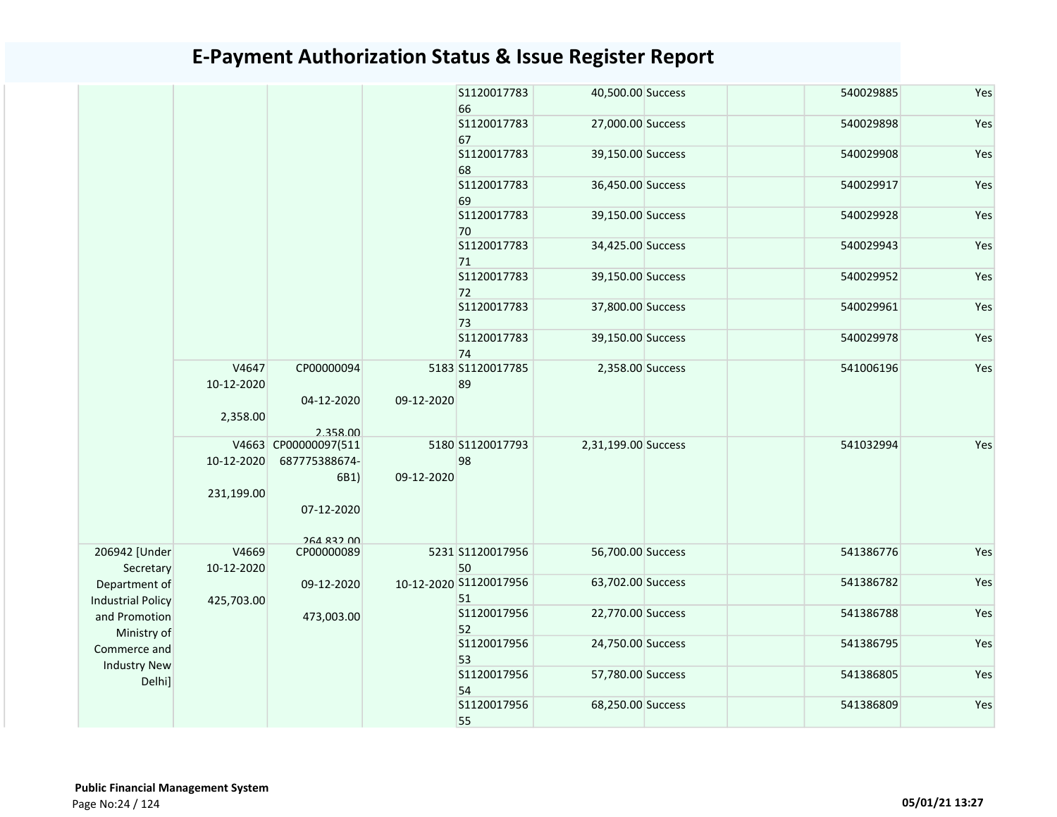|                                           |                     |                                       |            | S1120017783<br>66            | 40,500.00 Success   | 540029885 | Yes |
|-------------------------------------------|---------------------|---------------------------------------|------------|------------------------------|---------------------|-----------|-----|
|                                           |                     |                                       |            | S1120017783<br>67            | 27,000.00 Success   | 540029898 | Yes |
|                                           |                     |                                       |            | S1120017783<br>68            | 39,150.00 Success   | 540029908 | Yes |
|                                           |                     |                                       |            | S1120017783<br>69            | 36,450.00 Success   | 540029917 | Yes |
|                                           |                     |                                       |            | S1120017783<br>70            | 39,150.00 Success   | 540029928 | Yes |
|                                           |                     |                                       |            | S1120017783<br>71            | 34,425.00 Success   | 540029943 | Yes |
|                                           |                     |                                       |            | S1120017783<br>72            | 39,150.00 Success   | 540029952 | Yes |
|                                           |                     |                                       |            | S1120017783<br>73            | 37,800.00 Success   | 540029961 | Yes |
|                                           |                     |                                       |            | S1120017783<br>74            | 39,150.00 Success   | 540029978 | Yes |
|                                           | V4647<br>10-12-2020 | CP00000094                            |            | 5183 S1120017785<br>89       | 2,358.00 Success    | 541006196 | Yes |
|                                           | 2,358.00            | 04-12-2020<br>2.358.00                | 09-12-2020 |                              |                     |           |     |
|                                           | 10-12-2020          | V4663 CP00000097(511<br>687775388674- |            | 5180 S1120017793<br>98       | 2,31,199.00 Success | 541032994 | Yes |
|                                           | 231,199.00          | 6B1)                                  | 09-12-2020 |                              |                     |           |     |
|                                           |                     | 07-12-2020                            |            |                              |                     |           |     |
| 206942 [Under<br>Secretary                | V4669<br>10-12-2020 | <b>264 832 00</b><br>CP00000089       |            | 5231 S1120017956<br>50       | 56,700.00 Success   | 541386776 | Yes |
| Department of<br><b>Industrial Policy</b> |                     | 09-12-2020                            |            | 10-12-2020 S1120017956<br>51 | 63,702.00 Success   | 541386782 | Yes |
| and Promotion                             | 425,703.00          | 473,003.00                            |            | S1120017956<br>52            | 22,770.00 Success   | 541386788 | Yes |
| Ministry of<br>Commerce and               |                     |                                       |            | S1120017956<br>53            | 24,750.00 Success   | 541386795 | Yes |
| <b>Industry New</b><br>Delhi]             |                     |                                       |            | S1120017956<br>54            | 57,780.00 Success   | 541386805 | Yes |
|                                           |                     |                                       |            | S1120017956<br>55            | 68,250.00 Success   | 541386809 | Yes |
|                                           |                     |                                       |            |                              |                     |           |     |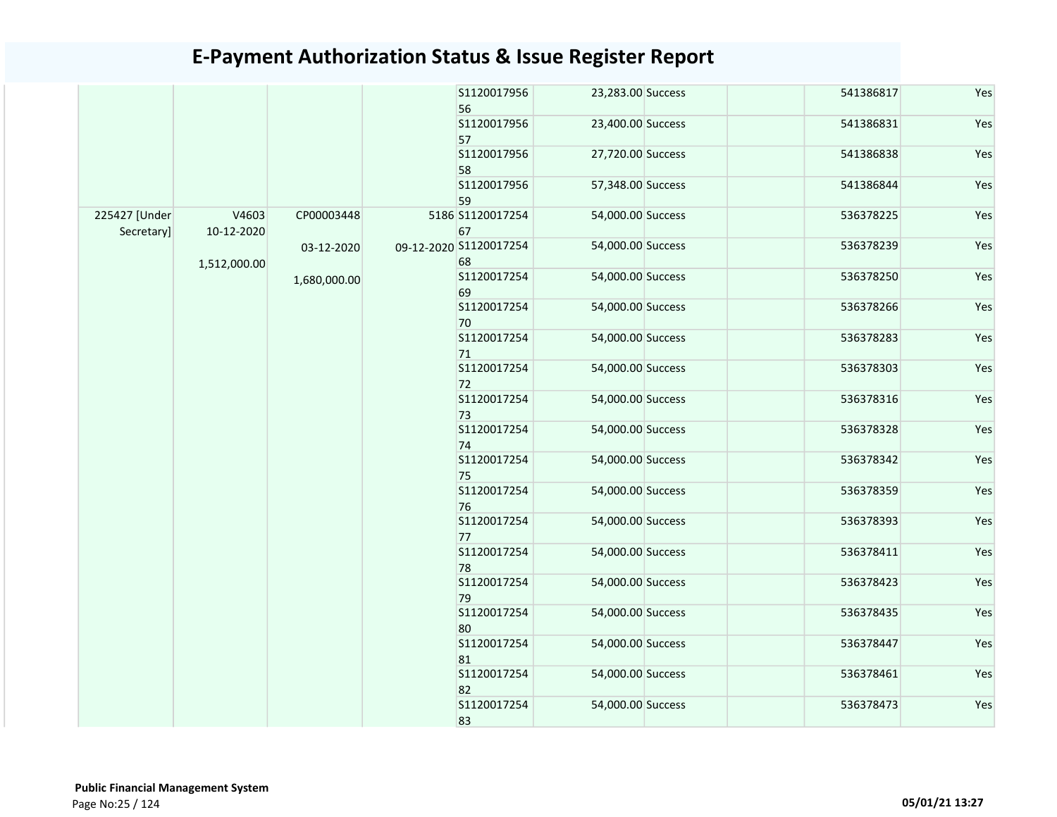|               |              |              | S1120017956            | 23,283.00 Success | 541386817 | Yes |
|---------------|--------------|--------------|------------------------|-------------------|-----------|-----|
|               |              |              | 56                     |                   |           | Yes |
|               |              |              | S1120017956<br>57      | 23,400.00 Success | 541386831 |     |
|               |              |              | S1120017956            | 27,720.00 Success | 541386838 | Yes |
|               |              |              | 58                     |                   |           |     |
|               |              |              | S1120017956            | 57,348.00 Success | 541386844 | Yes |
|               |              |              | 59                     |                   |           |     |
| 225427 [Under | V4603        | CP00003448   | 5186 S1120017254       | 54,000.00 Success | 536378225 | Yes |
| Secretary]    | 10-12-2020   |              | 67                     |                   |           |     |
|               |              | 03-12-2020   | 09-12-2020 S1120017254 | 54,000.00 Success | 536378239 | Yes |
|               | 1,512,000.00 |              | 68                     |                   |           |     |
|               |              | 1,680,000.00 | S1120017254            | 54,000.00 Success | 536378250 | Yes |
|               |              |              | 69                     |                   |           |     |
|               |              |              | S1120017254            | 54,000.00 Success | 536378266 | Yes |
|               |              |              | 70                     |                   |           |     |
|               |              |              | S1120017254            | 54,000.00 Success | 536378283 | Yes |
|               |              |              | 71                     |                   |           |     |
|               |              |              | S1120017254            | 54,000.00 Success | 536378303 | Yes |
|               |              |              | 72                     |                   |           |     |
|               |              |              | S1120017254            | 54,000.00 Success | 536378316 | Yes |
|               |              |              | 73                     |                   |           |     |
|               |              |              | S1120017254            | 54,000.00 Success | 536378328 | Yes |
|               |              |              | 74                     |                   |           |     |
|               |              |              | S1120017254            | 54,000.00 Success | 536378342 | Yes |
|               |              |              | 75                     |                   |           |     |
|               |              |              | S1120017254            | 54,000.00 Success | 536378359 | Yes |
|               |              |              | 76                     |                   |           |     |
|               |              |              | S1120017254            | 54,000.00 Success | 536378393 | Yes |
|               |              |              | 77                     |                   |           |     |
|               |              |              | S1120017254            | 54,000.00 Success | 536378411 | Yes |
|               |              |              | 78                     |                   |           |     |
|               |              |              | S1120017254            | 54,000.00 Success | 536378423 | Yes |
|               |              |              | 79                     |                   |           |     |
|               |              |              | S1120017254            | 54,000.00 Success | 536378435 | Yes |
|               |              |              | 80                     |                   |           |     |
|               |              |              | S1120017254            | 54,000.00 Success | 536378447 | Yes |
|               |              |              | 81                     |                   |           |     |
|               |              |              | S1120017254            | 54,000.00 Success | 536378461 | Yes |
|               |              |              | 82                     |                   |           |     |
|               |              |              | S1120017254            | 54,000.00 Success | 536378473 | Yes |
|               |              |              | 83                     |                   |           |     |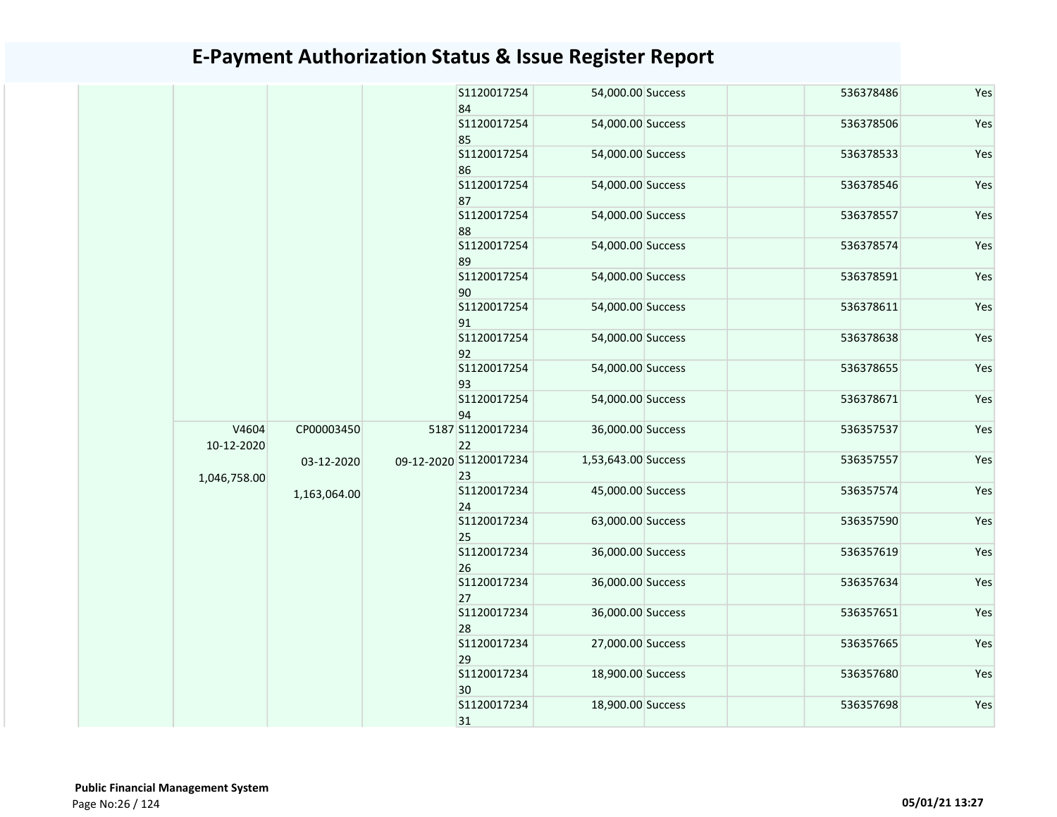|                     |                            |  | S1120017254<br>84            | 54,000.00 Success   | 536378486 | Yes |
|---------------------|----------------------------|--|------------------------------|---------------------|-----------|-----|
|                     |                            |  | S1120017254<br>85            | 54,000.00 Success   | 536378506 | Yes |
|                     |                            |  | S1120017254<br>86            | 54,000.00 Success   | 536378533 | Yes |
|                     |                            |  | S1120017254<br>87            | 54,000.00 Success   | 536378546 | Yes |
|                     |                            |  | S1120017254<br>88            | 54,000.00 Success   | 536378557 | Yes |
|                     |                            |  | S1120017254<br>89            | 54,000.00 Success   | 536378574 | Yes |
|                     |                            |  | S1120017254<br>90            | 54,000.00 Success   | 536378591 | Yes |
|                     |                            |  | S1120017254<br>91            | 54,000.00 Success   | 536378611 | Yes |
|                     |                            |  | S1120017254<br>92            | 54,000.00 Success   | 536378638 | Yes |
|                     |                            |  | S1120017254<br>93            | 54,000.00 Success   | 536378655 | Yes |
|                     |                            |  | S1120017254<br>94            | 54,000.00 Success   | 536378671 | Yes |
| V4604<br>10-12-2020 | CP00003450                 |  | 5187 S1120017234<br>22       | 36,000.00 Success   | 536357537 | Yes |
| 1,046,758.00        | 03-12-2020<br>1,163,064.00 |  | 09-12-2020 S1120017234<br>23 | 1,53,643.00 Success | 536357557 | Yes |
|                     |                            |  | S1120017234<br>24            | 45,000.00 Success   | 536357574 | Yes |
|                     |                            |  | S1120017234<br>25            | 63,000.00 Success   | 536357590 | Yes |
|                     |                            |  | S1120017234<br>26            | 36,000.00 Success   | 536357619 | Yes |
|                     |                            |  | S1120017234<br>27            | 36,000.00 Success   | 536357634 | Yes |
|                     |                            |  | S1120017234<br>28            | 36,000.00 Success   | 536357651 | Yes |
|                     |                            |  | S1120017234<br>29            | 27,000.00 Success   | 536357665 | Yes |
|                     |                            |  | S1120017234<br>30            | 18,900.00 Success   | 536357680 | Yes |
|                     |                            |  | S1120017234<br>31            | 18,900.00 Success   | 536357698 | Yes |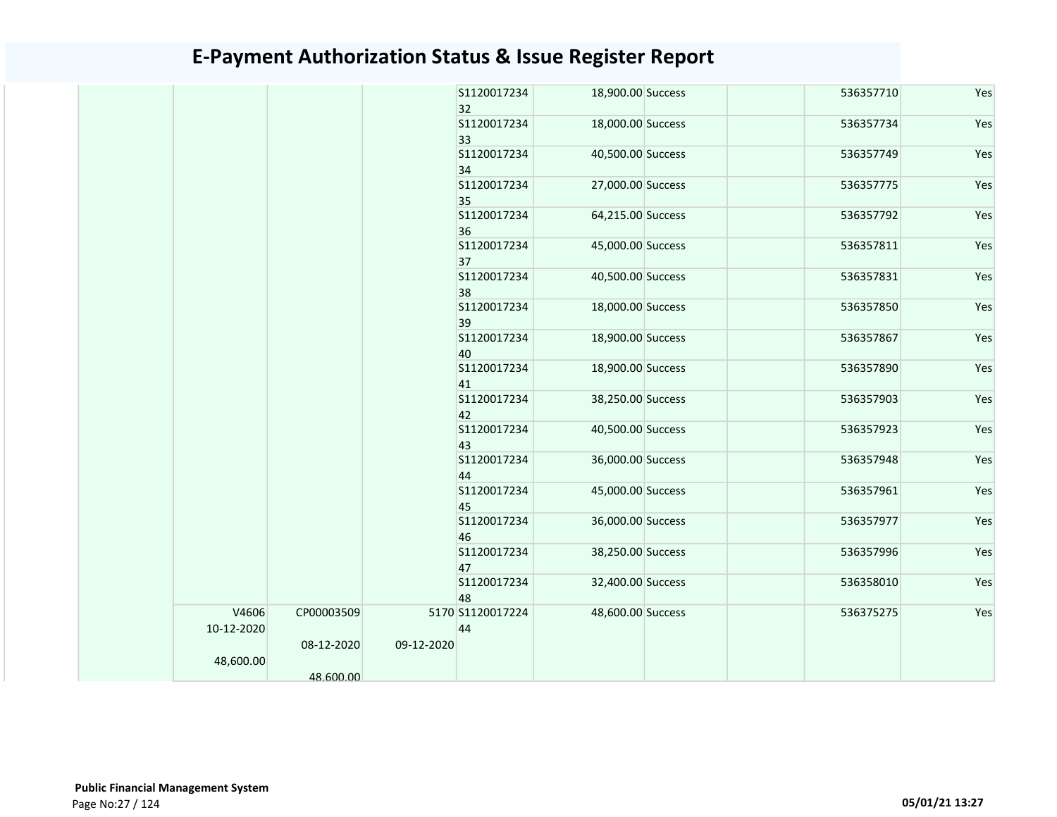|                     |                         |            | S1120017234<br>32      | 18,900.00 Success | 536357710 | Yes |
|---------------------|-------------------------|------------|------------------------|-------------------|-----------|-----|
|                     |                         |            | S1120017234<br>33      | 18,000.00 Success | 536357734 | Yes |
|                     |                         |            | S1120017234<br>34      | 40,500.00 Success | 536357749 | Yes |
|                     |                         |            | S1120017234<br>35      | 27,000.00 Success | 536357775 | Yes |
|                     |                         |            | S1120017234<br>36      | 64,215.00 Success | 536357792 | Yes |
|                     |                         |            | S1120017234<br>37      | 45,000.00 Success | 536357811 | Yes |
|                     |                         |            | S1120017234<br>38      | 40,500.00 Success | 536357831 | Yes |
|                     |                         |            | S1120017234<br>39      | 18,000.00 Success | 536357850 | Yes |
|                     |                         |            | S1120017234<br>40      | 18,900.00 Success | 536357867 | Yes |
|                     |                         |            | S1120017234<br>41      | 18,900.00 Success | 536357890 | Yes |
|                     |                         |            | S1120017234<br>42      | 38,250.00 Success | 536357903 | Yes |
|                     |                         |            | S1120017234<br>43      | 40,500.00 Success | 536357923 | Yes |
|                     |                         |            | S1120017234<br>44      | 36,000.00 Success | 536357948 | Yes |
|                     |                         |            | S1120017234<br>45      | 45,000.00 Success | 536357961 | Yes |
|                     |                         |            | S1120017234<br>46      | 36,000.00 Success | 536357977 | Yes |
|                     |                         |            | S1120017234<br>47      | 38,250.00 Success | 536357996 | Yes |
|                     |                         |            | S1120017234<br>48      | 32,400.00 Success | 536358010 | Yes |
| V4606<br>10-12-2020 | CP00003509              |            | 5170 S1120017224<br>44 | 48,600.00 Success | 536375275 | Yes |
| 48,600.00           | 08-12-2020<br>48.600.00 | 09-12-2020 |                        |                   |           |     |
|                     |                         |            |                        |                   |           |     |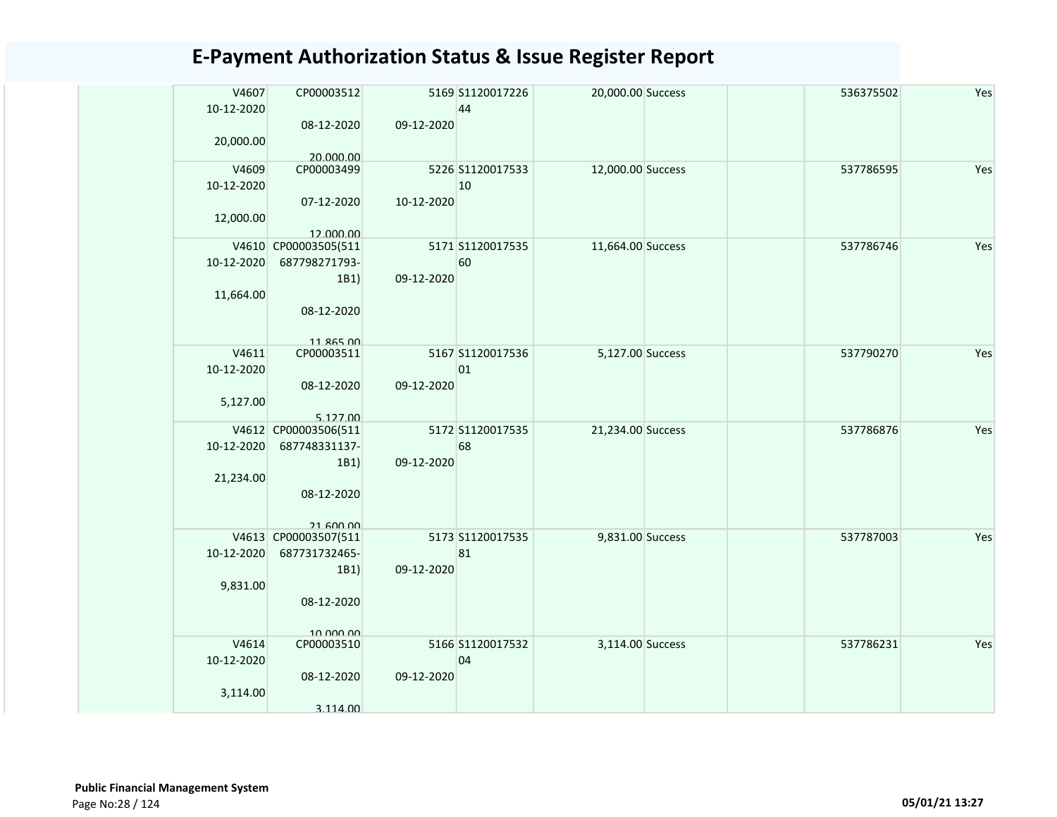| V4607<br>10-12-2020<br>20,000.00 | CP00003512<br>08-12-2020<br>20.000.00                                           | 09-12-2020 | 5169 S1120017226<br>44 | 20,000.00 Success |  | 536375502 | Yes |
|----------------------------------|---------------------------------------------------------------------------------|------------|------------------------|-------------------|--|-----------|-----|
| V4609<br>10-12-2020<br>12,000.00 | CP00003499<br>07-12-2020<br>12.000.00                                           | 10-12-2020 | 5226 S1120017533<br>10 | 12,000.00 Success |  | 537786595 | Yes |
| 10-12-2020<br>11,664.00          | V4610 CP00003505(511<br>687798271793-<br>1B1)<br>08-12-2020<br>11 865 00        | 09-12-2020 | 5171 S1120017535<br>60 | 11,664.00 Success |  | 537786746 | Yes |
| V4611<br>10-12-2020<br>5,127.00  | CP00003511<br>08-12-2020<br>5.127.00                                            | 09-12-2020 | 5167 S1120017536<br>01 | 5,127.00 Success  |  | 537790270 | Yes |
| 10-12-2020<br>21,234.00          | V4612 CP00003506(511<br>687748331137-<br>1B1)<br>08-12-2020<br><b>21 600 00</b> | 09-12-2020 | 5172 S1120017535<br>68 | 21,234.00 Success |  | 537786876 | Yes |
| 10-12-2020<br>9,831.00           | V4613 CP00003507(511<br>687731732465-<br>1B1)<br>08-12-2020<br>10.000.00        | 09-12-2020 | 5173 S1120017535<br>81 | 9,831.00 Success  |  | 537787003 | Yes |
| V4614<br>10-12-2020<br>3,114.00  | CP00003510<br>08-12-2020<br>3.114.00                                            | 09-12-2020 | 5166 S1120017532<br>04 | 3,114.00 Success  |  | 537786231 | Yes |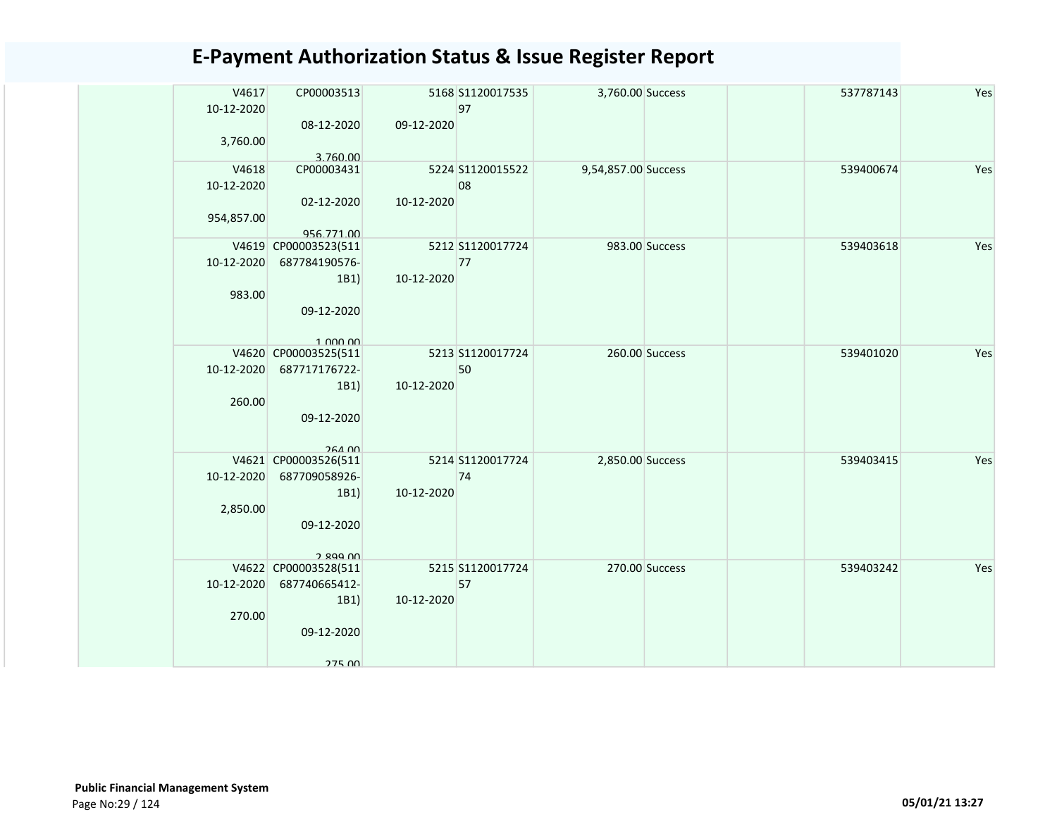| V4617<br>10-12-2020<br>3,760.00 | CP00003513<br>08-12-2020         | 09-12-2020 | 5168 S1120017535<br>97 | 3,760.00 Success    |                | 537787143 | Yes |
|---------------------------------|----------------------------------|------------|------------------------|---------------------|----------------|-----------|-----|
| V4618                           | 3.760.00<br>CP00003431           |            | 5224 S1120015522       | 9,54,857.00 Success |                | 539400674 | Yes |
| 10-12-2020                      |                                  |            | 08                     |                     |                |           |     |
|                                 | 02-12-2020                       | 10-12-2020 |                        |                     |                |           |     |
| 954,857.00                      |                                  |            |                        |                     |                |           |     |
|                                 | 956.771.00                       |            |                        |                     |                |           |     |
|                                 | V4619 CP00003523(511             |            | 5212 S1120017724       |                     | 983.00 Success | 539403618 | Yes |
| 10-12-2020                      | 687784190576-                    |            | 77                     |                     |                |           |     |
|                                 | 1B1)                             | 10-12-2020 |                        |                     |                |           |     |
| 983.00                          |                                  |            |                        |                     |                |           |     |
|                                 | 09-12-2020                       |            |                        |                     |                |           |     |
|                                 |                                  |            |                        |                     |                |           |     |
|                                 | 1.000.00<br>V4620 CP00003525(511 |            | 5213 S1120017724       |                     | 260.00 Success | 539401020 | Yes |
| 10-12-2020                      | 687717176722-                    |            | 50                     |                     |                |           |     |
|                                 | 1B1)                             | 10-12-2020 |                        |                     |                |           |     |
| 260.00                          |                                  |            |                        |                     |                |           |     |
|                                 | 09-12-2020                       |            |                        |                     |                |           |     |
|                                 |                                  |            |                        |                     |                |           |     |
|                                 | 264.00                           |            |                        |                     |                |           |     |
|                                 | V4621 CP00003526(511             |            | 5214 S1120017724       | 2,850.00 Success    |                | 539403415 | Yes |
| 10-12-2020                      | 687709058926-                    |            | 74                     |                     |                |           |     |
|                                 | 1B1)                             | 10-12-2020 |                        |                     |                |           |     |
| 2,850.00                        |                                  |            |                        |                     |                |           |     |
|                                 | 09-12-2020                       |            |                        |                     |                |           |     |
|                                 |                                  |            |                        |                     |                |           |     |
|                                 | $2.899$ $00$                     |            |                        |                     |                |           |     |
|                                 | V4622 CP00003528(511             |            | 5215 S1120017724       |                     | 270.00 Success | 539403242 | Yes |
| 10-12-2020                      | 687740665412-                    |            | 57                     |                     |                |           |     |
|                                 | 1B1)                             | 10-12-2020 |                        |                     |                |           |     |
| 270.00                          |                                  |            |                        |                     |                |           |     |
|                                 | 09-12-2020                       |            |                        |                     |                |           |     |
|                                 |                                  |            |                        |                     |                |           |     |
|                                 | <b>275 00</b>                    |            |                        |                     |                |           |     |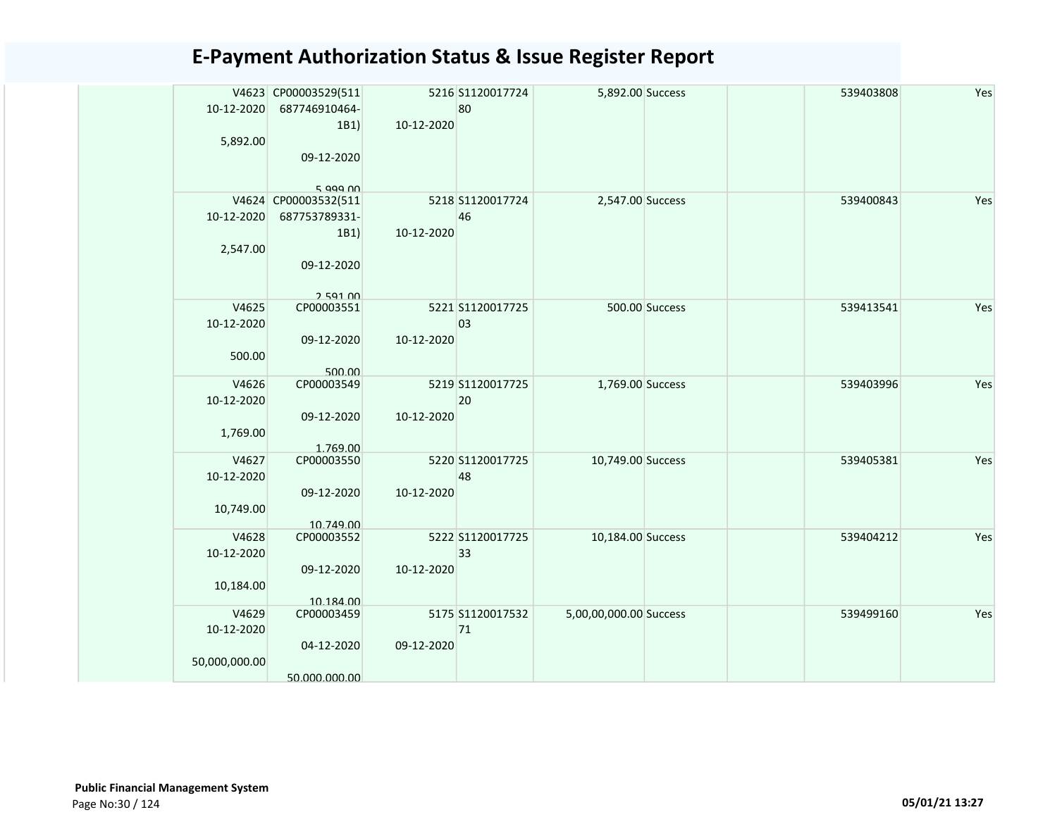| 10-12-2020    | V4623 CP00003529(511<br>687746910464- |            | 5216 S1120017724<br>80 | 5,892.00 Success       |                | 539403808 | Yes |
|---------------|---------------------------------------|------------|------------------------|------------------------|----------------|-----------|-----|
|               | 1B1)                                  | 10-12-2020 |                        |                        |                |           |     |
| 5,892.00      | 09-12-2020                            |            |                        |                        |                |           |     |
|               | 5.999M                                |            |                        |                        |                |           |     |
|               | V4624 CP00003532(511                  |            | 5218 S1120017724       | 2,547.00 Success       |                | 539400843 | Yes |
| 10-12-2020    | 687753789331-                         |            | 46                     |                        |                |           |     |
|               | 1B1)                                  | 10-12-2020 |                        |                        |                |           |     |
| 2,547.00      |                                       |            |                        |                        |                |           |     |
|               | 09-12-2020                            |            |                        |                        |                |           |     |
|               |                                       |            |                        |                        |                |           |     |
| V4625         | 250100<br>CP00003551                  |            | 5221 S1120017725       |                        | 500.00 Success | 539413541 | Yes |
| 10-12-2020    |                                       |            | 03                     |                        |                |           |     |
|               | 09-12-2020                            | 10-12-2020 |                        |                        |                |           |     |
| 500.00        |                                       |            |                        |                        |                |           |     |
|               | 500.00                                |            |                        |                        |                |           |     |
| V4626         | CP00003549                            |            | 5219 S1120017725       | 1,769.00 Success       |                | 539403996 | Yes |
| 10-12-2020    |                                       |            | 20                     |                        |                |           |     |
|               | 09-12-2020                            | 10-12-2020 |                        |                        |                |           |     |
| 1,769.00      |                                       |            |                        |                        |                |           |     |
| V4627         | 1.769.00<br>CP00003550                |            | 5220 S1120017725       | 10,749.00 Success      |                | 539405381 | Yes |
| 10-12-2020    |                                       |            | 48                     |                        |                |           |     |
|               | 09-12-2020                            | 10-12-2020 |                        |                        |                |           |     |
| 10,749.00     |                                       |            |                        |                        |                |           |     |
|               | 10.749.00                             |            |                        |                        |                |           |     |
| V4628         | CP00003552                            |            | 5222 S1120017725       | 10,184.00 Success      |                | 539404212 | Yes |
| 10-12-2020    |                                       |            | 33                     |                        |                |           |     |
|               | 09-12-2020                            | 10-12-2020 |                        |                        |                |           |     |
| 10,184.00     |                                       |            |                        |                        |                |           |     |
|               | 10.184.00                             |            |                        |                        |                |           |     |
| V4629         | CP00003459                            |            | 5175 S1120017532       | 5,00,00,000.00 Success |                | 539499160 | Yes |
| 10-12-2020    |                                       |            | 71                     |                        |                |           |     |
|               | 04-12-2020                            | 09-12-2020 |                        |                        |                |           |     |
| 50,000,000.00 | 50.000.000.00                         |            |                        |                        |                |           |     |
|               |                                       |            |                        |                        |                |           |     |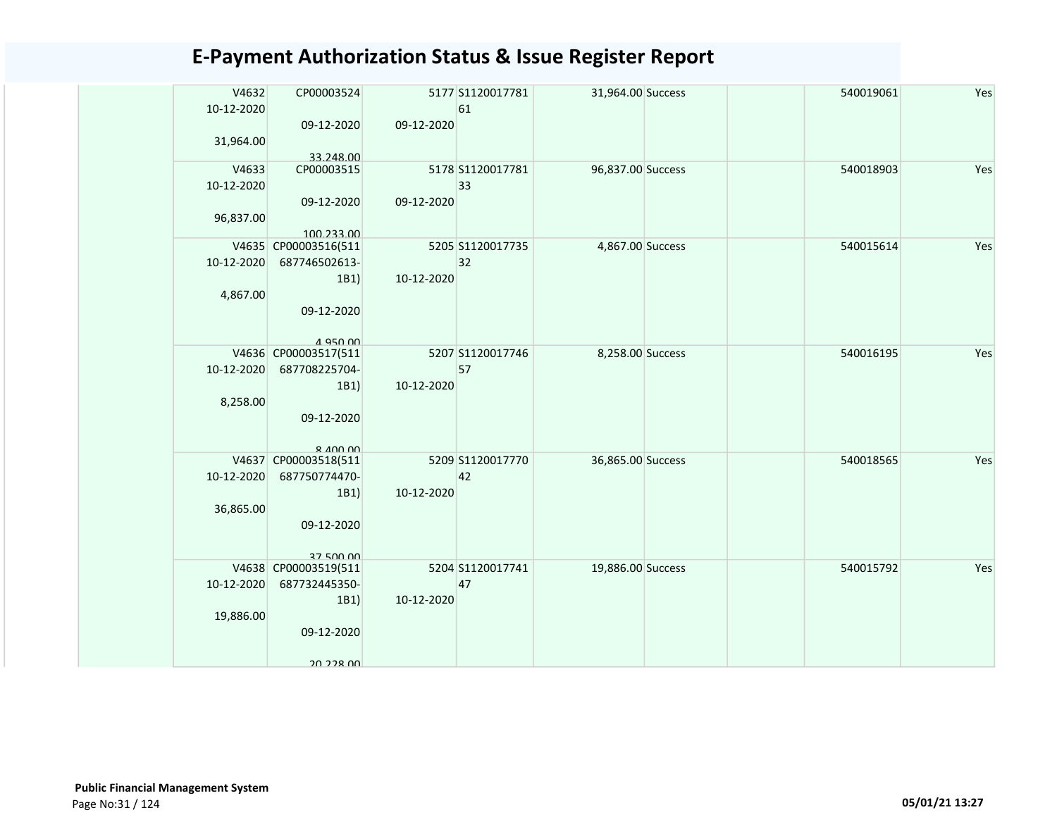| V4632<br>10-12-2020<br>31,964.00 | CP00003524<br>09-12-2020                                                              | 09-12-2020 | 5177 S1120017781<br>61 | 31,964.00 Success |  | 540019061 | Yes |
|----------------------------------|---------------------------------------------------------------------------------------|------------|------------------------|-------------------|--|-----------|-----|
|                                  | 33.248.00                                                                             |            |                        |                   |  |           |     |
| V4633<br>10-12-2020<br>96,837.00 | CP00003515<br>09-12-2020                                                              | 09-12-2020 | 5178 S1120017781<br>33 | 96,837.00 Success |  | 540018903 | Yes |
|                                  | 100.233.00                                                                            |            |                        |                   |  |           |     |
| 10-12-2020                       | V4635 CP00003516(511<br>687746502613-<br>1B1)                                         | 10-12-2020 | 5205 S1120017735<br>32 | 4,867.00 Success  |  | 540015614 | Yes |
| 4,867.00                         | 09-12-2020<br>$A$ Q <sub>50</sub> $0$                                                 |            |                        |                   |  |           |     |
|                                  | V4636 CP00003517(511                                                                  |            | 5207 S1120017746       | 8,258.00 Success  |  | 540016195 | Yes |
| 10-12-2020                       | 687708225704-                                                                         |            | 57                     |                   |  |           |     |
| 8,258.00                         | 1B1)<br>09-12-2020<br>$R$ $\triangle$ $\triangle$ $\triangle$ $\triangle$ $\triangle$ | 10-12-2020 |                        |                   |  |           |     |
|                                  | V4637 CP00003518(511                                                                  |            | 5209 S1120017770       | 36,865.00 Success |  | 540018565 | Yes |
| 10-12-2020                       | 687750774470-                                                                         |            | 42                     |                   |  |           |     |
| 36,865.00                        | 1B1)<br>09-12-2020<br><b>37 500 00</b>                                                | 10-12-2020 |                        |                   |  |           |     |
|                                  | V4638 CP00003519(511                                                                  |            | 5204 S1120017741       | 19,886.00 Success |  | 540015792 | Yes |
| 10-12-2020                       | 687732445350-                                                                         |            | 47                     |                   |  |           |     |
|                                  | 1B1)                                                                                  | 10-12-2020 |                        |                   |  |           |     |
| 19,886.00                        | 09-12-2020                                                                            |            |                        |                   |  |           |     |
|                                  | 20 228 UU                                                                             |            |                        |                   |  |           |     |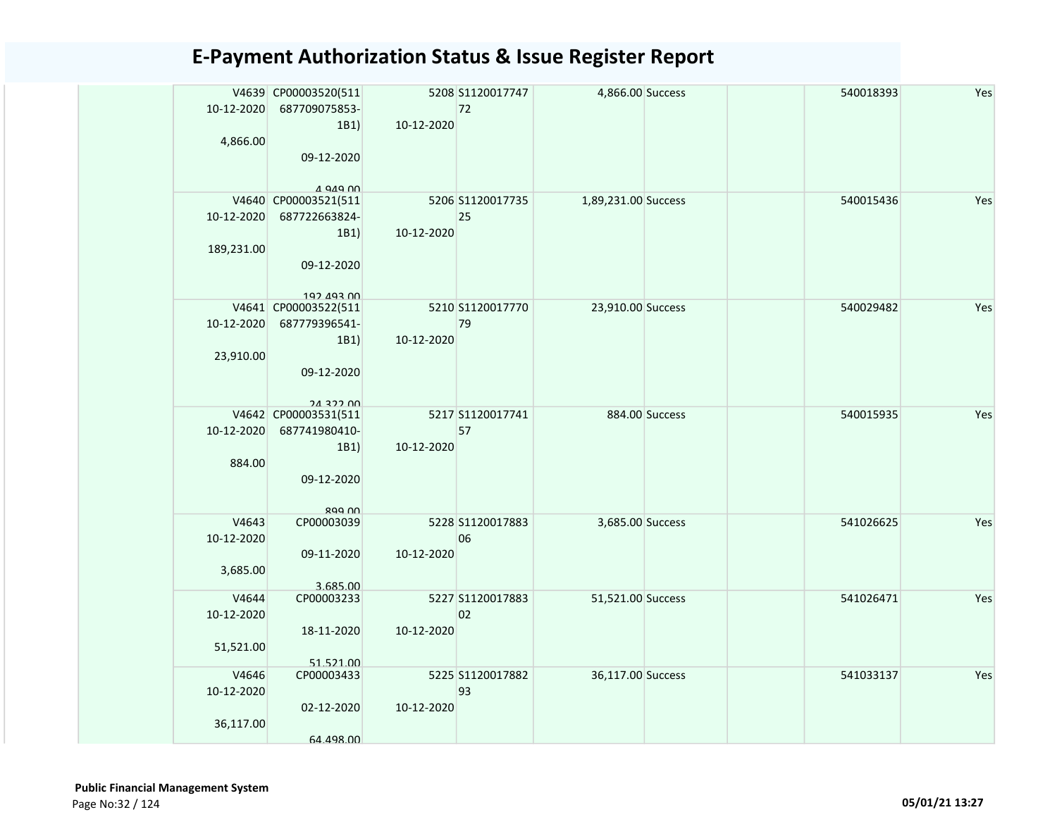| 10-12-2020<br>4,866.00           | V4639 CP00003520(511<br>687709075853-<br>1B1)<br>09-12-2020<br>$A$ QAQ $\cap$ | 10-12-2020 | 5208 S1120017747<br>72 | 4,866.00 Success    |                | 540018393 | Yes |
|----------------------------------|-------------------------------------------------------------------------------|------------|------------------------|---------------------|----------------|-----------|-----|
| 10-12-2020<br>189,231.00         | V4640 CP00003521(511<br>687722663824-<br>1B1)<br>09-12-2020<br>102 103 UU     | 10-12-2020 | 5206 S1120017735<br>25 | 1,89,231.00 Success |                | 540015436 | Yes |
| 10-12-2020<br>23,910.00          | V4641 CP00003522(511<br>687779396541-<br>1B1)<br>09-12-2020<br>24.322.00      | 10-12-2020 | 5210 S1120017770<br>79 | 23,910.00 Success   |                | 540029482 | Yes |
| 10-12-2020<br>884.00             | V4642 CP00003531(511<br>687741980410-<br>1B1)<br>09-12-2020<br><b>RGG NN</b>  | 10-12-2020 | 5217 S1120017741<br>57 |                     | 884.00 Success | 540015935 | Yes |
| V4643<br>10-12-2020<br>3,685.00  | CP00003039<br>09-11-2020<br>3.685.00                                          | 10-12-2020 | 5228 S1120017883<br>06 | 3,685.00 Success    |                | 541026625 | Yes |
| V4644<br>10-12-2020<br>51,521.00 | CP00003233<br>18-11-2020<br>51.521.00                                         | 10-12-2020 | 5227 S1120017883<br>02 | 51,521.00 Success   |                | 541026471 | Yes |
| V4646<br>10-12-2020<br>36,117.00 | CP00003433<br>02-12-2020<br>64.498.00                                         | 10-12-2020 | 5225 S1120017882<br>93 | 36,117.00 Success   |                | 541033137 | Yes |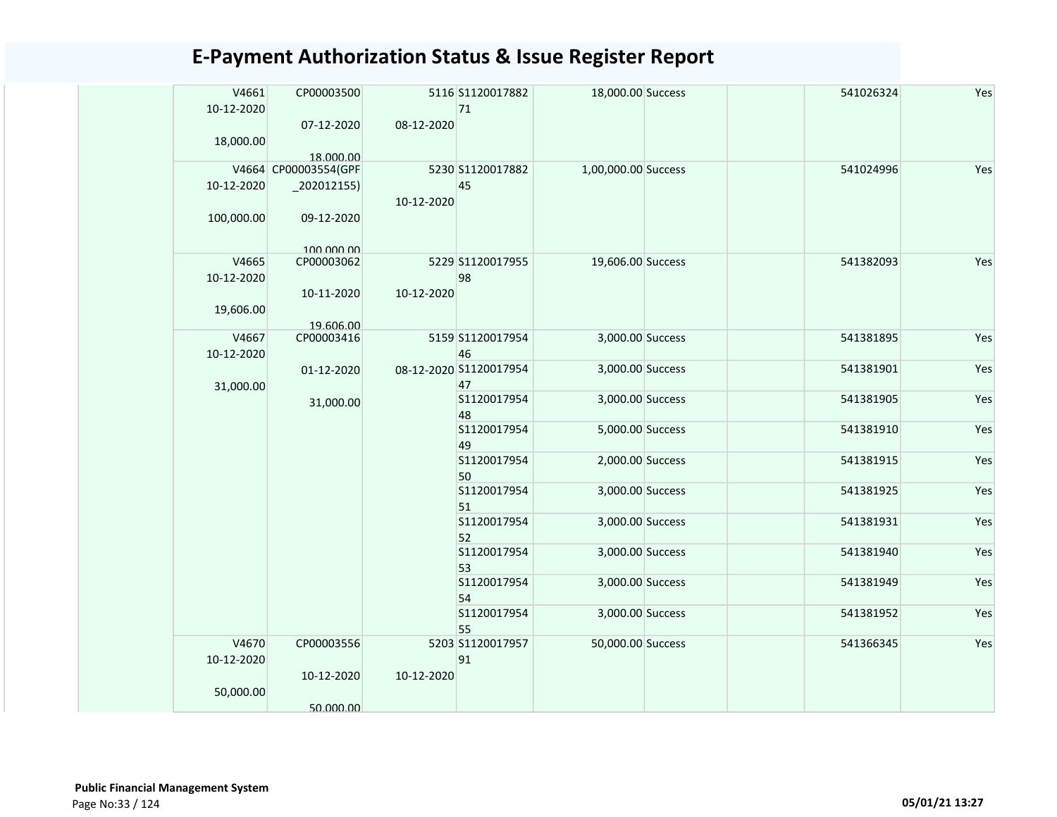| V4661<br>10-12-2020      | CP00003500<br>07-12-2020      | 08-12-2020 | 5116 S1120017882<br>71       | 18,000.00 Success   | 541026324 | Yes |
|--------------------------|-------------------------------|------------|------------------------------|---------------------|-----------|-----|
| 18,000.00                | 18.000.00                     |            |                              |                     |           |     |
|                          | V4664 CP00003554(GPF          |            | 5230 S1120017882             | 1,00,000.00 Success | 541024996 | Yes |
| 10-12-2020<br>100,000.00 | $_2$ 202012155)<br>09-12-2020 | 10-12-2020 | 45                           |                     |           |     |
| V4665                    | 100,000,00<br>CP00003062      |            | 5229 S1120017955             | 19,606.00 Success   | 541382093 | Yes |
| 10-12-2020               | 10-11-2020                    | 10-12-2020 | 98                           |                     |           |     |
| 19,606.00                | 19.606.00                     |            |                              |                     |           |     |
| V4667<br>10-12-2020      | CP00003416                    |            | 5159 S1120017954<br>46       | 3,000.00 Success    | 541381895 | Yes |
| 31,000.00                | 01-12-2020                    |            | 08-12-2020 S1120017954<br>47 | 3,000.00 Success    | 541381901 | Yes |
|                          | 31,000.00                     |            | S1120017954<br>48            | 3,000.00 Success    | 541381905 | Yes |
|                          |                               |            | S1120017954<br>49            | 5,000.00 Success    | 541381910 | Yes |
|                          |                               |            | S1120017954<br>50            | 2,000.00 Success    | 541381915 | Yes |
|                          |                               |            | S1120017954<br>51            | 3,000.00 Success    | 541381925 | Yes |
|                          |                               |            | S1120017954<br>52            | 3,000.00 Success    | 541381931 | Yes |
|                          |                               |            | S1120017954<br>53            | 3,000.00 Success    | 541381940 | Yes |
|                          |                               |            | S1120017954<br>54            | 3,000.00 Success    | 541381949 | Yes |
|                          |                               |            | S1120017954<br>55            | 3,000.00 Success    | 541381952 | Yes |
| V4670<br>10-12-2020      | CP00003556<br>10-12-2020      | 10-12-2020 | 5203 S1120017957<br>91       | 50,000.00 Success   | 541366345 | Yes |
| 50,000.00                | 50.000.00                     |            |                              |                     |           |     |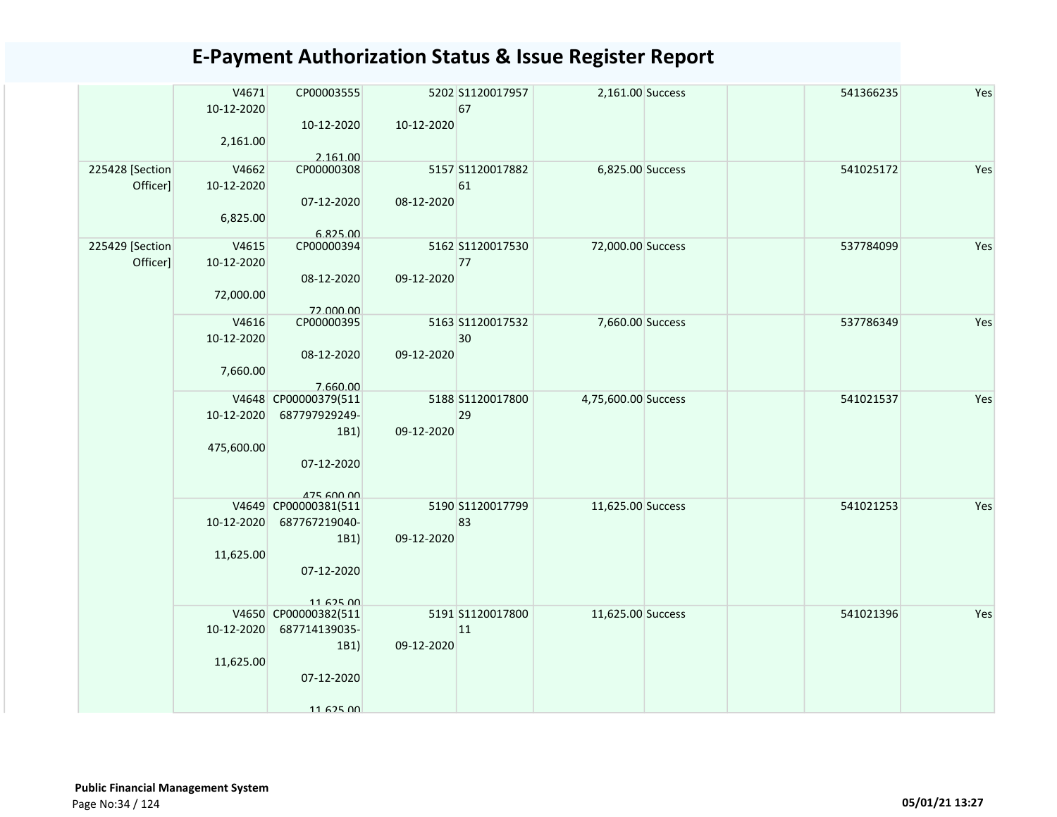|                 | V4671      | CP00003555                         |            | 5202 S1120017957  | 2,161.00 Success    | 541366235 | Yes |
|-----------------|------------|------------------------------------|------------|-------------------|---------------------|-----------|-----|
|                 | 10-12-2020 |                                    |            | 67                |                     |           |     |
|                 | 2,161.00   | 10-12-2020                         | 10-12-2020 |                   |                     |           |     |
|                 |            | 2.161.00                           |            |                   |                     |           |     |
| 225428 [Section | V4662      | CP00000308                         |            | 5157 S1120017882  | 6,825.00 Success    | 541025172 | Yes |
| Officer]        | 10-12-2020 |                                    |            | 61                |                     |           |     |
|                 |            | 07-12-2020                         | 08-12-2020 |                   |                     |           |     |
|                 | 6,825.00   | 6.825.00                           |            |                   |                     |           |     |
| 225429 [Section | V4615      | CP00000394                         |            | 5162 S1120017530  | 72,000.00 Success   | 537784099 | Yes |
| Officer]        | 10-12-2020 |                                    |            | 77                |                     |           |     |
|                 |            | 08-12-2020                         | 09-12-2020 |                   |                     |           |     |
|                 | 72,000.00  |                                    |            |                   |                     |           |     |
|                 | V4616      | 72.000.00<br>CP00000395            |            | 5163 \$1120017532 | 7,660.00 Success    | 537786349 | Yes |
|                 | 10-12-2020 |                                    |            | 30                |                     |           |     |
|                 |            | 08-12-2020                         | 09-12-2020 |                   |                     |           |     |
|                 | 7,660.00   |                                    |            |                   |                     |           |     |
|                 |            | 7.660.00<br>V4648 CP00000379(511   |            | 5188 S1120017800  | 4,75,600.00 Success | 541021537 | Yes |
|                 | 10-12-2020 | 687797929249-                      |            | 29                |                     |           |     |
|                 |            | 1B1)                               | 09-12-2020 |                   |                     |           |     |
|                 | 475,600.00 |                                    |            |                   |                     |           |     |
|                 |            | 07-12-2020                         |            |                   |                     |           |     |
|                 |            |                                    |            |                   |                     |           |     |
|                 |            | 475 600 00<br>V4649 CP00000381(511 |            | 5190 S1120017799  | 11,625.00 Success   | 541021253 | Yes |
|                 | 10-12-2020 | 687767219040-                      |            | 83                |                     |           |     |
|                 |            | 1B1)                               | 09-12-2020 |                   |                     |           |     |
|                 | 11,625.00  |                                    |            |                   |                     |           |     |
|                 |            | 07-12-2020                         |            |                   |                     |           |     |
|                 |            | 1162500                            |            |                   |                     |           |     |
|                 |            | V4650 CP00000382(511               |            | 5191 S1120017800  | 11,625.00 Success   | 541021396 | Yes |
|                 | 10-12-2020 | 687714139035-                      |            | 11                |                     |           |     |
|                 |            | 1B1)                               | 09-12-2020 |                   |                     |           |     |
|                 | 11,625.00  | 07-12-2020                         |            |                   |                     |           |     |
|                 |            |                                    |            |                   |                     |           |     |
|                 |            | 1167500                            |            |                   |                     |           |     |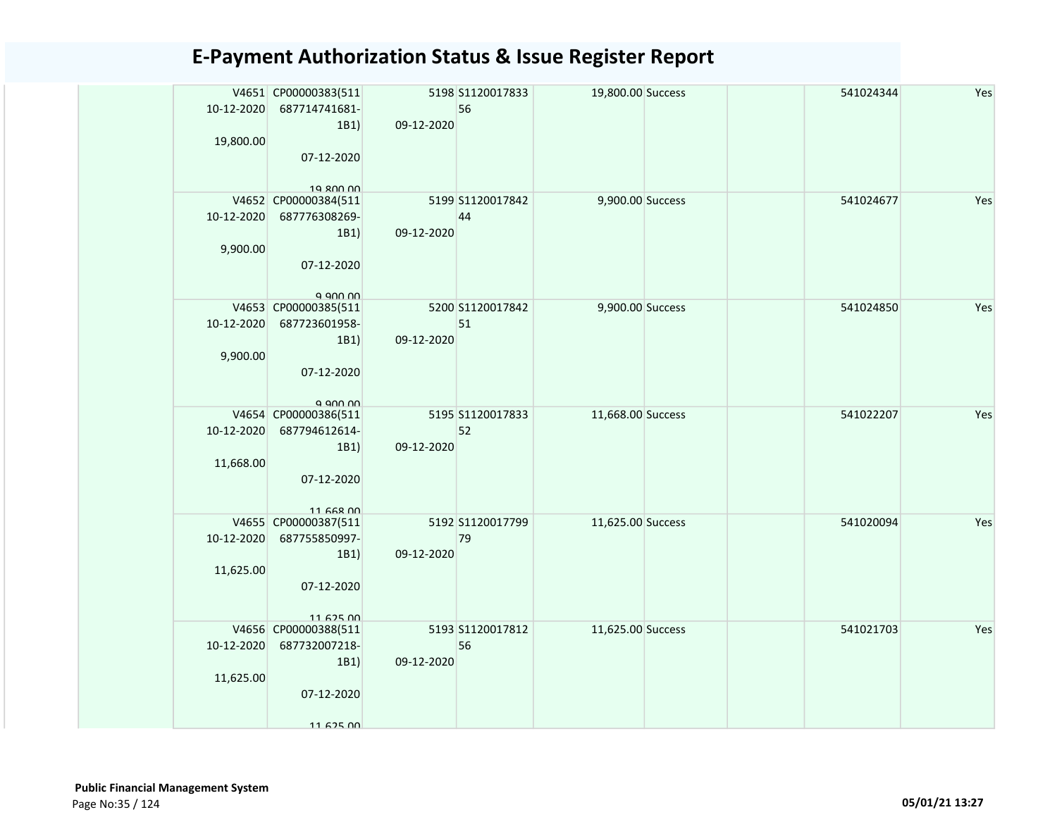| 10-12-2020<br>19,800.00 | V4651 CP00000383(511<br>687714741681-<br>1B1<br>07-12-2020                           | 09-12-2020 | 5198 S1120017833<br>56 | 19,800.00 Success |  | 541024344 | Yes |
|-------------------------|--------------------------------------------------------------------------------------|------------|------------------------|-------------------|--|-----------|-----|
| 10-12-2020<br>9,900.00  | 19 800 00<br>V4652 CP00000384(511<br>687776308269-<br>1B1)<br>07-12-2020<br>a ann nn | 09-12-2020 | 5199 S1120017842<br>44 | 9,900.00 Success  |  | 541024677 | Yes |
| 10-12-2020<br>9,900.00  | V4653 CP00000385(511<br>687723601958-<br>1B1<br>07-12-2020<br>a ann nn               | 09-12-2020 | 5200 S1120017842<br>51 | 9,900.00 Success  |  | 541024850 | Yes |
| 10-12-2020<br>11,668.00 | V4654 CP00000386(511<br>687794612614-<br>1B1)<br>07-12-2020<br>$11$ GGR $00$         | 09-12-2020 | 5195 S1120017833<br>52 | 11,668.00 Success |  | 541022207 | Yes |
| 10-12-2020<br>11,625.00 | V4655 CP00000387(511<br>687755850997-<br>1B1)<br>07-12-2020<br>1167500               | 09-12-2020 | 5192 S1120017799<br>79 | 11,625.00 Success |  | 541020094 | Yes |
| 10-12-2020<br>11,625.00 | V4656 CP00000388(511<br>687732007218-<br>1B1)<br>07-12-2020<br>1167500               | 09-12-2020 | 5193 S1120017812<br>56 | 11,625.00 Success |  | 541021703 | Yes |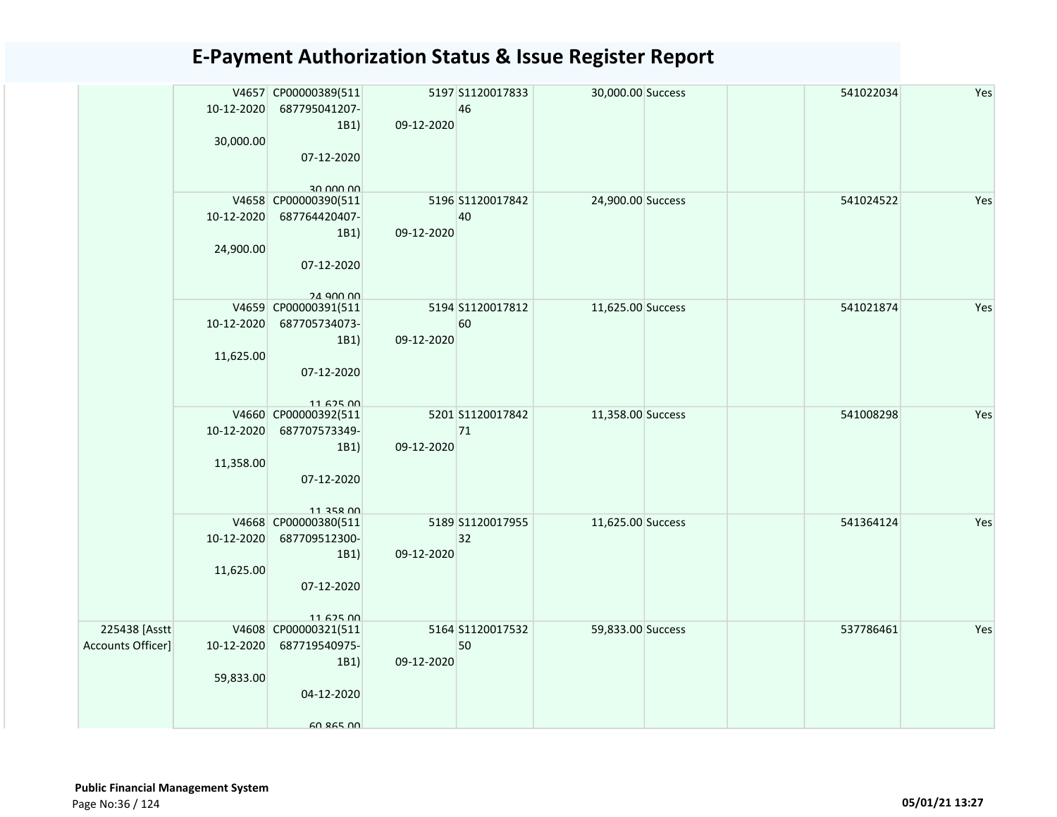|                | 10-12-2020 | V4657 CP00000389(511<br>687795041207- |            | 5197 S1120017833<br>46 | 30,000.00 Success | 541022034 | Yes |
|----------------|------------|---------------------------------------|------------|------------------------|-------------------|-----------|-----|
|                |            | 1B1)                                  | 09-12-2020 |                        |                   |           |     |
|                | 30,000.00  | 07-12-2020                            |            |                        |                   |           |     |
|                |            | 30 000 00                             |            |                        |                   |           |     |
|                |            | V4658 CP00000390(511                  |            | 5196 S1120017842       | 24,900.00 Success | 541024522 | Yes |
|                | 10-12-2020 | 687764420407-                         |            | 40                     |                   |           |     |
|                |            | 1B1)                                  | 09-12-2020 |                        |                   |           |     |
|                | 24,900.00  |                                       |            |                        |                   |           |     |
|                |            | 07-12-2020                            |            |                        |                   |           |     |
|                |            | 24 QUO UU                             |            |                        |                   |           |     |
|                | 10-12-2020 | V4659 CP00000391(511<br>687705734073- |            | 5194 S1120017812<br>60 | 11,625.00 Success | 541021874 | Yes |
|                |            | 1B1)                                  | 09-12-2020 |                        |                   |           |     |
|                | 11,625.00  |                                       |            |                        |                   |           |     |
|                |            | 07-12-2020                            |            |                        |                   |           |     |
|                |            |                                       |            |                        |                   |           |     |
|                |            | 1162500                               |            |                        |                   |           |     |
|                |            | V4660 CP00000392(511                  |            | 5201 S1120017842       | 11,358.00 Success | 541008298 | Yes |
|                | 10-12-2020 | 687707573349-                         |            | 71                     |                   |           |     |
|                |            | 1B1)                                  | 09-12-2020 |                        |                   |           |     |
|                | 11,358.00  |                                       |            |                        |                   |           |     |
|                |            | 07-12-2020                            |            |                        |                   |           |     |
|                |            | 11 358 NO                             |            |                        |                   |           |     |
|                |            | V4668 CP00000380(511                  |            | 5189 S1120017955       | 11,625.00 Success | 541364124 | Yes |
|                | 10-12-2020 | 687709512300-                         |            | 32                     |                   |           |     |
|                |            | 1B1)                                  | 09-12-2020 |                        |                   |           |     |
|                | 11,625.00  |                                       |            |                        |                   |           |     |
|                |            | 07-12-2020                            |            |                        |                   |           |     |
|                |            |                                       |            |                        |                   |           |     |
| 225438 [Asstt  |            | 1167500<br>V4608 CP00000321(511       |            | 5164 S1120017532       | 59,833.00 Success | 537786461 | Yes |
| ounts Officer] | 10-12-2020 | 687719540975-                         |            | 50                     |                   |           |     |
|                |            | 1B1)                                  | 09-12-2020 |                        |                   |           |     |
|                | 59,833.00  |                                       |            |                        |                   |           |     |
|                |            | 04-12-2020                            |            |                        |                   |           |     |
|                |            |                                       |            |                        |                   |           |     |
|                |            | 60 865 00                             |            |                        |                   |           |     |

Accounts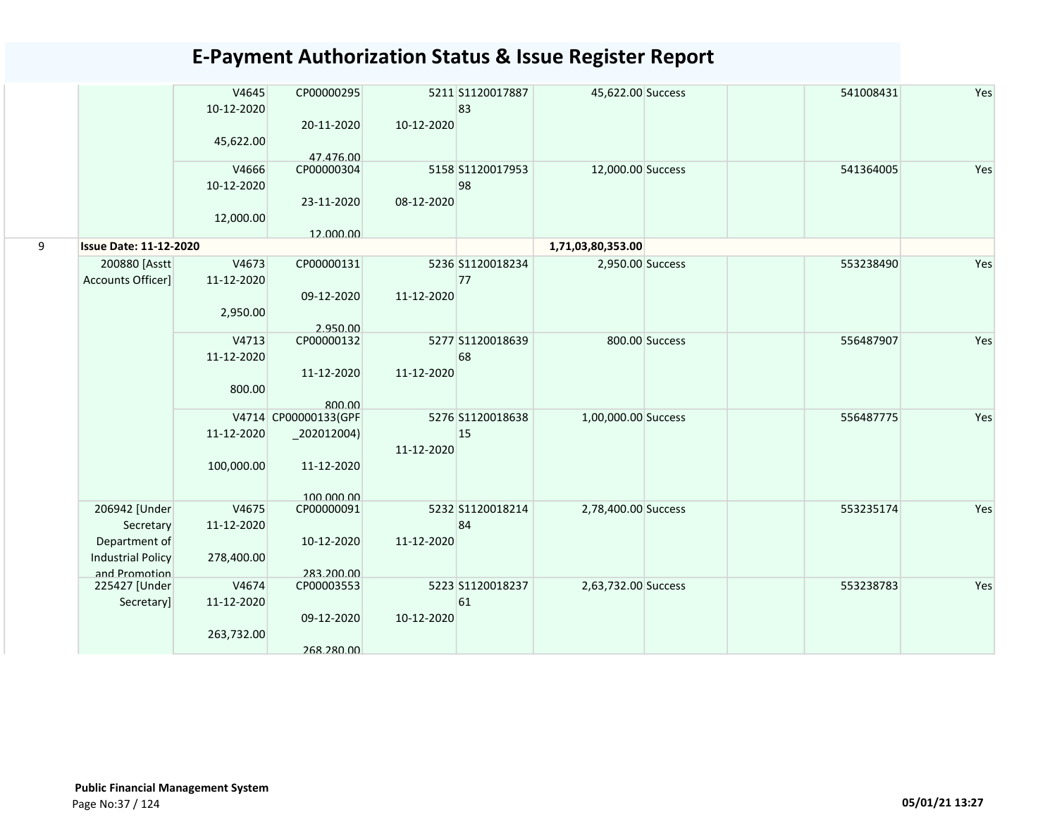|   |                                            | V4645<br>10-12-2020<br>45,622.00 | CP00000295<br>20-11-2020                | 10-12-2020 | 5211 S1120017887<br>83 | 45,622.00 Success   |                | 541008431 | Yes |
|---|--------------------------------------------|----------------------------------|-----------------------------------------|------------|------------------------|---------------------|----------------|-----------|-----|
|   |                                            | V4666<br>10-12-2020              | 47.476.00<br>CP00000304                 |            | 5158 S1120017953<br>98 | 12,000.00 Success   |                | 541364005 | Yes |
|   |                                            | 12,000.00                        | 23-11-2020<br>12.000.00                 | 08-12-2020 |                        |                     |                |           |     |
| 9 | <b>Issue Date: 11-12-2020</b>              |                                  |                                         |            |                        | 1,71,03,80,353.00   |                |           |     |
|   | 200880 [Asstt]<br><b>Accounts Officer]</b> | V4673<br>11-12-2020<br>2,950.00  | CP00000131<br>09-12-2020                | 11-12-2020 | 5236 S1120018234<br>77 | 2,950.00 Success    |                | 553238490 | Yes |
|   |                                            |                                  | 2.950.00                                |            |                        |                     |                |           |     |
|   |                                            | V4713<br>11-12-2020              | CP00000132<br>11-12-2020                | 11-12-2020 | 5277 S1120018639<br>68 |                     | 800.00 Success | 556487907 | Yes |
|   |                                            | 800.00                           | 800.00                                  |            |                        |                     |                |           |     |
|   |                                            | 11-12-2020                       | V4714 CP00000133(GPF<br>$_2$ 202012004) | 11-12-2020 | 5276 S1120018638<br>15 | 1,00,000.00 Success |                | 556487775 | Yes |
|   |                                            | 100,000.00                       | 11-12-2020<br>100,000,00                |            |                        |                     |                |           |     |
|   | 206942 [Under                              | V4675                            | CP00000091                              |            | 5232 S1120018214       | 2,78,400.00 Success |                | 553235174 | Yes |
|   | Secretary                                  | 11-12-2020                       |                                         |            | 84                     |                     |                |           |     |
|   | Department of                              |                                  | 10-12-2020                              | 11-12-2020 |                        |                     |                |           |     |
|   | <b>Industrial Policy</b>                   | 278,400.00                       |                                         |            |                        |                     |                |           |     |
|   | and Promotion                              |                                  | 283.200.00                              |            |                        |                     |                |           |     |
|   | 225427 [Under                              | V4674<br>11-12-2020              | CP00003553                              |            | 5223 S1120018237<br>61 | 2,63,732.00 Success |                | 553238783 | Yes |
|   | Secretary]                                 |                                  | 09-12-2020                              | 10-12-2020 |                        |                     |                |           |     |
|   |                                            | 263,732.00                       | 268.280.00                              |            |                        |                     |                |           |     |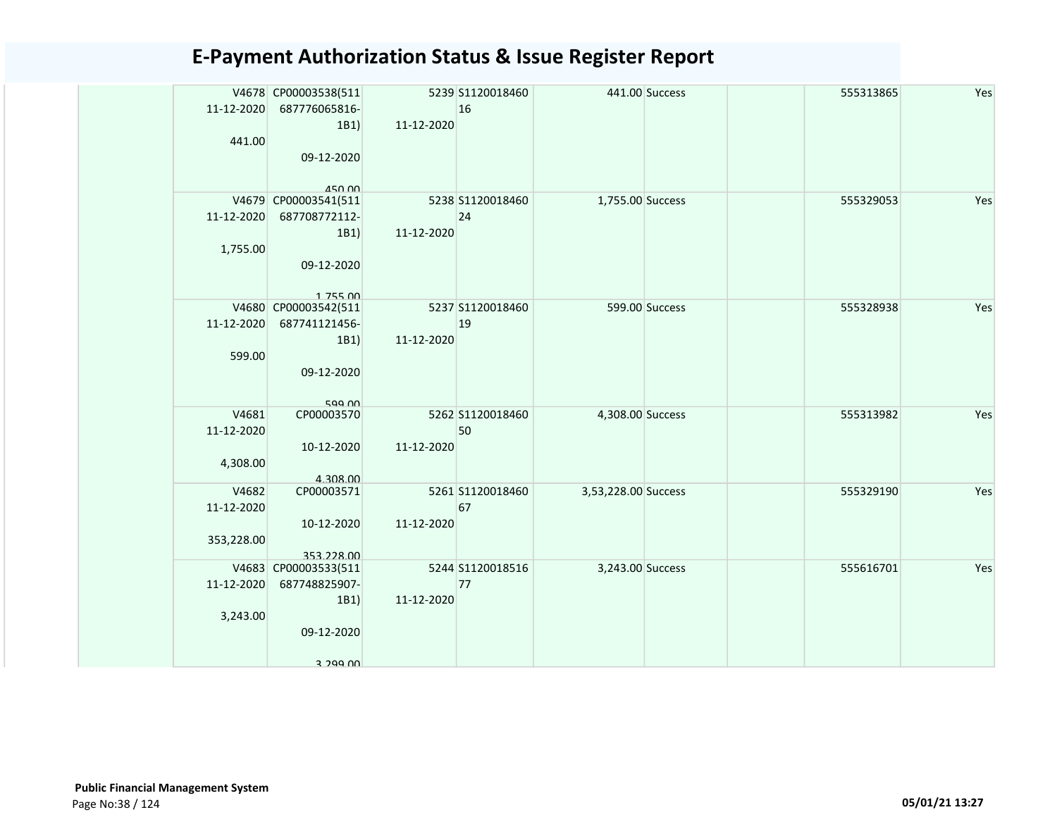|            | V4678 CP00003538(511           |            | 5239 S1120018460 |                     | 441.00 Success | 555313865 | Yes |
|------------|--------------------------------|------------|------------------|---------------------|----------------|-----------|-----|
| 11-12-2020 | 687776065816-                  |            | 16               |                     |                |           |     |
|            | 1B1)                           | 11-12-2020 |                  |                     |                |           |     |
| 441.00     |                                |            |                  |                     |                |           |     |
|            | 09-12-2020                     |            |                  |                     |                |           |     |
|            |                                |            |                  |                     |                |           |     |
|            | 450.00<br>V4679 CP00003541(511 |            | 5238 S1120018460 | 1,755.00 Success    |                | 555329053 | Yes |
| 11-12-2020 | 687708772112-                  |            | 24               |                     |                |           |     |
|            | 1B1)                           | 11-12-2020 |                  |                     |                |           |     |
| 1,755.00   |                                |            |                  |                     |                |           |     |
|            | 09-12-2020                     |            |                  |                     |                |           |     |
|            |                                |            |                  |                     |                |           |     |
|            | 175500                         |            |                  |                     |                |           |     |
|            | V4680 CP00003542(511           |            | 5237 S1120018460 |                     | 599.00 Success | 555328938 | Yes |
| 11-12-2020 | 687741121456-                  |            | 19               |                     |                |           |     |
|            | 1B1)                           | 11-12-2020 |                  |                     |                |           |     |
| 599.00     |                                |            |                  |                     |                |           |     |
|            | 09-12-2020                     |            |                  |                     |                |           |     |
|            |                                |            |                  |                     |                |           |     |
| V4681      | 599.00<br>CP00003570           |            | 5262 S1120018460 | 4,308.00 Success    |                | 555313982 | Yes |
| 11-12-2020 |                                |            | 50               |                     |                |           |     |
|            | 10-12-2020                     | 11-12-2020 |                  |                     |                |           |     |
| 4,308.00   |                                |            |                  |                     |                |           |     |
|            | 4.308.00                       |            |                  |                     |                |           |     |
| V4682      | CP00003571                     |            | 5261 S1120018460 | 3,53,228.00 Success |                | 555329190 | Yes |
| 11-12-2020 |                                |            | 67               |                     |                |           |     |
|            | 10-12-2020                     | 11-12-2020 |                  |                     |                |           |     |
| 353,228.00 |                                |            |                  |                     |                |           |     |
|            | 353.228.00                     |            |                  |                     |                |           |     |
|            | V4683 CP00003533(511           |            | 5244 S1120018516 | 3,243.00 Success    |                | 555616701 | Yes |
| 11-12-2020 | 687748825907-                  |            | 77               |                     |                |           |     |
| 3,243.00   | 1B1)                           | 11-12-2020 |                  |                     |                |           |     |
|            | 09-12-2020                     |            |                  |                     |                |           |     |
|            |                                |            |                  |                     |                |           |     |
|            | 3 299 UU                       |            |                  |                     |                |           |     |
|            |                                |            |                  |                     |                |           |     |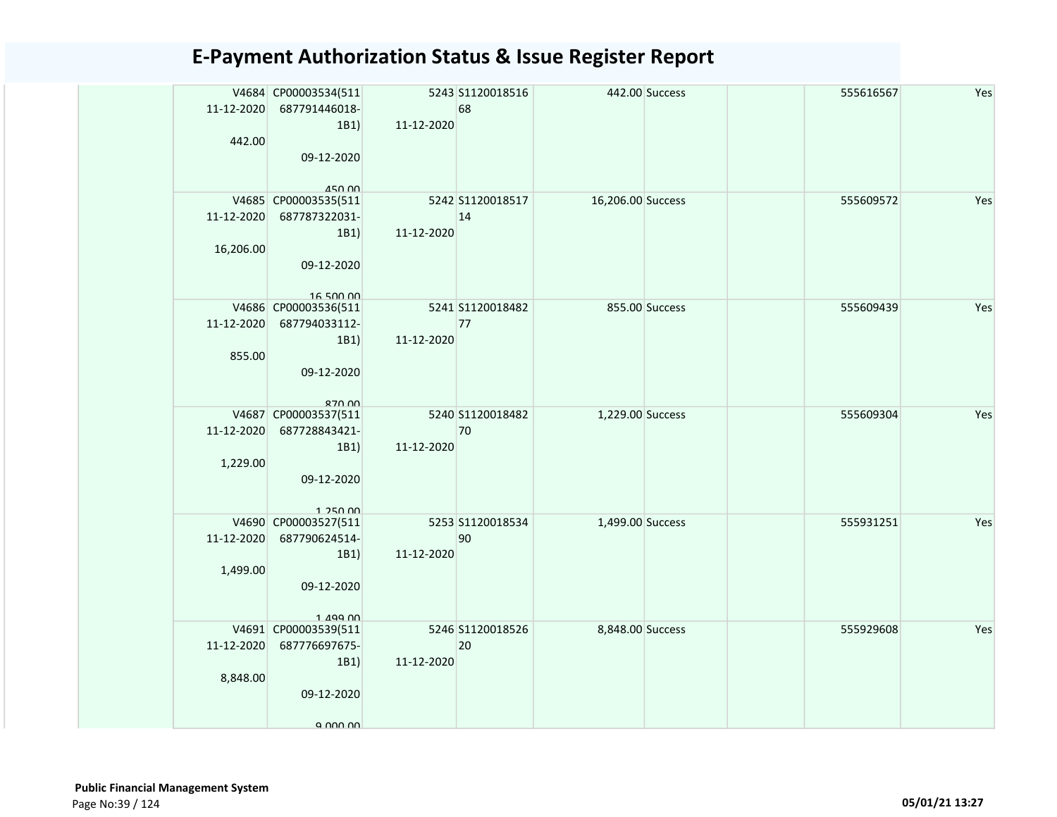|            | V4684 CP00003534(511<br>11-12-2020 687791446018- |            | 5243 S1120018516<br>68 |                   | 442.00 Success | 555616567 | Yes |
|------------|--------------------------------------------------|------------|------------------------|-------------------|----------------|-----------|-----|
| 442.00     | 1B1)                                             | 11-12-2020 |                        |                   |                |           |     |
|            | 09-12-2020                                       |            |                        |                   |                |           |     |
|            | <b>450 00</b><br>V4685 CP00003535(511            |            | 5242 S1120018517       | 16,206.00 Success |                | 555609572 | Yes |
|            | 11-12-2020 687787322031-                         |            | 14                     |                   |                |           |     |
|            | 1B1)                                             | 11-12-2020 |                        |                   |                |           |     |
| 16,206.00  |                                                  |            |                        |                   |                |           |     |
|            | 09-12-2020                                       |            |                        |                   |                |           |     |
|            |                                                  |            |                        |                   |                |           |     |
|            | 16 500 00<br>V4686 CP00003536(511                |            | 5241 S1120018482       |                   | 855.00 Success | 555609439 | Yes |
|            | 11-12-2020 687794033112-                         |            | 77                     |                   |                |           |     |
|            | 1B1)                                             | 11-12-2020 |                        |                   |                |           |     |
| 855.00     |                                                  |            |                        |                   |                |           |     |
|            | 09-12-2020                                       |            |                        |                   |                |           |     |
|            |                                                  |            |                        |                   |                |           |     |
|            | 870.00                                           |            |                        |                   |                |           | Yes |
| 11-12-2020 | V4687 CP00003537(511<br>687728843421-            |            | 5240 S1120018482<br>70 | 1,229.00 Success  |                | 555609304 |     |
|            | 1B1)                                             | 11-12-2020 |                        |                   |                |           |     |
| 1,229.00   |                                                  |            |                        |                   |                |           |     |
|            | 09-12-2020                                       |            |                        |                   |                |           |     |
|            |                                                  |            |                        |                   |                |           |     |
|            | 1 250 00                                         |            | 5253 S1120018534       | 1,499.00 Success  |                | 555931251 | Yes |
| 11-12-2020 | V4690 CP00003527(511<br>687790624514-            |            | 90                     |                   |                |           |     |
|            | 1B1                                              | 11-12-2020 |                        |                   |                |           |     |
| 1,499.00   |                                                  |            |                        |                   |                |           |     |
|            | 09-12-2020                                       |            |                        |                   |                |           |     |
|            |                                                  |            |                        |                   |                |           |     |
|            | $1$ $199$ $00$<br>V4691 CP00003539(511           |            | 5246 S1120018526       | 8,848.00 Success  |                | 555929608 | Yes |
|            | 11-12-2020 687776697675-                         |            | 20                     |                   |                |           |     |
|            | 1B1)                                             | 11-12-2020 |                        |                   |                |           |     |
| 8,848.00   |                                                  |            |                        |                   |                |           |     |
|            | 09-12-2020                                       |            |                        |                   |                |           |     |
|            |                                                  |            |                        |                   |                |           |     |
|            | a nnn nn                                         |            |                        |                   |                |           |     |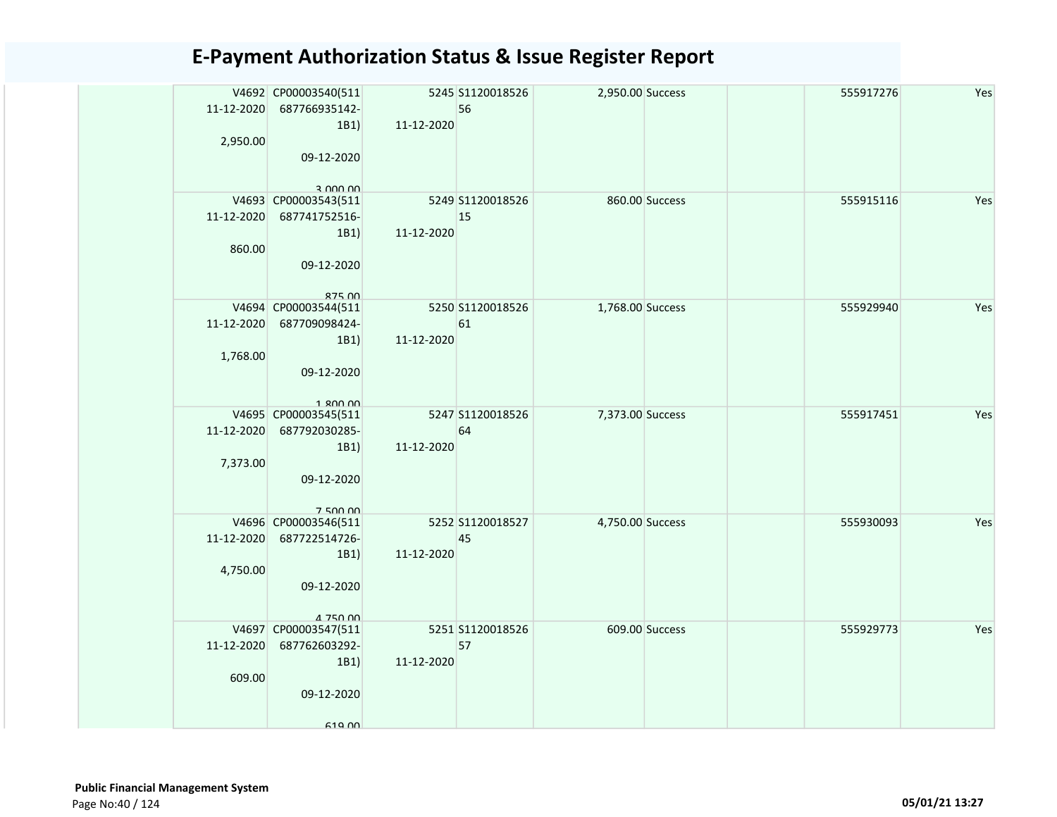| 11-12-2020<br>2,950.00 | V4692 CP00003540(511<br>687766935142-<br>1B1)<br>09-12-2020                           | 11-12-2020 | 5245 S1120018526<br>56 | 2,950.00 Success |                | 555917276 | Yes |
|------------------------|---------------------------------------------------------------------------------------|------------|------------------------|------------------|----------------|-----------|-----|
| 11-12-2020<br>860.00   | 3.000,00<br>V4693 CP00003543(511<br>687741752516-<br>1B1<br>09-12-2020                | 11-12-2020 | 5249 S1120018526<br>15 |                  | 860.00 Success | 555915116 | Yes |
| 11-12-2020<br>1,768.00 | $875$ $00$<br>V4694 CP00003544(511<br>687709098424-<br>1B1)<br>09-12-2020<br>1.800.00 | 11-12-2020 | 5250 S1120018526<br>61 | 1,768.00 Success |                | 555929940 | Yes |
| 11-12-2020<br>7,373.00 | V4695 CP00003545(511<br>687792030285-<br>1B1)<br>09-12-2020<br>750000                 | 11-12-2020 | 5247 S1120018526<br>64 | 7,373.00 Success |                | 555917451 | Yes |
| 11-12-2020<br>4,750.00 | V4696 CP00003546(511<br>687722514726-<br>1B1)<br>09-12-2020<br>4 750 00               | 11-12-2020 | 5252 S1120018527<br>45 | 4,750.00 Success |                | 555930093 | Yes |
| 11-12-2020<br>609.00   | V4697 CP00003547(511<br>687762603292-<br>1B1)<br>09-12-2020<br>619 <sub>0</sub>       | 11-12-2020 | 5251 S1120018526<br>57 |                  | 609.00 Success | 555929773 | Yes |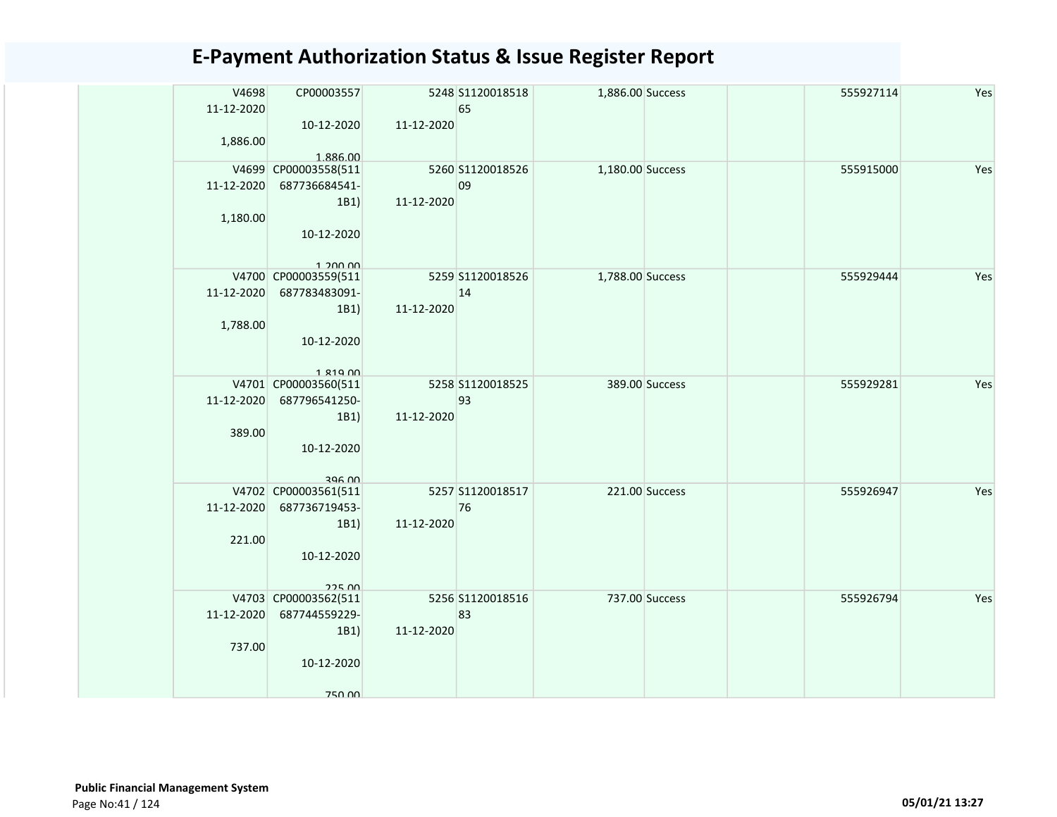| V4698<br>11-12-2020<br>1,886.00 | CP00003557<br>10-12-2020<br>1.886.00                                         | 11-12-2020 | 5248 S1120018518<br>65 | 1,886.00 Success |                | 555927114 | Yes |
|---------------------------------|------------------------------------------------------------------------------|------------|------------------------|------------------|----------------|-----------|-----|
| 11-12-2020<br>1,180.00          | V4699 CP00003558(511<br>687736684541-<br>1B1)<br>10-12-2020<br>1.20000       | 11-12-2020 | 5260 S1120018526<br>09 | 1,180.00 Success |                | 555915000 | Yes |
| 11-12-2020<br>1,788.00          | V4700 CP00003559(511<br>687783483091-<br>1B1)<br>10-12-2020<br>1 210 00      | 11-12-2020 | 5259 S1120018526<br>14 | 1,788.00 Success |                | 555929444 | Yes |
| 11-12-2020<br>389.00            | V4701 CP00003560(511<br>687796541250-<br>1B1)<br>10-12-2020<br>296 00        | 11-12-2020 | 5258 S1120018525<br>93 |                  | 389.00 Success | 555929281 | Yes |
| 11-12-2020<br>221.00            | V4702 CP00003561(511<br>687736719453-<br>1B1)<br>10-12-2020<br>22500         | 11-12-2020 | 5257 S1120018517<br>76 |                  | 221.00 Success | 555926947 | Yes |
| 11-12-2020<br>737.00            | V4703 CP00003562(511<br>687744559229-<br>1B1)<br>10-12-2020<br><b>750.00</b> | 11-12-2020 | 5256 S1120018516<br>83 |                  | 737.00 Success | 555926794 | Yes |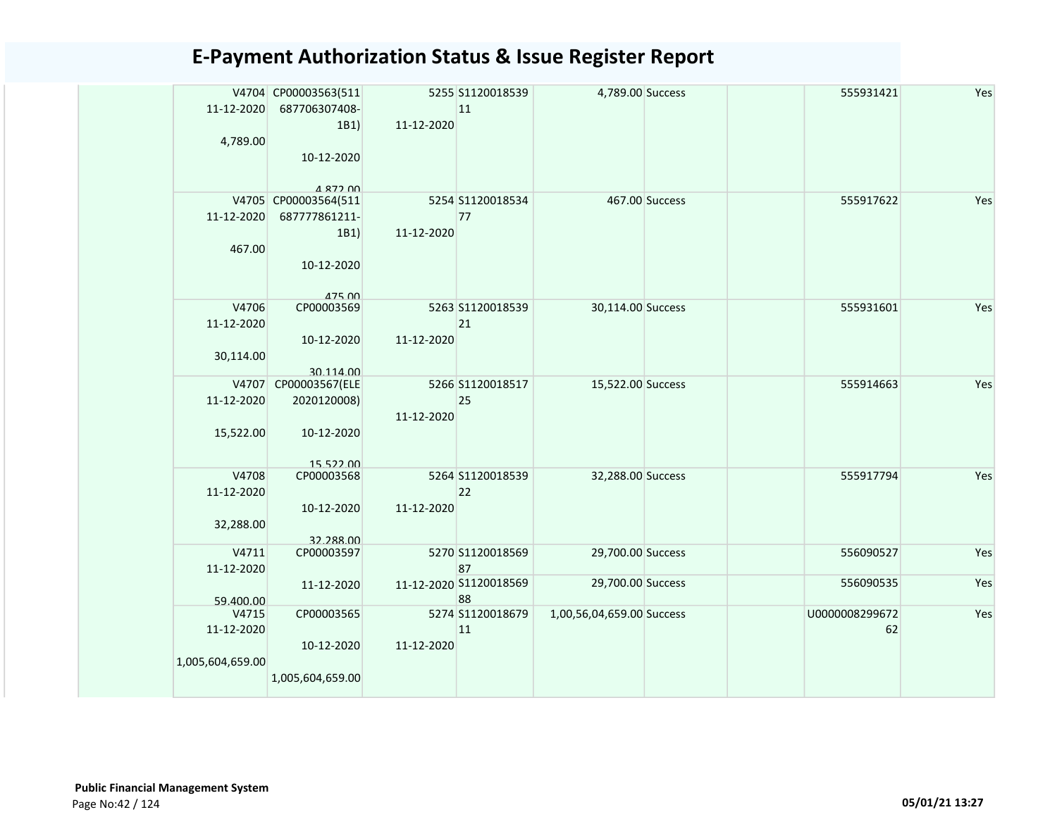| 11-12-2020       | V4704 CP00003563(511<br>687706307408- |            | 5255 S1120018539<br>11 | 4,789.00 Success          |                | 555931421      | Yes |
|------------------|---------------------------------------|------------|------------------------|---------------------------|----------------|----------------|-----|
|                  | 1B1                                   | 11-12-2020 |                        |                           |                |                |     |
| 4,789.00         |                                       |            |                        |                           |                |                |     |
|                  | 10-12-2020                            |            |                        |                           |                |                |     |
|                  | 4 872 00                              |            |                        |                           |                |                |     |
|                  | V4705 CP00003564(511                  |            | 5254 S1120018534       |                           | 467.00 Success | 555917622      | Yes |
| 11-12-2020       | 687777861211-                         |            | 77                     |                           |                |                |     |
|                  | 1B1                                   | 11-12-2020 |                        |                           |                |                |     |
| 467.00           | 10-12-2020                            |            |                        |                           |                |                |     |
|                  | 17500                                 |            |                        |                           |                |                |     |
| V4706            | CP00003569                            |            | 5263 S1120018539       | 30,114.00 Success         |                | 555931601      | Yes |
| 11-12-2020       |                                       |            | 21                     |                           |                |                |     |
|                  | 10-12-2020                            | 11-12-2020 |                        |                           |                |                |     |
| 30,114.00        |                                       |            |                        |                           |                |                |     |
| V4707            | 30.114.00<br>CP00003567(ELE           |            | 5266 S1120018517       | 15,522.00 Success         |                | 555914663      | Yes |
| 11-12-2020       | 2020120008)                           |            | 25                     |                           |                |                |     |
|                  |                                       | 11-12-2020 |                        |                           |                |                |     |
| 15,522.00        | 10-12-2020                            |            |                        |                           |                |                |     |
|                  |                                       |            |                        |                           |                |                |     |
|                  | 15 522 00                             |            |                        |                           |                |                |     |
| V4708            | CP00003568                            |            | 5264 S1120018539       | 32,288.00 Success         |                | 555917794      | Yes |
| 11-12-2020       |                                       |            | 22                     |                           |                |                |     |
|                  | 10-12-2020                            | 11-12-2020 |                        |                           |                |                |     |
| 32,288.00        |                                       |            |                        |                           |                |                |     |
| V4711            | 32.288.00<br>CP00003597               |            | 5270 S1120018569       | 29,700.00 Success         |                | 556090527      | Yes |
| 11-12-2020       |                                       |            | 87                     |                           |                |                |     |
|                  | 11-12-2020                            |            | 11-12-2020 S1120018569 | 29,700.00 Success         |                | 556090535      | Yes |
| 59.400.00        |                                       |            | 88                     |                           |                |                |     |
| V4715            | CP00003565                            |            | 5274 S1120018679       | 1,00,56,04,659.00 Success |                | U0000008299672 | Yes |
| 11-12-2020       |                                       |            | 11                     |                           |                | 62             |     |
|                  | 10-12-2020                            | 11-12-2020 |                        |                           |                |                |     |
| 1,005,604,659.00 |                                       |            |                        |                           |                |                |     |
|                  | 1,005,604,659.00                      |            |                        |                           |                |                |     |
|                  |                                       |            |                        |                           |                |                |     |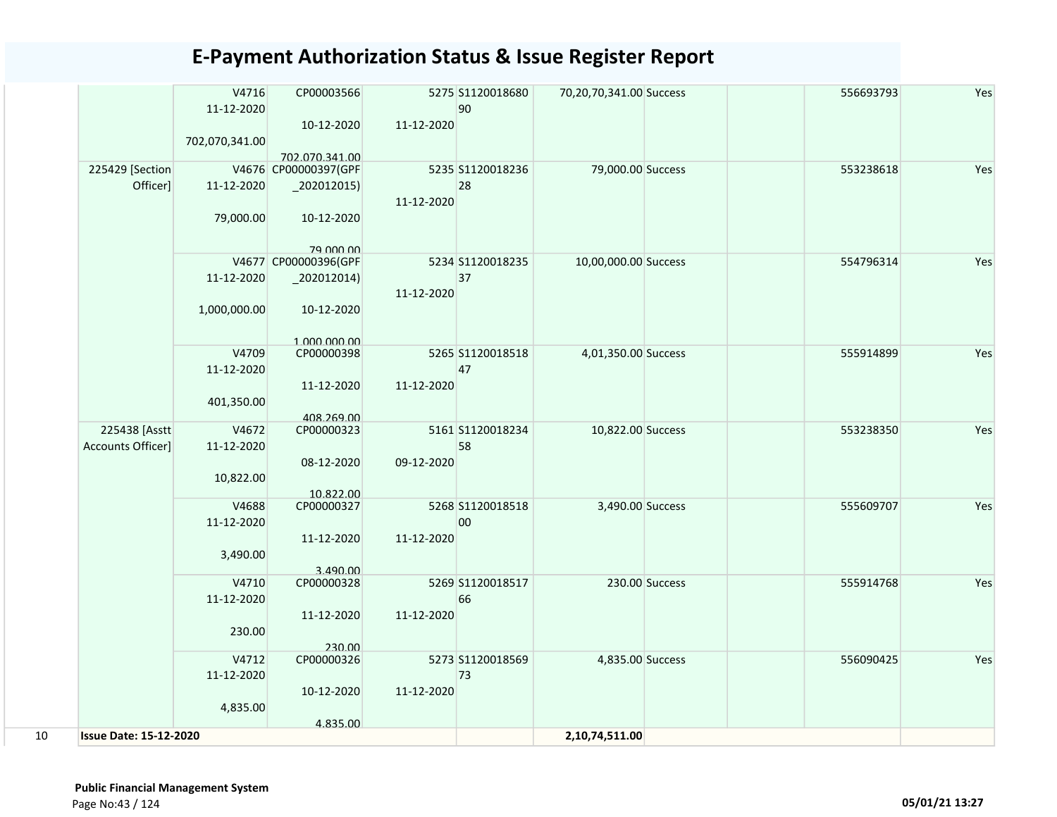|    |                               | V4716          | CP00003566              |            | 5275 S1120018680 | 70,20,70,341.00 Success |                | 556693793 | Yes |
|----|-------------------------------|----------------|-------------------------|------------|------------------|-------------------------|----------------|-----------|-----|
|    |                               | 11-12-2020     |                         |            | 90               |                         |                |           |     |
|    |                               |                | 10-12-2020              | 11-12-2020 |                  |                         |                |           |     |
|    |                               | 702,070,341.00 |                         |            |                  |                         |                |           |     |
|    |                               |                | 702.070.341.00          |            |                  |                         |                |           |     |
|    | 225429 [Section               |                | V4676 CP00000397(GPF    |            | 5235 S1120018236 | 79,000.00 Success       |                | 553238618 | Yes |
|    | Officer]                      | 11-12-2020     | $-202012015$            |            | 28               |                         |                |           |     |
|    |                               | 79,000.00      | 10-12-2020              | 11-12-2020 |                  |                         |                |           |     |
|    |                               |                | 79 000 00               |            |                  |                         |                |           |     |
|    |                               |                | V4677 CP00000396(GPF    |            | 5234 S1120018235 | 10,00,000.00 Success    |                | 554796314 | Yes |
|    |                               | 11-12-2020     | $_2$ 202012014)         | 11-12-2020 | 37               |                         |                |           |     |
|    |                               | 1,000,000.00   | 10-12-2020              |            |                  |                         |                |           |     |
|    |                               |                | 1 000 000 00            |            |                  |                         |                |           |     |
|    |                               | V4709          | CP00000398              |            | 5265 S1120018518 | 4,01,350.00 Success     |                | 555914899 | Yes |
|    |                               | 11-12-2020     |                         |            | 47               |                         |                |           |     |
|    |                               |                | 11-12-2020              | 11-12-2020 |                  |                         |                |           |     |
|    |                               | 401,350.00     |                         |            |                  |                         |                |           |     |
|    |                               |                | 408.269.00              |            |                  |                         |                |           |     |
|    | 225438 [Asstt                 | V4672          | CP00000323              |            | 5161 S1120018234 | 10,822.00 Success       |                | 553238350 | Yes |
|    | Accounts Officer]             | 11-12-2020     |                         |            | 58               |                         |                |           |     |
|    |                               |                | 08-12-2020              | 09-12-2020 |                  |                         |                |           |     |
|    |                               | 10,822.00      |                         |            |                  |                         |                |           |     |
|    |                               | V4688          | 10.822.00<br>CP00000327 |            | 5268 S1120018518 | 3,490.00 Success        |                | 555609707 | Yes |
|    |                               | 11-12-2020     |                         |            | 00               |                         |                |           |     |
|    |                               |                | 11-12-2020              | 11-12-2020 |                  |                         |                |           |     |
|    |                               | 3,490.00       |                         |            |                  |                         |                |           |     |
|    |                               |                | 3.490.00                |            |                  |                         |                |           |     |
|    |                               | V4710          | CP00000328              |            | 5269 S1120018517 |                         | 230.00 Success | 555914768 | Yes |
|    |                               | 11-12-2020     |                         |            | 66               |                         |                |           |     |
|    |                               |                | 11-12-2020              | 11-12-2020 |                  |                         |                |           |     |
|    |                               | 230.00         |                         |            |                  |                         |                |           |     |
|    |                               |                | 230.00                  |            |                  |                         |                |           |     |
|    |                               | V4712          | CP00000326              |            | 5273 S1120018569 | 4,835.00 Success        |                | 556090425 | Yes |
|    |                               | 11-12-2020     |                         |            | 73               |                         |                |           |     |
|    |                               |                | 10-12-2020              | 11-12-2020 |                  |                         |                |           |     |
|    |                               | 4,835.00       |                         |            |                  |                         |                |           |     |
| 10 | <b>Issue Date: 15-12-2020</b> |                | 4.835.00                |            |                  | 2,10,74,511.00          |                |           |     |
|    |                               |                |                         |            |                  |                         |                |           |     |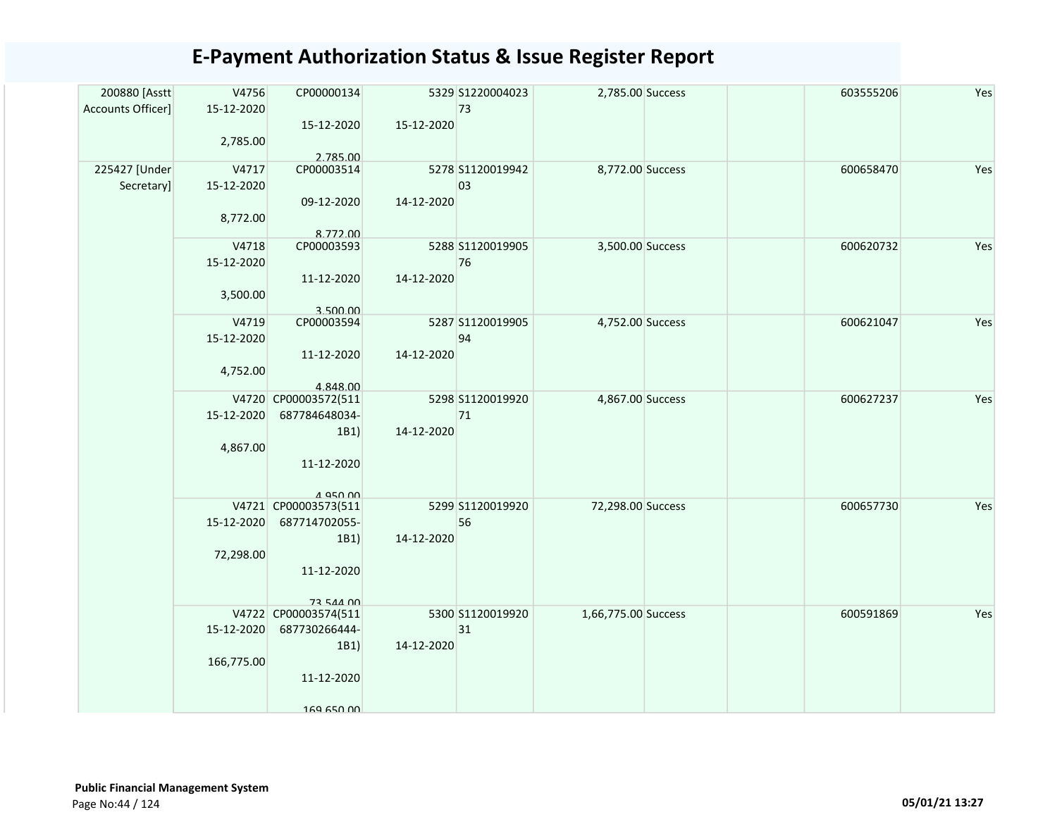| 200880 [Asstt               | V4756               | CP00000134                       |            | 5329 S1220004023       | 2,785.00 Success    | 603555206 | Yes |
|-----------------------------|---------------------|----------------------------------|------------|------------------------|---------------------|-----------|-----|
| Accounts Officer]           | 15-12-2020          |                                  |            | 73                     |                     |           |     |
|                             |                     | 15-12-2020                       | 15-12-2020 |                        |                     |           |     |
|                             | 2,785.00            |                                  |            |                        |                     |           |     |
|                             |                     | 2.785.00                         |            |                        |                     |           |     |
| 225427 [Under<br>Secretary] | V4717<br>15-12-2020 | CP00003514                       |            | 5278 S1120019942<br>03 | 8,772.00 Success    | 600658470 | Yes |
|                             |                     | 09-12-2020                       | 14-12-2020 |                        |                     |           |     |
|                             | 8,772.00            |                                  |            |                        |                     |           |     |
|                             |                     | 8.772.00                         |            |                        |                     |           |     |
|                             | V4718               | CP00003593                       |            | 5288 S1120019905       | 3,500.00 Success    | 600620732 | Yes |
|                             | 15-12-2020          |                                  |            | 76                     |                     |           |     |
|                             |                     | 11-12-2020                       | 14-12-2020 |                        |                     |           |     |
|                             | 3,500.00            |                                  |            |                        |                     |           |     |
|                             |                     | 3.500.00                         |            |                        |                     |           |     |
|                             | V4719               | CP00003594                       |            | 5287 S1120019905       | 4,752.00 Success    | 600621047 | Yes |
|                             | 15-12-2020          |                                  |            | 94                     |                     |           |     |
|                             |                     | 11-12-2020                       | 14-12-2020 |                        |                     |           |     |
|                             | 4,752.00            |                                  |            |                        |                     |           |     |
|                             |                     | 4.848.00<br>V4720 CP00003572(511 |            | 5298 S1120019920       | 4,867.00 Success    | 600627237 | Yes |
|                             | 15-12-2020          | 687784648034-                    |            | 71                     |                     |           |     |
|                             |                     | 1B1)                             | 14-12-2020 |                        |                     |           |     |
|                             | 4,867.00            |                                  |            |                        |                     |           |     |
|                             |                     | 11-12-2020                       |            |                        |                     |           |     |
|                             |                     |                                  |            |                        |                     |           |     |
|                             |                     | 4 Q50 00                         |            |                        |                     |           |     |
|                             |                     | V4721 CP00003573(511             |            | 5299 S1120019920       | 72,298.00 Success   | 600657730 | Yes |
|                             |                     | 15-12-2020 687714702055-         |            | 56                     |                     |           |     |
|                             | 72,298.00           | 1B1)                             | 14-12-2020 |                        |                     |           |     |
|                             |                     | 11-12-2020                       |            |                        |                     |           |     |
|                             |                     |                                  |            |                        |                     |           |     |
|                             |                     | 73 544 00                        |            |                        |                     |           |     |
|                             |                     | V4722 CP00003574(511             |            | 5300 S1120019920       | 1,66,775.00 Success | 600591869 | Yes |
|                             | 15-12-2020          | 687730266444-                    |            | 31                     |                     |           |     |
|                             |                     | 1B1)                             | 14-12-2020 |                        |                     |           |     |
|                             | 166,775.00          |                                  |            |                        |                     |           |     |
|                             |                     | 11-12-2020                       |            |                        |                     |           |     |
|                             |                     |                                  |            |                        |                     |           |     |
|                             |                     | 169 650 00                       |            |                        |                     |           |     |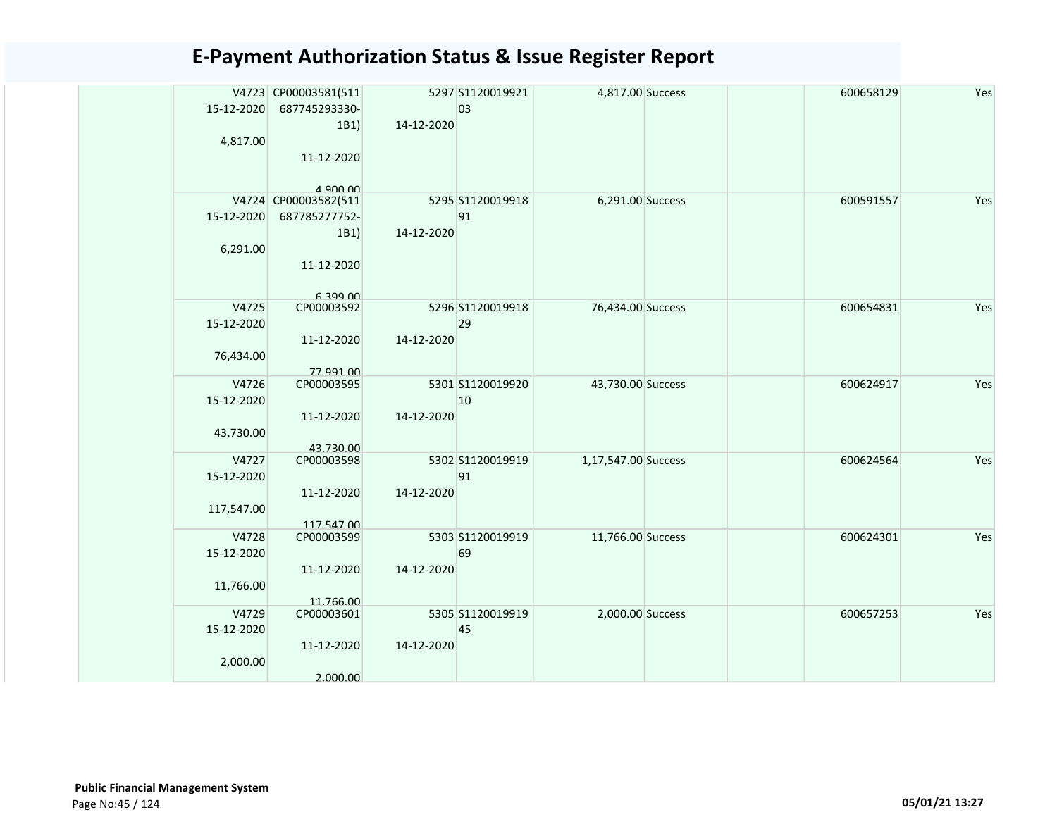| 15-12-2020<br>4,817.00            | V4723 CP00003581(511<br>687745293330-<br>1B1)<br>11-12-2020                                 | 14-12-2020 | 5297 S1120019921<br>03 | 4,817.00 Success    |  | 600658129 | Yes |
|-----------------------------------|---------------------------------------------------------------------------------------------|------------|------------------------|---------------------|--|-----------|-----|
| 15-12-2020<br>6,291.00            | $\Lambda$ ann nn<br>V4724 CP00003582(511<br>687785277752-<br>1B1)<br>11-12-2020<br>L 300 UU | 14-12-2020 | 5295 S1120019918<br>91 | 6,291.00 Success    |  | 600591557 | Yes |
| V4725<br>15-12-2020<br>76,434.00  | CP00003592<br>11-12-2020<br>77.991.00                                                       | 14-12-2020 | 5296 S1120019918<br>29 | 76,434.00 Success   |  | 600654831 | Yes |
| V4726<br>15-12-2020<br>43,730.00  | CP00003595<br>11-12-2020<br>43.730.00                                                       | 14-12-2020 | 5301 S1120019920<br>10 | 43,730.00 Success   |  | 600624917 | Yes |
| V4727<br>15-12-2020<br>117,547.00 | CP00003598<br>11-12-2020<br>117.547.00                                                      | 14-12-2020 | 5302 S1120019919<br>91 | 1,17,547.00 Success |  | 600624564 | Yes |
| V4728<br>15-12-2020<br>11,766.00  | CP00003599<br>11-12-2020<br>11.766.00                                                       | 14-12-2020 | 5303 S1120019919<br>69 | 11,766.00 Success   |  | 600624301 | Yes |
| V4729<br>15-12-2020<br>2,000.00   | CP00003601<br>11-12-2020<br>2.000.00                                                        | 14-12-2020 | 5305 S1120019919<br>45 | 2,000.00 Success    |  | 600657253 | Yes |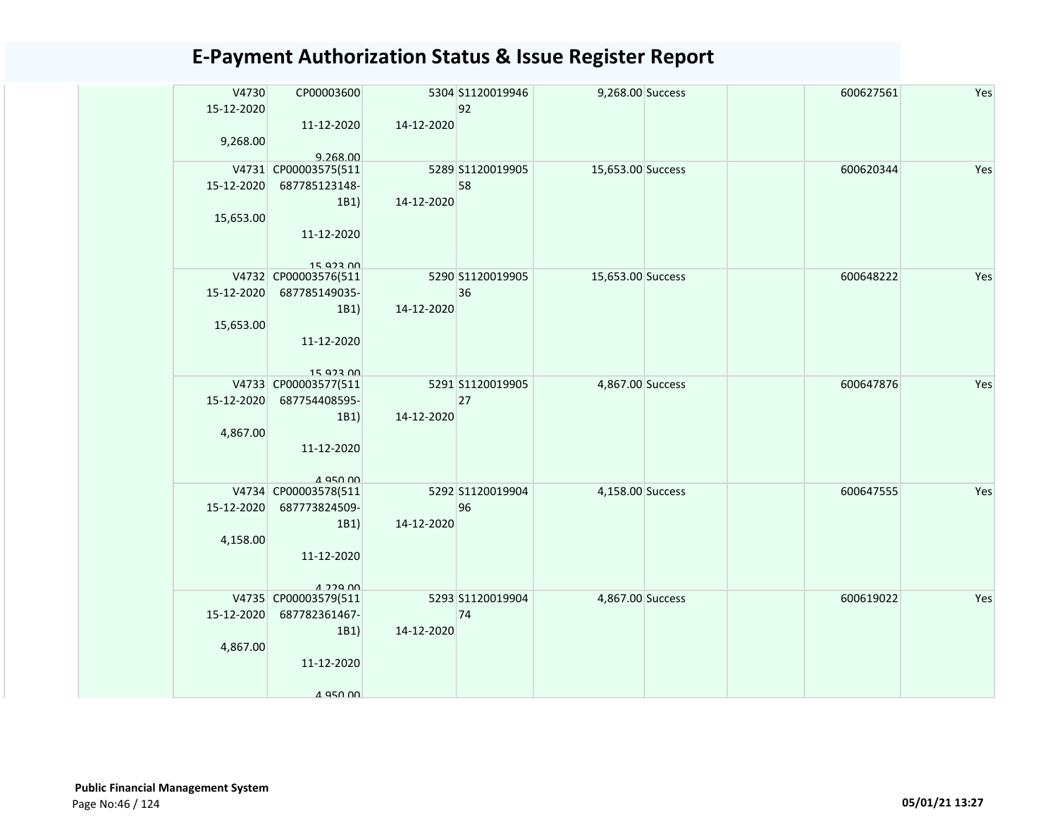| V4730<br>15-12-2020<br>9,268.00 | CP00003600<br>11-12-2020<br>9.268.00                                        | 14-12-2020 | 5304 S1120019946<br>92 | 9,268.00 Success  | 600627561 | Yes |
|---------------------------------|-----------------------------------------------------------------------------|------------|------------------------|-------------------|-----------|-----|
| 15-12-2020<br>15,653.00         | V4731 CP00003575(511<br>687785123148-<br>1B1)<br>11-12-2020<br>15 923 00    | 14-12-2020 | 5289 S1120019905<br>58 | 15,653.00 Success | 600620344 | Yes |
| 15-12-2020<br>15,653.00         | V4732 CP00003576(511<br>687785149035-<br>1B1)<br>11-12-2020<br>15 Q22 00    | 14-12-2020 | 5290 S1120019905<br>36 | 15,653.00 Success | 600648222 | Yes |
| 15-12-2020<br>4,867.00          | V4733 CP00003577(511<br>687754408595-<br>1B1)<br>11-12-2020<br>$A$ asn $AD$ | 14-12-2020 | 5291 S1120019905<br>27 | 4,867.00 Success  | 600647876 | Yes |
| 15-12-2020<br>4,158.00          | V4734 CP00003578(511<br>687773824509-<br>1B1)<br>11-12-2020<br>$1.229$ $00$ | 14-12-2020 | 5292 S1120019904<br>96 | 4,158.00 Success  | 600647555 | Yes |
| 15-12-2020<br>4,867.00          | V4735 CP00003579(511<br>687782361467-<br>1B1)<br>11-12-2020<br>1 Q50 UU     | 14-12-2020 | 5293 S1120019904<br>74 | 4,867.00 Success  | 600619022 | Yes |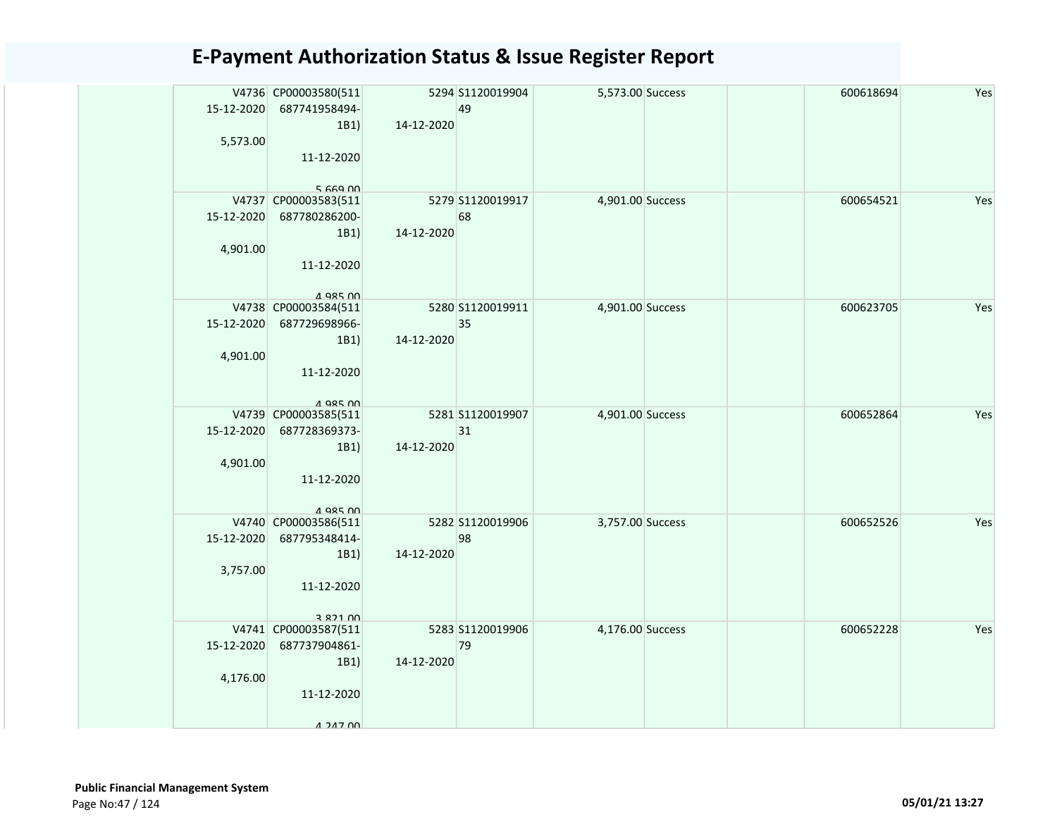| 15-12-2020<br>5,573.00 | V4736 CP00003580(511<br>687741958494-<br>1B1)<br>11-12-2020                                          | 14-12-2020 | 5294 S1120019904<br>49 | 5,573.00 Success |  | 600618694 | Yes |
|------------------------|------------------------------------------------------------------------------------------------------|------------|------------------------|------------------|--|-----------|-----|
| 15-12-2020<br>4,901.00 | $5.669$ $M$<br>V4737 CP00003583(511<br>687780286200-<br>1B1)<br>11-12-2020                           | 14-12-2020 | 5279 S1120019917<br>68 | 4,901.00 Success |  | 600654521 | Yes |
| 4,901.00               | $A$ QR5 $M$<br>V4738 CP00003584(511<br>15-12-2020 687729698966-<br>1B1)<br>11-12-2020<br>$A$ QR5 $M$ | 14-12-2020 | 5280 S1120019911<br>35 | 4,901.00 Success |  | 600623705 | Yes |
| 15-12-2020<br>4,901.00 | V4739 CP00003585(511<br>687728369373-<br>1B1)<br>11-12-2020<br>4 985 NO                              | 14-12-2020 | 5281 S1120019907<br>31 | 4,901.00 Success |  | 600652864 | Yes |
| 15-12-2020<br>3,757.00 | V4740 CP00003586(511<br>687795348414-<br>1B1)<br>11-12-2020<br>3 8 7 1 0 0                           | 14-12-2020 | 5282 S1120019906<br>98 | 3,757.00 Success |  | 600652526 | Yes |
| 15-12-2020<br>4,176.00 | V4741 CP00003587(511<br>687737904861-<br>1B1<br>11-12-2020<br>$A$ 247 $n$                            | 14-12-2020 | 5283 S1120019906<br>79 | 4,176.00 Success |  | 600652228 | Yes |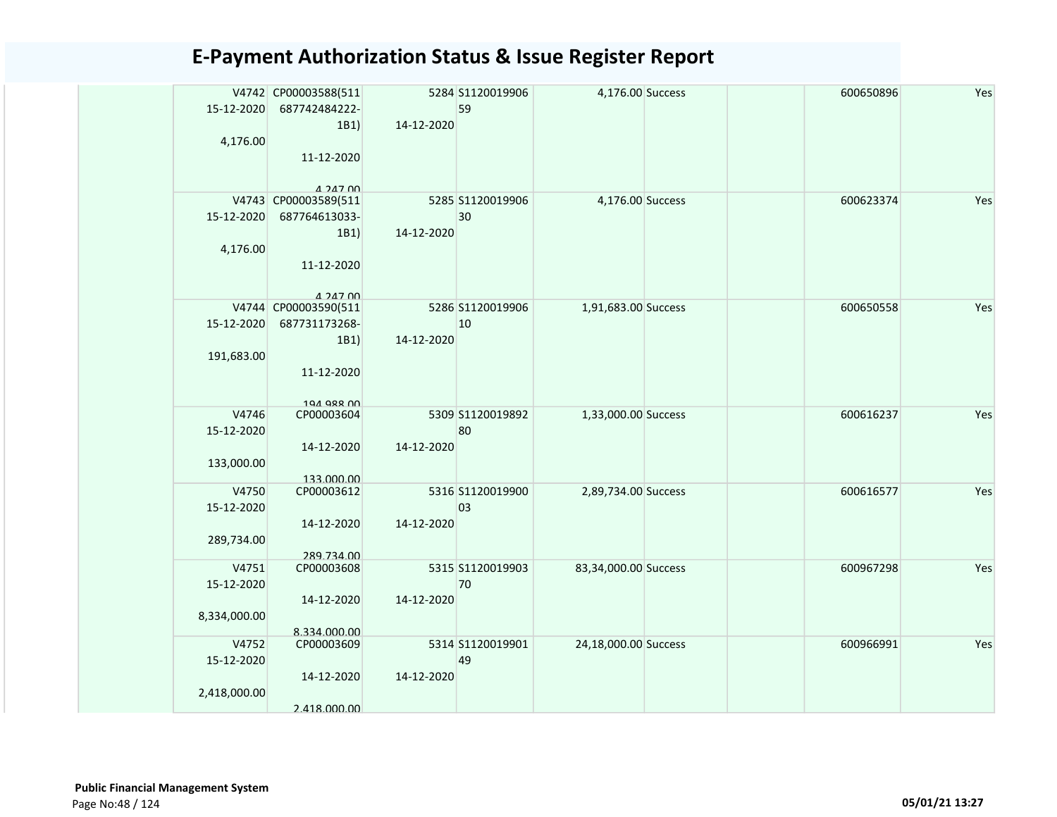| 15-12-2020          | V4742 CP00003588(511<br>687742484222-<br>1B1) | 14-12-2020 | 5284 S1120019906<br>59 | 4,176.00 Success     | 600650896 | Yes |
|---------------------|-----------------------------------------------|------------|------------------------|----------------------|-----------|-----|
| 4,176.00            | 11-12-2020                                    |            |                        |                      |           |     |
|                     | $A$ 247 $n$<br>V4743 CP00003589(511           |            | 5285 S1120019906       | 4,176.00 Success     | 600623374 | Yes |
| 15-12-2020          | 687764613033-                                 |            | 30                     |                      |           |     |
|                     | 1B1)                                          | 14-12-2020 |                        |                      |           |     |
| 4,176.00            |                                               |            |                        |                      |           |     |
|                     | 11-12-2020                                    |            |                        |                      |           |     |
|                     | $A$ $2A$ $7$ $0$                              |            |                        |                      |           |     |
|                     | V4744 CP00003590(511                          |            | 5286 S1120019906       | 1,91,683.00 Success  | 600650558 | Yes |
| 15-12-2020          | 687731173268-                                 |            | 10                     |                      |           |     |
|                     | 1B1)                                          | 14-12-2020 |                        |                      |           |     |
| 191,683.00          | 11-12-2020                                    |            |                        |                      |           |     |
|                     | 194 988 00                                    |            | 5309 S1120019892       |                      |           |     |
| V4746<br>15-12-2020 | CP00003604                                    |            | 80                     | 1,33,000.00 Success  | 600616237 | Yes |
|                     | 14-12-2020                                    | 14-12-2020 |                        |                      |           |     |
| 133,000.00          |                                               |            |                        |                      |           |     |
|                     | 133,000.00                                    |            |                        |                      |           |     |
| V4750               | CP00003612                                    |            | 5316 S1120019900       | 2,89,734.00 Success  | 600616577 | Yes |
| 15-12-2020          |                                               |            | 03                     |                      |           |     |
|                     | 14-12-2020                                    | 14-12-2020 |                        |                      |           |     |
| 289,734.00          |                                               |            |                        |                      |           |     |
|                     | 289.734.00                                    |            |                        |                      |           |     |
| V4751               | CP00003608                                    |            | 5315 S1120019903       | 83,34,000.00 Success | 600967298 | Yes |
| 15-12-2020          |                                               |            | 70                     |                      |           |     |
|                     | 14-12-2020                                    | 14-12-2020 |                        |                      |           |     |
| 8,334,000.00        |                                               |            |                        |                      |           |     |
| V4752               | 8.334.000.00<br>CP00003609                    |            | 5314 S1120019901       | 24,18,000.00 Success | 600966991 | Yes |
| 15-12-2020          |                                               |            | 49                     |                      |           |     |
|                     | 14-12-2020                                    | 14-12-2020 |                        |                      |           |     |
| 2,418,000.00        |                                               |            |                        |                      |           |     |
|                     | 2.418.000.00                                  |            |                        |                      |           |     |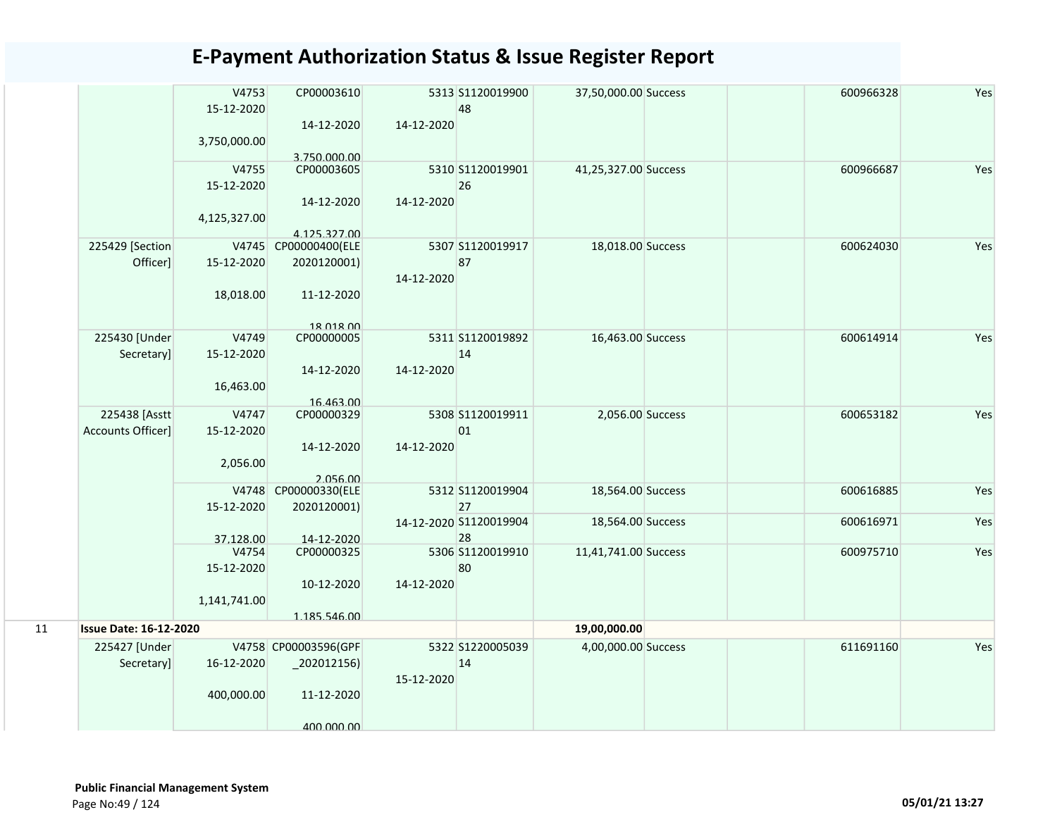|    |                               | V4753        | CP00003610                       |            | 5313 S1120019900       | 37,50,000.00 Success | 600966328 | Yes |
|----|-------------------------------|--------------|----------------------------------|------------|------------------------|----------------------|-----------|-----|
|    |                               | 15-12-2020   |                                  |            | 48                     |                      |           |     |
|    |                               |              | 14-12-2020                       | 14-12-2020 |                        |                      |           |     |
|    |                               | 3,750,000.00 |                                  |            |                        |                      |           |     |
|    |                               | V4755        | 3.750.000.00<br>CP00003605       |            | 5310 S1120019901       | 41,25,327.00 Success | 600966687 | Yes |
|    |                               | 15-12-2020   |                                  |            | 26                     |                      |           |     |
|    |                               |              | 14-12-2020                       | 14-12-2020 |                        |                      |           |     |
|    |                               | 4,125,327.00 |                                  |            |                        |                      |           |     |
|    |                               |              | 4.125.327.00                     |            |                        |                      |           |     |
|    | 225429 [Section               |              | V4745 CP00000400(ELE             |            | 5307 S1120019917       | 18,018.00 Success    | 600624030 | Yes |
|    | Officer]                      | 15-12-2020   | 2020120001)                      |            | 87                     |                      |           |     |
|    |                               |              |                                  | 14-12-2020 |                        |                      |           |     |
|    |                               | 18,018.00    | 11-12-2020                       |            |                        |                      |           |     |
|    |                               |              |                                  |            |                        |                      |           |     |
|    | 225430 [Under                 | V4749        | 18 018 00<br>CP00000005          |            | 5311 S1120019892       | 16,463.00 Success    | 600614914 | Yes |
|    | Secretary]                    | 15-12-2020   |                                  |            | 14                     |                      |           |     |
|    |                               |              | 14-12-2020                       | 14-12-2020 |                        |                      |           |     |
|    |                               | 16,463.00    |                                  |            |                        |                      |           |     |
|    |                               |              | 16.463.00                        |            |                        |                      |           |     |
|    | 225438 [Asstt]                | V4747        | CP00000329                       |            | 5308 S1120019911       | 2,056.00 Success     | 600653182 | Yes |
|    | Accounts Officer]             | 15-12-2020   |                                  |            | 01                     |                      |           |     |
|    |                               |              | 14-12-2020                       | 14-12-2020 |                        |                      |           |     |
|    |                               | 2,056.00     |                                  |            |                        |                      |           |     |
|    |                               |              | 2.056.00<br>V4748 CP00000330(ELE |            | 5312 S1120019904       | 18,564.00 Success    | 600616885 | Yes |
|    |                               | 15-12-2020   | 2020120001)                      |            | 27                     |                      |           |     |
|    |                               |              |                                  |            | 14-12-2020 S1120019904 | 18,564.00 Success    | 600616971 | Yes |
|    |                               | 37.128.00    | 14-12-2020                       |            | 28                     |                      |           |     |
|    |                               | V4754        | CP00000325                       |            | 5306 S1120019910       | 11,41,741.00 Success | 600975710 | Yes |
|    |                               | 15-12-2020   |                                  |            | 80                     |                      |           |     |
|    |                               |              | 10-12-2020                       | 14-12-2020 |                        |                      |           |     |
|    |                               | 1,141,741.00 |                                  |            |                        |                      |           |     |
|    |                               |              | 1.185.546.00                     |            |                        |                      |           |     |
| 11 | <b>Issue Date: 16-12-2020</b> |              |                                  |            |                        | 19,00,000.00         |           |     |
|    | 225427 [Under                 |              | V4758 CP00003596(GPF             |            | 5322 S1220005039       | 4,00,000.00 Success  | 611691160 | Yes |
|    | Secretary]                    | 16-12-2020   | $-202012156$                     |            | 14                     |                      |           |     |
|    |                               |              |                                  | 15-12-2020 |                        |                      |           |     |
|    |                               | 400,000.00   | 11-12-2020                       |            |                        |                      |           |     |
|    |                               |              | 400 000 00                       |            |                        |                      |           |     |
|    |                               |              |                                  |            |                        |                      |           |     |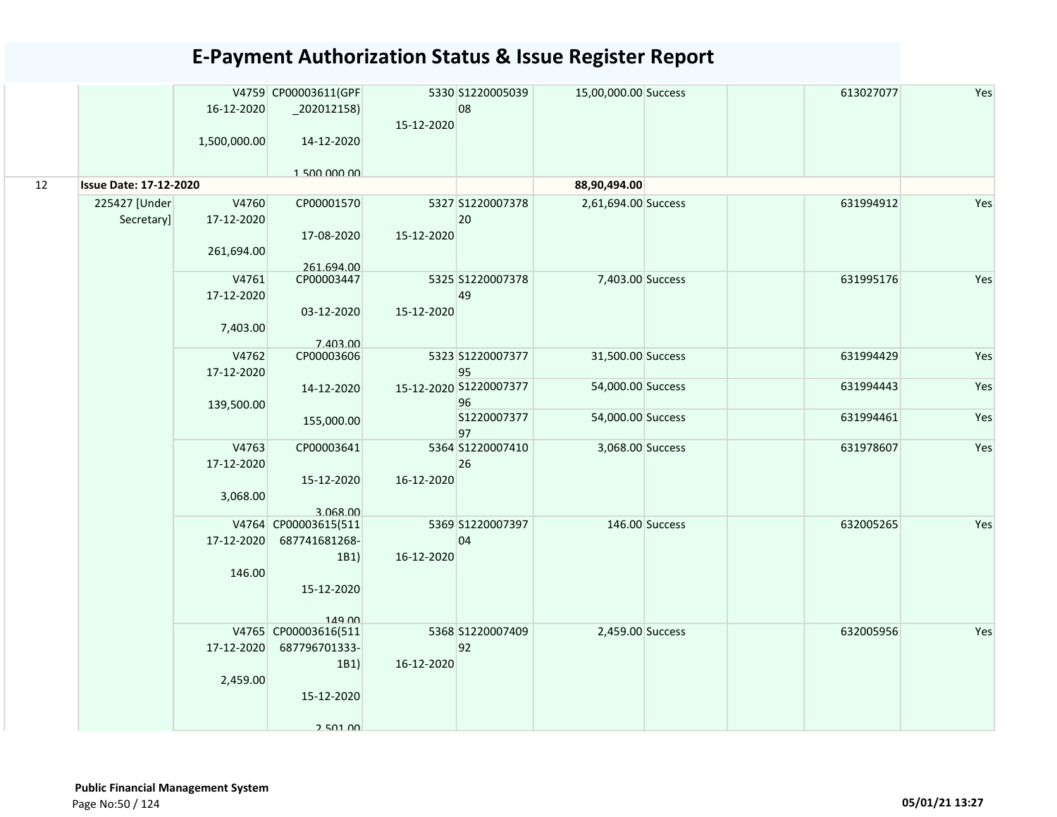|    |                               |              | V4759 CP00003611(GPF     |            | 5330 S1220005039             | 15,00,000.00 Success |                | 613027077 | Yes |
|----|-------------------------------|--------------|--------------------------|------------|------------------------------|----------------------|----------------|-----------|-----|
|    |                               | 16-12-2020   | $_2$ 202012158)          |            | 08                           |                      |                |           |     |
|    |                               |              |                          | 15-12-2020 |                              |                      |                |           |     |
|    |                               | 1,500,000.00 | 14-12-2020               |            |                              |                      |                |           |     |
|    |                               |              | 1.500.000.00             |            |                              |                      |                |           |     |
| 12 | <b>Issue Date: 17-12-2020</b> |              |                          |            |                              | 88,90,494.00         |                |           |     |
|    | 225427 [Under                 | V4760        | CP00001570               |            | 5327 S1220007378             | 2,61,694.00 Success  |                | 631994912 | Yes |
|    | Secretary]                    | 17-12-2020   |                          |            | 20                           |                      |                |           |     |
|    |                               |              | 17-08-2020               | 15-12-2020 |                              |                      |                |           |     |
|    |                               | 261,694.00   |                          |            |                              |                      |                |           |     |
|    |                               | V4761        | 261.694.00<br>CP00003447 |            | 5325 S1220007378             | 7,403.00 Success     |                | 631995176 | Yes |
|    |                               | 17-12-2020   |                          |            | 49                           |                      |                |           |     |
|    |                               |              | 03-12-2020               | 15-12-2020 |                              |                      |                |           |     |
|    |                               | 7,403.00     |                          |            |                              |                      |                |           |     |
|    |                               |              | 7.403.00                 |            |                              |                      |                |           |     |
|    |                               | V4762        | CP00003606               |            | 5323 S1220007377             | 31,500.00 Success    |                | 631994429 | Yes |
|    |                               | 17-12-2020   | 14-12-2020               |            | 95<br>15-12-2020 S1220007377 | 54,000.00 Success    |                | 631994443 | Yes |
|    |                               | 139,500.00   |                          |            | 96                           |                      |                |           |     |
|    |                               |              | 155,000.00               |            | S1220007377                  | 54,000.00 Success    |                | 631994461 | Yes |
|    |                               |              |                          |            | 97                           |                      |                |           |     |
|    |                               | V4763        | CP00003641               |            | 5364 S1220007410             | 3,068.00 Success     |                | 631978607 | Yes |
|    |                               | 17-12-2020   |                          |            | 26                           |                      |                |           |     |
|    |                               |              | 15-12-2020               | 16-12-2020 |                              |                      |                |           |     |
|    |                               | 3,068.00     | 3.068.00                 |            |                              |                      |                |           |     |
|    |                               |              | V4764 CP00003615(511     |            | 5369 S1220007397             |                      | 146.00 Success | 632005265 | Yes |
|    |                               | 17-12-2020   | 687741681268-            |            | 04                           |                      |                |           |     |
|    |                               |              | 1B1)                     | 16-12-2020 |                              |                      |                |           |     |
|    |                               | 146.00       |                          |            |                              |                      |                |           |     |
|    |                               |              | 15-12-2020               |            |                              |                      |                |           |     |
|    |                               |              | 149.00                   |            |                              |                      |                |           |     |
|    |                               |              | V4765 CP00003616(511     |            | 5368 S1220007409             | 2,459.00 Success     |                | 632005956 | Yes |
|    |                               | 17-12-2020   | 687796701333-            |            | 92                           |                      |                |           |     |
|    |                               |              | 1B1)                     | 16-12-2020 |                              |                      |                |           |     |
|    |                               | 2,459.00     |                          |            |                              |                      |                |           |     |
|    |                               |              | 15-12-2020               |            |                              |                      |                |           |     |
|    |                               |              | 2 501 00                 |            |                              |                      |                |           |     |
|    |                               |              |                          |            |                              |                      |                |           |     |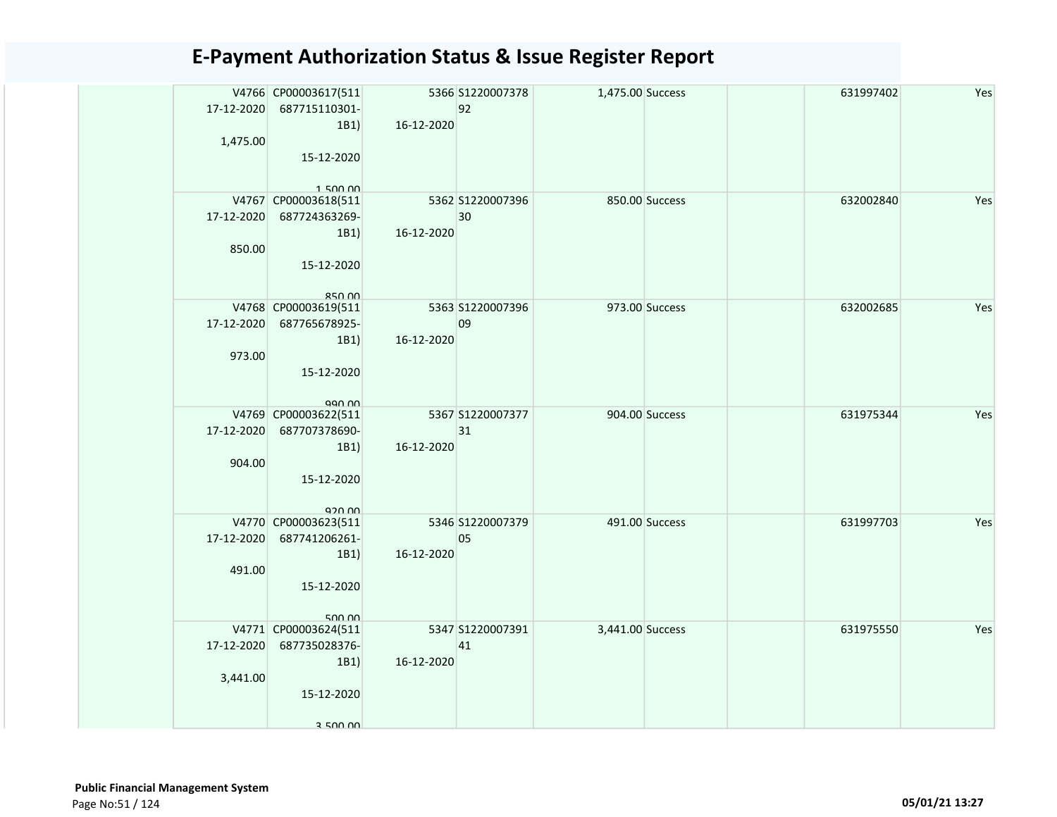|            | V4766 CP00003617(511<br>17-12-2020 687715110301- |            | 5366 S1220007378<br>92 | 1,475.00 Success |                | 631997402 | Yes |
|------------|--------------------------------------------------|------------|------------------------|------------------|----------------|-----------|-----|
|            | 1B1                                              | 16-12-2020 |                        |                  |                |           |     |
| 1,475.00   |                                                  |            |                        |                  |                |           |     |
|            | 15-12-2020                                       |            |                        |                  |                |           |     |
|            | 150000                                           |            |                        |                  |                |           |     |
|            | V4767 CP00003618(511                             |            | 5362 S1220007396       |                  | 850.00 Success | 632002840 | Yes |
|            | 17-12-2020 687724363269-                         |            | 30                     |                  |                |           |     |
|            | 1B1                                              | 16-12-2020 |                        |                  |                |           |     |
| 850.00     |                                                  |            |                        |                  |                |           |     |
|            | 15-12-2020                                       |            |                        |                  |                |           |     |
|            | $RCD$ $00$                                       |            |                        |                  |                |           |     |
|            | V4768 CP00003619(511                             |            | 5363 S1220007396       |                  | 973.00 Success | 632002685 | Yes |
|            | 17-12-2020 687765678925-                         |            | 09                     |                  |                |           |     |
|            | 1B1                                              | 16-12-2020 |                        |                  |                |           |     |
| 973.00     |                                                  |            |                        |                  |                |           |     |
|            | 15-12-2020                                       |            |                        |                  |                |           |     |
|            | aan nn                                           |            |                        |                  |                |           |     |
|            | V4769 CP00003622(511                             |            | 5367 S1220007377       |                  | 904.00 Success | 631975344 | Yes |
| 17-12-2020 | 687707378690-                                    |            | 31                     |                  |                |           |     |
|            | 1B1                                              | 16-12-2020 |                        |                  |                |           |     |
| 904.00     |                                                  |            |                        |                  |                |           |     |
|            | 15-12-2020                                       |            |                        |                  |                |           |     |
|            | 920.00                                           |            |                        |                  |                |           |     |
|            | V4770 CP00003623(511                             |            | 5346 S1220007379       |                  | 491.00 Success | 631997703 | Yes |
|            | 17-12-2020 687741206261-                         |            | 05                     |                  |                |           |     |
| 491.00     | 1B1)                                             | 16-12-2020 |                        |                  |                |           |     |
|            | 15-12-2020                                       |            |                        |                  |                |           |     |
|            |                                                  |            |                        |                  |                |           |     |
|            | 500.00                                           |            |                        |                  |                |           |     |
|            | V4771 CP00003624(511                             |            | 5347 S1220007391       | 3,441.00 Success |                | 631975550 | Yes |
|            | 17-12-2020 687735028376-<br>1B1)                 | 16-12-2020 | 41                     |                  |                |           |     |
| 3,441.00   |                                                  |            |                        |                  |                |           |     |
|            | 15-12-2020                                       |            |                        |                  |                |           |     |
|            |                                                  |            |                        |                  |                |           |     |
|            | 3 500 00                                         |            |                        |                  |                |           |     |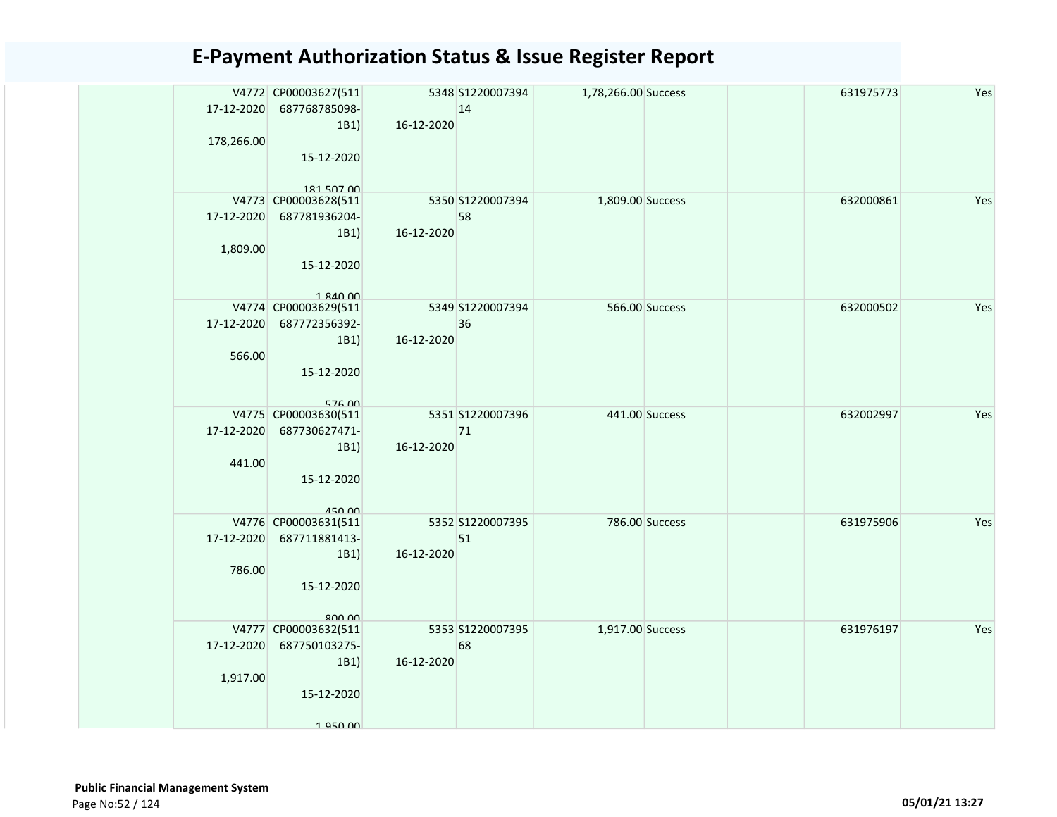| 17-12-2020<br>178,266.00 | V4772 CP00003627(511<br>687768785098-<br>1B1)                                          | 16-12-2020 | 5348 S1220007394<br>14 | 1,78,266.00 Success |                | 631975773 | Yes |
|--------------------------|----------------------------------------------------------------------------------------|------------|------------------------|---------------------|----------------|-----------|-----|
|                          | 15-12-2020<br>181 507 00                                                               |            |                        |                     |                |           |     |
| 17-12-2020               | V4773 CP00003628(511<br>687781936204-<br>1B1)                                          | 16-12-2020 | 5350 S1220007394<br>58 | 1,809.00 Success    |                | 632000861 | Yes |
| 1,809.00                 | 15-12-2020<br>$1$ $810$ $00$                                                           |            |                        |                     |                |           |     |
| 566.00                   | V4774 CP00003629(511<br>17-12-2020 687772356392-<br>1B1<br>15-12-2020                  | 16-12-2020 | 5349 S1220007394<br>36 |                     | 566.00 Success | 632000502 | Yes |
| 17-12-2020<br>441.00     | 576 00<br>V4775 CP00003630(511<br>687730627471-<br>1B1)<br>15-12-2020<br><b>450.00</b> | 16-12-2020 | 5351 S1220007396<br>71 |                     | 441.00 Success | 632002997 | Yes |
| 17-12-2020<br>786.00     | V4776 CP00003631(511<br>687711881413-<br>1B1)<br>15-12-2020<br>RUU UU                  | 16-12-2020 | 5352 S1220007395<br>51 |                     | 786.00 Success | 631975906 | Yes |
| 17-12-2020<br>1,917.00   | V4777 CP00003632(511<br>687750103275-<br>1B1)<br>15-12-2020<br>1 950 DD                | 16-12-2020 | 5353 S1220007395<br>68 | 1,917.00 Success    |                | 631976197 | Yes |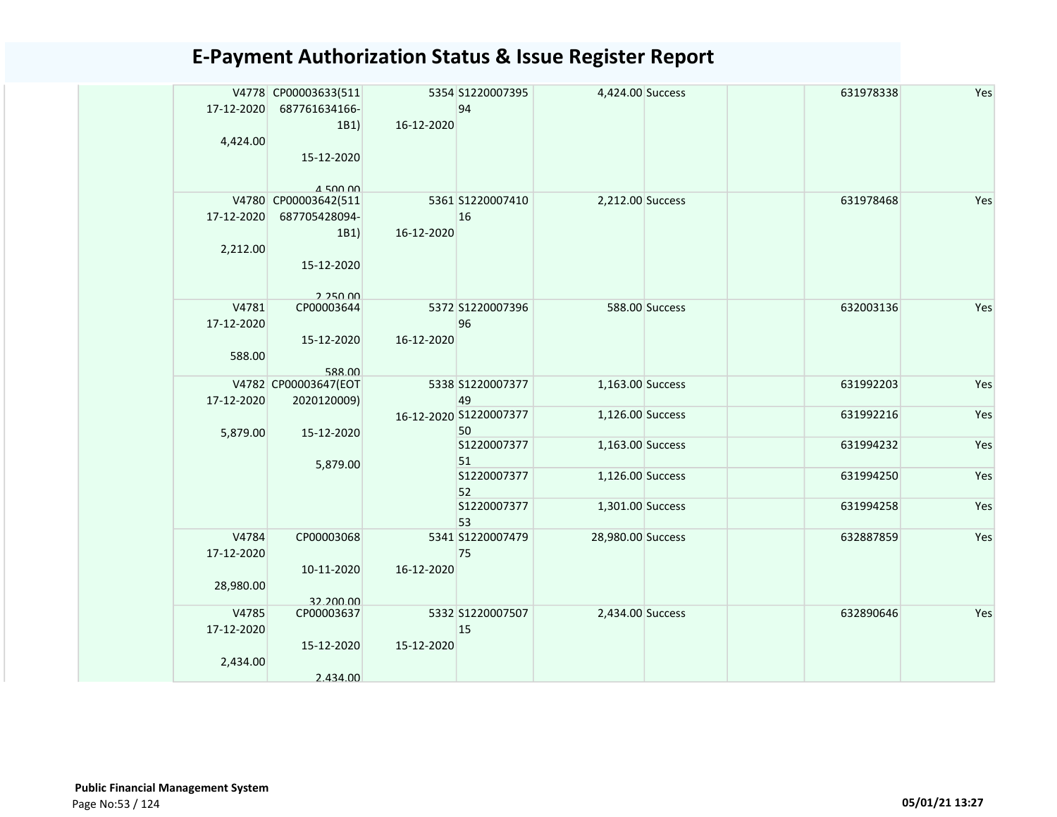| 17-12-2020          | V4778 CP00003633(511<br>687761634166- |            | 5354 S1220007395<br>94       | 4,424.00 Success  |                | 631978338 | Yes |
|---------------------|---------------------------------------|------------|------------------------------|-------------------|----------------|-----------|-----|
| 4,424.00            | 1B1)                                  | 16-12-2020 |                              |                   |                |           |     |
|                     | 15-12-2020<br>$A$ 500 00              |            |                              |                   |                |           |     |
|                     | V4780 CP00003642(511                  |            | 5361 S1220007410             | 2,212.00 Success  |                | 631978468 | Yes |
| 17-12-2020          | 687705428094-                         |            | 16                           |                   |                |           |     |
|                     | 1B1)                                  | 16-12-2020 |                              |                   |                |           |     |
| 2,212.00            |                                       |            |                              |                   |                |           |     |
|                     | 15-12-2020                            |            |                              |                   |                |           |     |
| V4781               | 2.25000<br>CP00003644                 |            | 5372 S1220007396             |                   | 588.00 Success | 632003136 | Yes |
| 17-12-2020          |                                       |            | 96                           |                   |                |           |     |
|                     | 15-12-2020                            | 16-12-2020 |                              |                   |                |           |     |
| 588.00              | 588.00                                |            |                              |                   |                |           |     |
|                     | V4782 CP00003647(EOT                  |            | 5338 S1220007377             | 1,163.00 Success  |                | 631992203 | Yes |
| 17-12-2020          | 2020120009)                           |            | 49                           |                   |                |           |     |
| 5,879.00            | 15-12-2020                            |            | 16-12-2020 S1220007377<br>50 | 1,126.00 Success  |                | 631992216 | Yes |
|                     | 5,879.00                              |            | S1220007377<br>51            | 1,163.00 Success  |                | 631994232 | Yes |
|                     |                                       |            | S1220007377<br>52            | 1,126.00 Success  |                | 631994250 | Yes |
|                     |                                       |            | S1220007377<br>53            | 1,301.00 Success  |                | 631994258 | Yes |
| V4784               | CP00003068                            |            | 5341 S1220007479             | 28,980.00 Success |                | 632887859 | Yes |
| 17-12-2020          |                                       |            | 75                           |                   |                |           |     |
|                     | 10-11-2020                            | 16-12-2020 |                              |                   |                |           |     |
| 28,980.00           |                                       |            |                              |                   |                |           |     |
|                     | 32.200.00                             |            |                              |                   |                |           |     |
| V4785<br>17-12-2020 | CP00003637                            |            | 5332 S1220007507<br>15       | 2,434.00 Success  |                | 632890646 | Yes |
|                     | 15-12-2020                            | 15-12-2020 |                              |                   |                |           |     |
| 2,434.00            |                                       |            |                              |                   |                |           |     |
|                     | 2.434.00                              |            |                              |                   |                |           |     |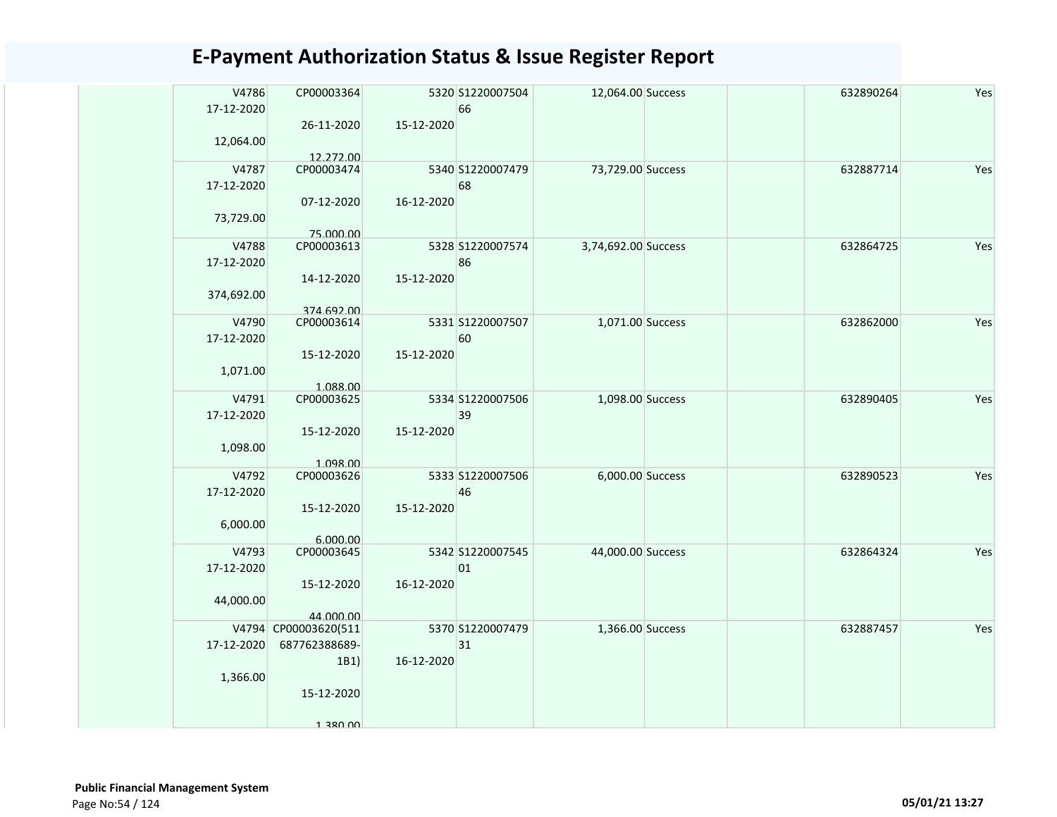| V4786<br>17-12-2020<br>12,064.00  | CP00003364<br>26-11-2020<br>12.272.00                                   | 15-12-2020 | 5320 S1220007504<br>66 | 12,064.00 Success   | 632890264 | Yes |
|-----------------------------------|-------------------------------------------------------------------------|------------|------------------------|---------------------|-----------|-----|
| V4787<br>17-12-2020<br>73,729.00  | CP00003474<br>07-12-2020                                                | 16-12-2020 | 5340 S1220007479<br>68 | 73,729.00 Success   | 632887714 | Yes |
| V4788<br>17-12-2020<br>374,692.00 | 75.000.00<br>CP00003613<br>14-12-2020<br>374.692.00                     | 15-12-2020 | 5328 S1220007574<br>86 | 3,74,692.00 Success | 632864725 | Yes |
| V4790<br>17-12-2020<br>1,071.00   | CP00003614<br>15-12-2020<br>1.088.00                                    | 15-12-2020 | 5331 S1220007507<br>60 | 1,071.00 Success    | 632862000 | Yes |
| V4791<br>17-12-2020<br>1,098.00   | CP00003625<br>15-12-2020<br>1.098.00                                    | 15-12-2020 | 5334 S1220007506<br>39 | 1,098.00 Success    | 632890405 | Yes |
| V4792<br>17-12-2020<br>6,000.00   | CP00003626<br>15-12-2020<br>6.000.00                                    | 15-12-2020 | 5333 S1220007506<br>46 | 6,000.00 Success    | 632890523 | Yes |
| V4793<br>17-12-2020<br>44,000.00  | CP00003645<br>15-12-2020<br>44.000.00                                   | 16-12-2020 | 5342 S1220007545<br>01 | 44,000.00 Success   | 632864324 | Yes |
| 17-12-2020<br>1,366.00            | V4794 CP00003620(511<br>687762388689-<br>1B1)<br>15-12-2020<br>1 380 UV | 16-12-2020 | 5370 S1220007479<br>31 | 1,366.00 Success    | 632887457 | Yes |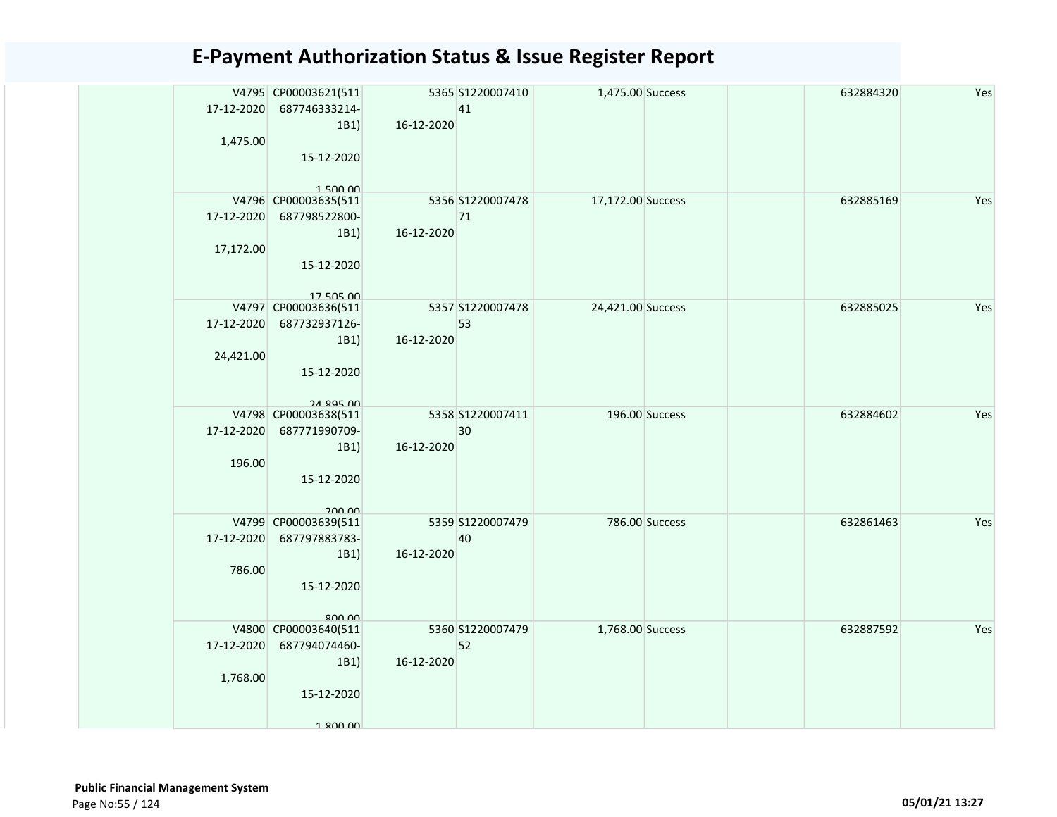|            | V4795 CP00003621(511<br>17-12-2020 687746333214-<br>1B1 | 16-12-2020 | 5365 S1220007410<br>41 | 1,475.00 Success  |                | 632884320 | Yes |
|------------|---------------------------------------------------------|------------|------------------------|-------------------|----------------|-----------|-----|
| 1,475.00   | 15-12-2020                                              |            |                        |                   |                |           |     |
|            | 150000<br>V4796 CP00003635(511                          |            | 5356 S1220007478       | 17,172.00 Success |                | 632885169 | Yes |
| 17-12-2020 | 687798522800-                                           |            | 71                     |                   |                |           |     |
|            | 1B1)                                                    | 16-12-2020 |                        |                   |                |           |     |
| 17,172.00  |                                                         |            |                        |                   |                |           |     |
|            | 15-12-2020                                              |            |                        |                   |                |           |     |
|            | 17 505 00                                               |            |                        |                   |                |           |     |
|            | V4797 CP00003636(511                                    |            | 5357 S1220007478<br>53 | 24,421.00 Success |                | 632885025 | Yes |
|            | 17-12-2020 687732937126-<br>1B1                         | 16-12-2020 |                        |                   |                |           |     |
| 24,421.00  |                                                         |            |                        |                   |                |           |     |
|            | 15-12-2020                                              |            |                        |                   |                |           |     |
|            |                                                         |            |                        |                   |                |           |     |
|            | <b>24 895 00</b>                                        |            |                        |                   |                |           |     |
|            | V4798 CP00003638(511                                    |            | 5358 S1220007411       |                   | 196.00 Success | 632884602 | Yes |
| 17-12-2020 | 687771990709-                                           |            | 30                     |                   |                |           |     |
| 196.00     | 1B1)                                                    | 16-12-2020 |                        |                   |                |           |     |
|            | 15-12-2020                                              |            |                        |                   |                |           |     |
|            |                                                         |            |                        |                   |                |           |     |
|            | 200.00                                                  |            |                        |                   |                |           |     |
|            | V4799 CP00003639(511                                    |            | 5359 S1220007479       |                   | 786.00 Success | 632861463 | Yes |
| 17-12-2020 | 687797883783-                                           |            | 40                     |                   |                |           |     |
|            | 1B1)                                                    | 16-12-2020 |                        |                   |                |           |     |
| 786.00     | 15-12-2020                                              |            |                        |                   |                |           |     |
|            |                                                         |            |                        |                   |                |           |     |
|            | RUU UU                                                  |            |                        |                   |                |           |     |
|            | V4800 CP00003640(511                                    |            | 5360 S1220007479       | 1,768.00 Success  |                | 632887592 | Yes |
| 17-12-2020 | 687794074460-                                           |            | 52                     |                   |                |           |     |
|            | 1B1)                                                    | 16-12-2020 |                        |                   |                |           |     |
| 1,768.00   |                                                         |            |                        |                   |                |           |     |
|            | 15-12-2020                                              |            |                        |                   |                |           |     |
|            | 1.800.00                                                |            |                        |                   |                |           |     |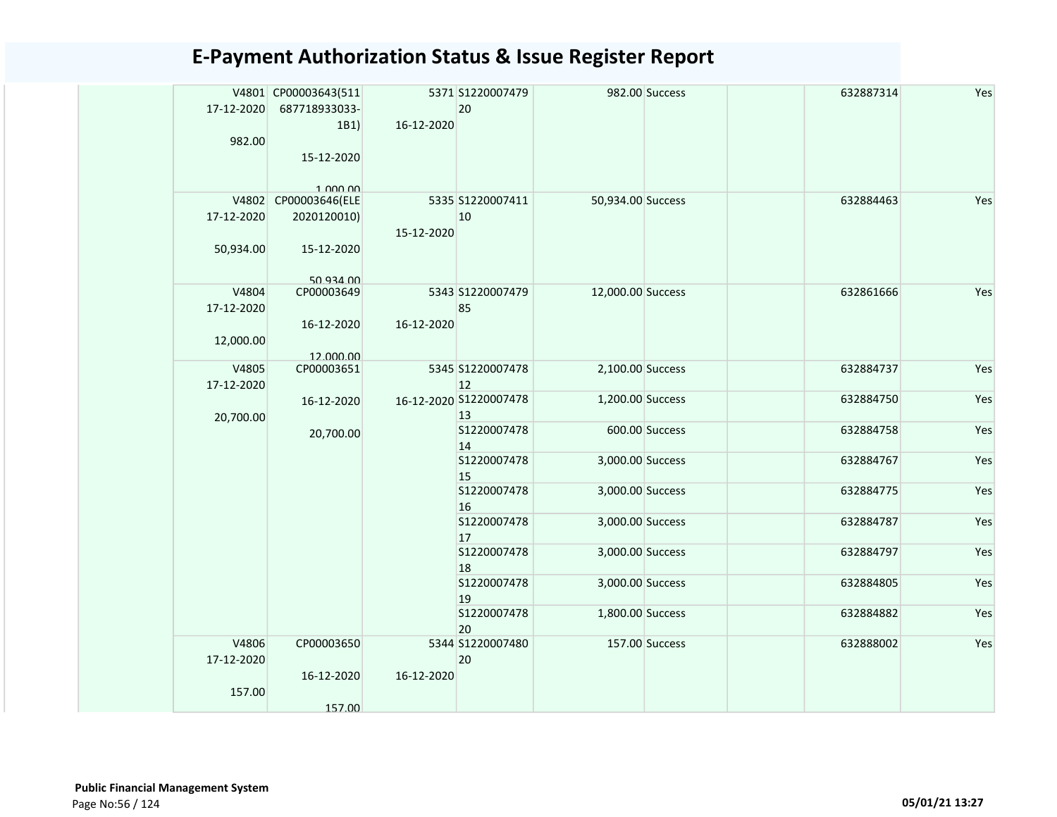|            | V4801 CP00003643(511 |            | 5371 S1220007479       |                   | 982.00 Success | 632887314 | Yes |
|------------|----------------------|------------|------------------------|-------------------|----------------|-----------|-----|
| 17-12-2020 | 687718933033-        |            | 20                     |                   |                |           |     |
| 982.00     | 1B1                  | 16-12-2020 |                        |                   |                |           |     |
|            | 15-12-2020           |            |                        |                   |                |           |     |
|            |                      |            |                        |                   |                |           |     |
|            | 1.000,00             |            |                        |                   |                |           |     |
|            | V4802 CP00003646(ELE |            | 5335 S1220007411       | 50,934.00 Success |                | 632884463 | Yes |
| 17-12-2020 | 2020120010)          |            | 10                     |                   |                |           |     |
|            |                      | 15-12-2020 |                        |                   |                |           |     |
| 50,934.00  | 15-12-2020           |            |                        |                   |                |           |     |
|            |                      |            |                        |                   |                |           |     |
| V4804      | 50 934 00            |            | 5343 S1220007479       | 12,000.00 Success |                | 632861666 | Yes |
| 17-12-2020 | CP00003649           |            | 85                     |                   |                |           |     |
|            | 16-12-2020           | 16-12-2020 |                        |                   |                |           |     |
| 12,000.00  |                      |            |                        |                   |                |           |     |
|            | 12.000.00            |            |                        |                   |                |           |     |
| V4805      | CP00003651           |            | 5345 S1220007478       | 2,100.00 Success  |                | 632884737 | Yes |
| 17-12-2020 |                      |            | 12                     |                   |                |           |     |
|            | 16-12-2020           |            | 16-12-2020 S1220007478 | 1,200.00 Success  |                | 632884750 | Yes |
| 20,700.00  |                      |            | 13                     |                   |                |           |     |
|            | 20,700.00            |            | S1220007478            |                   | 600.00 Success | 632884758 | Yes |
|            |                      |            | 14<br>S1220007478      | 3,000.00 Success  |                | 632884767 | Yes |
|            |                      |            | 15                     |                   |                |           |     |
|            |                      |            | S1220007478            | 3,000.00 Success  |                | 632884775 | Yes |
|            |                      |            | 16                     |                   |                |           |     |
|            |                      |            | S1220007478            | 3,000.00 Success  |                | 632884787 | Yes |
|            |                      |            | 17                     |                   |                |           |     |
|            |                      |            | S1220007478            | 3,000.00 Success  |                | 632884797 | Yes |
|            |                      |            | 18                     |                   |                |           |     |
|            |                      |            | S1220007478<br>19      | 3,000.00 Success  |                | 632884805 | Yes |
|            |                      |            | S1220007478            | 1,800.00 Success  |                | 632884882 | Yes |
|            |                      |            | 20                     |                   |                |           |     |
| V4806      | CP00003650           |            | 5344 S1220007480       |                   | 157.00 Success | 632888002 | Yes |
| 17-12-2020 |                      |            | 20                     |                   |                |           |     |
|            | 16-12-2020           | 16-12-2020 |                        |                   |                |           |     |
| 157.00     |                      |            |                        |                   |                |           |     |
|            | 157.00               |            |                        |                   |                |           |     |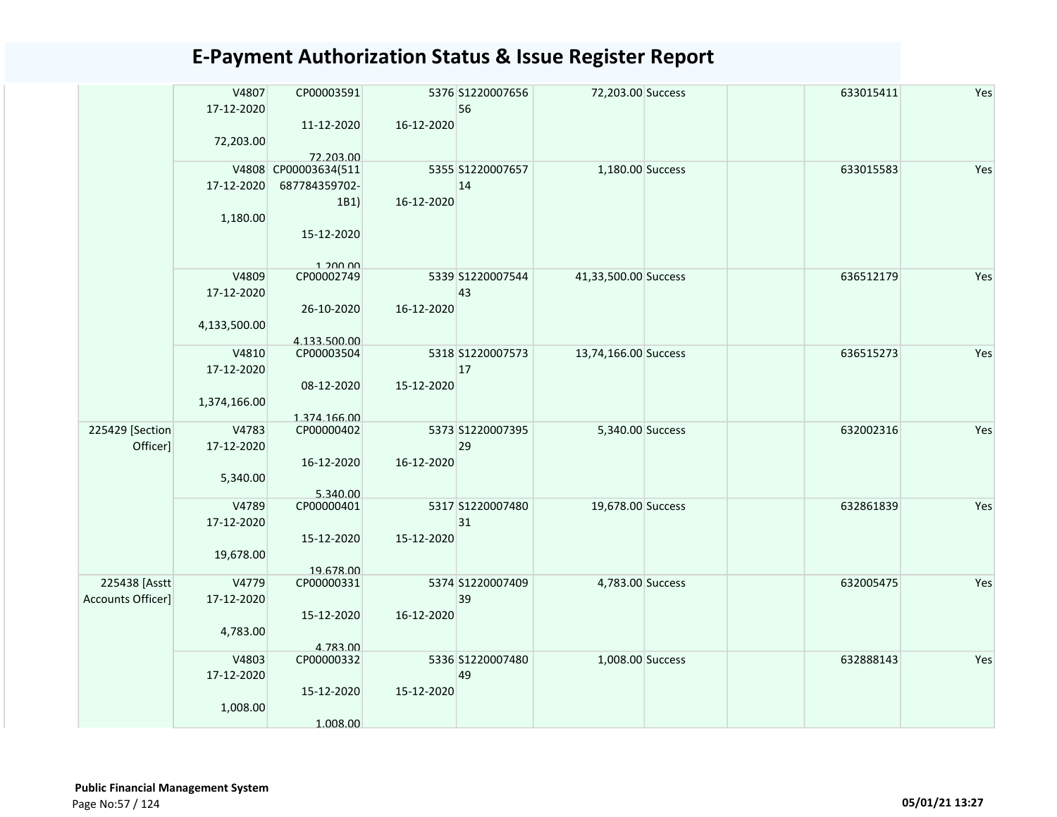|                   | V4807        | CP00003591           |            | 5376 S1220007656 | 72,203.00 Success    | 633015411 | Yes |
|-------------------|--------------|----------------------|------------|------------------|----------------------|-----------|-----|
|                   | 17-12-2020   |                      |            | 56               |                      |           |     |
|                   |              | 11-12-2020           | 16-12-2020 |                  |                      |           |     |
|                   | 72,203.00    |                      |            |                  |                      |           |     |
|                   |              | 72.203.00            |            |                  |                      |           |     |
|                   |              | V4808 CP00003634(511 |            | 5355 S1220007657 | 1,180.00 Success     | 633015583 | Yes |
|                   | 17-12-2020   | 687784359702-        |            | 14               |                      |           |     |
|                   |              | 1B1)                 | 16-12-2020 |                  |                      |           |     |
|                   | 1,180.00     |                      |            |                  |                      |           |     |
|                   |              | 15-12-2020           |            |                  |                      |           |     |
|                   |              |                      |            |                  |                      |           |     |
|                   |              | 1.200.00             |            |                  |                      |           |     |
|                   | V4809        | CP00002749           |            | 5339 S1220007544 | 41,33,500.00 Success | 636512179 | Yes |
|                   | 17-12-2020   |                      |            | 43               |                      |           |     |
|                   |              | 26-10-2020           | 16-12-2020 |                  |                      |           |     |
|                   | 4,133,500.00 |                      |            |                  |                      |           |     |
|                   |              | 4.133.500.00         |            |                  |                      |           |     |
|                   | V4810        | CP00003504           |            | 5318 S1220007573 | 13,74,166.00 Success | 636515273 | Yes |
|                   | 17-12-2020   |                      |            | 17               |                      |           |     |
|                   |              | 08-12-2020           | 15-12-2020 |                  |                      |           |     |
|                   | 1,374,166.00 |                      |            |                  |                      |           |     |
|                   |              | 1.374.166.00         |            |                  |                      |           |     |
| 225429 [Section   | V4783        | CP00000402           |            | 5373 S1220007395 | 5,340.00 Success     | 632002316 | Yes |
| Officer]          | 17-12-2020   |                      |            | 29               |                      |           |     |
|                   |              | 16-12-2020           | 16-12-2020 |                  |                      |           |     |
|                   | 5,340.00     |                      |            |                  |                      |           |     |
|                   |              | 5.340.00             |            |                  |                      |           |     |
|                   | V4789        | CP00000401           |            | 5317 S1220007480 | 19,678.00 Success    | 632861839 | Yes |
|                   | 17-12-2020   |                      |            | 31               |                      |           |     |
|                   |              | 15-12-2020           | 15-12-2020 |                  |                      |           |     |
|                   | 19,678.00    |                      |            |                  |                      |           |     |
|                   |              | 19.678.00            |            |                  |                      |           |     |
| 225438 [Asstt     | V4779        | CP00000331           |            | 5374 S1220007409 | 4,783.00 Success     | 632005475 | Yes |
| Accounts Officer] | 17-12-2020   |                      |            | 39               |                      |           |     |
|                   |              | 15-12-2020           | 16-12-2020 |                  |                      |           |     |
|                   | 4,783.00     |                      |            |                  |                      |           |     |
|                   |              | 4.783.00             |            |                  |                      |           |     |
|                   | V4803        | CP00000332           |            | 5336 S1220007480 | 1,008.00 Success     | 632888143 | Yes |
|                   | 17-12-2020   |                      |            | 49               |                      |           |     |
|                   |              | 15-12-2020           | 15-12-2020 |                  |                      |           |     |
|                   | 1,008.00     |                      |            |                  |                      |           |     |
|                   |              | 1.008.00             |            |                  |                      |           |     |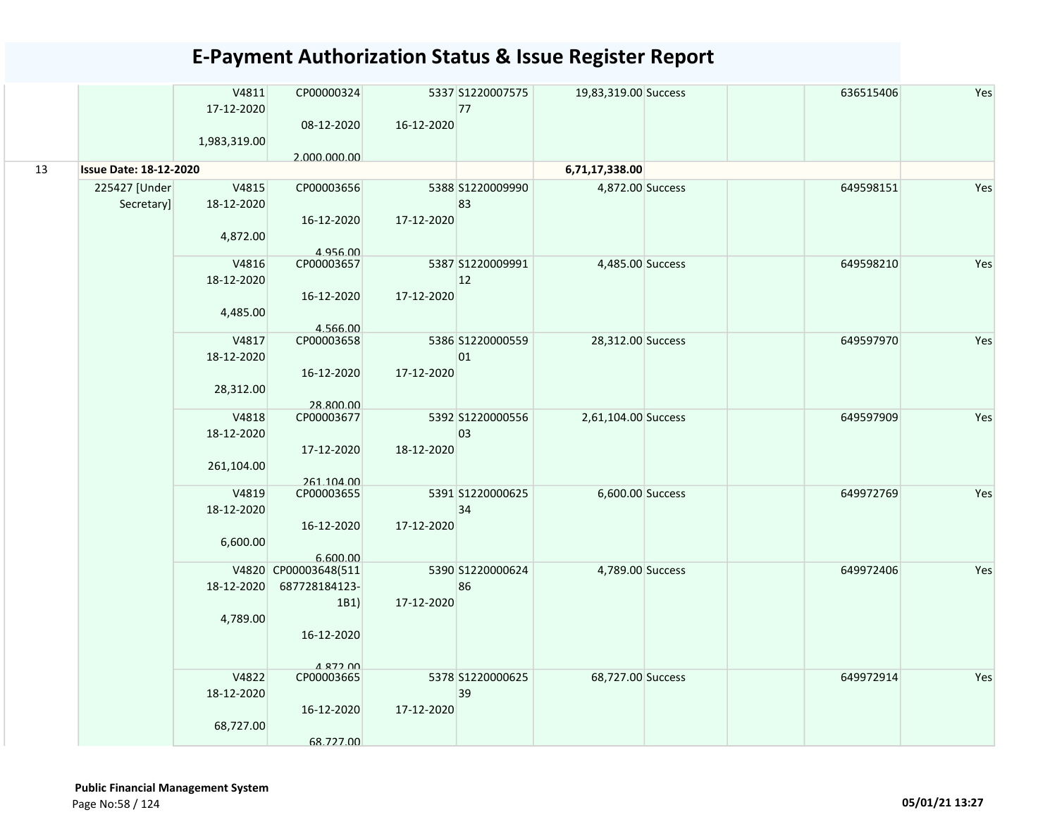|    |                               | V4811<br>17-12-2020 | CP00000324              |            | 5337 S1220007575<br>77 | 19,83,319.00 Success | 636515406 | Yes |
|----|-------------------------------|---------------------|-------------------------|------------|------------------------|----------------------|-----------|-----|
|    |                               |                     | 08-12-2020              | 16-12-2020 |                        |                      |           |     |
|    |                               | 1,983,319.00        |                         |            |                        |                      |           |     |
|    |                               |                     | 2.000.000.00            |            |                        |                      |           |     |
| 13 | <b>Issue Date: 18-12-2020</b> |                     |                         |            |                        | 6,71,17,338.00       |           |     |
|    | 225427 [Under                 | V4815               | CP00003656              |            | 5388 S1220009990       | 4,872.00 Success     | 649598151 | Yes |
|    | Secretary]                    | 18-12-2020          |                         |            | 83                     |                      |           |     |
|    |                               |                     | 16-12-2020              | 17-12-2020 |                        |                      |           |     |
|    |                               | 4,872.00            |                         |            |                        |                      |           |     |
|    |                               |                     | 4.956.00                |            |                        |                      |           |     |
|    |                               | V4816               | CP00003657              |            | 5387 S1220009991       | 4,485.00 Success     | 649598210 | Yes |
|    |                               | 18-12-2020          |                         |            | 12                     |                      |           |     |
|    |                               |                     | 16-12-2020              | 17-12-2020 |                        |                      |           |     |
|    |                               | 4,485.00            |                         |            |                        |                      |           |     |
|    |                               |                     | 4.566.00                |            |                        |                      |           |     |
|    |                               | V4817               | CP00003658              |            | 5386 S1220000559       | 28,312.00 Success    | 649597970 | Yes |
|    |                               | 18-12-2020          |                         |            | 01                     |                      |           |     |
|    |                               |                     | 16-12-2020              | 17-12-2020 |                        |                      |           |     |
|    |                               | 28,312.00           |                         |            |                        |                      |           |     |
|    |                               | V4818               | 28.800.00<br>CP00003677 |            | 5392 S1220000556       | 2,61,104.00 Success  | 649597909 | Yes |
|    |                               | 18-12-2020          |                         |            | 03                     |                      |           |     |
|    |                               |                     | 17-12-2020              | 18-12-2020 |                        |                      |           |     |
|    |                               | 261,104.00          |                         |            |                        |                      |           |     |
|    |                               |                     | 261.104.00              |            |                        |                      |           |     |
|    |                               | V4819               | CP00003655              |            | 5391 S1220000625       | 6,600.00 Success     | 649972769 | Yes |
|    |                               | 18-12-2020          |                         |            | 34                     |                      |           |     |
|    |                               |                     | 16-12-2020              | 17-12-2020 |                        |                      |           |     |
|    |                               | 6,600.00            |                         |            |                        |                      |           |     |
|    |                               |                     | 6.600.00                |            |                        |                      |           |     |
|    |                               |                     | V4820 CP00003648(511    |            | 5390 S1220000624       | 4,789.00 Success     | 649972406 | Yes |
|    |                               | 18-12-2020          | 687728184123-           |            | 86                     |                      |           |     |
|    |                               |                     | 1B1)                    | 17-12-2020 |                        |                      |           |     |
|    |                               | 4,789.00            |                         |            |                        |                      |           |     |
|    |                               |                     | 16-12-2020              |            |                        |                      |           |     |
|    |                               |                     |                         |            |                        |                      |           |     |
|    |                               | V4822               | A 872 00<br>CP00003665  |            | 5378 S1220000625       | 68,727.00 Success    | 649972914 | Yes |
|    |                               | 18-12-2020          |                         |            | 39                     |                      |           |     |
|    |                               |                     | 16-12-2020              | 17-12-2020 |                        |                      |           |     |
|    |                               | 68,727.00           |                         |            |                        |                      |           |     |
|    |                               |                     | 68.727.00               |            |                        |                      |           |     |
|    |                               |                     |                         |            |                        |                      |           |     |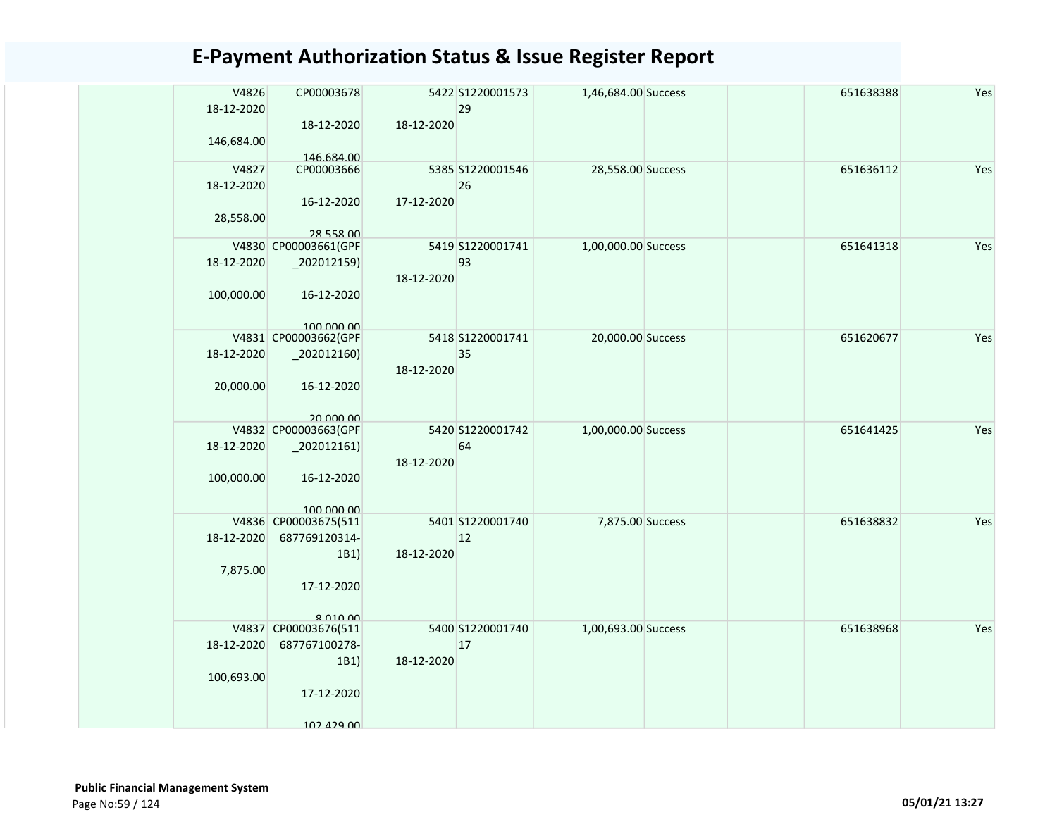| V4826<br>18-12-2020<br>146,684.00 | CP00003678<br>18-12-2020                                                      | 18-12-2020 | 5422 S1220001573<br>29 | 1,46,684.00 Success |  | 651638388 | Yes |
|-----------------------------------|-------------------------------------------------------------------------------|------------|------------------------|---------------------|--|-----------|-----|
| V4827<br>18-12-2020<br>28,558.00  | 146.684.00<br>CP00003666<br>16-12-2020<br>28.558.00                           | 17-12-2020 | 5385 S1220001546<br>26 | 28,558.00 Success   |  | 651636112 | Yes |
| 18-12-2020<br>100,000.00          | V4830 CP00003661(GPF<br>$-202012159$<br>16-12-2020<br>100,000,00              | 18-12-2020 | 5419 S1220001741<br>93 | 1,00,000.00 Success |  | 651641318 | Yes |
| 18-12-2020<br>20,000.00           | V4831 CP00003662(GPF<br>$_2$ 02012160)<br>16-12-2020<br>20,000,00             | 18-12-2020 | 5418 S1220001741<br>35 | 20,000.00 Success   |  | 651620677 | Yes |
| 18-12-2020<br>100,000.00          | V4832 CP00003663(GPF<br>$_2$ 02012161)<br>16-12-2020<br>100,000,00            | 18-12-2020 | 5420 S1220001742<br>64 | 1,00,000.00 Success |  | 651641425 | Yes |
| 18-12-2020<br>7,875.00            | V4836 CP00003675(511<br>687769120314-<br>1B1)<br>17-12-2020<br>$R$ $010$ $00$ | 18-12-2020 | 5401 S1220001740<br>12 | 7,875.00 Success    |  | 651638832 | Yes |
| 18-12-2020<br>100,693.00          | V4837 CP00003676(511<br>687767100278-<br>1B1)<br>17-12-2020<br>102 129 DD     | 18-12-2020 | 5400 S1220001740<br>17 | 1,00,693.00 Success |  | 651638968 | Yes |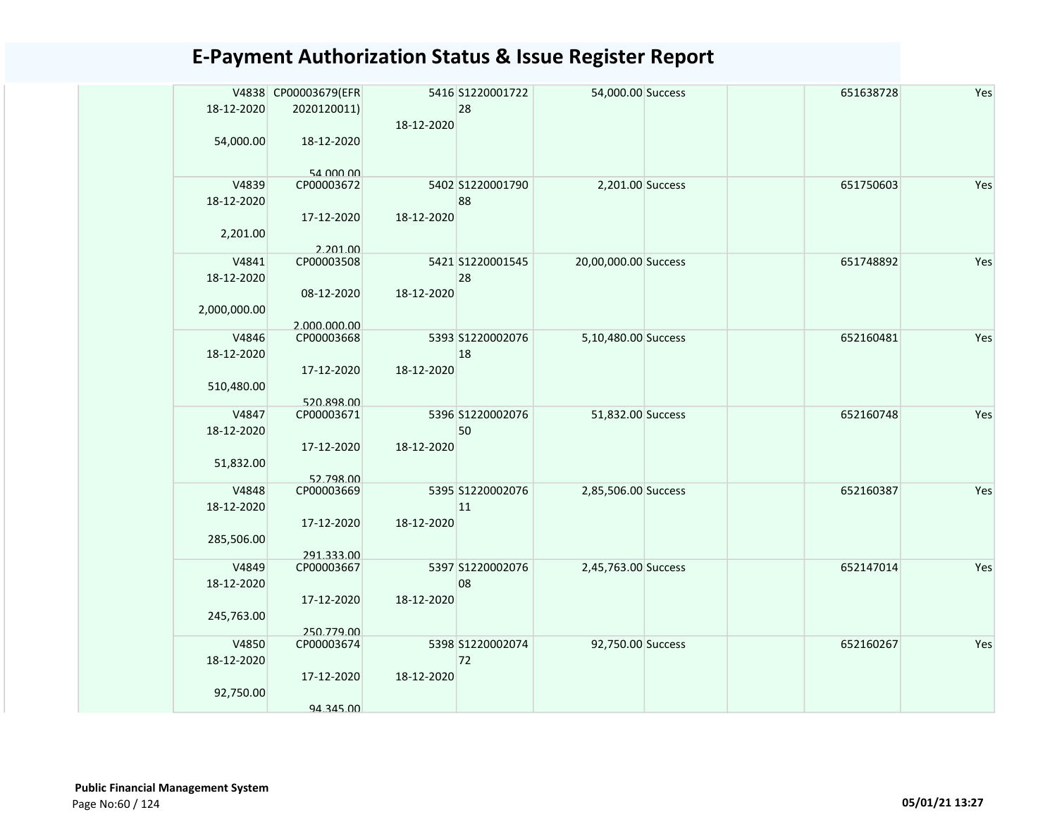|              | V4838 CP00003679(EFR |            | 5416 S1220001722 | 54,000.00 Success    |  | 651638728 | Yes |
|--------------|----------------------|------------|------------------|----------------------|--|-----------|-----|
|              |                      |            |                  |                      |  |           |     |
| 18-12-2020   | 2020120011)          |            | 28               |                      |  |           |     |
|              |                      | 18-12-2020 |                  |                      |  |           |     |
| 54,000.00    | 18-12-2020           |            |                  |                      |  |           |     |
|              |                      |            |                  |                      |  |           |     |
|              | 54 000 00            |            |                  |                      |  |           |     |
| V4839        | CP00003672           |            | 5402 S1220001790 | 2,201.00 Success     |  | 651750603 | Yes |
| 18-12-2020   |                      |            | 88               |                      |  |           |     |
|              |                      |            |                  |                      |  |           |     |
|              | 17-12-2020           | 18-12-2020 |                  |                      |  |           |     |
| 2,201.00     |                      |            |                  |                      |  |           |     |
|              | 2.201.00             |            |                  |                      |  |           |     |
| V4841        | CP00003508           |            | 5421 S1220001545 | 20,00,000.00 Success |  | 651748892 | Yes |
| 18-12-2020   |                      |            | 28               |                      |  |           |     |
|              | 08-12-2020           | 18-12-2020 |                  |                      |  |           |     |
| 2,000,000.00 |                      |            |                  |                      |  |           |     |
|              | 2.000.000.00         |            |                  |                      |  |           |     |
| V4846        | CP00003668           |            | 5393 S1220002076 | 5,10,480.00 Success  |  | 652160481 | Yes |
| 18-12-2020   |                      |            | 18               |                      |  |           |     |
|              | 17-12-2020           | 18-12-2020 |                  |                      |  |           |     |
|              |                      |            |                  |                      |  |           |     |
| 510,480.00   |                      |            |                  |                      |  |           |     |
|              | 520.898.00           |            |                  |                      |  |           |     |
| V4847        | CP00003671           |            | 5396 S1220002076 | 51,832.00 Success    |  | 652160748 | Yes |
| 18-12-2020   |                      |            | 50               |                      |  |           |     |
|              | 17-12-2020           | 18-12-2020 |                  |                      |  |           |     |
| 51,832.00    |                      |            |                  |                      |  |           |     |
|              | 52.798.00            |            |                  |                      |  |           |     |
| V4848        | CP00003669           |            | 5395 S1220002076 | 2,85,506.00 Success  |  | 652160387 | Yes |
| 18-12-2020   |                      |            | 11               |                      |  |           |     |
|              | 17-12-2020           | 18-12-2020 |                  |                      |  |           |     |
| 285,506.00   |                      |            |                  |                      |  |           |     |
|              | 291.333.00           |            |                  |                      |  |           |     |
| V4849        | CP00003667           |            | 5397 S1220002076 | 2,45,763.00 Success  |  | 652147014 | Yes |
| 18-12-2020   |                      |            | 08               |                      |  |           |     |
|              |                      |            |                  |                      |  |           |     |
|              | 17-12-2020           | 18-12-2020 |                  |                      |  |           |     |
| 245,763.00   |                      |            |                  |                      |  |           |     |
|              | 250.779.00           |            |                  |                      |  |           |     |
| V4850        | CP00003674           |            | 5398 S1220002074 | 92,750.00 Success    |  | 652160267 | Yes |
| 18-12-2020   |                      |            | 72               |                      |  |           |     |
|              | 17-12-2020           | 18-12-2020 |                  |                      |  |           |     |
| 92,750.00    |                      |            |                  |                      |  |           |     |
|              | 94.345.00            |            |                  |                      |  |           |     |
|              |                      |            |                  |                      |  |           |     |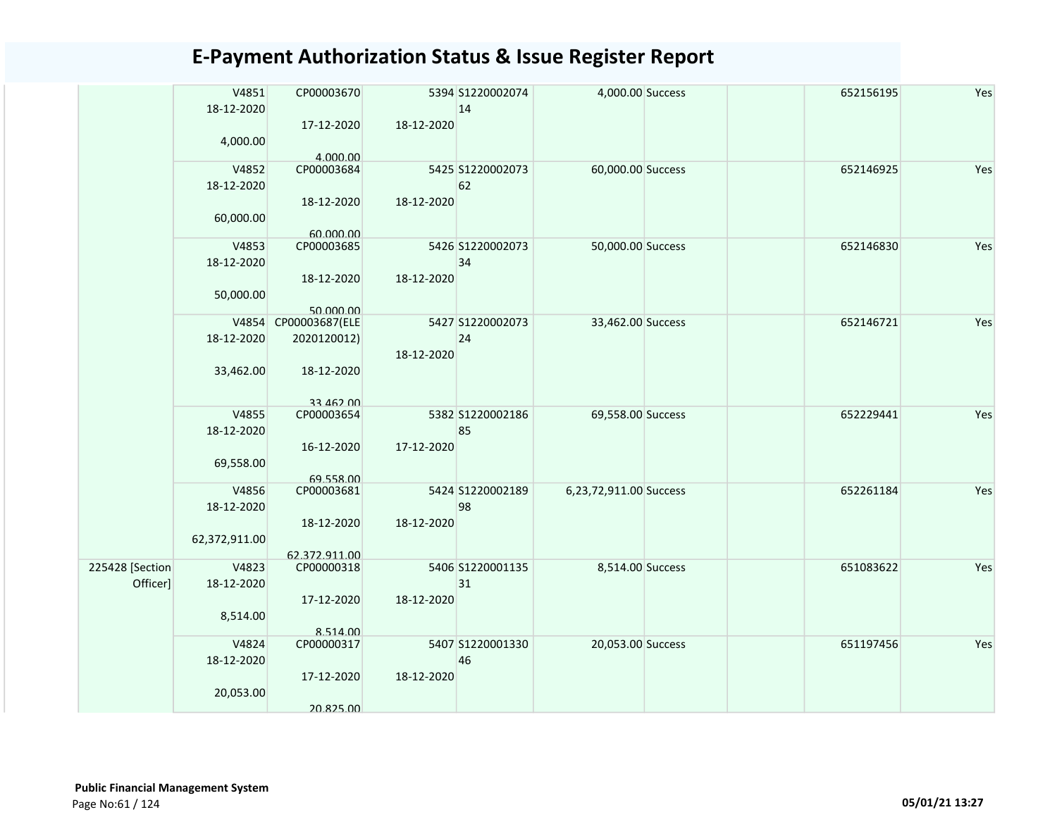|                 | V4851<br>18-12-2020 | CP00003670     |            | 5394 S1220002074<br>14 | 4,000.00 Success       | 652156195 | Yes |
|-----------------|---------------------|----------------|------------|------------------------|------------------------|-----------|-----|
|                 | 4,000.00            | 17-12-2020     | 18-12-2020 |                        |                        |           |     |
|                 |                     | 4.000.00       |            |                        |                        |           |     |
|                 | V4852               | CP00003684     |            | 5425 S1220002073       | 60,000.00 Success      | 652146925 | Yes |
|                 | 18-12-2020          |                |            | 62                     |                        |           |     |
|                 |                     | 18-12-2020     | 18-12-2020 |                        |                        |           |     |
|                 | 60,000.00           |                |            |                        |                        |           |     |
|                 |                     | 60.000.00      |            |                        |                        |           |     |
|                 | V4853               | CP00003685     |            | 5426 S1220002073       | 50,000.00 Success      | 652146830 | Yes |
|                 | 18-12-2020          |                |            | 34                     |                        |           |     |
|                 |                     | 18-12-2020     | 18-12-2020 |                        |                        |           |     |
|                 | 50,000.00           |                |            |                        |                        |           |     |
|                 |                     | 50.000.00      |            |                        |                        |           |     |
|                 | V4854               | CP00003687(ELE |            | 5427 S1220002073       | 33,462.00 Success      | 652146721 | Yes |
|                 | 18-12-2020          | 2020120012)    |            | 24                     |                        |           |     |
|                 |                     |                | 18-12-2020 |                        |                        |           |     |
|                 | 33,462.00           | 18-12-2020     |            |                        |                        |           |     |
|                 |                     |                |            |                        |                        |           |     |
|                 |                     | 33 462 00      |            |                        |                        |           |     |
|                 | V4855               | CP00003654     |            | 5382 S1220002186       | 69,558.00 Success      | 652229441 | Yes |
|                 | 18-12-2020          |                |            | 85                     |                        |           |     |
|                 |                     | 16-12-2020     | 17-12-2020 |                        |                        |           |     |
|                 | 69,558.00           |                |            |                        |                        |           |     |
|                 |                     | 69.558.00      |            |                        |                        |           |     |
|                 | V4856               | CP00003681     |            | 5424 S1220002189       | 6,23,72,911.00 Success | 652261184 | Yes |
|                 | 18-12-2020          |                |            | 98                     |                        |           |     |
|                 |                     |                | 18-12-2020 |                        |                        |           |     |
|                 |                     | 18-12-2020     |            |                        |                        |           |     |
|                 | 62,372,911.00       |                |            |                        |                        |           |     |
|                 |                     | 62.372.911.00  |            |                        |                        |           |     |
| 225428 [Section | V4823               | CP00000318     |            | 5406 S1220001135       | 8,514.00 Success       | 651083622 | Yes |
| Officer]        | 18-12-2020          |                |            | 31                     |                        |           |     |
|                 |                     | 17-12-2020     | 18-12-2020 |                        |                        |           |     |
|                 | 8,514.00            |                |            |                        |                        |           |     |
|                 |                     | 8.514.00       |            |                        |                        |           |     |
|                 | V4824               | CP00000317     |            | 5407 S1220001330       | 20,053.00 Success      | 651197456 | Yes |
|                 | 18-12-2020          |                |            | 46                     |                        |           |     |
|                 |                     | 17-12-2020     | 18-12-2020 |                        |                        |           |     |
|                 | 20,053.00           |                |            |                        |                        |           |     |
|                 |                     | 20.825.00      |            |                        |                        |           |     |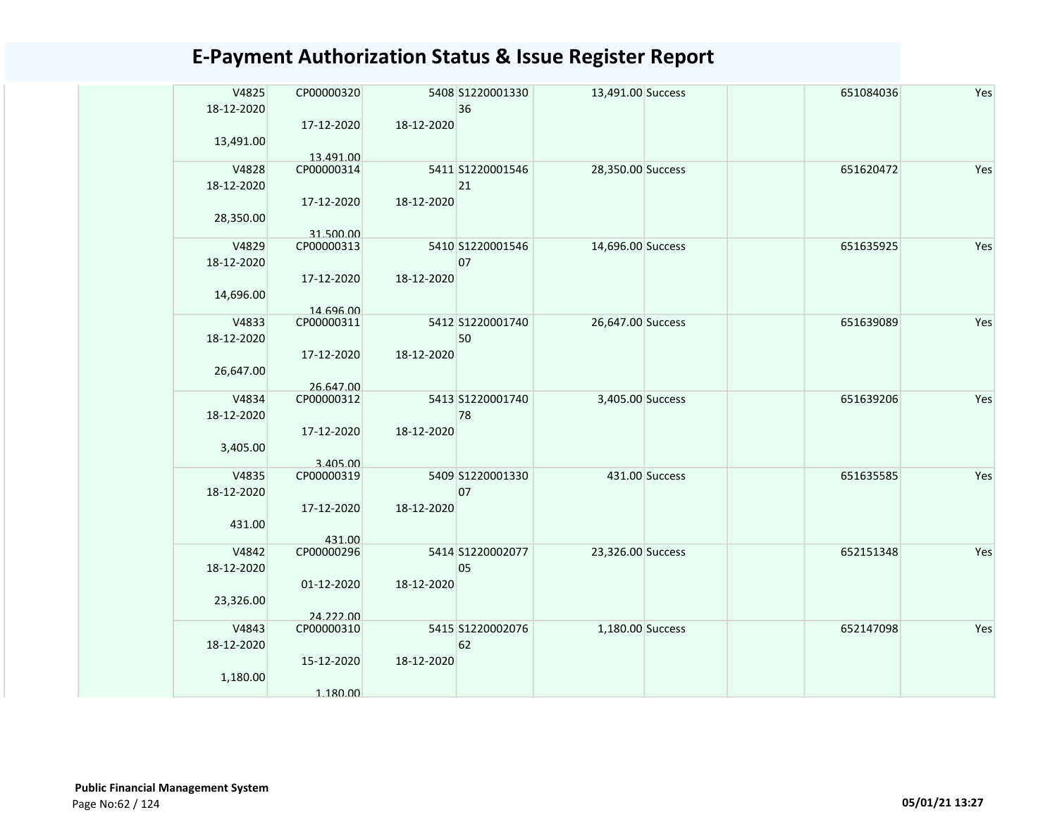| V4825<br>18-12-2020 | CP00000320<br>17-12-2020 | 18-12-2020 | 5408 S1220001330<br>36 | 13,491.00 Success |                | 651084036 | Yes |
|---------------------|--------------------------|------------|------------------------|-------------------|----------------|-----------|-----|
| 13,491.00           | 13.491.00                |            |                        |                   |                |           |     |
| V4828<br>18-12-2020 | CP00000314               |            | 5411 S1220001546<br>21 | 28,350.00 Success |                | 651620472 | Yes |
| 28,350.00           | 17-12-2020<br>31.500.00  | 18-12-2020 |                        |                   |                |           |     |
| V4829<br>18-12-2020 | CP00000313               |            | 5410 S1220001546<br>07 | 14,696.00 Success |                | 651635925 | Yes |
| 14,696.00           | 17-12-2020<br>14.696.00  | 18-12-2020 |                        |                   |                |           |     |
| V4833<br>18-12-2020 | CP00000311               |            | 5412 S1220001740<br>50 | 26,647.00 Success |                | 651639089 | Yes |
| 26,647.00           | 17-12-2020<br>26.647.00  | 18-12-2020 |                        |                   |                |           |     |
| V4834<br>18-12-2020 | CP00000312               |            | 5413 S1220001740<br>78 | 3,405.00 Success  |                | 651639206 | Yes |
| 3,405.00            | 17-12-2020<br>3.405.00   | 18-12-2020 |                        |                   |                |           |     |
| V4835<br>18-12-2020 | CP00000319               |            | 5409 S1220001330<br>07 |                   | 431.00 Success | 651635585 | Yes |
| 431.00              | 17-12-2020<br>431.00     | 18-12-2020 |                        |                   |                |           |     |
| V4842<br>18-12-2020 | CP00000296               |            | 5414 S1220002077<br>05 | 23,326.00 Success |                | 652151348 | Yes |
| 23,326.00           | 01-12-2020               | 18-12-2020 |                        |                   |                |           |     |
| V4843               | 24.222.00<br>CP00000310  |            | 5415 S1220002076       | 1,180.00 Success  |                | 652147098 | Yes |
| 18-12-2020          |                          |            | 62                     |                   |                |           |     |
| 1,180.00            | 15-12-2020               | 18-12-2020 |                        |                   |                |           |     |
|                     | 1.180.00                 |            |                        |                   |                |           |     |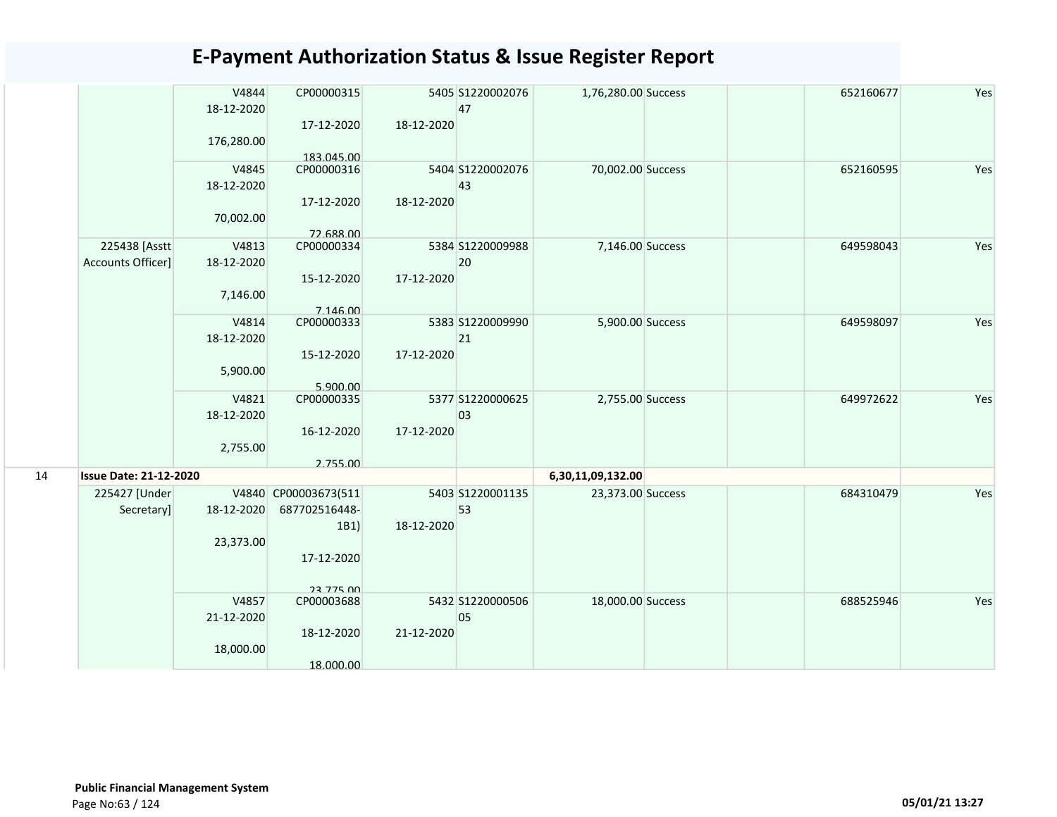|    |                               | V4844<br>18-12-2020 | CP00000315              | 47         | 5405 S1220002076 | 1,76,280.00 Success | 652160677 | Yes |
|----|-------------------------------|---------------------|-------------------------|------------|------------------|---------------------|-----------|-----|
|    |                               |                     | 17-12-2020              | 18-12-2020 |                  |                     |           |     |
|    |                               | 176,280.00          |                         |            |                  |                     |           |     |
|    |                               |                     | 183,045.00              |            |                  |                     |           |     |
|    |                               | V4845               | CP00000316              |            | 5404 S1220002076 | 70,002.00 Success   | 652160595 | Yes |
|    |                               | 18-12-2020          |                         | 43         |                  |                     |           |     |
|    |                               |                     | 17-12-2020              | 18-12-2020 |                  |                     |           |     |
|    |                               | 70,002.00           |                         |            |                  |                     |           |     |
|    | 225438 [Asstt]                | V4813               | 72.688.00<br>CP00000334 |            | 5384 S1220009988 | 7,146.00 Success    | 649598043 | Yes |
|    | Accounts Officer]             | 18-12-2020          |                         | 20         |                  |                     |           |     |
|    |                               |                     | 15-12-2020              | 17-12-2020 |                  |                     |           |     |
|    |                               | 7,146.00            |                         |            |                  |                     |           |     |
|    |                               |                     | 7.146.00                |            |                  |                     |           |     |
|    |                               | V4814               | CP00000333              |            | 5383 S1220009990 | 5,900.00 Success    | 649598097 | Yes |
|    |                               | 18-12-2020          |                         | 21         |                  |                     |           |     |
|    |                               |                     | 15-12-2020              | 17-12-2020 |                  |                     |           |     |
|    |                               | 5,900.00            |                         |            |                  |                     |           |     |
|    |                               | V4821               | 5.900.00<br>CP00000335  |            | 5377 S1220000625 | 2,755.00 Success    | 649972622 | Yes |
|    |                               | 18-12-2020          |                         | 03         |                  |                     |           |     |
|    |                               |                     | 16-12-2020              | 17-12-2020 |                  |                     |           |     |
|    |                               | 2,755.00            |                         |            |                  |                     |           |     |
|    |                               |                     | 2.755.00                |            |                  |                     |           |     |
| 14 | <b>Issue Date: 21-12-2020</b> |                     |                         |            |                  | 6,30,11,09,132.00   |           |     |
|    | 225427 [Under                 |                     | V4840 CP00003673(511    |            | 5403 S1220001135 | 23,373.00 Success   | 684310479 | Yes |
|    | Secretary]                    | 18-12-2020          | 687702516448-           | 53         |                  |                     |           |     |
|    |                               | 23,373.00           | 1B1                     | 18-12-2020 |                  |                     |           |     |
|    |                               |                     | 17-12-2020              |            |                  |                     |           |     |
|    |                               |                     |                         |            |                  |                     |           |     |
|    |                               |                     | 23 775 00               |            |                  |                     |           |     |
|    |                               | V4857               | CP00003688              |            | 5432 S1220000506 | 18,000.00 Success   | 688525946 | Yes |
|    |                               | 21-12-2020          |                         | 05         |                  |                     |           |     |
|    |                               |                     | 18-12-2020              | 21-12-2020 |                  |                     |           |     |
|    |                               | 18,000.00           |                         |            |                  |                     |           |     |
|    |                               |                     | 18.000.00               |            |                  |                     |           |     |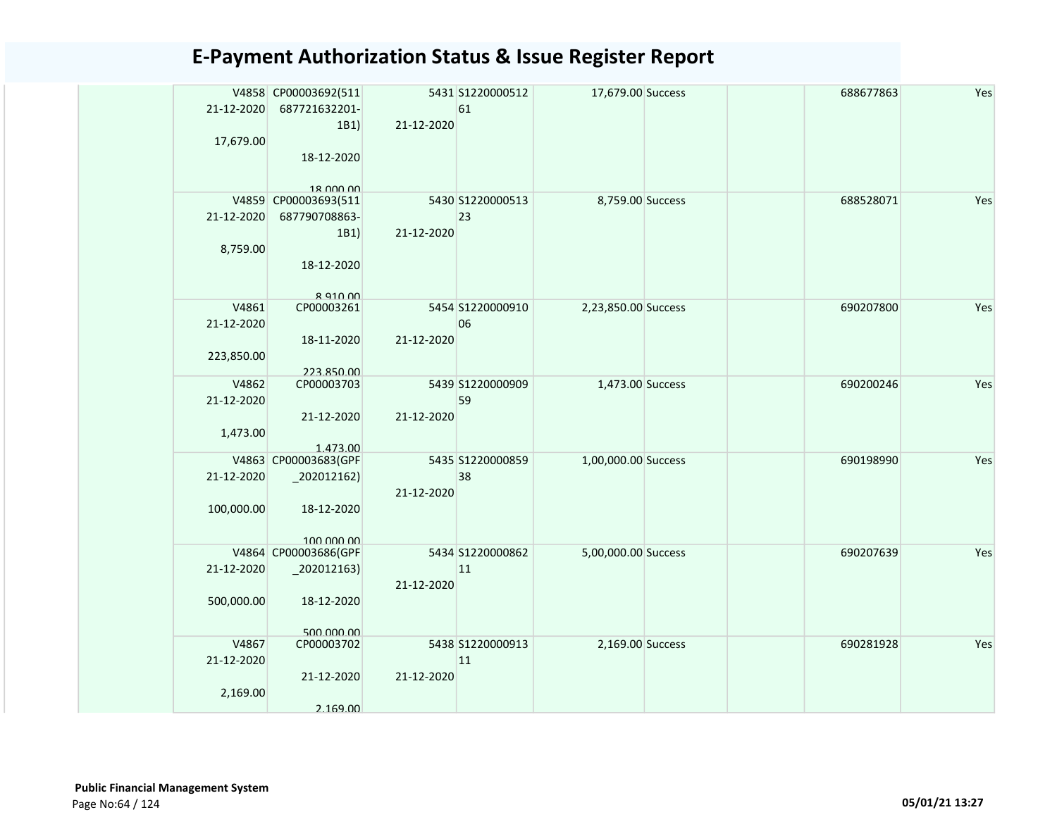| 21-12-2020<br>17,679.00         | V4858 CP00003692(511<br>687721632201-<br>1B1)<br>18-12-2020<br>18 000 00       | 21-12-2020 | 5431 S1220000512<br>61 | 17,679.00 Success   |  | 688677863 | Yes |
|---------------------------------|--------------------------------------------------------------------------------|------------|------------------------|---------------------|--|-----------|-----|
| 21-12-2020<br>8,759.00          | V4859 CP00003693(511<br>687790708863-<br>1B1)<br>18-12-2020<br><b>R Q10 00</b> | 21-12-2020 | 5430 S1220000513<br>23 | 8,759.00 Success    |  | 688528071 | Yes |
| 21-12-2020<br>223,850.00        | V4861<br>CP00003261<br>18-11-2020<br>223.850.00                                | 21-12-2020 | 5454 S1220000910<br>06 | 2,23,850.00 Success |  | 690207800 | Yes |
| 21-12-2020<br>1,473.00          | V4862<br>CP00003703<br>21-12-2020<br>1.473.00                                  | 21-12-2020 | 5439 S1220000909<br>59 | 1,473.00 Success    |  | 690200246 | Yes |
| 21-12-2020<br>100,000.00        | V4863 CP00003683(GPF<br>$-202012162$<br>18-12-2020<br>100,000,00               | 21-12-2020 | 5435 S1220000859<br>38 | 1,00,000.00 Success |  | 690198990 | Yes |
| 21-12-2020<br>500,000.00        | V4864 CP00003686(GPF<br>$_2$ 02012163)<br>18-12-2020<br>500,000,00             | 21-12-2020 | 5434 S1220000862<br>11 | 5,00,000.00 Success |  | 690207639 | Yes |
| V4867<br>21-12-2020<br>2,169.00 | CP00003702<br>21-12-2020<br>2.169.00                                           | 21-12-2020 | 5438 S1220000913<br>11 | 2,169.00 Success    |  | 690281928 | Yes |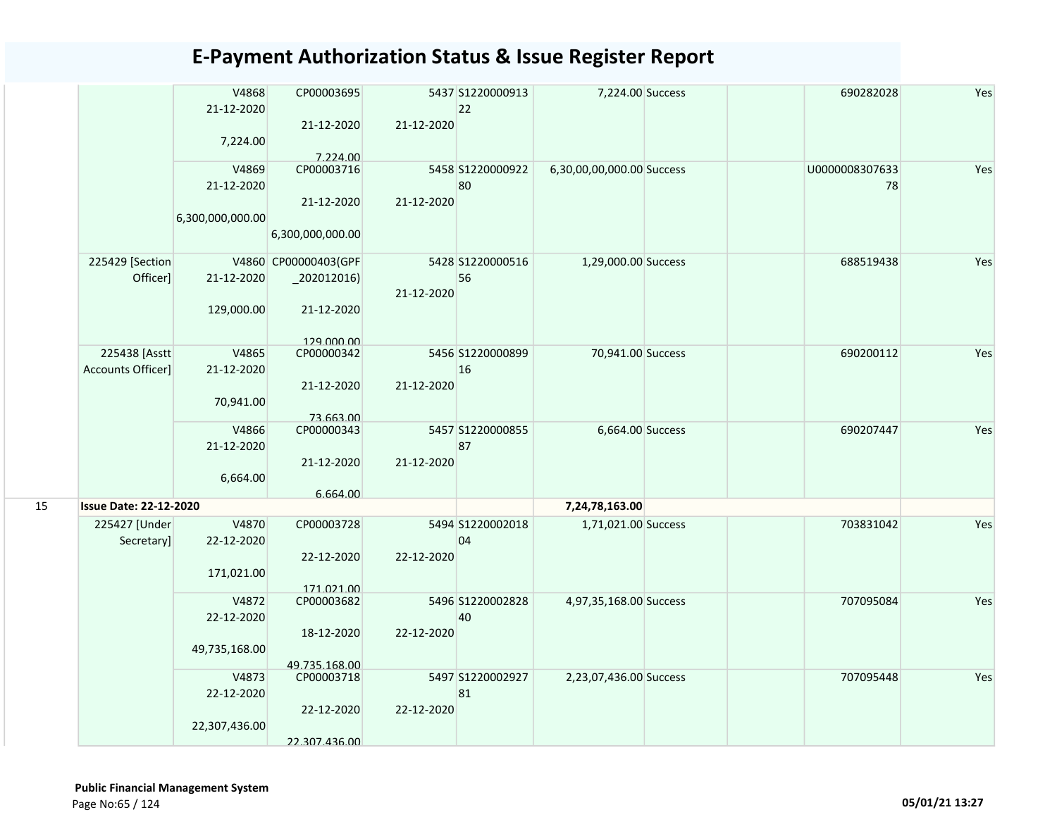|    |                                     | V4868<br>21-12-2020<br>7,224.00         | CP00003695<br>21-12-2020                    | 21-12-2020 | 5437 S1220000913<br>22 | 7,224.00 Success          | 690282028            | Yes |
|----|-------------------------------------|-----------------------------------------|---------------------------------------------|------------|------------------------|---------------------------|----------------------|-----|
|    |                                     | V4869<br>21-12-2020<br>6,300,000,000.00 | 7.224.00<br>CP00003716<br>21-12-2020        | 21-12-2020 | 5458 S1220000922<br>80 | 6,30,00,00,000.00 Success | U0000008307633<br>78 | Yes |
|    | 225429 [Section                     |                                         | 6,300,000,000.00<br>V4860 CP00000403(GPF    |            | 5428 \$1220000516      | 1,29,000.00 Success       | 688519438            | Yes |
|    | Officer]                            | 21-12-2020<br>129,000.00                | $_2$ 202012016)<br>21-12-2020<br>129 000 00 | 21-12-2020 | 56                     |                           |                      |     |
|    | 225438 [Asstt]<br>Accounts Officer] | V4865<br>21-12-2020<br>70,941.00        | CP00000342<br>21-12-2020<br>73.663.00       | 21-12-2020 | 5456 S1220000899<br>16 | 70,941.00 Success         | 690200112            | Yes |
|    |                                     | V4866<br>21-12-2020<br>6,664.00         | CP00000343<br>21-12-2020<br>6.664.00        | 21-12-2020 | 5457 S1220000855<br>87 | 6,664.00 Success          | 690207447            | Yes |
| 15 | <b>Issue Date: 22-12-2020</b>       |                                         |                                             |            |                        | 7,24,78,163.00            |                      |     |
|    | 225427 [Under<br>Secretary]         | V4870<br>22-12-2020<br>171,021.00       | CP00003728<br>22-12-2020<br>171.021.00      | 22-12-2020 | 5494 S1220002018<br>04 | 1,71,021.00 Success       | 703831042            | Yes |
|    |                                     | V4872<br>22-12-2020<br>49,735,168.00    | CP00003682<br>18-12-2020<br>49.735.168.00   | 22-12-2020 | 5496 S1220002828<br>40 | 4,97,35,168.00 Success    | 707095084            | Yes |
|    |                                     | V4873<br>22-12-2020<br>22,307,436.00    | CP00003718<br>22-12-2020<br>22.307.436.00   | 22-12-2020 | 5497 S1220002927<br>81 | 2,23,07,436.00 Success    | 707095448            | Yes |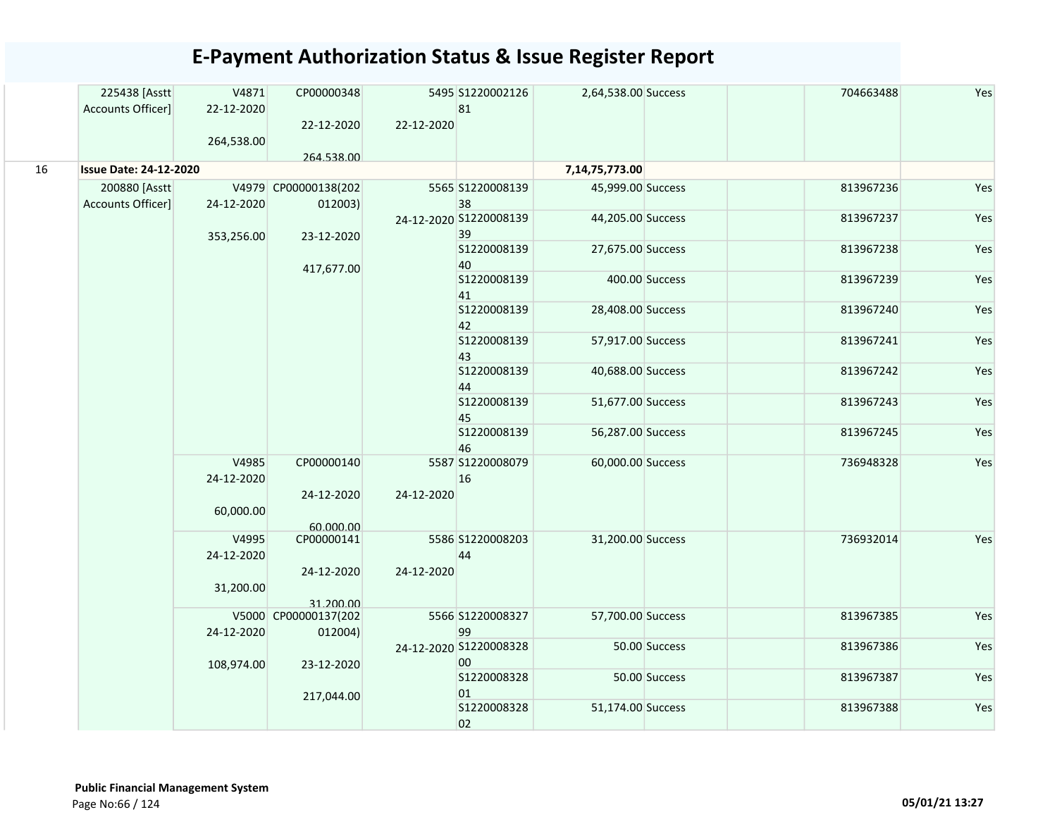|    | 225438 [Asstt                 | V4871      | CP00000348           |            | 5495 S1220002126       | 2,64,538.00 Success |                | 704663488 | Yes |
|----|-------------------------------|------------|----------------------|------------|------------------------|---------------------|----------------|-----------|-----|
|    | Accounts Officer]             | 22-12-2020 |                      |            | 81                     |                     |                |           |     |
|    |                               |            | 22-12-2020           | 22-12-2020 |                        |                     |                |           |     |
|    |                               | 264,538.00 |                      |            |                        |                     |                |           |     |
| 16 | <b>Issue Date: 24-12-2020</b> |            | 264.538.00           |            |                        | 7,14,75,773.00      |                |           |     |
|    | 200880 [Asstt                 |            | V4979 CP00000138(202 |            | 5565 S1220008139       | 45,999.00 Success   |                | 813967236 | Yes |
|    | Accounts Officer]             | 24-12-2020 | 012003)              |            | 38                     |                     |                |           |     |
|    |                               |            |                      |            | 24-12-2020 S1220008139 | 44,205.00 Success   |                | 813967237 | Yes |
|    |                               | 353,256.00 | 23-12-2020           |            | 39                     |                     |                |           |     |
|    |                               |            |                      |            | S1220008139            | 27,675.00 Success   |                | 813967238 | Yes |
|    |                               |            | 417,677.00           |            | 40                     |                     |                |           |     |
|    |                               |            |                      |            | S1220008139            |                     | 400.00 Success | 813967239 | Yes |
|    |                               |            |                      |            | 41<br>S1220008139      | 28,408.00 Success   |                | 813967240 | Yes |
|    |                               |            |                      |            | 42                     |                     |                |           |     |
|    |                               |            |                      |            | S1220008139            | 57,917.00 Success   |                | 813967241 | Yes |
|    |                               |            |                      |            | 43                     |                     |                |           |     |
|    |                               |            |                      |            | S1220008139            | 40,688.00 Success   |                | 813967242 | Yes |
|    |                               |            |                      |            | 44                     |                     |                |           |     |
|    |                               |            |                      |            | S1220008139            | 51,677.00 Success   |                | 813967243 | Yes |
|    |                               |            |                      |            | 45<br>S1220008139      |                     |                |           |     |
|    |                               |            |                      |            | 46                     | 56,287.00 Success   |                | 813967245 | Yes |
|    |                               | V4985      | CP00000140           |            | 5587 S1220008079       | 60,000.00 Success   |                | 736948328 | Yes |
|    |                               | 24-12-2020 |                      |            | 16                     |                     |                |           |     |
|    |                               |            | 24-12-2020           | 24-12-2020 |                        |                     |                |           |     |
|    |                               | 60,000.00  |                      |            |                        |                     |                |           |     |
|    |                               |            | 60.000.00            |            |                        |                     |                |           |     |
|    |                               | V4995      | CP00000141           |            | 5586 S1220008203       | 31,200.00 Success   |                | 736932014 | Yes |
|    |                               | 24-12-2020 |                      |            | 44                     |                     |                |           |     |
|    |                               |            | 24-12-2020           | 24-12-2020 |                        |                     |                |           |     |
|    |                               | 31,200.00  | 31.200.00            |            |                        |                     |                |           |     |
|    |                               |            | V5000 CP00000137(202 |            | 5566 S1220008327       | 57,700.00 Success   |                | 813967385 | Yes |
|    |                               | 24-12-2020 | 012004)              |            | 99                     |                     |                |           |     |
|    |                               |            |                      |            | 24-12-2020 S1220008328 |                     | 50.00 Success  | 813967386 | Yes |
|    |                               | 108,974.00 | 23-12-2020           |            | 00                     |                     |                |           |     |
|    |                               |            |                      |            | S1220008328            |                     | 50.00 Success  | 813967387 | Yes |
|    |                               |            | 217,044.00           |            | 01                     |                     |                |           |     |
|    |                               |            |                      |            | S1220008328            | 51,174.00 Success   |                | 813967388 | Yes |
|    |                               |            |                      |            | 02                     |                     |                |           |     |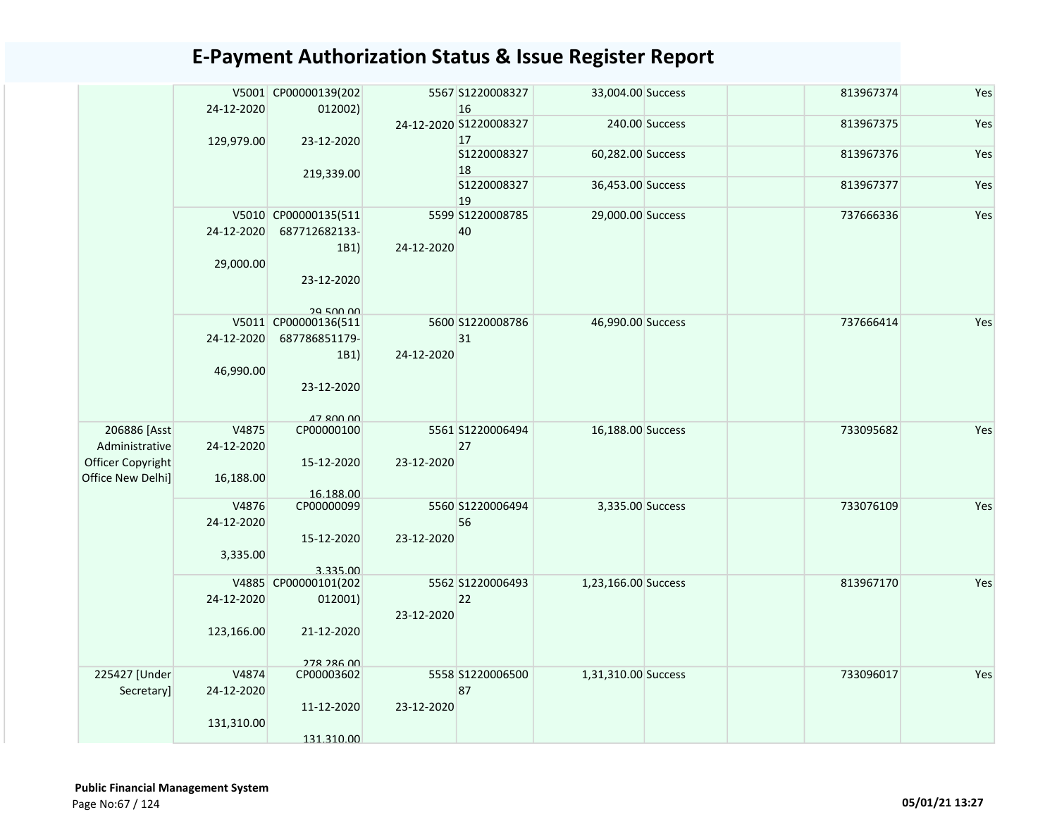|                   |            | V5001 CP00000139(202                     |            | 5567 S1220008327       | 33,004.00 Success   |                | 813967374 | Yes |
|-------------------|------------|------------------------------------------|------------|------------------------|---------------------|----------------|-----------|-----|
|                   | 24-12-2020 | 012002)                                  |            | 16                     |                     |                |           |     |
|                   |            |                                          |            | 24-12-2020 S1220008327 |                     | 240.00 Success | 813967375 | Yes |
|                   | 129,979.00 | 23-12-2020                               |            | 17                     |                     |                |           |     |
|                   |            |                                          |            | S1220008327            | 60,282.00 Success   |                | 813967376 | Yes |
|                   |            | 219,339.00                               |            | 18                     |                     |                |           |     |
|                   |            |                                          |            | S1220008327            | 36,453.00 Success   |                | 813967377 | Yes |
|                   |            |                                          |            | 19                     |                     |                |           |     |
|                   |            | V5010 CP00000135(511                     |            | 5599 S1220008785       | 29,000.00 Success   |                | 737666336 | Yes |
|                   | 24-12-2020 | 687712682133-                            |            | 40                     |                     |                |           |     |
|                   |            | 1B1)                                     | 24-12-2020 |                        |                     |                |           |     |
|                   | 29,000.00  |                                          |            |                        |                     |                |           |     |
|                   |            | 23-12-2020                               |            |                        |                     |                |           |     |
|                   |            |                                          |            |                        |                     |                |           |     |
|                   |            | <b>29 500 00</b><br>V5011 CP00000136(511 |            | 5600 S1220008786       | 46,990.00 Success   |                | 737666414 | Yes |
|                   | 24-12-2020 | 687786851179-                            |            | 31                     |                     |                |           |     |
|                   |            | 1B1)                                     | 24-12-2020 |                        |                     |                |           |     |
|                   | 46,990.00  |                                          |            |                        |                     |                |           |     |
|                   |            | 23-12-2020                               |            |                        |                     |                |           |     |
|                   |            |                                          |            |                        |                     |                |           |     |
|                   |            | 47 800 00                                |            |                        |                     |                |           |     |
| 206886 [Asst]     | V4875      | CP00000100                               |            | 5561 S1220006494       | 16,188.00 Success   |                | 733095682 | Yes |
| Administrative    | 24-12-2020 |                                          |            | 27                     |                     |                |           |     |
| Officer Copyright |            | 15-12-2020                               | 23-12-2020 |                        |                     |                |           |     |
| Office New Delhi] | 16,188.00  |                                          |            |                        |                     |                |           |     |
|                   |            | 16.188.00                                |            |                        |                     |                |           |     |
|                   | V4876      | CP00000099                               |            | 5560 S1220006494       | 3,335.00 Success    |                | 733076109 | Yes |
|                   | 24-12-2020 |                                          |            | 56                     |                     |                |           |     |
|                   |            | 15-12-2020                               | 23-12-2020 |                        |                     |                |           |     |
|                   | 3,335.00   |                                          |            |                        |                     |                |           |     |
|                   |            | 3.335.00                                 |            |                        |                     |                |           |     |
|                   |            | V4885 CP00000101(202                     |            | 5562 S1220006493       | 1,23,166.00 Success |                | 813967170 | Yes |
|                   | 24-12-2020 | 012001)                                  |            | 22                     |                     |                |           |     |
|                   |            |                                          | 23-12-2020 |                        |                     |                |           |     |
|                   | 123,166.00 | 21-12-2020                               |            |                        |                     |                |           |     |
|                   |            |                                          |            |                        |                     |                |           |     |
| 225427 [Under     | V4874      | 278 286 00<br>CP00003602                 |            | 5558 S1220006500       | 1,31,310.00 Success |                | 733096017 | Yes |
| Secretary]        | 24-12-2020 |                                          |            | 87                     |                     |                |           |     |
|                   |            | 11-12-2020                               | 23-12-2020 |                        |                     |                |           |     |
|                   | 131,310.00 |                                          |            |                        |                     |                |           |     |
|                   |            | 131.310.00                               |            |                        |                     |                |           |     |
|                   |            |                                          |            |                        |                     |                |           |     |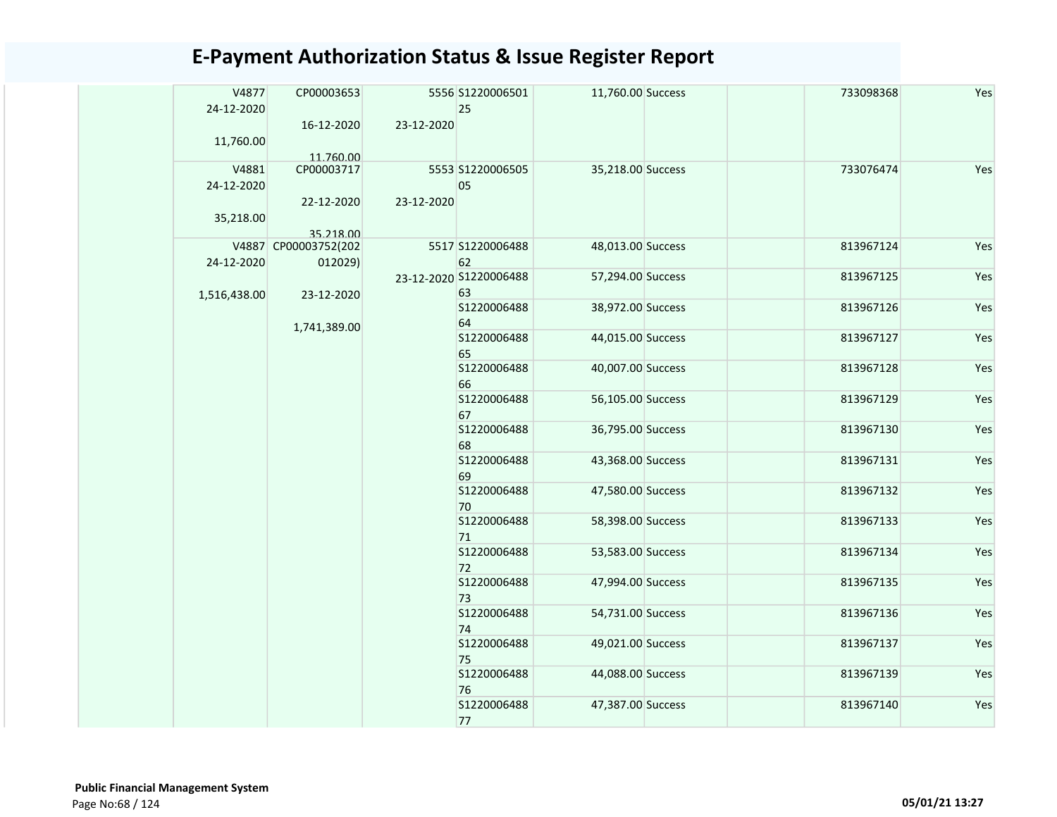| V4877<br>24-12-2020 | CP00003653                        |            | 5556 S1220006501<br>25       | 11,760.00 Success | 733098368 | Yes |
|---------------------|-----------------------------------|------------|------------------------------|-------------------|-----------|-----|
| 11,760.00           | 16-12-2020<br>11.760.00           | 23-12-2020 |                              |                   |           |     |
| V4881<br>24-12-2020 | CP00003717                        |            | 5553 S1220006505<br>05       | 35,218.00 Success | 733076474 | Yes |
| 35,218.00           | 22-12-2020                        | 23-12-2020 |                              |                   |           |     |
|                     | 35.218.00<br>V4887 CP00003752(202 |            | 5517 S1220006488             | 48,013.00 Success | 813967124 | Yes |
| 24-12-2020          | 012029)                           |            | 62                           |                   |           |     |
| 1,516,438.00        | 23-12-2020                        |            | 23-12-2020 S1220006488<br>63 | 57,294.00 Success | 813967125 | Yes |
|                     | 1,741,389.00                      |            | S1220006488<br>64            | 38,972.00 Success | 813967126 | Yes |
|                     |                                   |            | S1220006488<br>65            | 44,015.00 Success | 813967127 | Yes |
|                     |                                   |            | \$1220006488<br>66           | 40,007.00 Success | 813967128 | Yes |
|                     |                                   |            | S1220006488<br>67            | 56,105.00 Success | 813967129 | Yes |
|                     |                                   |            | S1220006488<br>68            | 36,795.00 Success | 813967130 | Yes |
|                     |                                   |            | S1220006488<br>69            | 43,368.00 Success | 813967131 | Yes |
|                     |                                   |            | S1220006488<br>70            | 47,580.00 Success | 813967132 | Yes |
|                     |                                   |            | S1220006488<br>71            | 58,398.00 Success | 813967133 | Yes |
|                     |                                   |            | S1220006488<br>72            | 53,583.00 Success | 813967134 | Yes |
|                     |                                   |            | S1220006488<br>73            | 47,994.00 Success | 813967135 | Yes |
|                     |                                   |            | S1220006488<br>74            | 54,731.00 Success | 813967136 | Yes |
|                     |                                   |            | S1220006488<br>75            | 49,021.00 Success | 813967137 | Yes |
|                     |                                   |            | S1220006488<br>76            | 44,088.00 Success | 813967139 | Yes |
|                     |                                   |            | S1220006488<br>77            | 47,387.00 Success | 813967140 | Yes |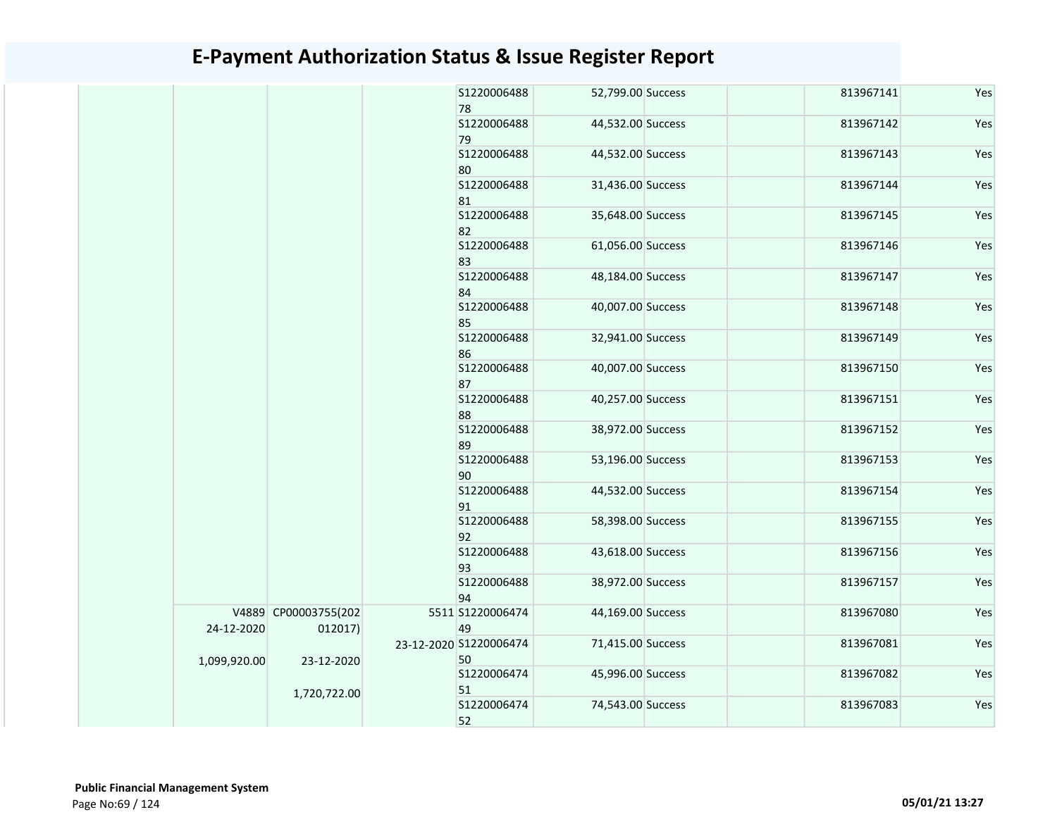|              |                                 | S1220006488<br>78            | 52,799.00 Success | 813967141 | Yes |
|--------------|---------------------------------|------------------------------|-------------------|-----------|-----|
|              |                                 | S1220006488<br>79            | 44,532.00 Success | 813967142 | Yes |
|              |                                 | S1220006488<br>80            | 44,532.00 Success | 813967143 | Yes |
|              |                                 | S1220006488<br>81            | 31,436.00 Success | 813967144 | Yes |
|              |                                 | S1220006488<br>82            | 35,648.00 Success | 813967145 | Yes |
|              |                                 | S1220006488<br>83            | 61,056.00 Success | 813967146 | Yes |
|              |                                 | S1220006488<br>84            | 48,184.00 Success | 813967147 | Yes |
|              |                                 | S1220006488<br>85            | 40,007.00 Success | 813967148 | Yes |
|              |                                 | S1220006488<br>86            | 32,941.00 Success | 813967149 | Yes |
|              |                                 | S1220006488<br>87            | 40,007.00 Success | 813967150 | Yes |
|              |                                 | S1220006488<br>88            | 40,257.00 Success | 813967151 | Yes |
|              |                                 | S1220006488<br>89            | 38,972.00 Success | 813967152 | Yes |
|              |                                 | S1220006488<br>90            | 53,196.00 Success | 813967153 | Yes |
|              |                                 | S1220006488<br>91            | 44,532.00 Success | 813967154 | Yes |
|              |                                 | S1220006488<br>92            | 58,398.00 Success | 813967155 | Yes |
|              |                                 | S1220006488<br>93            | 43,618.00 Success | 813967156 | Yes |
|              |                                 | S1220006488<br>94            | 38,972.00 Success | 813967157 | Yes |
| 24-12-2020   | V4889 CP00003755(202<br>012017) | 5511 S1220006474<br>49       | 44,169.00 Success | 813967080 | Yes |
| 1,099,920.00 | 23-12-2020                      | 23-12-2020 S1220006474<br>50 | 71,415.00 Success | 813967081 | Yes |
|              | 1,720,722.00                    | S1220006474<br>51            | 45,996.00 Success | 813967082 | Yes |
|              |                                 | S1220006474<br>52            | 74,543.00 Success | 813967083 | Yes |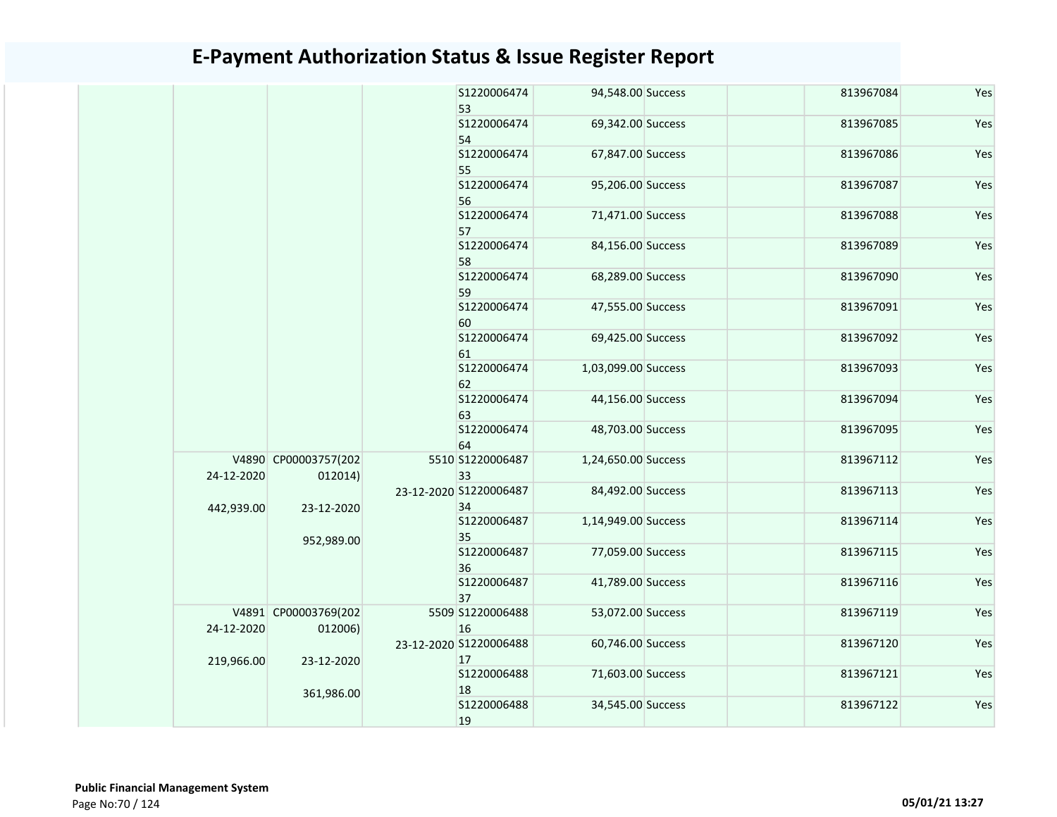|            |            |                                                                                        | S1220006474       | 94,548.00 Success                                                                                                                  | 813967084                                                                                                                                                                                                                                                                                                                                                                                                                              | Yes |
|------------|------------|----------------------------------------------------------------------------------------|-------------------|------------------------------------------------------------------------------------------------------------------------------------|----------------------------------------------------------------------------------------------------------------------------------------------------------------------------------------------------------------------------------------------------------------------------------------------------------------------------------------------------------------------------------------------------------------------------------------|-----|
|            |            |                                                                                        |                   |                                                                                                                                    |                                                                                                                                                                                                                                                                                                                                                                                                                                        |     |
|            |            |                                                                                        | S1220006474       |                                                                                                                                    | 813967085                                                                                                                                                                                                                                                                                                                                                                                                                              | Yes |
|            |            |                                                                                        | S1220006474       |                                                                                                                                    | 813967086                                                                                                                                                                                                                                                                                                                                                                                                                              | Yes |
|            |            |                                                                                        | S1220006474       |                                                                                                                                    | 813967087                                                                                                                                                                                                                                                                                                                                                                                                                              | Yes |
|            |            |                                                                                        | S1220006474       |                                                                                                                                    | 813967088                                                                                                                                                                                                                                                                                                                                                                                                                              | Yes |
|            |            |                                                                                        | S1220006474       |                                                                                                                                    | 813967089                                                                                                                                                                                                                                                                                                                                                                                                                              | Yes |
|            |            |                                                                                        | S1220006474       |                                                                                                                                    | 813967090                                                                                                                                                                                                                                                                                                                                                                                                                              | Yes |
|            |            |                                                                                        | S1220006474<br>60 |                                                                                                                                    | 813967091                                                                                                                                                                                                                                                                                                                                                                                                                              | Yes |
|            |            |                                                                                        | S1220006474<br>61 |                                                                                                                                    | 813967092                                                                                                                                                                                                                                                                                                                                                                                                                              | Yes |
|            |            |                                                                                        | S1220006474<br>62 |                                                                                                                                    | 813967093                                                                                                                                                                                                                                                                                                                                                                                                                              | Yes |
|            |            |                                                                                        | S1220006474<br>63 |                                                                                                                                    | 813967094                                                                                                                                                                                                                                                                                                                                                                                                                              | Yes |
|            |            |                                                                                        | S1220006474<br>64 |                                                                                                                                    | 813967095                                                                                                                                                                                                                                                                                                                                                                                                                              | Yes |
| 24-12-2020 | 012014)    |                                                                                        | 33                |                                                                                                                                    | 813967112                                                                                                                                                                                                                                                                                                                                                                                                                              | Yes |
|            |            |                                                                                        | 34                |                                                                                                                                    | 813967113                                                                                                                                                                                                                                                                                                                                                                                                                              | Yes |
|            |            |                                                                                        | S1220006487<br>35 |                                                                                                                                    | 813967114                                                                                                                                                                                                                                                                                                                                                                                                                              | Yes |
|            |            |                                                                                        | S1220006487<br>36 |                                                                                                                                    | 813967115                                                                                                                                                                                                                                                                                                                                                                                                                              | Yes |
|            |            |                                                                                        | S1220006487<br>37 |                                                                                                                                    | 813967116                                                                                                                                                                                                                                                                                                                                                                                                                              | Yes |
| 24-12-2020 | 012006)    |                                                                                        | 16                |                                                                                                                                    | 813967119                                                                                                                                                                                                                                                                                                                                                                                                                              | Yes |
| 219,966.00 | 23-12-2020 |                                                                                        | 17                |                                                                                                                                    | 813967120                                                                                                                                                                                                                                                                                                                                                                                                                              | Yes |
|            |            |                                                                                        | S1220006488<br>18 |                                                                                                                                    | 813967121                                                                                                                                                                                                                                                                                                                                                                                                                              | Yes |
|            |            |                                                                                        | S1220006488<br>19 |                                                                                                                                    | 813967122                                                                                                                                                                                                                                                                                                                                                                                                                              | Yes |
|            | 442,939.00 | V4890 CP00003757(202<br>23-12-2020<br>952,989.00<br>V4891 CP00003769(202<br>361,986.00 |                   | 53<br>54<br>55<br>56<br>57<br>58<br>59<br>5510 S1220006487<br>23-12-2020 S1220006487<br>5509 S1220006488<br>23-12-2020 S1220006488 | 69,342.00 Success<br>67,847.00 Success<br>95,206.00 Success<br>71,471.00 Success<br>84,156.00 Success<br>68,289.00 Success<br>47,555.00 Success<br>69,425.00 Success<br>1,03,099.00 Success<br>44,156.00 Success<br>48,703.00 Success<br>1,24,650.00 Success<br>84,492.00 Success<br>1,14,949.00 Success<br>77,059.00 Success<br>41,789.00 Success<br>53,072.00 Success<br>60,746.00 Success<br>71,603.00 Success<br>34,545.00 Success |     |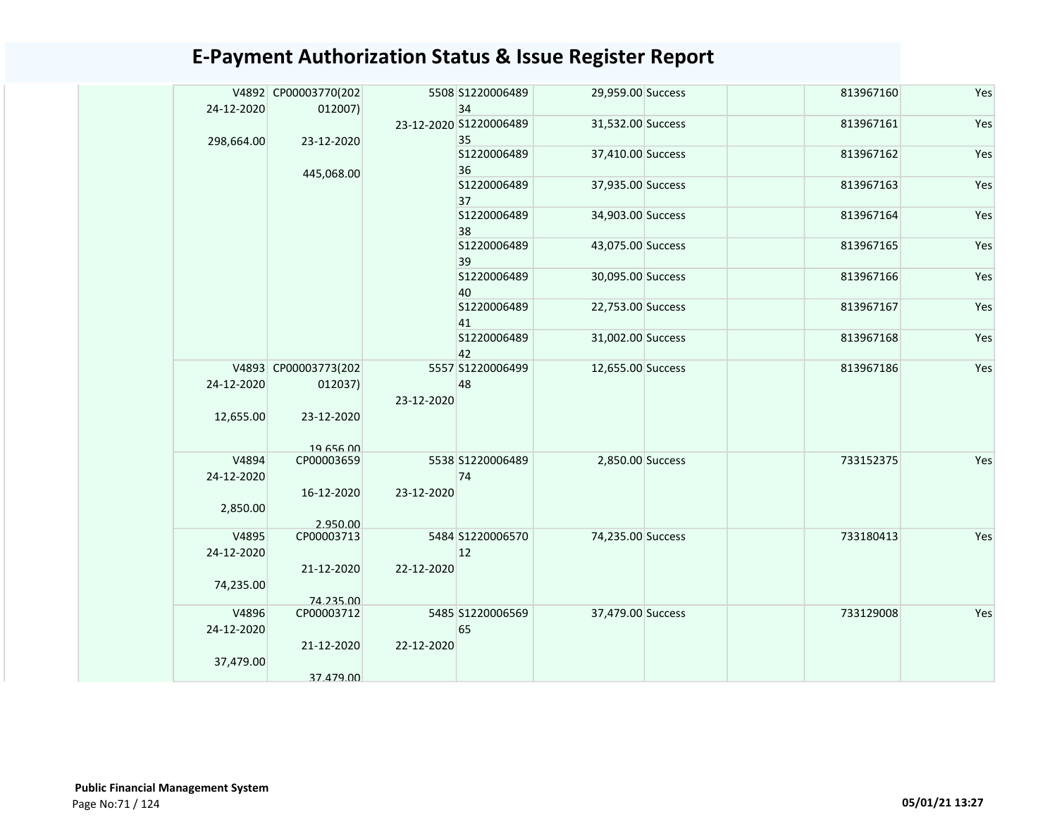|            | V4892 CP00003770(202 |            | 5508 S1220006489             | 29,959.00 Success | 813967160 | Yes |
|------------|----------------------|------------|------------------------------|-------------------|-----------|-----|
| 24-12-2020 | 012007)              |            | 34                           |                   |           |     |
|            |                      |            | 23-12-2020 S1220006489<br>35 | 31,532.00 Success | 813967161 | Yes |
| 298,664.00 | 23-12-2020           |            | S1220006489                  | 37,410.00 Success | 813967162 | Yes |
|            | 445,068.00           |            | 36                           |                   |           |     |
|            |                      |            | S1220006489                  | 37,935.00 Success | 813967163 | Yes |
|            |                      |            | 37                           |                   |           |     |
|            |                      |            | S1220006489<br>38            | 34,903.00 Success | 813967164 | Yes |
|            |                      |            | S1220006489                  | 43,075.00 Success | 813967165 | Yes |
|            |                      |            | 39                           |                   |           |     |
|            |                      |            | S1220006489                  | 30,095.00 Success | 813967166 | Yes |
|            |                      |            | 40                           |                   |           |     |
|            |                      |            | S1220006489<br>41            | 22,753.00 Success | 813967167 | Yes |
|            |                      |            | S1220006489                  | 31,002.00 Success | 813967168 | Yes |
|            |                      |            | 42                           |                   |           |     |
|            | V4893 CP00003773(202 |            | 5557 S1220006499             | 12,655.00 Success | 813967186 | Yes |
| 24-12-2020 | 012037)              |            | 48                           |                   |           |     |
| 12,655.00  | 23-12-2020           | 23-12-2020 |                              |                   |           |     |
|            |                      |            |                              |                   |           |     |
|            | 19 656 00            |            |                              |                   |           |     |
| V4894      | CP00003659           |            | 5538 S1220006489             | 2,850.00 Success  | 733152375 | Yes |
| 24-12-2020 |                      |            | 74                           |                   |           |     |
| 2,850.00   | 16-12-2020           | 23-12-2020 |                              |                   |           |     |
|            | 2.950.00             |            |                              |                   |           |     |
| V4895      | CP00003713           |            | 5484 S1220006570             | 74,235.00 Success | 733180413 | Yes |
| 24-12-2020 |                      |            | 12                           |                   |           |     |
| 74,235.00  | 21-12-2020           | 22-12-2020 |                              |                   |           |     |
|            | 74.235.00            |            |                              |                   |           |     |
| V4896      | CP00003712           |            | 5485 S1220006569             | 37,479.00 Success | 733129008 | Yes |
| 24-12-2020 |                      |            | 65                           |                   |           |     |
|            | 21-12-2020           | 22-12-2020 |                              |                   |           |     |
| 37,479.00  | 37.479.00            |            |                              |                   |           |     |
|            |                      |            |                              |                   |           |     |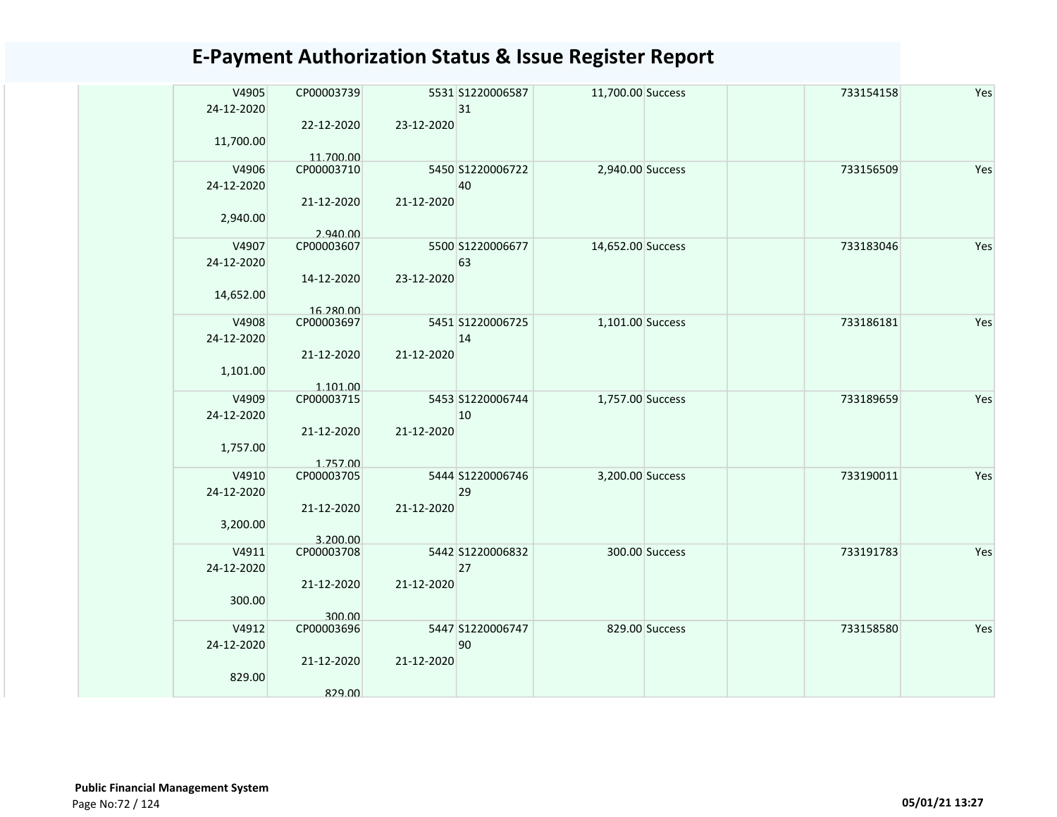| CP00003739<br>22-12-2020 | 23-12-2020                                                                                                | 31 |                                                                                                                                                                                                |                                                                                                                                                            | 733154158 | Yes |
|--------------------------|-----------------------------------------------------------------------------------------------------------|----|------------------------------------------------------------------------------------------------------------------------------------------------------------------------------------------------|------------------------------------------------------------------------------------------------------------------------------------------------------------|-----------|-----|
| 11.700.00<br>CP00003710  |                                                                                                           | 40 |                                                                                                                                                                                                |                                                                                                                                                            | 733156509 | Yes |
|                          |                                                                                                           |    |                                                                                                                                                                                                |                                                                                                                                                            |           |     |
| CP00003607               |                                                                                                           | 63 |                                                                                                                                                                                                |                                                                                                                                                            | 733183046 | Yes |
| 14-12-2020               | 23-12-2020                                                                                                |    |                                                                                                                                                                                                |                                                                                                                                                            |           |     |
| CP00003697               |                                                                                                           |    |                                                                                                                                                                                                |                                                                                                                                                            | 733186181 | Yes |
| 21-12-2020               | 21-12-2020                                                                                                |    |                                                                                                                                                                                                |                                                                                                                                                            |           |     |
| CP00003715               |                                                                                                           | 10 |                                                                                                                                                                                                |                                                                                                                                                            | 733189659 | Yes |
|                          |                                                                                                           |    |                                                                                                                                                                                                |                                                                                                                                                            |           |     |
| CP00003705               |                                                                                                           | 29 |                                                                                                                                                                                                |                                                                                                                                                            | 733190011 | Yes |
| 21-12-2020               | 21-12-2020                                                                                                |    |                                                                                                                                                                                                |                                                                                                                                                            |           |     |
| CP00003708               |                                                                                                           | 27 |                                                                                                                                                                                                |                                                                                                                                                            | 733191783 | Yes |
| 21-12-2020               | 21-12-2020                                                                                                |    |                                                                                                                                                                                                |                                                                                                                                                            |           |     |
| CP00003696               |                                                                                                           | 90 |                                                                                                                                                                                                |                                                                                                                                                            | 733158580 | Yes |
| 21-12-2020               | 21-12-2020                                                                                                |    |                                                                                                                                                                                                |                                                                                                                                                            |           |     |
|                          | 21-12-2020<br>2.940.00<br>16.280.00<br>1.101.00<br>21-12-2020<br>1.757.00<br>3.200.00<br>300.00<br>829.00 |    | 5531 S1220006587<br>5450 S1220006722<br>21-12-2020<br>5500 S1220006677<br>5451 S1220006725<br>14<br>5453 S1220006744<br>21-12-2020<br>5444 S1220006746<br>5442 S1220006832<br>5447 S1220006747 | 11,700.00 Success<br>2,940.00 Success<br>14,652.00 Success<br>1,101.00 Success<br>1,757.00 Success<br>3,200.00 Success<br>300.00 Success<br>829.00 Success |           |     |

 Public Financial Management System Page No:72 / 124 05/01/21 13:27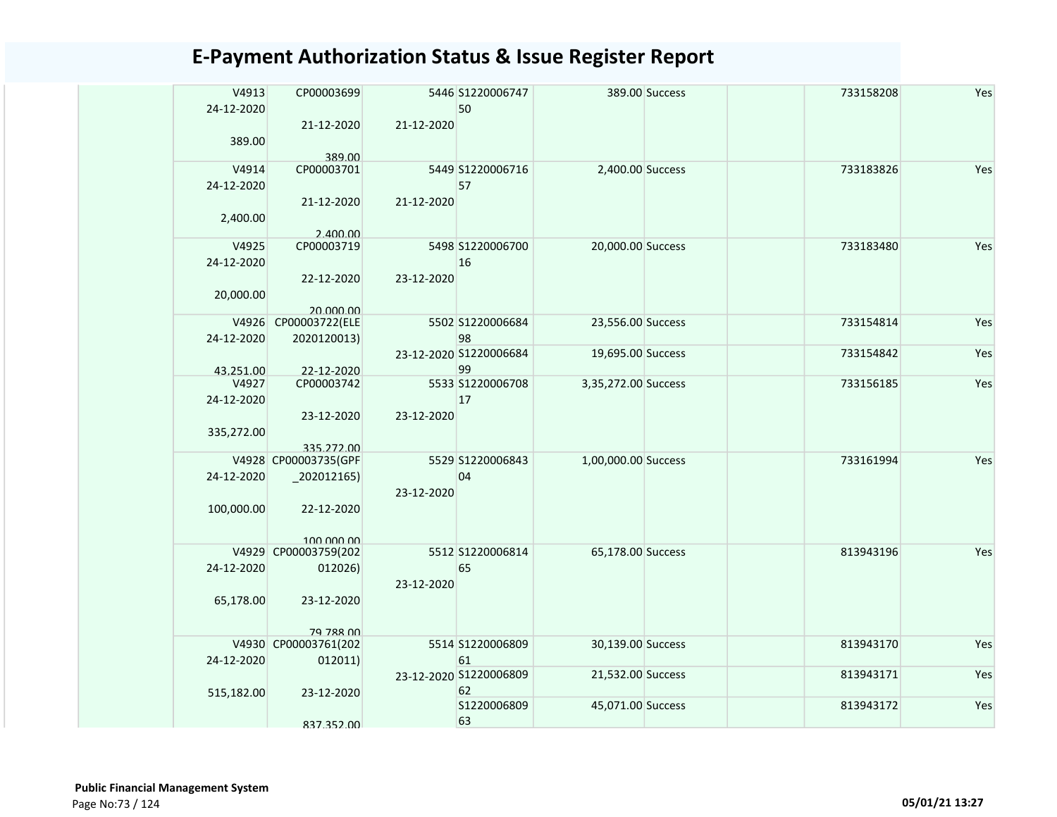| V4913<br>24-12-2020 | CP00003699                        |            | 5446 S1220006747<br>50 |                     | 389.00 Success | 733158208 | Yes |
|---------------------|-----------------------------------|------------|------------------------|---------------------|----------------|-----------|-----|
| 389.00              | 21-12-2020<br>389.00              | 21-12-2020 |                        |                     |                |           |     |
| V4914               | CP00003701                        |            | 5449 S1220006716       | 2,400.00 Success    |                | 733183826 | Yes |
|                     |                                   |            | 57                     |                     |                |           |     |
| 24-12-2020          |                                   |            |                        |                     |                |           |     |
| 2,400.00            | 21-12-2020                        | 21-12-2020 |                        |                     |                |           |     |
|                     | 2.400.00                          |            |                        |                     |                |           |     |
| V4925               | CP00003719                        |            | 5498 S1220006700       | 20,000.00 Success   |                | 733183480 | Yes |
| 24-12-2020          |                                   |            | 16                     |                     |                |           |     |
|                     | 22-12-2020                        | 23-12-2020 |                        |                     |                |           |     |
| 20,000.00           |                                   |            |                        |                     |                |           |     |
|                     |                                   |            |                        |                     |                |           |     |
|                     | 20.000.00<br>V4926 CP00003722(ELE |            | 5502 S1220006684       | 23,556.00 Success   |                | 733154814 | Yes |
|                     |                                   |            |                        |                     |                |           |     |
| 24-12-2020          | 2020120013)                       |            | 98                     |                     |                |           |     |
|                     |                                   |            | 23-12-2020 S1220006684 | 19,695.00 Success   |                | 733154842 | Yes |
| 43.251.00           | 22-12-2020                        |            | 99                     |                     |                |           |     |
| V4927               | CP00003742                        |            | 5533 S1220006708       | 3,35,272.00 Success |                | 733156185 | Yes |
| 24-12-2020          |                                   |            | 17                     |                     |                |           |     |
|                     | 23-12-2020                        | 23-12-2020 |                        |                     |                |           |     |
|                     |                                   |            |                        |                     |                |           |     |
| 335,272.00          |                                   |            |                        |                     |                |           |     |
|                     | 335.272.00                        |            |                        |                     |                |           |     |
|                     | V4928 CP00003735(GPF              |            | 5529 S1220006843       | 1,00,000.00 Success |                | 733161994 | Yes |
| 24-12-2020          | $-202012165$                      |            | 04                     |                     |                |           |     |
|                     |                                   | 23-12-2020 |                        |                     |                |           |     |
| 100,000.00          | 22-12-2020                        |            |                        |                     |                |           |     |
|                     |                                   |            |                        |                     |                |           |     |
|                     |                                   |            |                        |                     |                |           |     |
|                     | 100,000,00                        |            |                        |                     |                |           |     |
|                     | V4929 CP00003759(202              |            | 5512 S1220006814       | 65,178.00 Success   |                | 813943196 | Yes |
| 24-12-2020          | 012026)                           |            | 65                     |                     |                |           |     |
|                     |                                   | 23-12-2020 |                        |                     |                |           |     |
| 65,178.00           | 23-12-2020                        |            |                        |                     |                |           |     |
|                     |                                   |            |                        |                     |                |           |     |
|                     |                                   |            |                        |                     |                |           |     |
|                     | 79 788 00                         |            |                        |                     |                |           |     |
|                     | V4930 CP00003761(202              |            | 5514 S1220006809       | 30,139.00 Success   |                | 813943170 | Yes |
| 24-12-2020          | 012011)                           |            | 61                     |                     |                |           |     |
|                     |                                   |            | 23-12-2020 S1220006809 | 21,532.00 Success   |                | 813943171 | Yes |
| 515,182.00          | 23-12-2020                        |            | 62                     |                     |                |           |     |
|                     |                                   |            | S1220006809            | 45,071.00 Success   |                | 813943172 | Yes |
|                     |                                   |            | 63                     |                     |                |           |     |
|                     | 837.352.00                        |            |                        |                     |                |           |     |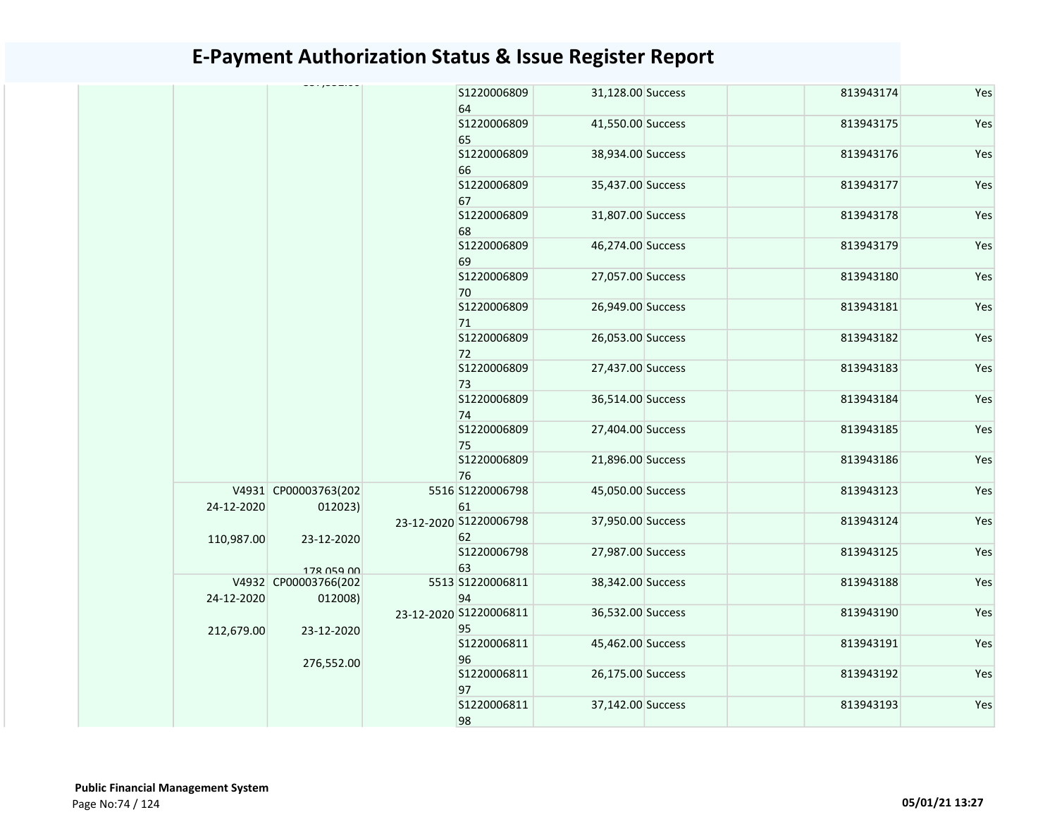|            |                                 | \$1220006809<br>64           | 31,128.00 Success | 813943174 | Yes |
|------------|---------------------------------|------------------------------|-------------------|-----------|-----|
|            |                                 | \$1220006809<br>65           | 41,550.00 Success | 813943175 | Yes |
|            |                                 | \$1220006809<br>66           | 38,934.00 Success | 813943176 | Yes |
|            |                                 | \$1220006809<br>67           | 35,437.00 Success | 813943177 | Yes |
|            |                                 | S1220006809<br>68            | 31,807.00 Success | 813943178 | Yes |
|            |                                 | \$1220006809<br>69           | 46,274.00 Success | 813943179 | Yes |
|            |                                 | S1220006809<br>70            | 27,057.00 Success | 813943180 | Yes |
|            |                                 | \$1220006809<br>71           | 26,949.00 Success | 813943181 | Yes |
|            |                                 | \$1220006809<br>72           | 26,053.00 Success | 813943182 | Yes |
|            |                                 | \$1220006809<br>73           | 27,437.00 Success | 813943183 | Yes |
|            |                                 | \$1220006809<br>74           | 36,514.00 Success | 813943184 | Yes |
|            |                                 | \$1220006809<br>75           | 27,404.00 Success | 813943185 | Yes |
|            |                                 | \$1220006809<br>76           | 21,896.00 Success | 813943186 | Yes |
| 24-12-2020 | V4931 CP00003763(202<br>012023) | 5516 S1220006798<br>61       | 45,050.00 Success | 813943123 | Yes |
| 110,987.00 | 23-12-2020                      | 23-12-2020 S1220006798<br>62 | 37,950.00 Success | 813943124 | Yes |
|            | 178 059 00                      | S1220006798<br>63            | 27,987.00 Success | 813943125 | Yes |
| 24-12-2020 | V4932 CP00003766(202<br>012008) | 5513 S1220006811<br>94       | 38,342.00 Success | 813943188 | Yes |
| 212,679.00 | 23-12-2020                      | 23-12-2020 S1220006811<br>95 | 36,532.00 Success | 813943190 | Yes |
|            | 276,552.00                      | \$1220006811<br>96           | 45,462.00 Success | 813943191 | Yes |
|            |                                 | S1220006811<br>97            | 26,175.00 Success | 813943192 | Yes |
|            |                                 | \$1220006811<br>98           | 37,142.00 Success | 813943193 | Yes |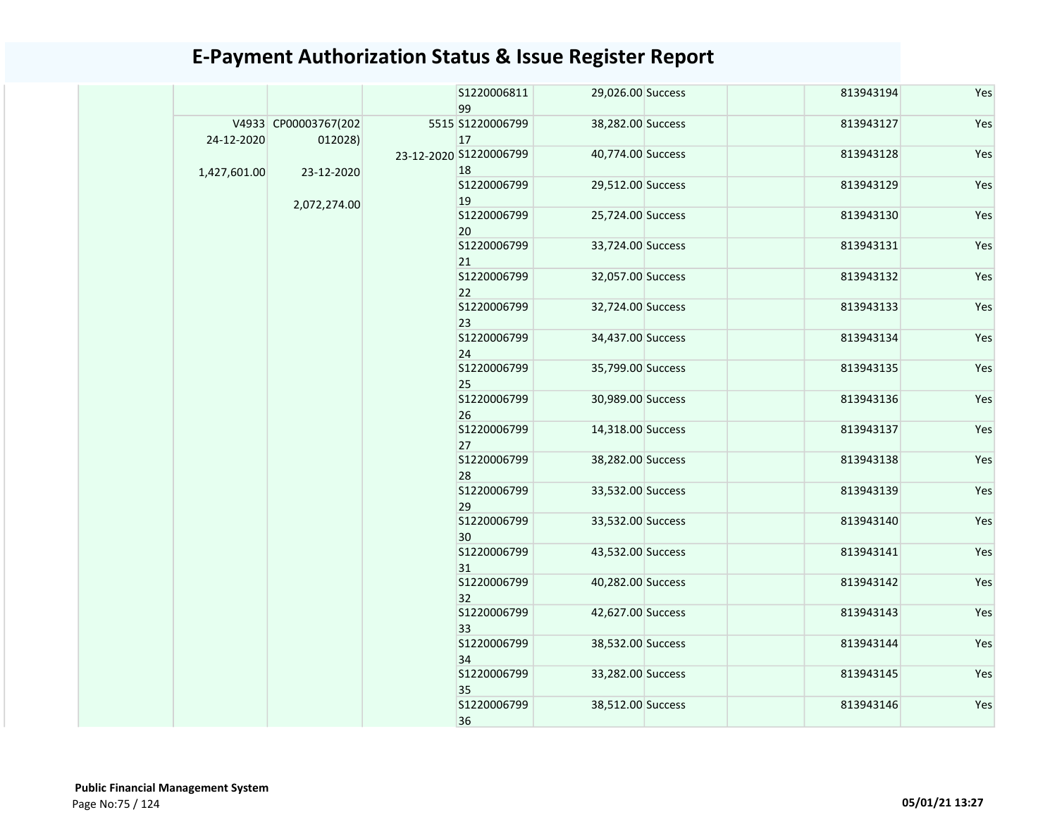|              |                                 |  | S1220006811<br>99            | 29,026.00 Success | 813943194         | Yes       |     |  |  |  |  |  |  |  |  |  |  |  |  |                   |                   |
|--------------|---------------------------------|--|------------------------------|-------------------|-------------------|-----------|-----|--|--|--|--|--|--|--|--|--|--|--|--|-------------------|-------------------|
| 24-12-2020   | V4933 CP00003767(202<br>012028) |  | 5515 S1220006799<br>17       | 38,282.00 Success | 813943127         | Yes       |     |  |  |  |  |  |  |  |  |  |  |  |  |                   |                   |
| 1,427,601.00 | 23-12-2020                      |  | 23-12-2020 S1220006799<br>18 | 40,774.00 Success | 813943128         | Yes       |     |  |  |  |  |  |  |  |  |  |  |  |  |                   |                   |
|              | 2,072,274.00                    |  | S1220006799<br>19            | 29,512.00 Success | 813943129         | Yes       |     |  |  |  |  |  |  |  |  |  |  |  |  |                   |                   |
|              |                                 |  | S1220006799<br>20            | 25,724.00 Success | 813943130         | Yes       |     |  |  |  |  |  |  |  |  |  |  |  |  |                   |                   |
|              |                                 |  | S1220006799<br>21            | 33,724.00 Success | 813943131         | Yes       |     |  |  |  |  |  |  |  |  |  |  |  |  |                   |                   |
|              |                                 |  | S1220006799<br>22            | 32,057.00 Success | 813943132         | Yes       |     |  |  |  |  |  |  |  |  |  |  |  |  |                   |                   |
|              |                                 |  | S1220006799<br>23            | 32,724.00 Success | 813943133         | Yes       |     |  |  |  |  |  |  |  |  |  |  |  |  |                   |                   |
|              |                                 |  | S1220006799<br>24            | 34,437.00 Success | 813943134         | Yes       |     |  |  |  |  |  |  |  |  |  |  |  |  |                   |                   |
|              |                                 |  | S1220006799<br>25            | 35,799.00 Success | 813943135         | Yes       |     |  |  |  |  |  |  |  |  |  |  |  |  |                   |                   |
|              |                                 |  | S1220006799<br>26            | 30,989.00 Success | 813943136         | Yes       |     |  |  |  |  |  |  |  |  |  |  |  |  |                   |                   |
|              |                                 |  |                              | S1220006799<br>27 | 14,318.00 Success | 813943137 | Yes |  |  |  |  |  |  |  |  |  |  |  |  |                   |                   |
|              |                                 |  | S1220006799<br>28            | 38,282.00 Success | 813943138         | Yes       |     |  |  |  |  |  |  |  |  |  |  |  |  |                   |                   |
|              |                                 |  |                              | S1220006799<br>29 | 33,532.00 Success | 813943139 | Yes |  |  |  |  |  |  |  |  |  |  |  |  |                   |                   |
|              |                                 |  |                              | S1220006799<br>30 | 33,532.00 Success | 813943140 | Yes |  |  |  |  |  |  |  |  |  |  |  |  |                   |                   |
|              |                                 |  |                              |                   |                   |           |     |  |  |  |  |  |  |  |  |  |  |  |  | S1220006799<br>31 | 43,532.00 Success |
|              |                                 |  | S1220006799<br>32            | 40,282.00 Success | 813943142         | Yes       |     |  |  |  |  |  |  |  |  |  |  |  |  |                   |                   |
|              |                                 |  | S1220006799<br>33            | 42,627.00 Success | 813943143         | Yes       |     |  |  |  |  |  |  |  |  |  |  |  |  |                   |                   |
|              |                                 |  | S1220006799<br>34            | 38,532.00 Success | 813943144         | Yes       |     |  |  |  |  |  |  |  |  |  |  |  |  |                   |                   |
|              |                                 |  | S1220006799<br>35            | 33,282.00 Success | 813943145         | Yes       |     |  |  |  |  |  |  |  |  |  |  |  |  |                   |                   |
|              |                                 |  | S1220006799<br>36            | 38,512.00 Success | 813943146         | Yes       |     |  |  |  |  |  |  |  |  |  |  |  |  |                   |                   |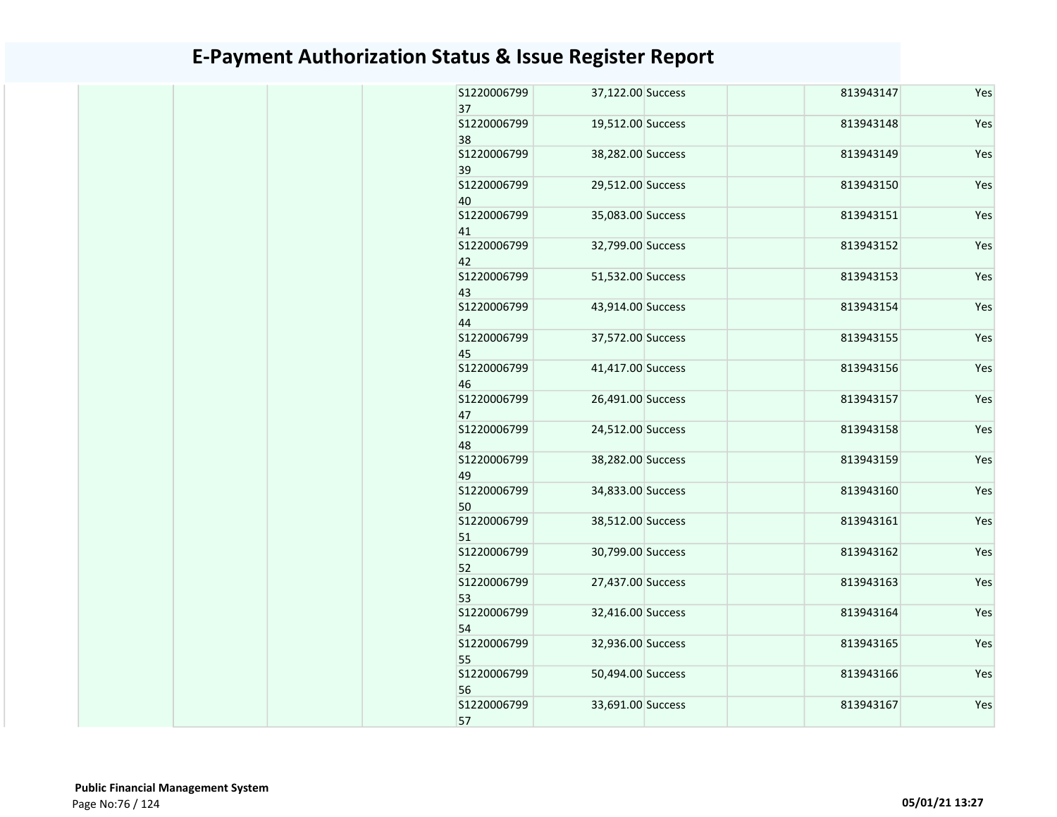| S1220006799<br>37                | 37,122.00 Success                      | 813943147              | Yes        |
|----------------------------------|----------------------------------------|------------------------|------------|
| S1220006799<br>38                | 19,512.00 Success                      | 813943148              | Yes        |
| S1220006799<br>39                | 38,282.00 Success                      | 813943149              | Yes        |
| S1220006799<br>40                | 29,512.00 Success                      | 813943150              | Yes        |
| S1220006799<br>41                | 35,083.00 Success                      | 813943151              | Yes        |
| S1220006799<br>42                | 32,799.00 Success                      | 813943152              | Yes        |
| S1220006799<br>43                | 51,532.00 Success                      | 813943153              | Yes        |
| S1220006799<br>44                | 43,914.00 Success                      | 813943154              | Yes        |
| S1220006799<br>45                | 37,572.00 Success                      | 813943155              | Yes        |
| S1220006799<br>46                | 41,417.00 Success                      | 813943156              | Yes        |
| S1220006799<br>47                | 26,491.00 Success                      | 813943157              | Yes        |
| S1220006799<br>48                | 24,512.00 Success                      | 813943158              | Yes        |
| S1220006799<br>49                | 38,282.00 Success                      | 813943159              | Yes        |
| S1220006799<br>50                | 34,833.00 Success                      | 813943160              | Yes        |
| S1220006799<br>51                | 38,512.00 Success                      | 813943161              | Yes        |
| S1220006799<br>52<br>S1220006799 | 30,799.00 Success<br>27,437.00 Success | 813943162<br>813943163 | Yes<br>Yes |
| 53<br>S1220006799                |                                        | 813943164              |            |
| 54<br>S1220006799                | 32,416.00 Success<br>32,936.00 Success |                        | Yes        |
| 55                               |                                        | 813943165              | Yes        |
| S1220006799<br>56                | 50,494.00 Success                      | 813943166              | Yes        |
| S1220006799<br>57                | 33,691.00 Success                      | 813943167              | Yes        |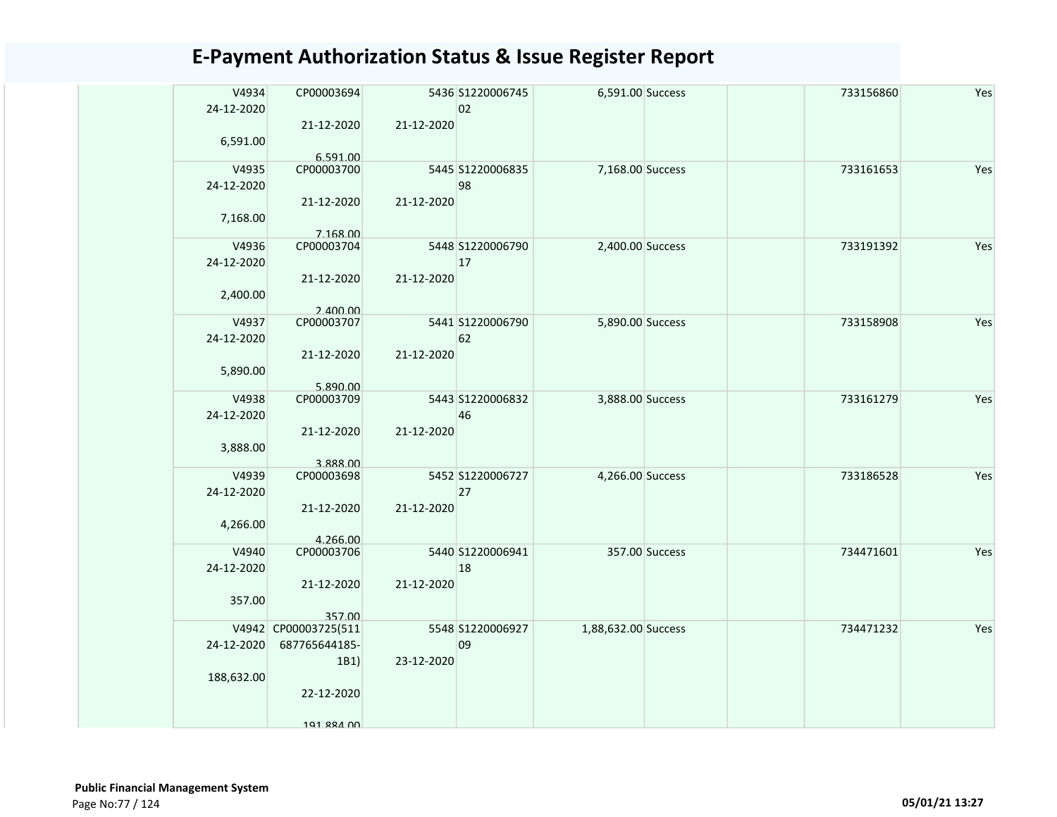| V4934<br>24-12-2020<br>6,591.00 | CP00003694<br>21-12-2020<br>6.591.00                                      | 21-12-2020 | 5436 S1220006745<br>02 | 6,591.00 Success    |                | 733156860 | Yes |
|---------------------------------|---------------------------------------------------------------------------|------------|------------------------|---------------------|----------------|-----------|-----|
| V4935<br>24-12-2020<br>7,168.00 | CP00003700<br>21-12-2020                                                  | 21-12-2020 | 5445 S1220006835<br>98 | 7,168.00 Success    |                | 733161653 | Yes |
| V4936<br>24-12-2020<br>2,400.00 | 7.168.00<br>CP00003704<br>21-12-2020<br>2.400.00                          | 21-12-2020 | 5448 S1220006790<br>17 | 2,400.00 Success    |                | 733191392 | Yes |
| V4937<br>24-12-2020<br>5,890.00 | CP00003707<br>21-12-2020<br>5.890.00                                      | 21-12-2020 | 5441 S1220006790<br>62 | 5,890.00 Success    |                | 733158908 | Yes |
| V4938<br>24-12-2020<br>3,888.00 | CP00003709<br>21-12-2020<br>3.888.00                                      | 21-12-2020 | 5443 S1220006832<br>46 | 3,888.00 Success    |                | 733161279 | Yes |
| V4939<br>24-12-2020<br>4,266.00 | CP00003698<br>21-12-2020<br>4.266.00                                      | 21-12-2020 | 5452 S1220006727<br>27 | 4,266.00 Success    |                | 733186528 | Yes |
| V4940<br>24-12-2020<br>357.00   | CP00003706<br>21-12-2020<br>357.00                                        | 21-12-2020 | 5440 S1220006941<br>18 |                     | 357.00 Success | 734471601 | Yes |
| 24-12-2020<br>188,632.00        | V4942 CP00003725(511<br>687765644185-<br>1B1)<br>22-12-2020<br>101 RRA 00 | 23-12-2020 | 5548 S1220006927<br>09 | 1,88,632.00 Success |                | 734471232 | Yes |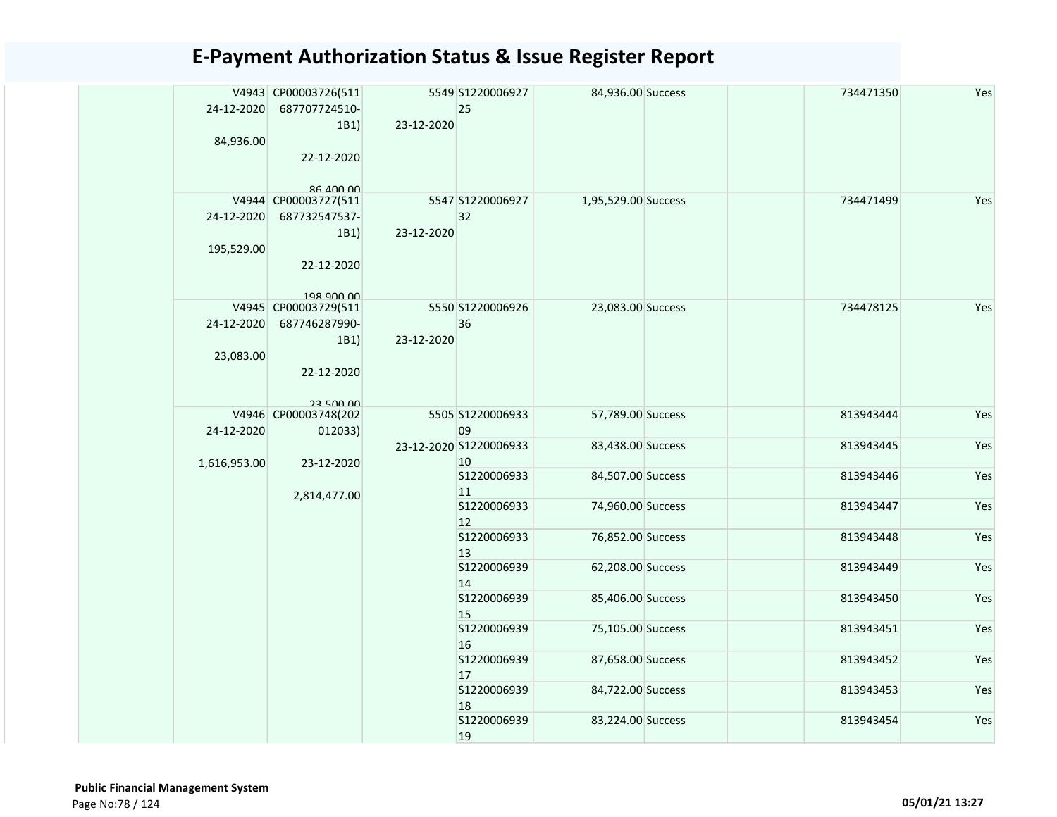| 24-12-2020<br>84,936.00  | V4943 CP00003726(511<br>687707724510-<br>1B1<br>22-12-2020                                    | 23-12-2020 | 5549 S1220006927<br>25       | 84,936.00 Success   |  | 734471350 | Yes |  |  |  |                   |                   |  |           |     |  |  |  |  |  |  |  |  |  |  |  |  |  |  |  |                   |                   |  |           |     |  |  |  |  |  |  |  |                   |                   |  |           |     |
|--------------------------|-----------------------------------------------------------------------------------------------|------------|------------------------------|---------------------|--|-----------|-----|--|--|--|-------------------|-------------------|--|-----------|-----|--|--|--|--|--|--|--|--|--|--|--|--|--|--|--|-------------------|-------------------|--|-----------|-----|--|--|--|--|--|--|--|-------------------|-------------------|--|-----------|-----|
| 24-12-2020<br>195,529.00 | <b>QQ 000 38</b><br>V4944 CP00003727(511<br>687732547537-<br>1B1<br>22-12-2020                | 23-12-2020 | 5547 S1220006927<br>32       | 1,95,529.00 Success |  | 734471499 | Yes |  |  |  |                   |                   |  |           |     |  |  |  |  |  |  |  |  |  |  |  |  |  |  |  |                   |                   |  |           |     |  |  |  |  |  |  |  |                   |                   |  |           |     |
| 24-12-2020<br>23,083.00  | 198 900 00<br>V4945 CP00003729(511<br>687746287990-<br>1B1)<br>22-12-2020<br><b>23 500 00</b> | 23-12-2020 | 5550 S1220006926<br>36       | 23,083.00 Success   |  | 734478125 | Yes |  |  |  |                   |                   |  |           |     |  |  |  |  |  |  |  |  |  |  |  |  |  |  |  |                   |                   |  |           |     |  |  |  |  |  |  |  |                   |                   |  |           |     |
| 24-12-2020               | V4946 CP00003748(202<br>012033)                                                               |            | 5505 S1220006933<br>09       | 57,789.00 Success   |  | 813943444 | Yes |  |  |  |                   |                   |  |           |     |  |  |  |  |  |  |  |  |  |  |  |  |  |  |  |                   |                   |  |           |     |  |  |  |  |  |  |  |                   |                   |  |           |     |
| 1,616,953.00             | 23-12-2020                                                                                    |            | 23-12-2020 S1220006933<br>10 | 83,438.00 Success   |  | 813943445 | Yes |  |  |  |                   |                   |  |           |     |  |  |  |  |  |  |  |  |  |  |  |  |  |  |  |                   |                   |  |           |     |  |  |  |  |  |  |  |                   |                   |  |           |     |
|                          |                                                                                               |            | S1220006933<br>11            | 84,507.00 Success   |  | 813943446 | Yes |  |  |  |                   |                   |  |           |     |  |  |  |  |  |  |  |  |  |  |  |  |  |  |  |                   |                   |  |           |     |  |  |  |  |  |  |  |                   |                   |  |           |     |
|                          | 2,814,477.00                                                                                  |            | S1220006933<br>12            | 74,960.00 Success   |  | 813943447 | Yes |  |  |  |                   |                   |  |           |     |  |  |  |  |  |  |  |  |  |  |  |  |  |  |  |                   |                   |  |           |     |  |  |  |  |  |  |  |                   |                   |  |           |     |
|                          |                                                                                               |            |                              |                     |  |           |     |  |  |  |                   |                   |  |           |     |  |  |  |  |  |  |  |  |  |  |  |  |  |  |  | S1220006933<br>13 | 76,852.00 Success |  | 813943448 | Yes |  |  |  |  |  |  |  |                   |                   |  |           |     |
|                          |                                                                                               |            | S1220006939<br>14            | 62,208.00 Success   |  | 813943449 | Yes |  |  |  |                   |                   |  |           |     |  |  |  |  |  |  |  |  |  |  |  |  |  |  |  |                   |                   |  |           |     |  |  |  |  |  |  |  |                   |                   |  |           |     |
|                          |                                                                                               |            |                              |                     |  |           |     |  |  |  |                   |                   |  |           |     |  |  |  |  |  |  |  |  |  |  |  |  |  |  |  |                   |                   |  |           |     |  |  |  |  |  |  |  | S1220006939<br>15 | 85,406.00 Success |  | 813943450 | Yes |
|                          |                                                                                               |            |                              |                     |  |           |     |  |  |  | S1220006939<br>16 | 75,105.00 Success |  | 813943451 | Yes |  |  |  |  |  |  |  |  |  |  |  |  |  |  |  |                   |                   |  |           |     |  |  |  |  |  |  |  |                   |                   |  |           |     |
|                          |                                                                                               |            | S1220006939<br>17            | 87,658.00 Success   |  | 813943452 | Yes |  |  |  |                   |                   |  |           |     |  |  |  |  |  |  |  |  |  |  |  |  |  |  |  |                   |                   |  |           |     |  |  |  |  |  |  |  |                   |                   |  |           |     |
|                          |                                                                                               |            | S1220006939<br>18            | 84,722.00 Success   |  | 813943453 | Yes |  |  |  |                   |                   |  |           |     |  |  |  |  |  |  |  |  |  |  |  |  |  |  |  |                   |                   |  |           |     |  |  |  |  |  |  |  |                   |                   |  |           |     |
|                          |                                                                                               |            | \$1220006939<br>19           | 83,224.00 Success   |  | 813943454 | Yes |  |  |  |                   |                   |  |           |     |  |  |  |  |  |  |  |  |  |  |  |  |  |  |  |                   |                   |  |           |     |  |  |  |  |  |  |  |                   |                   |  |           |     |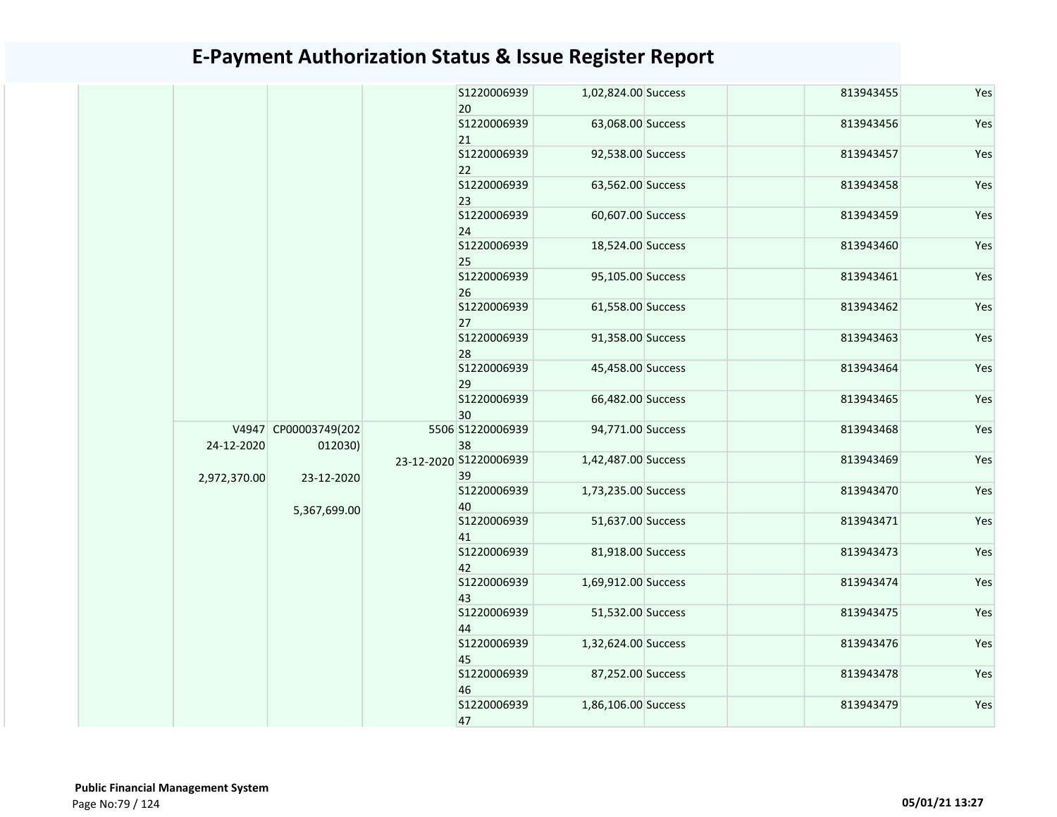|              |                                 |  | S1220006939<br>20            | 1,02,824.00 Success | 813943455 | Yes |                   |                   |           |     |
|--------------|---------------------------------|--|------------------------------|---------------------|-----------|-----|-------------------|-------------------|-----------|-----|
|              |                                 |  | \$1220006939<br>21           | 63,068.00 Success   | 813943456 | Yes |                   |                   |           |     |
|              |                                 |  | S1220006939<br>22            | 92,538.00 Success   | 813943457 | Yes |                   |                   |           |     |
|              |                                 |  | S1220006939<br>23            | 63,562.00 Success   | 813943458 | Yes |                   |                   |           |     |
|              |                                 |  | S1220006939<br>24            | 60,607.00 Success   | 813943459 | Yes |                   |                   |           |     |
|              |                                 |  | S1220006939<br>25            | 18,524.00 Success   | 813943460 | Yes |                   |                   |           |     |
|              |                                 |  | S1220006939<br>26            | 95,105.00 Success   | 813943461 | Yes |                   |                   |           |     |
|              |                                 |  | S1220006939<br>27            | 61,558.00 Success   | 813943462 | Yes |                   |                   |           |     |
|              |                                 |  | S1220006939<br>28            | 91,358.00 Success   | 813943463 | Yes |                   |                   |           |     |
|              |                                 |  | \$1220006939<br>29           | 45,458.00 Success   | 813943464 | Yes |                   |                   |           |     |
|              |                                 |  | \$1220006939<br>30           | 66,482.00 Success   | 813943465 | Yes |                   |                   |           |     |
| 24-12-2020   | V4947 CP00003749(202<br>012030) |  | 5506 S1220006939<br>38       | 94,771.00 Success   | 813943468 | Yes |                   |                   |           |     |
| 2,972,370.00 | 23-12-2020                      |  | 23-12-2020 S1220006939<br>39 | 1,42,487.00 Success | 813943469 | Yes |                   |                   |           |     |
|              | 5,367,699.00                    |  | S1220006939<br>40            | 1,73,235.00 Success | 813943470 | Yes |                   |                   |           |     |
|              |                                 |  | S1220006939<br>41            | 51,637.00 Success   | 813943471 | Yes |                   |                   |           |     |
|              |                                 |  | \$1220006939<br>42           | 81,918.00 Success   | 813943473 | Yes |                   |                   |           |     |
|              |                                 |  | S1220006939<br>43            | 1,69,912.00 Success | 813943474 | Yes |                   |                   |           |     |
|              |                                 |  | S1220006939<br>44            | 51,532.00 Success   | 813943475 | Yes |                   |                   |           |     |
|              |                                 |  | S1220006939<br>45            | 1,32,624.00 Success | 813943476 | Yes |                   |                   |           |     |
|              |                                 |  |                              |                     |           |     | S1220006939<br>46 | 87,252.00 Success | 813943478 | Yes |
|              |                                 |  | S1220006939<br>47            | 1,86,106.00 Success | 813943479 | Yes |                   |                   |           |     |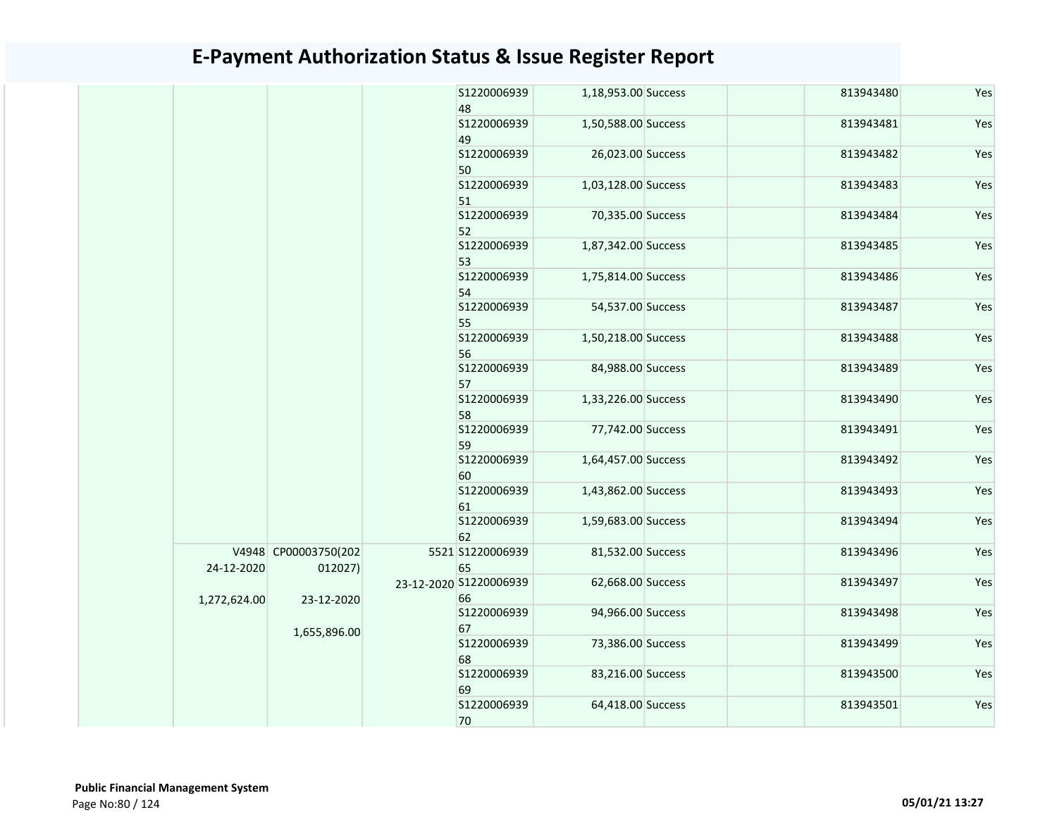|              |                      | 48                     | S1220006939      | 1,18,953.00 Success | 813943480 | Yes |
|--------------|----------------------|------------------------|------------------|---------------------|-----------|-----|
|              |                      |                        | S1220006939      | 1,50,588.00 Success | 813943481 | Yes |
|              |                      | 49                     |                  |                     |           |     |
|              |                      |                        | S1220006939      | 26,023.00 Success   | 813943482 | Yes |
|              |                      | 50                     |                  |                     |           |     |
|              |                      |                        | S1220006939      | 1,03,128.00 Success | 813943483 | Yes |
|              |                      | 51                     |                  |                     |           |     |
|              |                      |                        | S1220006939      | 70,335.00 Success   | 813943484 | Yes |
|              |                      | 52                     |                  |                     |           |     |
|              |                      |                        | S1220006939      | 1,87,342.00 Success | 813943485 | Yes |
|              |                      | 53                     |                  |                     |           |     |
|              |                      | 54                     | S1220006939      | 1,75,814.00 Success | 813943486 | Yes |
|              |                      |                        | S1220006939      | 54,537.00 Success   | 813943487 | Yes |
|              |                      | 55                     |                  |                     |           |     |
|              |                      |                        | S1220006939      | 1,50,218.00 Success | 813943488 | Yes |
|              |                      | 56                     |                  |                     |           |     |
|              |                      |                        | S1220006939      | 84,988.00 Success   | 813943489 | Yes |
|              |                      | 57                     |                  |                     |           |     |
|              |                      |                        | S1220006939      | 1,33,226.00 Success | 813943490 | Yes |
|              |                      | 58                     |                  |                     |           |     |
|              |                      |                        | S1220006939      | 77,742.00 Success   | 813943491 | Yes |
|              |                      | 59                     | S1220006939      | 1,64,457.00 Success | 813943492 | Yes |
|              |                      | 60                     |                  |                     |           |     |
|              |                      |                        | S1220006939      | 1,43,862.00 Success | 813943493 | Yes |
|              |                      | 61                     |                  |                     |           |     |
|              |                      |                        | S1220006939      | 1,59,683.00 Success | 813943494 | Yes |
|              |                      | 62                     |                  |                     |           |     |
|              | V4948 CP00003750(202 |                        | 5521 S1220006939 | 81,532.00 Success   | 813943496 | Yes |
| 24-12-2020   | 012027)              | 65                     |                  |                     |           |     |
|              |                      | 23-12-2020 S1220006939 |                  | 62,668.00 Success   | 813943497 | Yes |
| 1,272,624.00 | 23-12-2020           | 66                     |                  |                     |           |     |
|              |                      |                        | S1220006939      | 94,966.00 Success   | 813943498 | Yes |
|              | 1,655,896.00         | 67                     | S1220006939      | 73,386.00 Success   | 813943499 | Yes |
|              |                      | 68                     |                  |                     |           |     |
|              |                      |                        | S1220006939      | 83,216.00 Success   | 813943500 | Yes |
|              |                      | 69                     |                  |                     |           |     |
|              |                      |                        | S1220006939      | 64,418.00 Success   | 813943501 | Yes |
|              |                      | 70                     |                  |                     |           |     |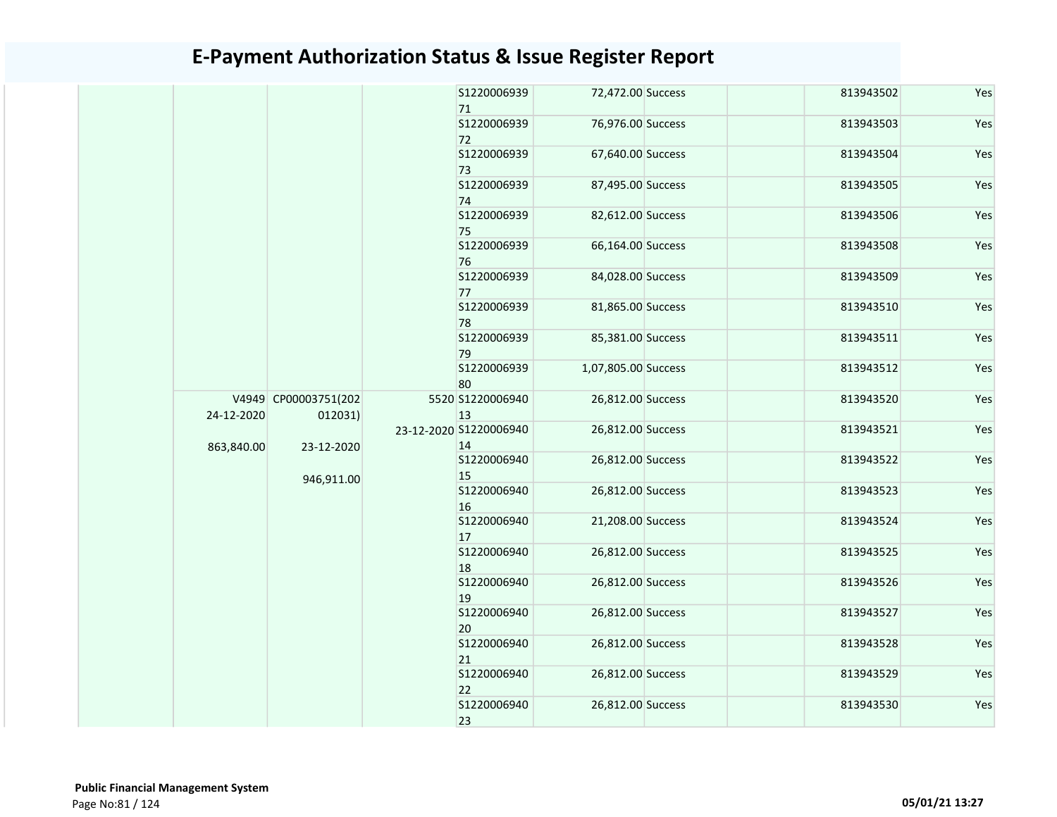|            |                                 | S1220006939<br>71            | 72,472.00 Success   | 813943502 | Yes |
|------------|---------------------------------|------------------------------|---------------------|-----------|-----|
|            |                                 | S1220006939<br>72            | 76,976.00 Success   | 813943503 | Yes |
|            |                                 | S1220006939<br>73            | 67,640.00 Success   | 813943504 | Yes |
|            |                                 | S1220006939<br>74            | 87,495.00 Success   | 813943505 | Yes |
|            |                                 | S1220006939<br>75            | 82,612.00 Success   | 813943506 | Yes |
|            |                                 | S1220006939<br>76            | 66,164.00 Success   | 813943508 | Yes |
|            |                                 | S1220006939<br>77            | 84,028.00 Success   | 813943509 | Yes |
|            |                                 | S1220006939<br>78            | 81,865.00 Success   | 813943510 | Yes |
|            |                                 | S1220006939<br>79            | 85,381.00 Success   | 813943511 | Yes |
|            |                                 | S1220006939<br>80            | 1,07,805.00 Success | 813943512 | Yes |
| 24-12-2020 | V4949 CP00003751(202<br>012031) | 5520 S1220006940<br>13       | 26,812.00 Success   | 813943520 | Yes |
| 863,840.00 | 23-12-2020                      | 23-12-2020 S1220006940<br>14 | 26,812.00 Success   | 813943521 | Yes |
|            | 946,911.00                      | S1220006940<br>15            | 26,812.00 Success   | 813943522 | Yes |
|            |                                 | S1220006940<br>16            | 26,812.00 Success   | 813943523 | Yes |
|            |                                 | S1220006940<br>17            | 21,208.00 Success   | 813943524 | Yes |
|            |                                 | S1220006940<br>18            | 26,812.00 Success   | 813943525 | Yes |
|            |                                 | S1220006940<br>19            | 26,812.00 Success   | 813943526 | Yes |
|            |                                 | S1220006940<br>20            | 26,812.00 Success   | 813943527 | Yes |
|            |                                 | S1220006940<br>21            | 26,812.00 Success   | 813943528 | Yes |
|            |                                 | S1220006940<br>22            | 26,812.00 Success   | 813943529 | Yes |
|            |                                 | S1220006940<br>23            | 26,812.00 Success   | 813943530 | Yes |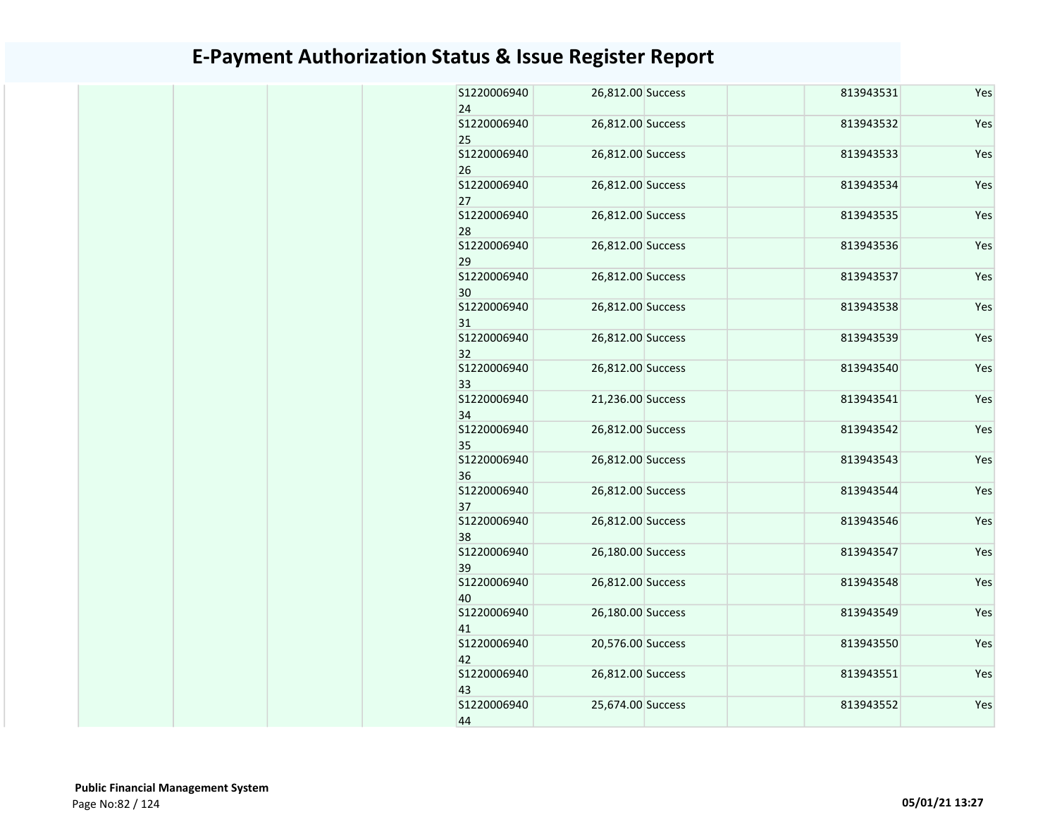| S1220006940<br>24                | 26,812.00 Success                      | 813943531              | Yes        |
|----------------------------------|----------------------------------------|------------------------|------------|
| S1220006940<br>25                | 26,812.00 Success                      | 813943532              | Yes        |
| S1220006940<br>26                | 26,812.00 Success                      | 813943533              | Yes        |
| S1220006940<br>27                | 26,812.00 Success                      | 813943534              | Yes        |
| S1220006940<br>28                | 26,812.00 Success                      | 813943535              | Yes        |
| S1220006940<br>29                | 26,812.00 Success                      | 813943536              | Yes        |
| S1220006940<br>30                | 26,812.00 Success                      | 813943537              | Yes        |
| S1220006940<br>31                | 26,812.00 Success                      | 813943538              | Yes        |
| \$1220006940<br>32               | 26,812.00 Success                      | 813943539              | Yes        |
| \$1220006940<br>33               | 26,812.00 Success                      | 813943540              | Yes        |
| S1220006940<br>34                | 21,236.00 Success                      | 813943541              | Yes        |
| S1220006940<br>35                | 26,812.00 Success                      | 813943542              | Yes        |
| S1220006940<br>36                | 26,812.00 Success                      | 813943543              | Yes        |
| S1220006940<br>37                | 26,812.00 Success                      | 813943544              | Yes        |
| S1220006940<br>38                | 26,812.00 Success                      | 813943546              | Yes        |
| S1220006940<br>39<br>S1220006940 | 26,180.00 Success<br>26,812.00 Success | 813943547              | Yes<br>Yes |
| 40<br>S1220006940                | 26,180.00 Success                      | 813943548<br>813943549 | Yes        |
| 41<br>S1220006940                | 20,576.00 Success                      | 813943550              | Yes        |
| 42<br>S1220006940                | 26,812.00 Success                      | 813943551              | Yes        |
| 43<br>S1220006940                | 25,674.00 Success                      |                        |            |
| 44                               |                                        | 813943552              | Yes        |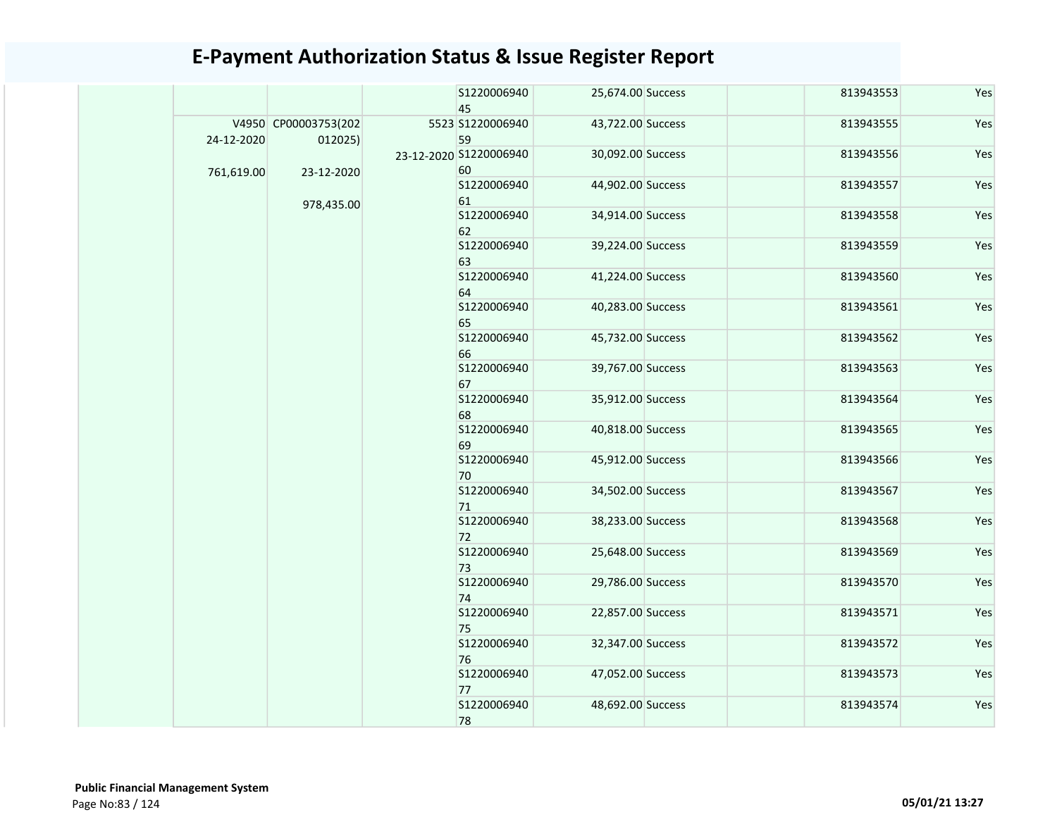|            |                                 |  | S1220006940<br>45            | 25,674.00 Success | 813943553         | Yes               |           |     |  |  |                   |                   |           |     |  |  |  |  |  |  |  |  |  |                   |                   |           |     |
|------------|---------------------------------|--|------------------------------|-------------------|-------------------|-------------------|-----------|-----|--|--|-------------------|-------------------|-----------|-----|--|--|--|--|--|--|--|--|--|-------------------|-------------------|-----------|-----|
| 24-12-2020 | V4950 CP00003753(202<br>012025) |  | 5523 S1220006940<br>59       | 43,722.00 Success | 813943555         | Yes               |           |     |  |  |                   |                   |           |     |  |  |  |  |  |  |  |  |  |                   |                   |           |     |
| 761,619.00 | 23-12-2020                      |  | 23-12-2020 S1220006940<br>60 | 30,092.00 Success | 813943556         | Yes               |           |     |  |  |                   |                   |           |     |  |  |  |  |  |  |  |  |  |                   |                   |           |     |
|            | 978,435.00                      |  | S1220006940<br>61            | 44,902.00 Success | 813943557         | Yes               |           |     |  |  |                   |                   |           |     |  |  |  |  |  |  |  |  |  |                   |                   |           |     |
|            |                                 |  | S1220006940<br>62            | 34,914.00 Success | 813943558         | Yes               |           |     |  |  |                   |                   |           |     |  |  |  |  |  |  |  |  |  |                   |                   |           |     |
|            |                                 |  | S1220006940<br>63            | 39,224.00 Success | 813943559         | Yes               |           |     |  |  |                   |                   |           |     |  |  |  |  |  |  |  |  |  |                   |                   |           |     |
|            |                                 |  | S1220006940<br>64            | 41,224.00 Success | 813943560         | Yes               |           |     |  |  |                   |                   |           |     |  |  |  |  |  |  |  |  |  |                   |                   |           |     |
|            |                                 |  | S1220006940<br>65            | 40,283.00 Success | 813943561         | Yes               |           |     |  |  |                   |                   |           |     |  |  |  |  |  |  |  |  |  |                   |                   |           |     |
|            |                                 |  | S1220006940<br>66            | 45,732.00 Success | 813943562         | Yes               |           |     |  |  |                   |                   |           |     |  |  |  |  |  |  |  |  |  |                   |                   |           |     |
|            |                                 |  | \$1220006940<br>67           | 39,767.00 Success | 813943563         | Yes               |           |     |  |  |                   |                   |           |     |  |  |  |  |  |  |  |  |  |                   |                   |           |     |
|            |                                 |  | S1220006940<br>68            | 35,912.00 Success | 813943564         | Yes               |           |     |  |  |                   |                   |           |     |  |  |  |  |  |  |  |  |  |                   |                   |           |     |
|            |                                 |  |                              |                   | S1220006940<br>69 | 40,818.00 Success | 813943565 | Yes |  |  |                   |                   |           |     |  |  |  |  |  |  |  |  |  |                   |                   |           |     |
|            |                                 |  | S1220006940<br>70            | 45,912.00 Success | 813943566         | Yes               |           |     |  |  |                   |                   |           |     |  |  |  |  |  |  |  |  |  |                   |                   |           |     |
|            |                                 |  |                              | S1220006940<br>71 | 34,502.00 Success | 813943567         | Yes       |     |  |  |                   |                   |           |     |  |  |  |  |  |  |  |  |  |                   |                   |           |     |
|            |                                 |  | S1220006940<br>72            | 38,233.00 Success | 813943568         | Yes               |           |     |  |  |                   |                   |           |     |  |  |  |  |  |  |  |  |  |                   |                   |           |     |
|            |                                 |  |                              |                   |                   |                   |           |     |  |  |                   |                   |           |     |  |  |  |  |  |  |  |  |  | S1220006940<br>73 | 25,648.00 Success | 813943569 | Yes |
|            |                                 |  | S1220006940<br>74            | 29,786.00 Success | 813943570         | Yes               |           |     |  |  |                   |                   |           |     |  |  |  |  |  |  |  |  |  |                   |                   |           |     |
|            |                                 |  | S1220006940<br>75            | 22,857.00 Success | 813943571         | Yes               |           |     |  |  |                   |                   |           |     |  |  |  |  |  |  |  |  |  |                   |                   |           |     |
|            |                                 |  |                              |                   |                   |                   |           |     |  |  |                   |                   |           |     |  |  |  |  |  |  |  |  |  | S1220006940<br>76 | 32,347.00 Success | 813943572 | Yes |
|            |                                 |  |                              |                   |                   |                   |           |     |  |  | S1220006940<br>77 | 47,052.00 Success | 813943573 | Yes |  |  |  |  |  |  |  |  |  |                   |                   |           |     |
|            |                                 |  | S1220006940<br>78            | 48,692.00 Success | 813943574         | Yes               |           |     |  |  |                   |                   |           |     |  |  |  |  |  |  |  |  |  |                   |                   |           |     |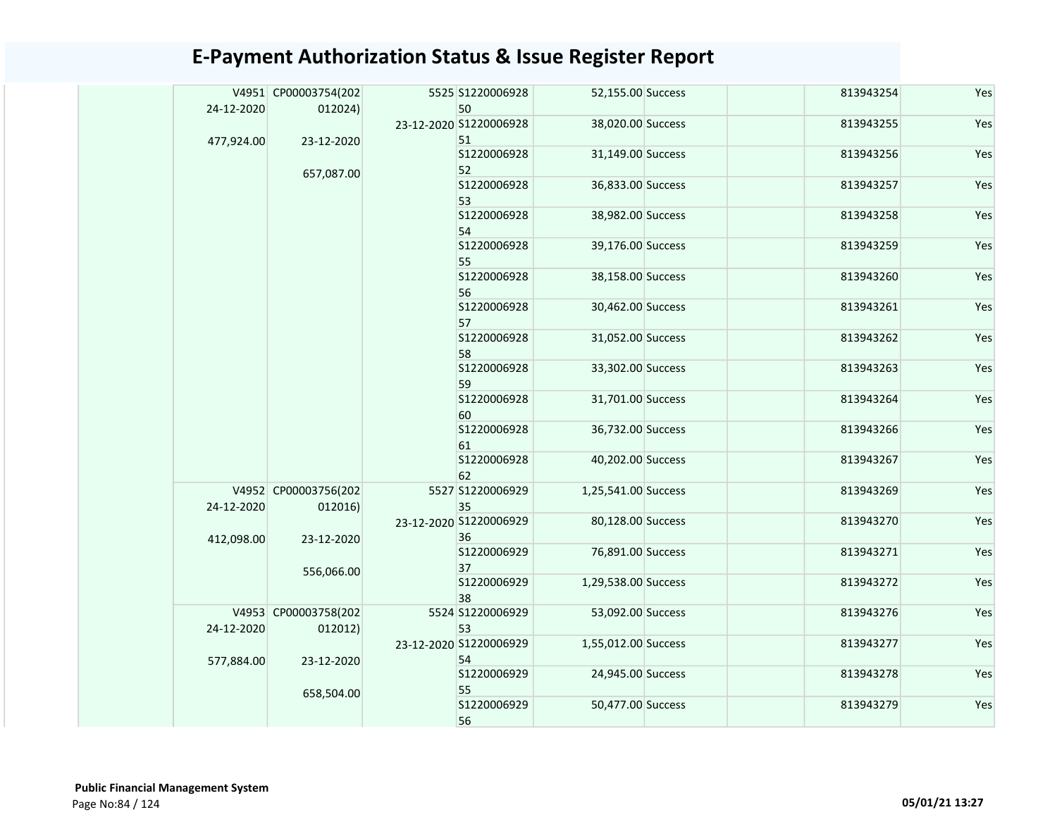|  |            | V4951 CP00003754(202            |  | 5525 S1220006928             | 52,155.00 Success   | 813943254 | Yes |
|--|------------|---------------------------------|--|------------------------------|---------------------|-----------|-----|
|  | 24-12-2020 | 012024)                         |  | 50<br>23-12-2020 S1220006928 | 38,020.00 Success   | 813943255 | Yes |
|  | 477,924.00 | 23-12-2020                      |  | 51<br>S1220006928<br>52      | 31,149.00 Success   | 813943256 | Yes |
|  |            | 657,087.00                      |  | S1220006928<br>53            | 36,833.00 Success   | 813943257 | Yes |
|  |            |                                 |  | S1220006928<br>54            | 38,982.00 Success   | 813943258 | Yes |
|  |            |                                 |  | S1220006928<br>55            | 39,176.00 Success   | 813943259 | Yes |
|  |            |                                 |  | S1220006928<br>56            | 38,158.00 Success   | 813943260 | Yes |
|  |            |                                 |  | S1220006928<br>57            | 30,462.00 Success   | 813943261 | Yes |
|  |            |                                 |  | S1220006928<br>58            | 31,052.00 Success   | 813943262 | Yes |
|  |            |                                 |  | S1220006928<br>59            | 33,302.00 Success   | 813943263 | Yes |
|  |            |                                 |  | S1220006928<br>60            | 31,701.00 Success   | 813943264 | Yes |
|  |            |                                 |  | S1220006928<br>61            | 36,732.00 Success   | 813943266 | Yes |
|  |            |                                 |  | S1220006928<br>62            | 40,202.00 Success   | 813943267 | Yes |
|  | 24-12-2020 | V4952 CP00003756(202<br>012016) |  | 5527 S1220006929<br>35       | 1,25,541.00 Success | 813943269 | Yes |
|  | 412,098.00 | 23-12-2020                      |  | 23-12-2020 S1220006929<br>36 | 80,128.00 Success   | 813943270 | Yes |
|  |            | 556,066.00                      |  | S1220006929<br>37            | 76,891.00 Success   | 813943271 | Yes |
|  |            |                                 |  | S1220006929<br>38            | 1,29,538.00 Success | 813943272 | Yes |
|  | 24-12-2020 | V4953 CP00003758(202<br>012012) |  | 5524 S1220006929<br>53       | 53,092.00 Success   | 813943276 | Yes |
|  | 577,884.00 | 23-12-2020                      |  | 23-12-2020 S1220006929<br>54 | 1,55,012.00 Success | 813943277 | Yes |
|  |            | 658,504.00                      |  | S1220006929<br>55            | 24,945.00 Success   | 813943278 | Yes |
|  |            |                                 |  | S1220006929<br>56            | 50,477.00 Success   | 813943279 | Yes |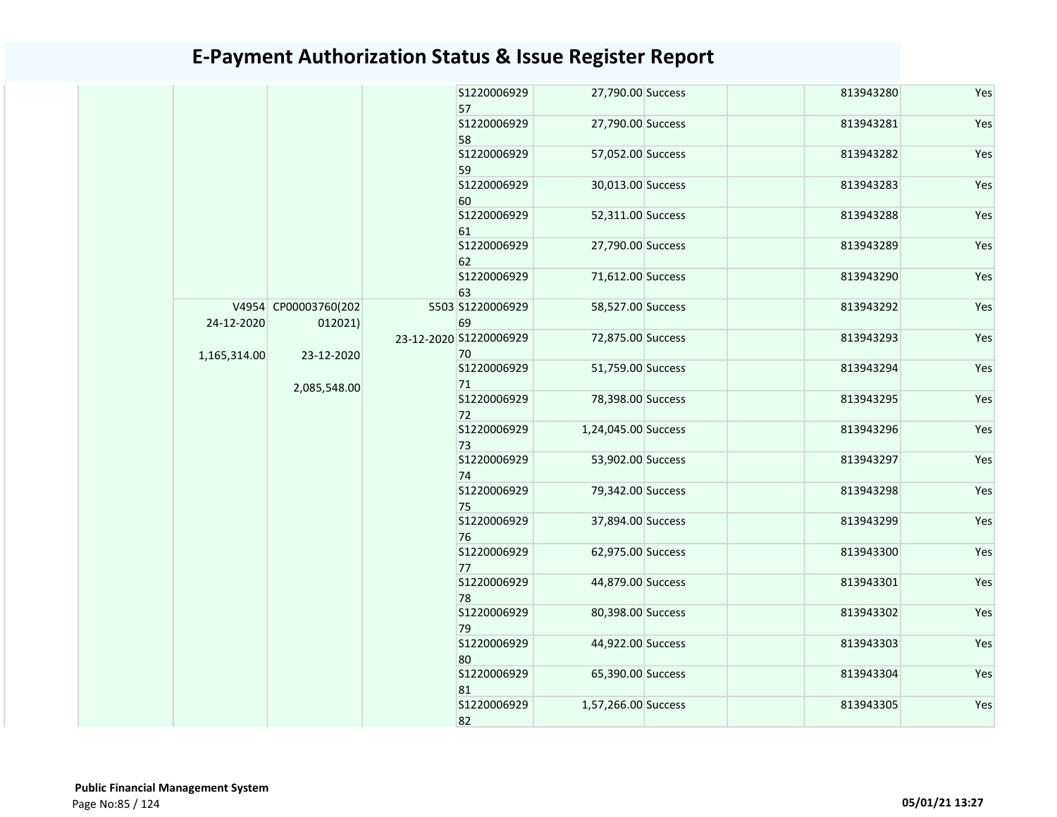|              | 57                   | S1220006929       | 27,790.00 Success            | 813943280           | Yes       |     |  |  |  |  |  |                   |                   |           |     |
|--------------|----------------------|-------------------|------------------------------|---------------------|-----------|-----|--|--|--|--|--|-------------------|-------------------|-----------|-----|
|              |                      |                   | S1220006929                  | 27,790.00 Success   | 813943281 | Yes |  |  |  |  |  |                   |                   |           |     |
|              |                      |                   | 58<br>S1220006929            | 57,052.00 Success   | 813943282 | Yes |  |  |  |  |  |                   |                   |           |     |
|              |                      |                   | 59<br>S1220006929            | 30,013.00 Success   | 813943283 | Yes |  |  |  |  |  |                   |                   |           |     |
|              |                      |                   | 60<br>S1220006929            | 52,311.00 Success   | 813943288 | Yes |  |  |  |  |  |                   |                   |           |     |
|              |                      |                   | 61<br>S1220006929            | 27,790.00 Success   | 813943289 | Yes |  |  |  |  |  |                   |                   |           |     |
|              |                      |                   | 62<br>S1220006929            | 71,612.00 Success   | 813943290 | Yes |  |  |  |  |  |                   |                   |           |     |
|              | V4954 CP00003760(202 |                   | 63<br>5503 S1220006929       | 58,527.00 Success   | 813943292 | Yes |  |  |  |  |  |                   |                   |           |     |
| 24-12-2020   | 012021)              |                   | 69<br>23-12-2020 S1220006929 | 72,875.00 Success   | 813943293 | Yes |  |  |  |  |  |                   |                   |           |     |
| 1,165,314.00 | 23-12-2020           |                   | 70                           |                     |           |     |  |  |  |  |  |                   |                   |           |     |
|              | 2,085,548.00         |                   | S1220006929<br>71            | 51,759.00 Success   | 813943294 | Yes |  |  |  |  |  |                   |                   |           |     |
|              |                      |                   | S1220006929<br>72            | 78,398.00 Success   | 813943295 | Yes |  |  |  |  |  |                   |                   |           |     |
|              |                      | S1220006929<br>73 | 1,24,045.00 Success          | 813943296           | Yes       |     |  |  |  |  |  |                   |                   |           |     |
|              |                      |                   | S1220006929<br>74            | 53,902.00 Success   | 813943297 | Yes |  |  |  |  |  |                   |                   |           |     |
|              |                      |                   | S1220006929<br>75            | 79,342.00 Success   | 813943298 | Yes |  |  |  |  |  |                   |                   |           |     |
|              |                      |                   | S1220006929<br>76            | 37,894.00 Success   | 813943299 | Yes |  |  |  |  |  |                   |                   |           |     |
|              |                      |                   | S1220006929<br>77            | 62,975.00 Success   | 813943300 | Yes |  |  |  |  |  |                   |                   |           |     |
|              |                      |                   | S1220006929<br>78            | 44,879.00 Success   | 813943301 | Yes |  |  |  |  |  |                   |                   |           |     |
|              |                      |                   | S1220006929<br>79            | 80,398.00 Success   | 813943302 | Yes |  |  |  |  |  |                   |                   |           |     |
|              |                      |                   | S1220006929<br>80            | 44,922.00 Success   | 813943303 | Yes |  |  |  |  |  |                   |                   |           |     |
|              |                      |                   |                              |                     |           |     |  |  |  |  |  | S1220006929<br>81 | 65,390.00 Success | 813943304 | Yes |
|              |                      |                   | \$1220006929<br>82           | 1,57,266.00 Success | 813943305 | Yes |  |  |  |  |  |                   |                   |           |     |
|              |                      |                   |                              |                     |           |     |  |  |  |  |  |                   |                   |           |     |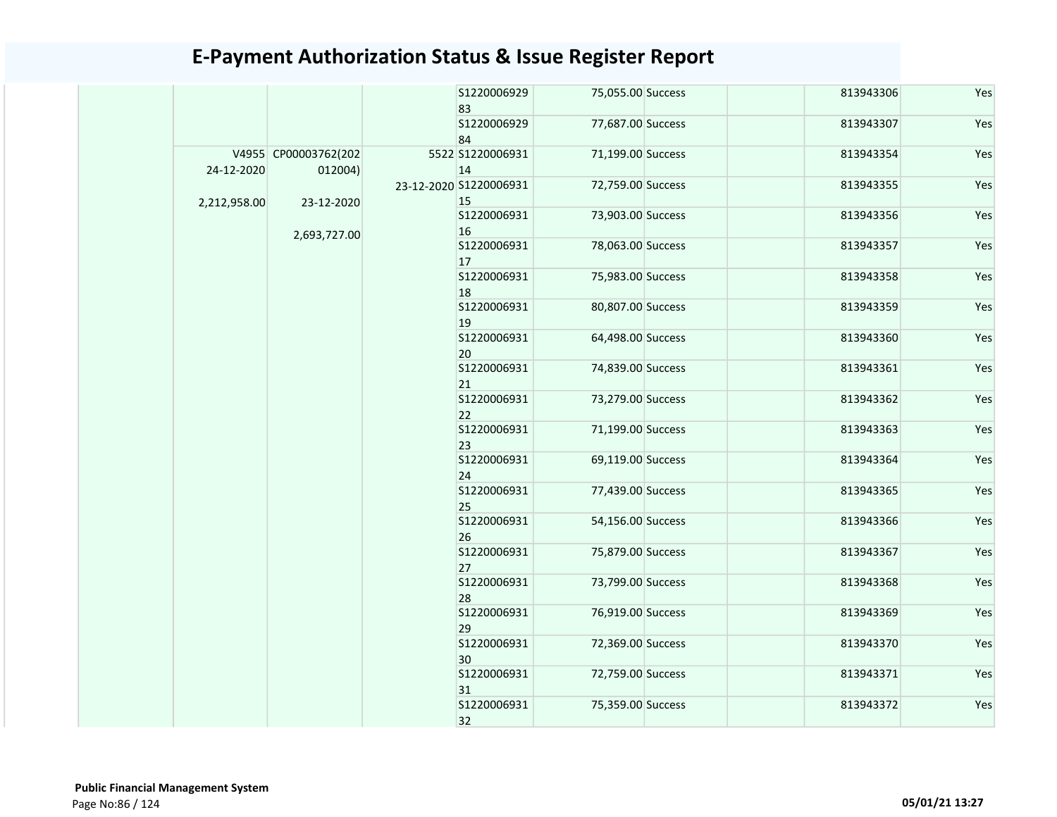|              |                      |             | S1220006929<br>83            | 75,055.00 Success |           | 813943306 | Yes |  |
|--------------|----------------------|-------------|------------------------------|-------------------|-----------|-----------|-----|--|
|              |                      |             | S1220006929                  | 77,687.00 Success |           | 813943307 | Yes |  |
|              |                      |             | 84                           |                   |           |           |     |  |
|              | V4955 CP00003762(202 |             | 5522 S1220006931             | 71,199.00 Success |           | 813943354 | Yes |  |
| 24-12-2020   | 012004)              |             | 14<br>23-12-2020 S1220006931 | 72,759.00 Success |           | 813943355 | Yes |  |
| 2,212,958.00 | 23-12-2020           |             | 15                           |                   |           |           |     |  |
|              |                      |             | S1220006931                  | 73,903.00 Success |           | 813943356 | Yes |  |
|              | 2,693,727.00         |             | 16                           |                   |           |           |     |  |
|              |                      |             | S1220006931                  | 78,063.00 Success |           | 813943357 | Yes |  |
|              |                      |             | 17                           |                   |           |           |     |  |
|              |                      |             | S1220006931                  | 75,983.00 Success |           | 813943358 | Yes |  |
|              |                      |             | 18                           |                   |           |           |     |  |
|              |                      |             | S1220006931<br>19            | 80,807.00 Success |           | 813943359 | Yes |  |
|              |                      |             | S1220006931                  | 64,498.00 Success |           | 813943360 | Yes |  |
|              |                      |             | 20                           |                   |           |           |     |  |
|              |                      |             | S1220006931                  | 74,839.00 Success |           | 813943361 | Yes |  |
|              |                      |             | 21                           |                   |           |           |     |  |
|              |                      |             | S1220006931<br>22            | 73,279.00 Success |           | 813943362 | Yes |  |
|              |                      |             | S1220006931                  | 71,199.00 Success |           | 813943363 | Yes |  |
|              |                      |             |                              | 23                |           |           |     |  |
|              |                      |             | S1220006931                  | 69,119.00 Success |           | 813943364 | Yes |  |
|              |                      |             | 24                           |                   |           |           |     |  |
|              |                      |             | S1220006931                  | 77,439.00 Success |           | 813943365 | Yes |  |
|              |                      |             | 25                           |                   |           |           |     |  |
|              |                      |             | S1220006931<br>26            | 54,156.00 Success |           | 813943366 | Yes |  |
|              |                      |             | S1220006931                  | 75,879.00 Success |           | 813943367 | Yes |  |
|              |                      |             | 27                           |                   |           |           |     |  |
|              |                      |             | S1220006931                  | 73,799.00 Success |           | 813943368 | Yes |  |
|              |                      |             | 28                           |                   |           |           |     |  |
|              |                      |             | S1220006931                  | 76,919.00 Success |           | 813943369 | Yes |  |
|              |                      |             | 29<br>S1220006931            | 72,369.00 Success |           | 813943370 | Yes |  |
|              |                      |             | 30                           |                   |           |           |     |  |
|              |                      | S1220006931 | 72,759.00 Success            |                   | 813943371 | Yes       |     |  |
|              |                      | 31          |                              |                   |           |           |     |  |
|              |                      |             | S1220006931                  | 75,359.00 Success |           | 813943372 | Yes |  |
|              |                      |             | 32                           |                   |           |           |     |  |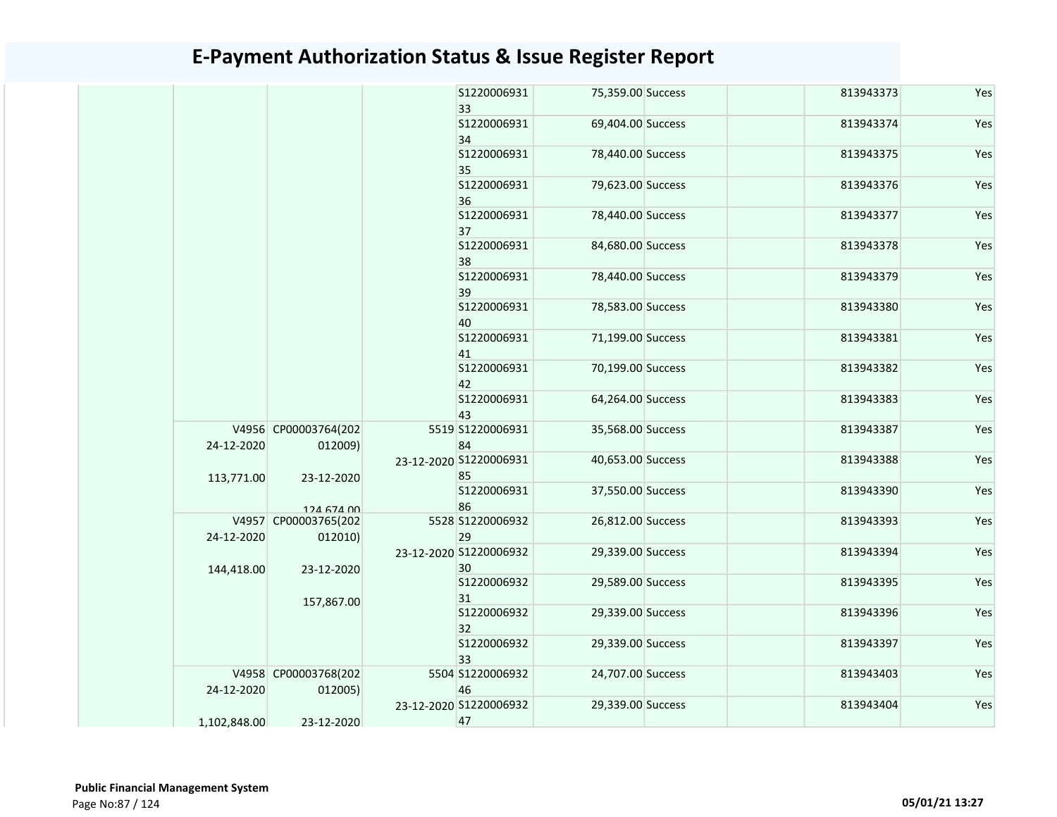|              |                                 |  | S1220006931<br>33            | 75,359.00 Success | 813943373         | Yes       |     |
|--------------|---------------------------------|--|------------------------------|-------------------|-------------------|-----------|-----|
|              |                                 |  | S1220006931<br>34            | 69,404.00 Success | 813943374         | Yes       |     |
|              |                                 |  | S1220006931<br>35            | 78,440.00 Success | 813943375         | Yes       |     |
|              |                                 |  | S1220006931<br>36            | 79,623.00 Success | 813943376         | Yes       |     |
|              |                                 |  |                              | S1220006931<br>37 | 78,440.00 Success | 813943377 | Yes |
|              |                                 |  |                              | S1220006931<br>38 | 84,680.00 Success | 813943378 | Yes |
|              |                                 |  | S1220006931<br>39            | 78,440.00 Success | 813943379         | Yes       |     |
|              |                                 |  | S1220006931<br>40            | 78,583.00 Success | 813943380         | Yes       |     |
|              |                                 |  | S1220006931<br>41            | 71,199.00 Success | 813943381         | Yes       |     |
|              |                                 |  | S1220006931<br>42            | 70,199.00 Success | 813943382         | Yes       |     |
|              |                                 |  | S1220006931<br>43            | 64,264.00 Success | 813943383         | Yes       |     |
| 24-12-2020   | V4956 CP00003764(202<br>012009) |  | 5519 S1220006931<br>84       | 35,568.00 Success | 813943387         | Yes       |     |
| 113,771.00   | 23-12-2020                      |  | 23-12-2020 S1220006931<br>85 | 40,653.00 Success | 813943388         | Yes       |     |
|              | 124 674 00                      |  | S1220006931<br>86            | 37,550.00 Success | 813943390         | Yes       |     |
| 24-12-2020   | V4957 CP00003765(202<br>012010) |  | 5528 S1220006932<br>29       | 26,812.00 Success | 813943393         | Yes       |     |
| 144,418.00   | 23-12-2020                      |  | 23-12-2020 S1220006932<br>30 | 29,339.00 Success | 813943394         | Yes       |     |
|              | 157,867.00                      |  | S1220006932<br>31            | 29,589.00 Success | 813943395         | Yes       |     |
|              |                                 |  | S1220006932<br>32            | 29,339.00 Success | 813943396         | Yes       |     |
|              |                                 |  | S1220006932<br>33            | 29,339.00 Success | 813943397         | Yes       |     |
| 24-12-2020   | V4958 CP00003768(202<br>012005) |  | 5504 S1220006932<br>46       | 24,707.00 Success | 813943403         | Yes       |     |
| 1,102,848.00 | 23-12-2020                      |  | 23-12-2020 S1220006932<br>47 | 29,339.00 Success | 813943404         | Yes       |     |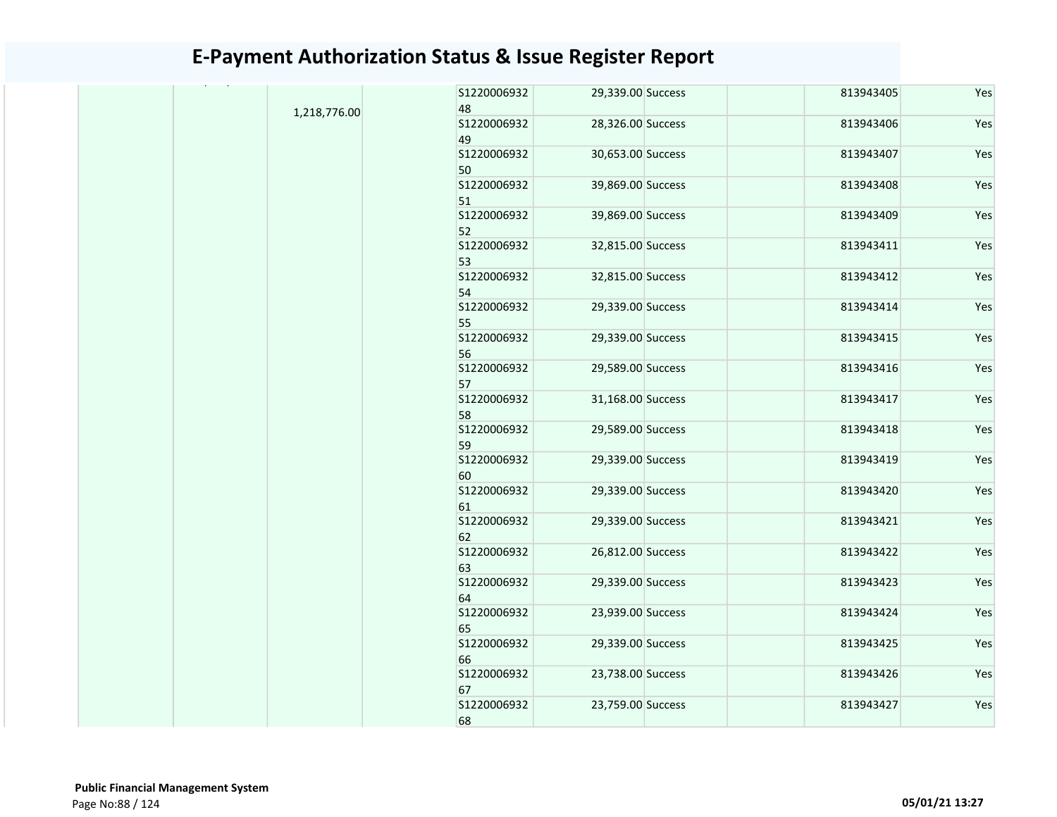|              | S1220006932             | 29,339.00 Success | 813943405 | Yes |
|--------------|-------------------------|-------------------|-----------|-----|
| 1,218,776.00 | 48                      |                   |           |     |
|              | S1220006932<br>49       | 28,326.00 Success | 813943406 | Yes |
|              | S1220006932<br>50       | 30,653.00 Success | 813943407 | Yes |
|              | S1220006932             | 39,869.00 Success | 813943408 | Yes |
|              | 51<br>S1220006932       | 39,869.00 Success | 813943409 | Yes |
|              | 52                      |                   |           |     |
|              | S1220006932<br>53       | 32,815.00 Success | 813943411 | Yes |
|              | S1220006932<br>54       | 32,815.00 Success | 813943412 | Yes |
|              | S1220006932<br>55       | 29,339.00 Success | 813943414 | Yes |
|              | S1220006932<br>56       | 29,339.00 Success | 813943415 | Yes |
|              | S1220006932             | 29,589.00 Success | 813943416 | Yes |
|              | 57<br>S1220006932       | 31,168.00 Success | 813943417 | Yes |
|              | 58<br>S1220006932<br>59 | 29,589.00 Success | 813943418 | Yes |
|              | S1220006932<br>60       | 29,339.00 Success | 813943419 | Yes |
|              | S1220006932<br>61       | 29,339.00 Success | 813943420 | Yes |
|              | S1220006932<br>62       | 29,339.00 Success | 813943421 | Yes |
|              | S1220006932<br>63       | 26,812.00 Success | 813943422 | Yes |
|              | S1220006932<br>64       | 29,339.00 Success | 813943423 | Yes |
|              | S1220006932<br>65       | 23,939.00 Success | 813943424 | Yes |
|              | S1220006932<br>66       | 29,339.00 Success | 813943425 | Yes |
|              | S1220006932<br>67       | 23,738.00 Success | 813943426 | Yes |
|              | S1220006932<br>68       | 23,759.00 Success | 813943427 | Yes |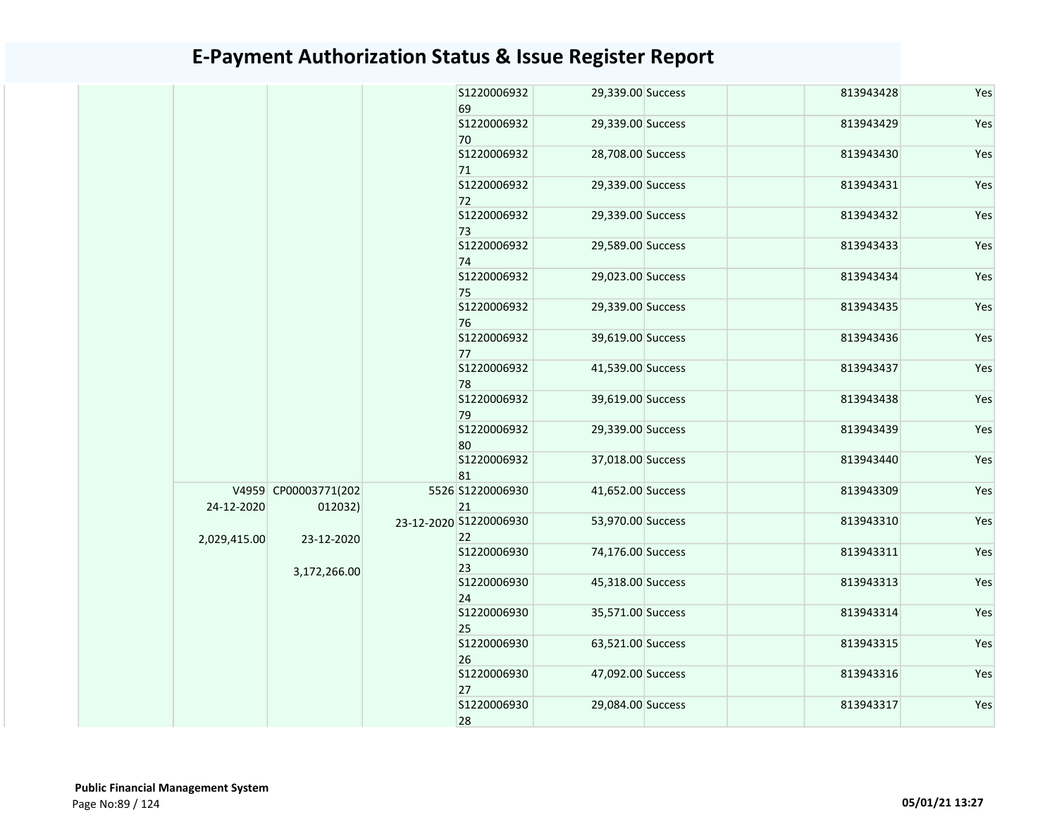|  |              |                                 |  | S1220006932<br>69            | 29,339.00 Success | 813943428 | Yes |
|--|--------------|---------------------------------|--|------------------------------|-------------------|-----------|-----|
|  |              |                                 |  | S1220006932<br>70            | 29,339.00 Success | 813943429 | Yes |
|  |              |                                 |  | S1220006932                  | 28,708.00 Success | 813943430 | Yes |
|  |              |                                 |  | 71<br>S1220006932            | 29,339.00 Success | 813943431 | Yes |
|  |              |                                 |  | 72<br>S1220006932            | 29,339.00 Success | 813943432 | Yes |
|  |              |                                 |  | 73<br>S1220006932<br>74      | 29,589.00 Success | 813943433 | Yes |
|  |              |                                 |  | S1220006932<br>75            | 29,023.00 Success | 813943434 | Yes |
|  |              |                                 |  | S1220006932<br>76            | 29,339.00 Success | 813943435 | Yes |
|  |              |                                 |  | S1220006932<br>77            | 39,619.00 Success | 813943436 | Yes |
|  |              |                                 |  | S1220006932<br>78            | 41,539.00 Success | 813943437 | Yes |
|  |              |                                 |  | S1220006932<br>79            | 39,619.00 Success | 813943438 | Yes |
|  |              |                                 |  | S1220006932<br>80            | 29,339.00 Success | 813943439 | Yes |
|  |              |                                 |  | S1220006932<br>81            | 37,018.00 Success | 813943440 | Yes |
|  | 24-12-2020   | V4959 CP00003771(202<br>012032) |  | 5526 S1220006930<br>21       | 41,652.00 Success | 813943309 | Yes |
|  | 2,029,415.00 | 23-12-2020                      |  | 23-12-2020 S1220006930<br>22 | 53,970.00 Success | 813943310 | Yes |
|  |              | 3,172,266.00                    |  | S1220006930<br>23            | 74,176.00 Success | 813943311 | Yes |
|  |              |                                 |  | S1220006930<br>24            | 45,318.00 Success | 813943313 | Yes |
|  |              |                                 |  | S1220006930<br>25            | 35,571.00 Success | 813943314 | Yes |
|  |              |                                 |  | S1220006930<br>26            | 63,521.00 Success | 813943315 | Yes |
|  |              |                                 |  | S1220006930<br>27            | 47,092.00 Success | 813943316 | Yes |
|  |              |                                 |  | S1220006930<br>28            | 29,084.00 Success | 813943317 | Yes |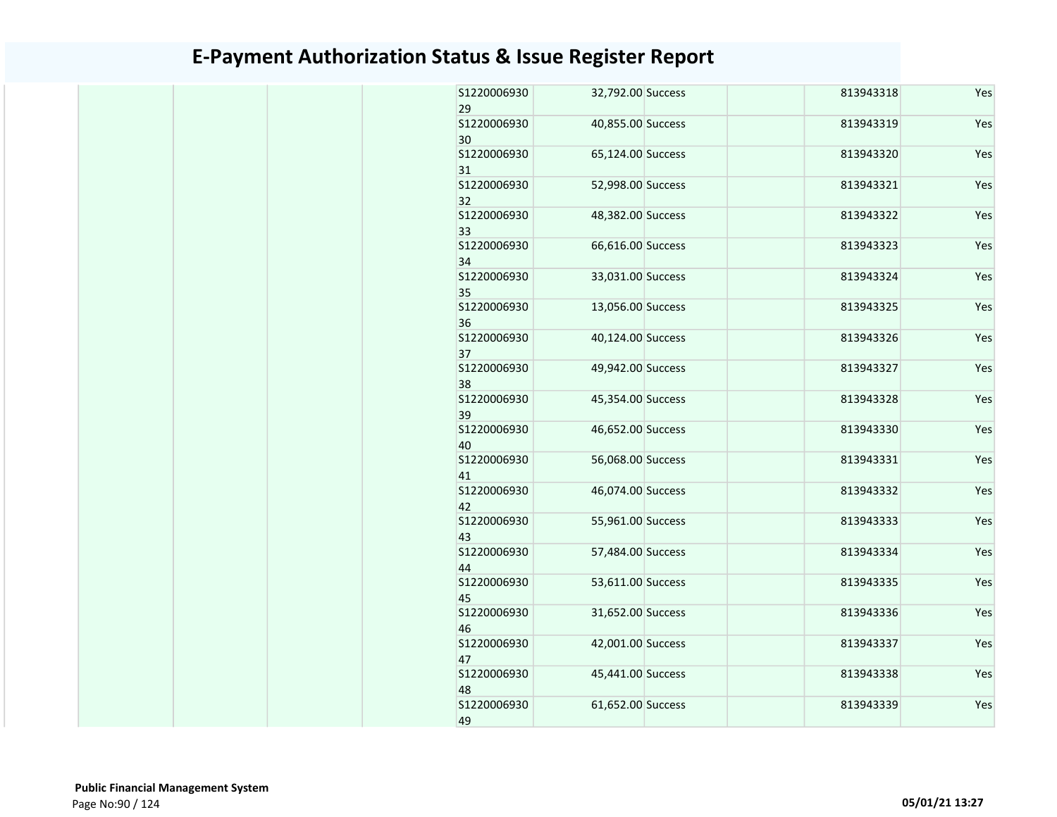| \$1220006930<br>29               | 32,792.00 Success                      | 813943318              | Yes        |
|----------------------------------|----------------------------------------|------------------------|------------|
| S1220006930<br>30                | 40,855.00 Success                      | 813943319              | Yes        |
| \$1220006930<br>31               | 65,124.00 Success                      | 813943320              | Yes        |
| S1220006930<br>32                | 52,998.00 Success                      | 813943321              | Yes        |
| S1220006930<br>33                | 48,382.00 Success                      | 813943322              | Yes        |
| S1220006930<br>34                | 66,616.00 Success                      | 813943323              | Yes        |
| S1220006930<br>35                | 33,031.00 Success                      | 813943324              | Yes        |
| S1220006930<br>36                | 13,056.00 Success                      | 813943325              | Yes        |
| S1220006930<br>37                | 40,124.00 Success                      | 813943326              | Yes        |
| \$1220006930<br>38               | 49,942.00 Success                      | 813943327              | Yes        |
| S1220006930<br>39                | 45,354.00 Success                      | 813943328              | Yes        |
| \$1220006930<br>40               | 46,652.00 Success                      | 813943330              | Yes        |
| S1220006930<br>41                | 56,068.00 Success                      | 813943331              | Yes        |
| S1220006930<br>42<br>S1220006930 | 46,074.00 Success<br>55,961.00 Success | 813943332<br>813943333 | Yes        |
| 43<br>\$1220006930               | 57,484.00 Success                      | 813943334              | Yes<br>Yes |
| 44<br>\$1220006930               | 53,611.00 Success                      | 813943335              | Yes        |
| 45<br>S1220006930                | 31,652.00 Success                      | 813943336              | Yes        |
| 46<br>\$1220006930               | 42,001.00 Success                      | 813943337              | Yes        |
| 47<br>\$1220006930               | 45,441.00 Success                      | 813943338              | Yes        |
| 48<br>S1220006930                | 61,652.00 Success                      | 813943339              | Yes        |
| 49                               |                                        |                        |            |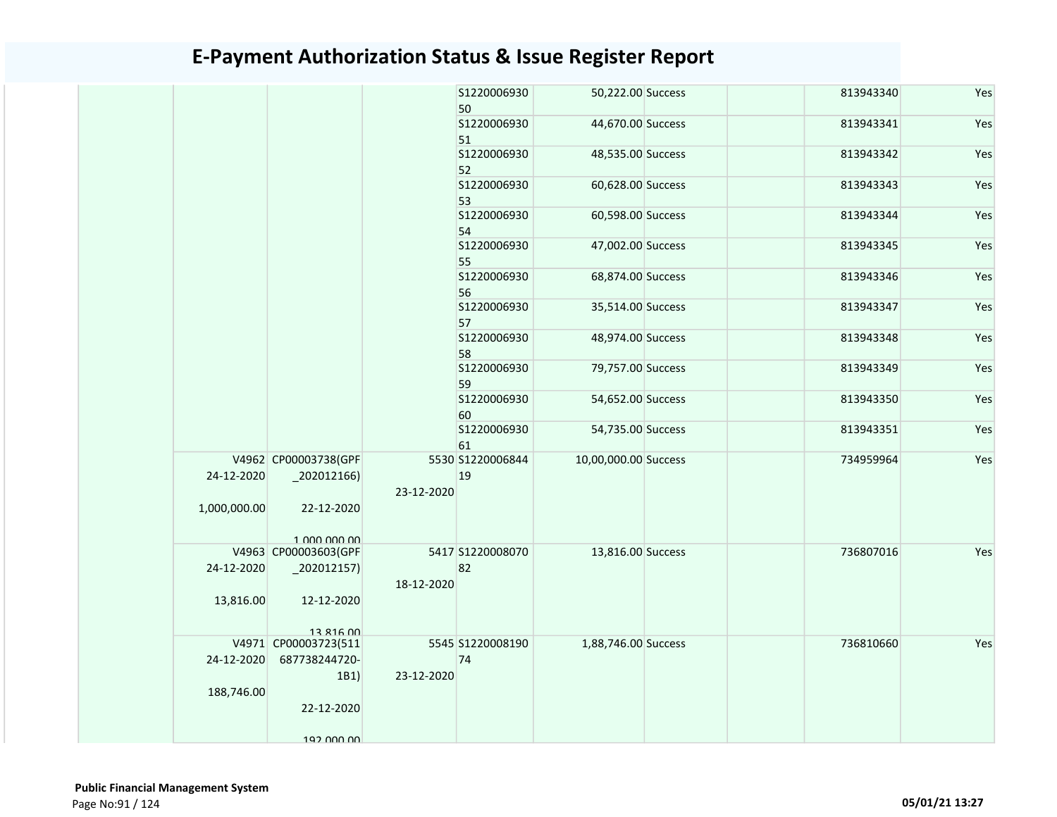|              |                                      |            | S1220006930<br>50       | 50,222.00 Success    | 813943340 | Yes |
|--------------|--------------------------------------|------------|-------------------------|----------------------|-----------|-----|
|              |                                      |            | S1220006930<br>51       | 44,670.00 Success    | 813943341 | Yes |
|              |                                      |            | S1220006930<br>52       | 48,535.00 Success    | 813943342 | Yes |
|              |                                      |            | S1220006930             | 60,628.00 Success    | 813943343 | Yes |
|              |                                      |            | 53<br>S1220006930       | 60,598.00 Success    | 813943344 | Yes |
|              |                                      |            | 54<br>S1220006930       | 47,002.00 Success    | 813943345 | Yes |
|              |                                      |            | 55<br>S1220006930       | 68,874.00 Success    | 813943346 | Yes |
|              |                                      |            | 56<br>S1220006930       | 35,514.00 Success    | 813943347 | Yes |
|              |                                      |            | 57<br>S1220006930<br>58 | 48,974.00 Success    | 813943348 | Yes |
|              |                                      |            | S1220006930<br>59       | 79,757.00 Success    | 813943349 | Yes |
|              |                                      |            | S1220006930<br>60       | 54,652.00 Success    | 813943350 | Yes |
|              |                                      |            | S1220006930<br>61       | 54,735.00 Success    | 813943351 | Yes |
| 24-12-2020   | V4962 CP00003738(GPF<br>$-202012166$ | 23-12-2020 | 5530 S1220006844<br>19  | 10,00,000.00 Success | 734959964 | Yes |
| 1,000,000.00 | 22-12-2020<br>1 000 000 00           |            |                         |                      |           |     |
|              | V4963 CP00003603(GPF                 |            | 5417 S1220008070        | 13,816.00 Success    | 736807016 | Yes |
| 24-12-2020   | $-202012157$                         | 18-12-2020 | 82                      |                      |           |     |
| 13,816.00    | 12-12-2020                           |            |                         |                      |           |     |
|              | 13 816 00                            |            |                         |                      |           |     |
|              | V4971 CP00003723(511                 |            | 5545 S1220008190        | 1,88,746.00 Success  | 736810660 | Yes |
| 24-12-2020   | 687738244720-                        |            | 74                      |                      |           |     |
| 188,746.00   | 1B1)                                 | 23-12-2020 |                         |                      |           |     |
|              | 22-12-2020                           |            |                         |                      |           |     |
|              | 192 000 00                           |            |                         |                      |           |     |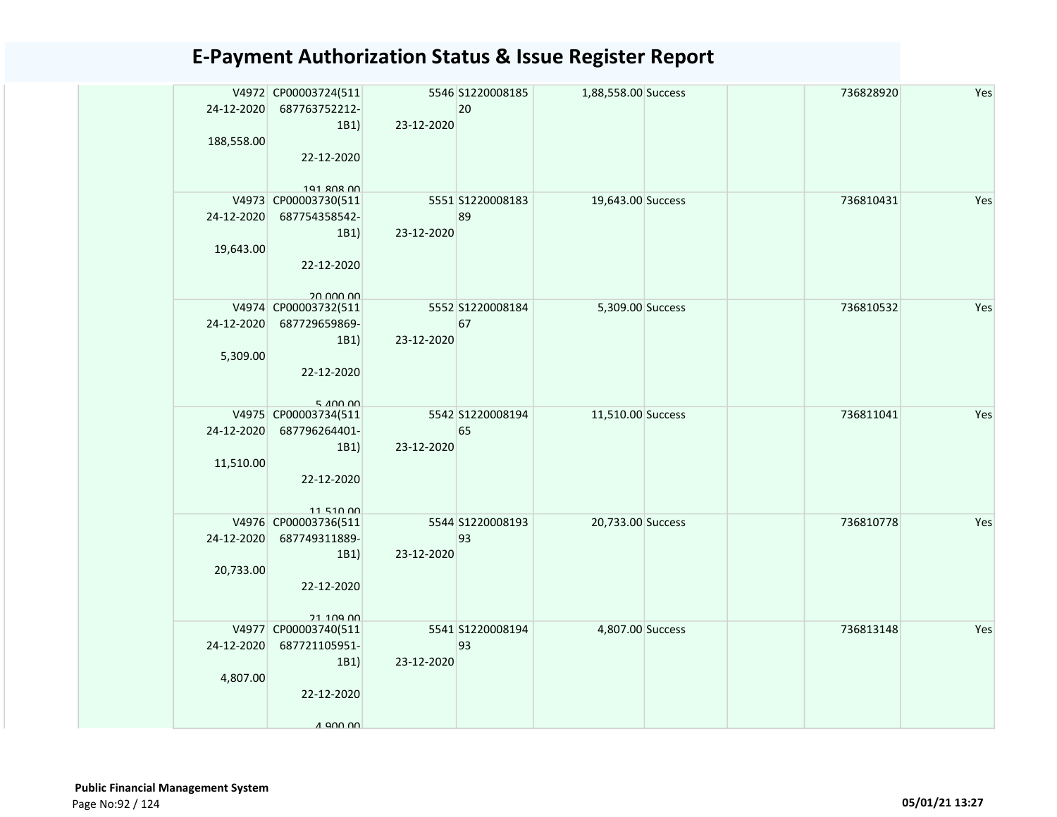| 24-12-2020<br>188,558.00 | V4972 CP00003724(511<br>687763752212-<br>1B1)<br>22-12-2020                                 | 23-12-2020 | 5546 S1220008185<br>20 | 1,88,558.00 Success |  | 736828920 | Yes |
|--------------------------|---------------------------------------------------------------------------------------------|------------|------------------------|---------------------|--|-----------|-----|
| 24-12-2020<br>19,643.00  | 191 ROR OO<br>V4973 CP00003730(511<br>687754358542-<br>1B1)<br>22-12-2020<br>on non no      | 23-12-2020 | 5551 S1220008183<br>89 | 19,643.00 Success   |  | 736810431 | Yes |
| 24-12-2020               | V4974 CP00003732(511<br>687729659869-<br>1B1)<br>5,309.00<br>22-12-2020<br>$5$ $400$ $00$   | 23-12-2020 | 5552 S1220008184<br>67 | 5,309.00 Success    |  | 736810532 | Yes |
| 24-12-2020<br>11,510.00  | V4975 CP00003734(511<br>687796264401-<br>1B1)<br>22-12-2020<br>11 510 00                    | 23-12-2020 | 5542 S1220008194<br>65 | 11,510.00 Success   |  | 736811041 | Yes |
| 24-12-2020<br>20,733.00  | V4976 CP00003736(511<br>687749311889-<br>1B1)<br>22-12-2020<br>21 109 00                    | 23-12-2020 | 5544 S1220008193<br>93 | 20,733.00 Success   |  | 736810778 | Yes |
| 24-12-2020               | V4977 CP00003740(511<br>687721105951-<br>1B1)<br>4,807.00<br>22-12-2020<br>$\Lambda$ ann nn | 23-12-2020 | 5541 S1220008194<br>93 | 4,807.00 Success    |  | 736813148 | Yes |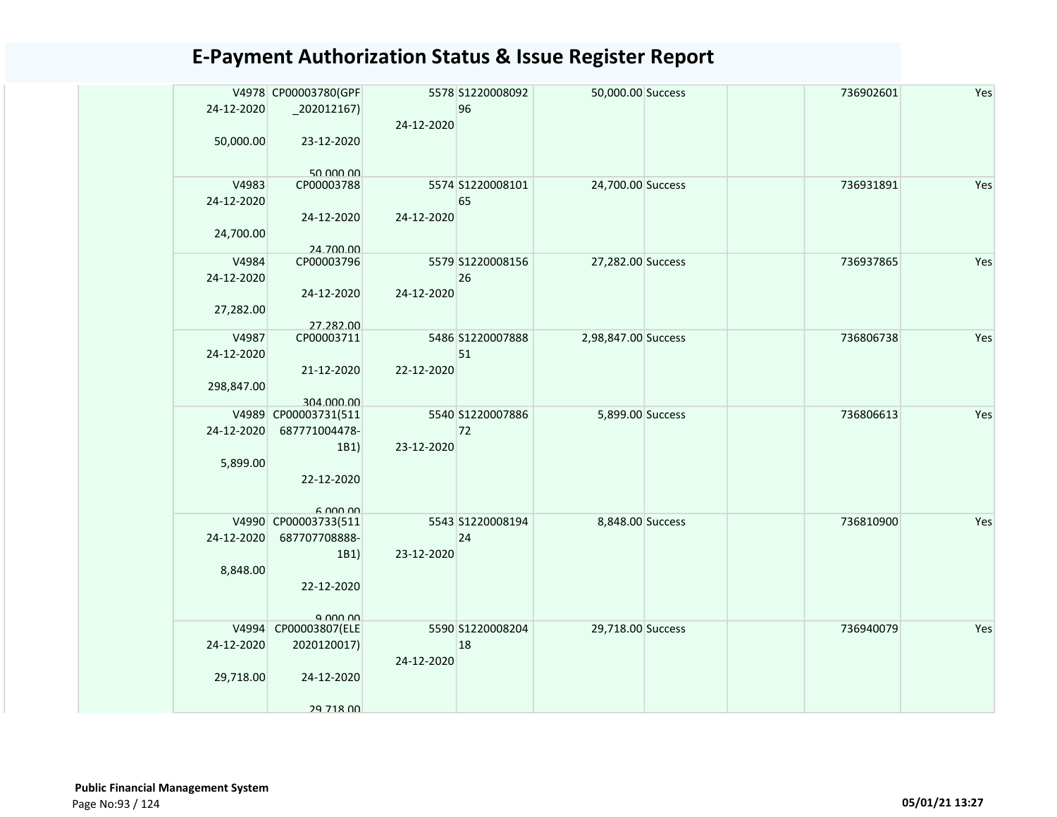| 24-12-2020          | V4978 CP00003780(GPF<br>$-202012167$ |            | 5578 S1220008092<br>96 | 50,000.00 Success   |  | 736902601 | Yes |
|---------------------|--------------------------------------|------------|------------------------|---------------------|--|-----------|-----|
|                     |                                      | 24-12-2020 |                        |                     |  |           |     |
| 50,000.00           | 23-12-2020                           |            |                        |                     |  |           |     |
|                     | 50.000.00<br>CP00003788              |            | 5574 S1220008101       |                     |  | 736931891 | Yes |
| V4983<br>24-12-2020 |                                      |            | 65                     | 24,700.00 Success   |  |           |     |
|                     | 24-12-2020                           | 24-12-2020 |                        |                     |  |           |     |
| 24,700.00           |                                      |            |                        |                     |  |           |     |
| V4984               | 24.700.00<br>CP00003796              |            | 5579 S1220008156       | 27,282.00 Success   |  | 736937865 | Yes |
| 24-12-2020          |                                      |            | 26                     |                     |  |           |     |
|                     | 24-12-2020                           | 24-12-2020 |                        |                     |  |           |     |
| 27,282.00           |                                      |            |                        |                     |  |           |     |
|                     | 27.282.00                            |            |                        |                     |  |           |     |
| V4987               | CP00003711                           |            | 5486 S1220007888       | 2,98,847.00 Success |  | 736806738 | Yes |
| 24-12-2020          |                                      |            | 51                     |                     |  |           |     |
|                     | 21-12-2020                           | 22-12-2020 |                        |                     |  |           |     |
| 298,847.00          |                                      |            |                        |                     |  |           |     |
|                     | 304.000.00<br>V4989 CP00003731(511   |            | 5540 S1220007886       | 5,899.00 Success    |  | 736806613 | Yes |
| 24-12-2020          | 687771004478-                        |            | 72                     |                     |  |           |     |
|                     | 1B1)                                 | 23-12-2020 |                        |                     |  |           |     |
| 5,899.00            |                                      |            |                        |                     |  |           |     |
|                     | 22-12-2020                           |            |                        |                     |  |           |     |
|                     |                                      |            |                        |                     |  |           |     |
|                     | 6,000,00                             |            |                        |                     |  |           |     |
|                     | V4990 CP00003733(511                 |            | 5543 S1220008194       | 8,848.00 Success    |  | 736810900 | Yes |
| 24-12-2020          | 687707708888-                        |            | 24                     |                     |  |           |     |
|                     | 1B1)                                 | 23-12-2020 |                        |                     |  |           |     |
| 8,848.00            | 22-12-2020                           |            |                        |                     |  |           |     |
|                     |                                      |            |                        |                     |  |           |     |
|                     | a nnn nn                             |            |                        |                     |  |           |     |
|                     | V4994 CP00003807(ELE                 |            | 5590 S1220008204       | 29,718.00 Success   |  | 736940079 | Yes |
| 24-12-2020          | 2020120017)                          |            | 18                     |                     |  |           |     |
|                     |                                      | 24-12-2020 |                        |                     |  |           |     |
| 29,718.00           | 24-12-2020                           |            |                        |                     |  |           |     |
|                     |                                      |            |                        |                     |  |           |     |
|                     | 29 718 00                            |            |                        |                     |  |           |     |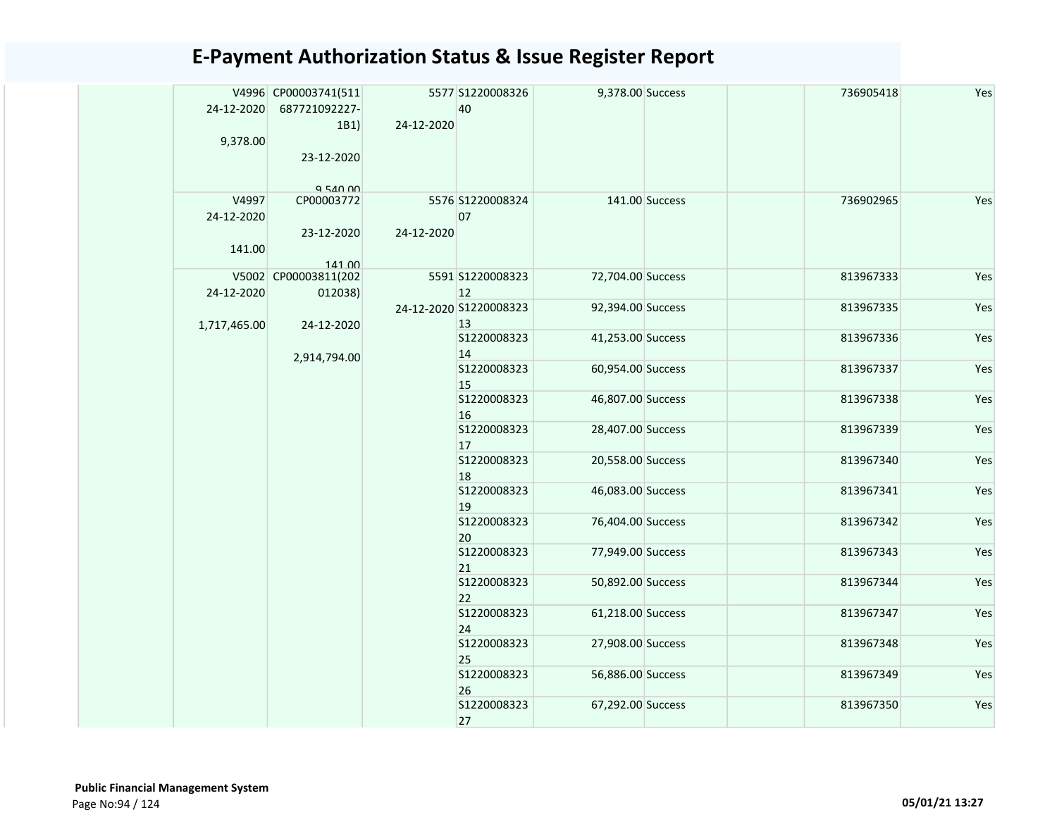| 24-12-2020<br>9,378.00        | V4996 CP00003741(511<br>687721092227-<br>1B1)<br>23-12-2020<br>$Q$ 540 $0$ | 24-12-2020 | 5577 S1220008326<br>40       | 9,378.00 Success  |                   | 736905418         | Yes       |           |     |  |  |  |  |  |  |  |  |  |  |  |  |  |  |  |                   |                   |  |           |     |
|-------------------------------|----------------------------------------------------------------------------|------------|------------------------------|-------------------|-------------------|-------------------|-----------|-----------|-----|--|--|--|--|--|--|--|--|--|--|--|--|--|--|--|-------------------|-------------------|--|-----------|-----|
| V4997<br>24-12-2020<br>141.00 | CP00003772<br>23-12-2020<br>141.00<br>V5002 CP00003811(202                 | 24-12-2020 | 5576 S1220008324<br>07       |                   | 141.00 Success    | 736902965         | Yes       |           |     |  |  |  |  |  |  |  |  |  |  |  |  |  |  |  |                   |                   |  |           |     |
| 24-12-2020                    | 012038)                                                                    |            | 5591 S1220008323<br>12       | 72,704.00 Success |                   | 813967333         | Yes       |           |     |  |  |  |  |  |  |  |  |  |  |  |  |  |  |  |                   |                   |  |           |     |
|                               |                                                                            | 24-12-2020 | 24-12-2020 S1220008323<br>13 | 92,394.00 Success |                   | 813967335         | Yes       |           |     |  |  |  |  |  |  |  |  |  |  |  |  |  |  |  |                   |                   |  |           |     |
| 1,717,465.00                  | 2,914,794.00                                                               |            | S1220008323<br>14            | 41,253.00 Success |                   | 813967336         | Yes       |           |     |  |  |  |  |  |  |  |  |  |  |  |  |  |  |  |                   |                   |  |           |     |
|                               |                                                                            |            |                              | S1220008323<br>15 | 60,954.00 Success |                   | 813967337 | Yes       |     |  |  |  |  |  |  |  |  |  |  |  |  |  |  |  |                   |                   |  |           |     |
|                               |                                                                            |            | S1220008323<br>16            | 46,807.00 Success |                   | 813967338         | Yes       |           |     |  |  |  |  |  |  |  |  |  |  |  |  |  |  |  |                   |                   |  |           |     |
|                               |                                                                            |            | S1220008323<br>17            | 28,407.00 Success |                   | 813967339         | Yes       |           |     |  |  |  |  |  |  |  |  |  |  |  |  |  |  |  |                   |                   |  |           |     |
|                               |                                                                            |            | S1220008323<br>18            | 20,558.00 Success |                   | 813967340         | Yes       |           |     |  |  |  |  |  |  |  |  |  |  |  |  |  |  |  |                   |                   |  |           |     |
|                               |                                                                            |            | S1220008323<br>19            | 46,083.00 Success |                   | 813967341         | Yes       |           |     |  |  |  |  |  |  |  |  |  |  |  |  |  |  |  |                   |                   |  |           |     |
|                               |                                                                            |            | S1220008323<br>20            | 76,404.00 Success |                   | 813967342         | Yes       |           |     |  |  |  |  |  |  |  |  |  |  |  |  |  |  |  |                   |                   |  |           |     |
|                               |                                                                            |            | S1220008323<br>21            | 77,949.00 Success |                   | 813967343         | Yes       |           |     |  |  |  |  |  |  |  |  |  |  |  |  |  |  |  |                   |                   |  |           |     |
|                               |                                                                            |            |                              |                   |                   |                   |           |           |     |  |  |  |  |  |  |  |  |  |  |  |  |  |  |  | S1220008323<br>22 | 50,892.00 Success |  | 813967344 | Yes |
|                               |                                                                            |            | S1220008323<br>24            | 61,218.00 Success |                   | 813967347         | Yes       |           |     |  |  |  |  |  |  |  |  |  |  |  |  |  |  |  |                   |                   |  |           |     |
|                               |                                                                            |            | S1220008323<br>25            | 27,908.00 Success |                   | 813967348         | Yes       |           |     |  |  |  |  |  |  |  |  |  |  |  |  |  |  |  |                   |                   |  |           |     |
|                               |                                                                            |            |                              |                   | S1220008323<br>26 | 56,886.00 Success |           | 813967349 | Yes |  |  |  |  |  |  |  |  |  |  |  |  |  |  |  |                   |                   |  |           |     |
|                               |                                                                            |            | S1220008323<br>27            | 67,292.00 Success |                   | 813967350         | Yes       |           |     |  |  |  |  |  |  |  |  |  |  |  |  |  |  |  |                   |                   |  |           |     |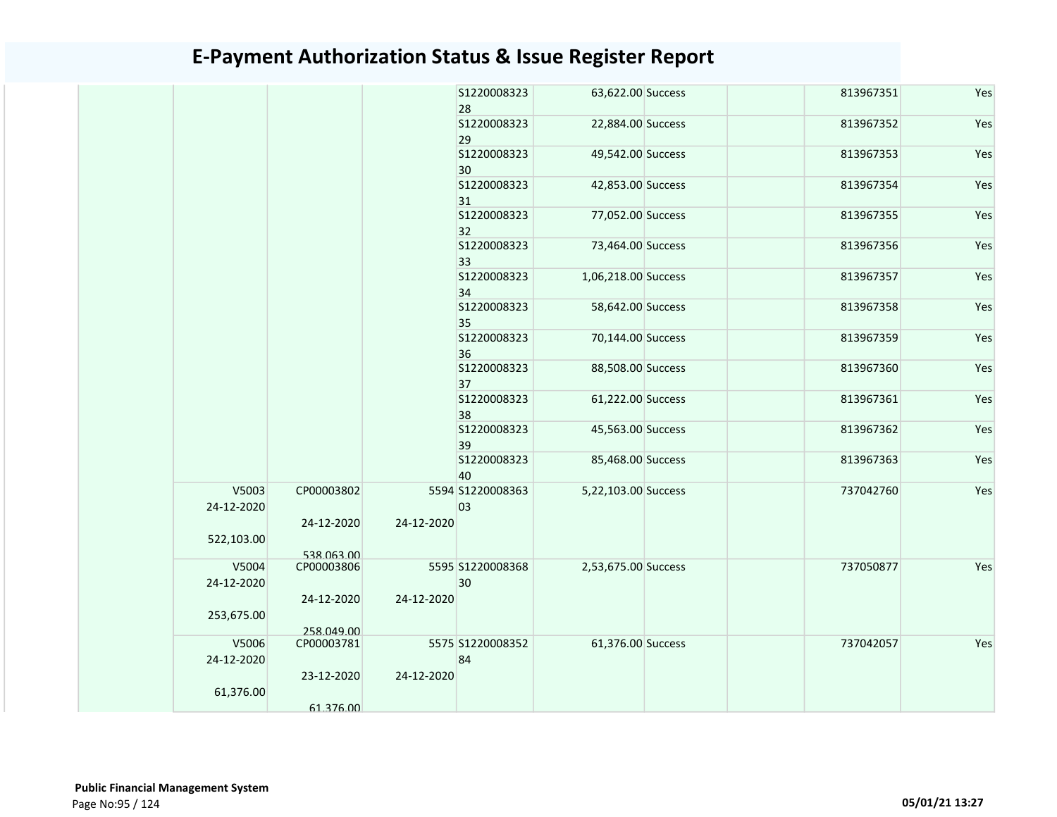|                     |                          |            | S1220008323<br>28      | 63,622.00 Success   | 813967351 | Yes |
|---------------------|--------------------------|------------|------------------------|---------------------|-----------|-----|
|                     |                          |            | \$1220008323<br>29     | 22,884.00 Success   | 813967352 | Yes |
|                     |                          |            | \$1220008323<br>30     | 49,542.00 Success   | 813967353 | Yes |
|                     |                          |            | \$1220008323<br>31     | 42,853.00 Success   | 813967354 | Yes |
|                     |                          |            | S1220008323<br>32      | 77,052.00 Success   | 813967355 | Yes |
|                     |                          |            | S1220008323<br>33      | 73,464.00 Success   | 813967356 | Yes |
|                     |                          |            | S1220008323<br>34      | 1,06,218.00 Success | 813967357 | Yes |
|                     |                          |            | S1220008323<br>35      | 58,642.00 Success   | 813967358 | Yes |
|                     |                          |            | S1220008323<br>36      | 70,144.00 Success   | 813967359 | Yes |
|                     |                          |            | S1220008323<br>37      | 88,508.00 Success   | 813967360 | Yes |
|                     |                          |            | S1220008323<br>38      | 61,222.00 Success   | 813967361 | Yes |
|                     |                          |            | \$1220008323<br>39     | 45,563.00 Success   | 813967362 | Yes |
|                     |                          |            | S1220008323<br>40      | 85,468.00 Success   | 813967363 | Yes |
| V5003<br>24-12-2020 | CP00003802               |            | 5594 S1220008363<br>03 | 5,22,103.00 Success | 737042760 | Yes |
| 522,103.00          | 24-12-2020               | 24-12-2020 |                        |                     |           |     |
|                     | 538.063.00               |            |                        |                     |           |     |
| V5004<br>24-12-2020 | CP00003806               |            | 5595 S1220008368<br>30 | 2,53,675.00 Success | 737050877 | Yes |
| 253,675.00          | 24-12-2020               | 24-12-2020 |                        |                     |           |     |
| V5006               | 258.049.00<br>CP00003781 |            | 5575 S1220008352       | 61,376.00 Success   | 737042057 | Yes |
| 24-12-2020          |                          |            | 84                     |                     |           |     |
| 61,376.00           | 23-12-2020               | 24-12-2020 |                        |                     |           |     |
|                     | 61.376.00                |            |                        |                     |           |     |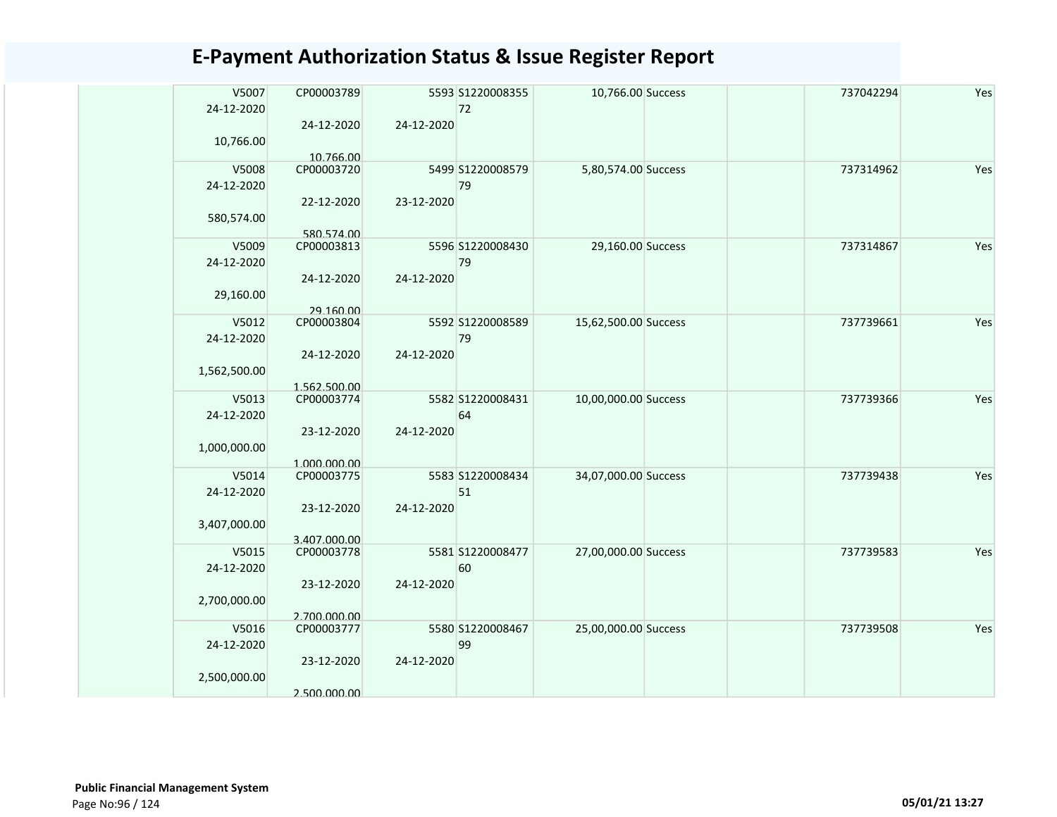| V5007<br>24-12-2020 | CP00003789                 |            | 5593 S1220008355<br>72 | 10,766.00 Success    |  | 737042294 | Yes |
|---------------------|----------------------------|------------|------------------------|----------------------|--|-----------|-----|
| 10,766.00           | 24-12-2020                 | 24-12-2020 |                        |                      |  |           |     |
| V5008               | 10.766.00<br>CP00003720    |            | 5499 S1220008579       | 5,80,574.00 Success  |  | 737314962 | Yes |
| 24-12-2020          |                            |            | 79                     |                      |  |           |     |
|                     | 22-12-2020                 | 23-12-2020 |                        |                      |  |           |     |
| 580,574.00          |                            |            |                        |                      |  |           |     |
| V5009               | 580.574.00<br>CP00003813   |            | 5596 S1220008430       | 29,160.00 Success    |  | 737314867 | Yes |
| 24-12-2020          |                            |            | 79                     |                      |  |           |     |
|                     | 24-12-2020                 | 24-12-2020 |                        |                      |  |           |     |
| 29,160.00           |                            |            |                        |                      |  |           |     |
|                     | 29.160.00                  |            |                        |                      |  |           |     |
| V5012<br>24-12-2020 | CP00003804                 |            | 5592 S1220008589<br>79 | 15,62,500.00 Success |  | 737739661 | Yes |
|                     | 24-12-2020                 | 24-12-2020 |                        |                      |  |           |     |
| 1,562,500.00        |                            |            |                        |                      |  |           |     |
|                     | 1.562.500.00               |            |                        |                      |  |           |     |
| V5013               | CP00003774                 |            | 5582 S1220008431       | 10,00,000.00 Success |  | 737739366 | Yes |
| 24-12-2020          |                            |            | 64                     |                      |  |           |     |
| 1,000,000.00        | 23-12-2020                 | 24-12-2020 |                        |                      |  |           |     |
|                     | 1.000.000.00               |            |                        |                      |  |           |     |
| V5014               | CP00003775                 |            | 5583 S1220008434       | 34,07,000.00 Success |  | 737739438 | Yes |
| 24-12-2020          |                            |            | 51                     |                      |  |           |     |
|                     | 23-12-2020                 | 24-12-2020 |                        |                      |  |           |     |
| 3,407,000.00        |                            |            |                        |                      |  |           |     |
| V5015               | 3.407.000.00<br>CP00003778 |            | 5581 S1220008477       | 27,00,000.00 Success |  | 737739583 | Yes |
| 24-12-2020          |                            |            | 60                     |                      |  |           |     |
|                     | 23-12-2020                 | 24-12-2020 |                        |                      |  |           |     |
| 2,700,000.00        |                            |            |                        |                      |  |           |     |
|                     | 2.700.000.00               |            |                        |                      |  |           |     |
| V5016<br>24-12-2020 | CP00003777                 |            | 5580 S1220008467<br>99 | 25,00,000.00 Success |  | 737739508 | Yes |
|                     | 23-12-2020                 | 24-12-2020 |                        |                      |  |           |     |
| 2,500,000.00        |                            |            |                        |                      |  |           |     |
|                     | 2.500.000.00               |            |                        |                      |  |           |     |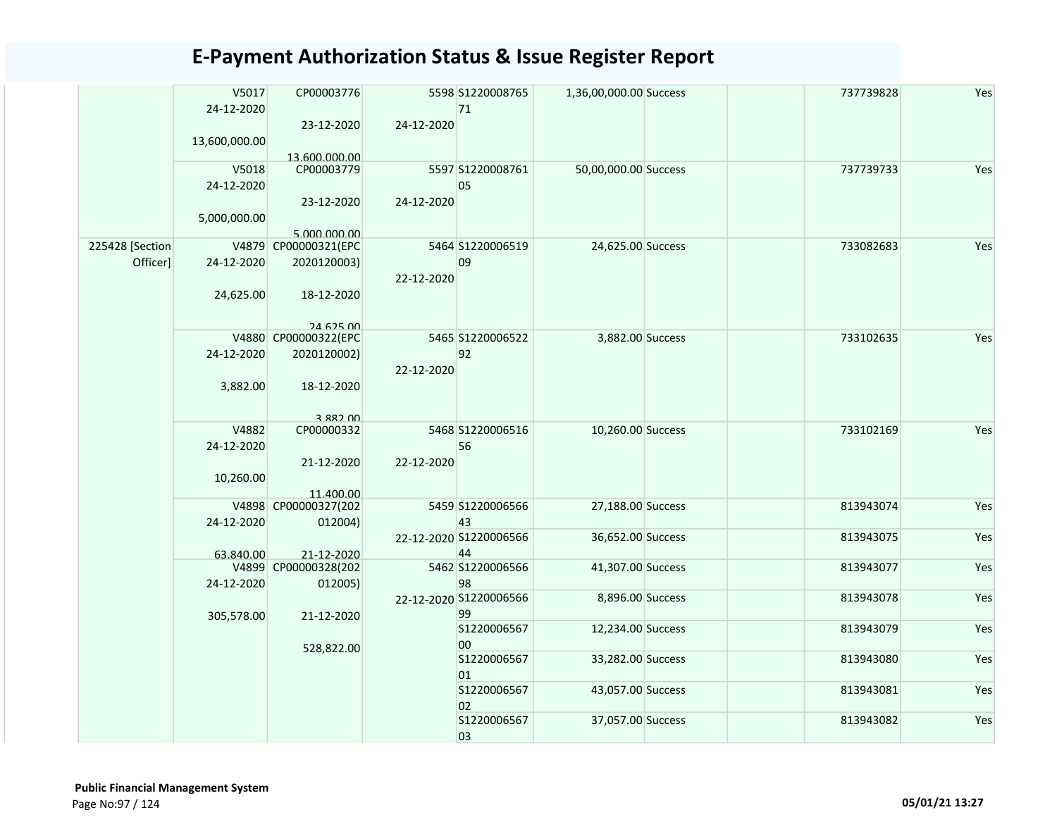|                             | V5017         | CP00003776             |            | 5598 S1220008765             | 1,36,00,000.00 Success | 737739828 | Yes |
|-----------------------------|---------------|------------------------|------------|------------------------------|------------------------|-----------|-----|
|                             | 24-12-2020    | 23-12-2020             | 24-12-2020 | 71                           |                        |           |     |
|                             | 13,600,000.00 |                        |            |                              |                        |           |     |
|                             |               | 13.600.000.00          |            |                              |                        |           |     |
|                             | V5018         | CP00003779             |            | 5597 S1220008761             | 50,00,000.00 Success   | 737739733 | Yes |
|                             | 24-12-2020    |                        |            | 05                           |                        |           |     |
|                             |               | 23-12-2020             | 24-12-2020 |                              |                        |           |     |
|                             | 5,000,000.00  |                        |            |                              |                        |           |     |
|                             |               | 5.000.000.00           |            |                              |                        |           |     |
| 225428 [Section<br>Officer] |               | V4879 CP00000321(EPC   |            | 5464 S1220006519<br>09       | 24,625.00 Success      | 733082683 | Yes |
|                             | 24-12-2020    | 2020120003)            | 22-12-2020 |                              |                        |           |     |
|                             | 24,625.00     | 18-12-2020             |            |                              |                        |           |     |
|                             |               |                        |            |                              |                        |           |     |
|                             |               | 24 625 00              |            |                              |                        |           |     |
|                             |               | V4880 CP00000322(EPC   |            | 5465 S1220006522             | 3,882.00 Success       | 733102635 | Yes |
|                             | 24-12-2020    | 2020120002)            |            | 92                           |                        |           |     |
|                             |               |                        | 22-12-2020 |                              |                        |           |     |
|                             | 3,882.00      | 18-12-2020             |            |                              |                        |           |     |
|                             |               |                        |            |                              |                        |           |     |
|                             | V4882         | 3 882 00<br>CP00000332 |            | 5468 S1220006516             | 10,260.00 Success      | 733102169 | Yes |
|                             | 24-12-2020    |                        |            | 56                           |                        |           |     |
|                             |               | 21-12-2020             | 22-12-2020 |                              |                        |           |     |
|                             | 10,260.00     |                        |            |                              |                        |           |     |
|                             |               | 11.400.00              |            |                              |                        |           |     |
|                             |               | V4898 CP00000327(202   |            | 5459 S1220006566             | 27,188.00 Success      | 813943074 | Yes |
|                             | 24-12-2020    | 012004)                |            | 43<br>22-12-2020 S1220006566 | 36,652.00 Success      | 813943075 | Yes |
|                             | 63.840.00     | 21-12-2020             |            | 44                           |                        |           |     |
|                             |               | V4899 CP00000328(202   |            | 5462 S1220006566             | 41,307.00 Success      | 813943077 | Yes |
|                             | 24-12-2020    | 012005)                |            | 98                           |                        |           |     |
|                             |               |                        |            | 22-12-2020 S1220006566       | 8,896.00 Success       | 813943078 | Yes |
|                             | 305,578.00    | 21-12-2020             |            | 99                           |                        |           |     |
|                             |               |                        |            | S1220006567                  | 12,234.00 Success      | 813943079 | Yes |
|                             |               | 528,822.00             |            | 00                           |                        |           |     |
|                             |               |                        |            | S1220006567<br>01            | 33,282.00 Success      | 813943080 | Yes |
|                             |               |                        |            | S1220006567                  | 43,057.00 Success      | 813943081 | Yes |
|                             |               |                        |            | 02                           |                        |           |     |
|                             |               |                        |            | S1220006567                  | 37,057.00 Success      | 813943082 | Yes |
|                             |               |                        |            | 03                           |                        |           |     |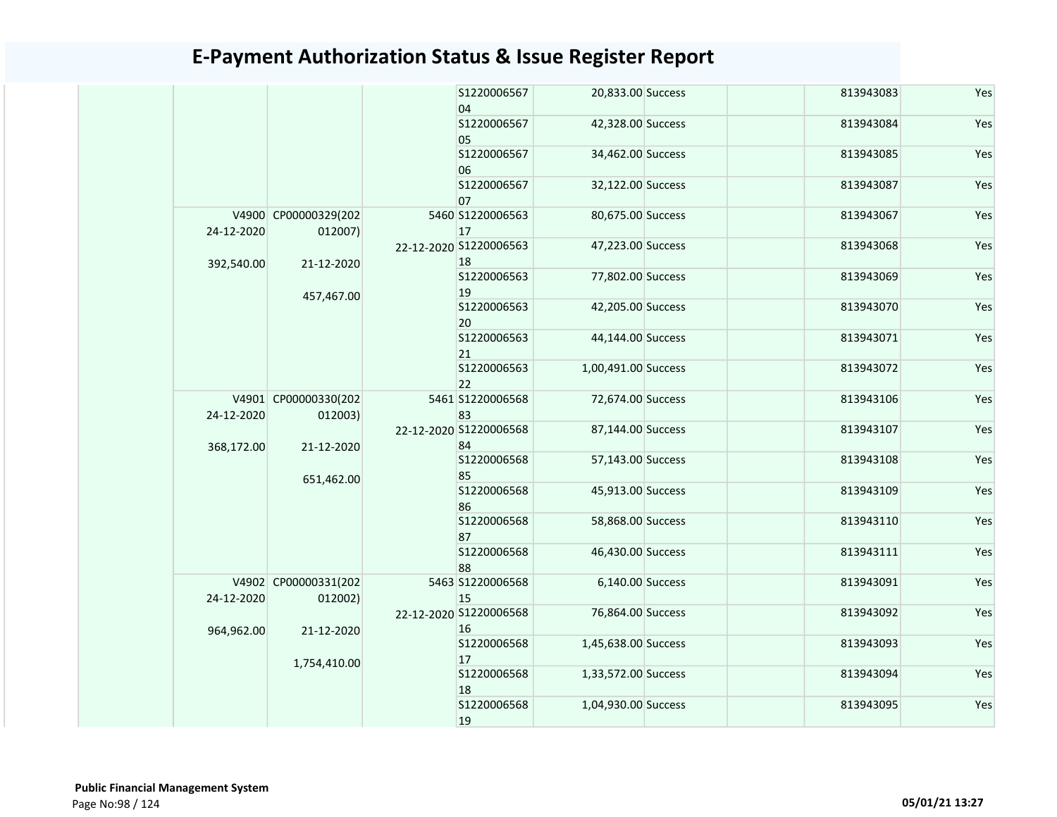|  |            |                                 |  | S1220006567<br>04            | 20,833.00 Success   | 813943083 | Yes |
|--|------------|---------------------------------|--|------------------------------|---------------------|-----------|-----|
|  |            |                                 |  | S1220006567<br>05            | 42,328.00 Success   | 813943084 | Yes |
|  |            |                                 |  | S1220006567<br>06            | 34,462.00 Success   | 813943085 | Yes |
|  |            |                                 |  | S1220006567<br>07            | 32,122.00 Success   | 813943087 | Yes |
|  | 24-12-2020 | V4900 CP00000329(202<br>012007) |  | 5460 S1220006563<br>17       | 80,675.00 Success   | 813943067 | Yes |
|  | 392,540.00 | 21-12-2020                      |  | 22-12-2020 S1220006563<br>18 | 47,223.00 Success   | 813943068 | Yes |
|  |            | 457,467.00                      |  | S1220006563<br>19            | 77,802.00 Success   | 813943069 | Yes |
|  |            |                                 |  | \$1220006563<br>20           | 42,205.00 Success   | 813943070 | Yes |
|  |            |                                 |  | S1220006563<br>21            | 44,144.00 Success   | 813943071 | Yes |
|  |            |                                 |  | \$1220006563<br>22           | 1,00,491.00 Success | 813943072 | Yes |
|  | 24-12-2020 | V4901 CP00000330(202<br>012003) |  | 5461 S1220006568<br>83       | 72,674.00 Success   | 813943106 | Yes |
|  | 368,172.00 | 21-12-2020                      |  | 22-12-2020 S1220006568<br>84 | 87,144.00 Success   | 813943107 | Yes |
|  |            | 651,462.00                      |  | \$1220006568<br>85           | 57,143.00 Success   | 813943108 | Yes |
|  |            |                                 |  | \$1220006568<br>86           | 45,913.00 Success   | 813943109 | Yes |
|  |            |                                 |  | \$1220006568<br>87           | 58,868.00 Success   | 813943110 | Yes |
|  |            |                                 |  | \$1220006568<br>88           | 46,430.00 Success   | 813943111 | Yes |
|  | 24-12-2020 | V4902 CP00000331(202<br>012002) |  | 5463 S1220006568<br>15       | 6,140.00 Success    | 813943091 | Yes |
|  | 964,962.00 | 21-12-2020                      |  | 22-12-2020 S1220006568<br>16 | 76,864.00 Success   | 813943092 | Yes |
|  |            | 1,754,410.00                    |  | S1220006568<br>17            | 1,45,638.00 Success | 813943093 | Yes |
|  |            |                                 |  | \$1220006568<br>18           | 1,33,572.00 Success | 813943094 | Yes |
|  |            |                                 |  | \$1220006568<br>19           | 1,04,930.00 Success | 813943095 | Yes |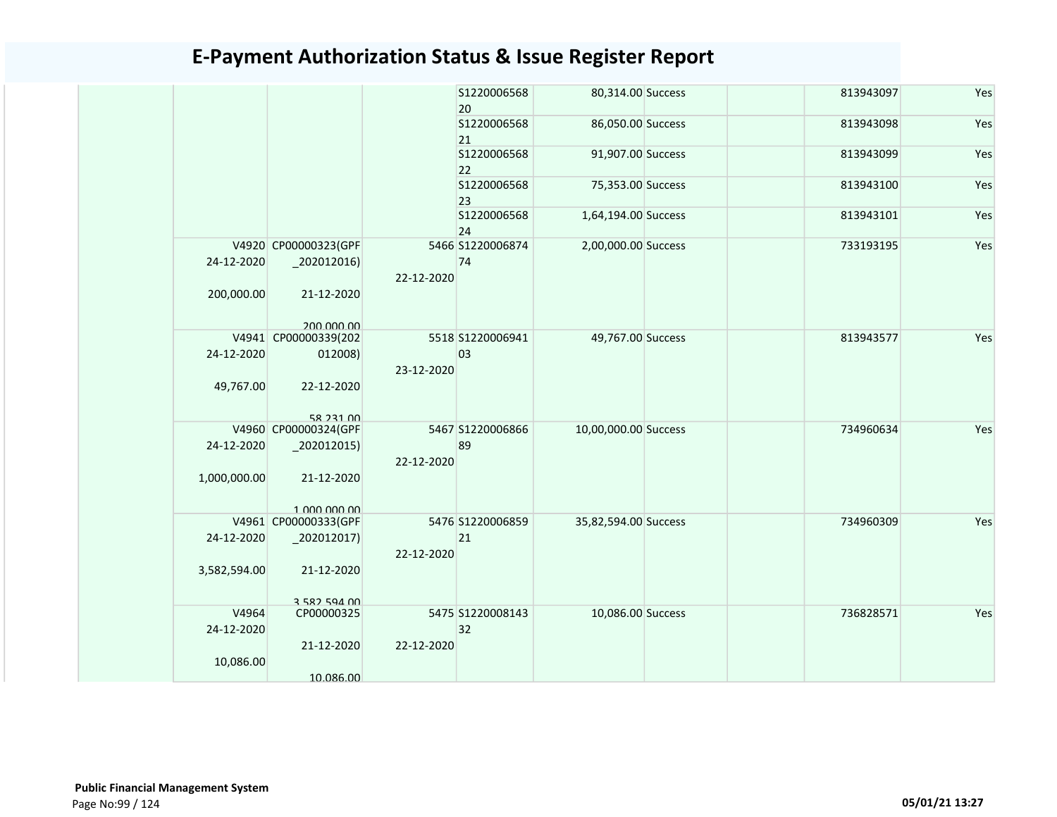|              |                                        |                                                                                                                                                                                                 | S1220006568        |                                                                                                                                                                                | 813943097                                                                                                                                                                                                                | Yes                                 |
|--------------|----------------------------------------|-------------------------------------------------------------------------------------------------------------------------------------------------------------------------------------------------|--------------------|--------------------------------------------------------------------------------------------------------------------------------------------------------------------------------|--------------------------------------------------------------------------------------------------------------------------------------------------------------------------------------------------------------------------|-------------------------------------|
|              |                                        |                                                                                                                                                                                                 | S1220006568        |                                                                                                                                                                                | 813943098                                                                                                                                                                                                                | Yes                                 |
|              |                                        |                                                                                                                                                                                                 | \$1220006568       |                                                                                                                                                                                | 813943099                                                                                                                                                                                                                | Yes                                 |
|              |                                        |                                                                                                                                                                                                 | \$1220006568<br>23 |                                                                                                                                                                                | 813943100                                                                                                                                                                                                                | Yes                                 |
|              |                                        |                                                                                                                                                                                                 | S1220006568<br>24  |                                                                                                                                                                                | 813943101                                                                                                                                                                                                                | Yes                                 |
|              |                                        |                                                                                                                                                                                                 |                    |                                                                                                                                                                                | 733193195                                                                                                                                                                                                                | Yes                                 |
| 24-12-2020   |                                        |                                                                                                                                                                                                 | 74                 |                                                                                                                                                                                |                                                                                                                                                                                                                          |                                     |
| 200,000.00   | 21-12-2020                             |                                                                                                                                                                                                 |                    |                                                                                                                                                                                |                                                                                                                                                                                                                          |                                     |
|              |                                        |                                                                                                                                                                                                 |                    |                                                                                                                                                                                |                                                                                                                                                                                                                          |                                     |
|              |                                        |                                                                                                                                                                                                 |                    |                                                                                                                                                                                |                                                                                                                                                                                                                          | Yes                                 |
|              |                                        |                                                                                                                                                                                                 |                    |                                                                                                                                                                                |                                                                                                                                                                                                                          |                                     |
|              |                                        |                                                                                                                                                                                                 |                    |                                                                                                                                                                                |                                                                                                                                                                                                                          |                                     |
| 49,767.00    | 22-12-2020                             |                                                                                                                                                                                                 |                    |                                                                                                                                                                                |                                                                                                                                                                                                                          |                                     |
|              | 58 231 00                              |                                                                                                                                                                                                 |                    |                                                                                                                                                                                |                                                                                                                                                                                                                          |                                     |
|              |                                        |                                                                                                                                                                                                 |                    |                                                                                                                                                                                |                                                                                                                                                                                                                          | Yes                                 |
|              |                                        | 22-12-2020                                                                                                                                                                                      |                    |                                                                                                                                                                                |                                                                                                                                                                                                                          |                                     |
| 1,000,000.00 | 21-12-2020                             |                                                                                                                                                                                                 |                    |                                                                                                                                                                                |                                                                                                                                                                                                                          |                                     |
|              | 1 000 000 00                           |                                                                                                                                                                                                 |                    |                                                                                                                                                                                |                                                                                                                                                                                                                          |                                     |
|              |                                        |                                                                                                                                                                                                 |                    |                                                                                                                                                                                |                                                                                                                                                                                                                          | Yes                                 |
|              |                                        |                                                                                                                                                                                                 |                    |                                                                                                                                                                                |                                                                                                                                                                                                                          |                                     |
| 3,582,594.00 | 21-12-2020                             |                                                                                                                                                                                                 |                    |                                                                                                                                                                                |                                                                                                                                                                                                                          |                                     |
|              |                                        |                                                                                                                                                                                                 |                    |                                                                                                                                                                                |                                                                                                                                                                                                                          |                                     |
| V4964        | CP00000325                             |                                                                                                                                                                                                 |                    |                                                                                                                                                                                | 736828571                                                                                                                                                                                                                | Yes                                 |
| 24-12-2020   |                                        |                                                                                                                                                                                                 | 32                 |                                                                                                                                                                                |                                                                                                                                                                                                                          |                                     |
|              | 21-12-2020                             | 22-12-2020                                                                                                                                                                                      |                    |                                                                                                                                                                                |                                                                                                                                                                                                                          |                                     |
| 10,086.00    |                                        |                                                                                                                                                                                                 |                    |                                                                                                                                                                                |                                                                                                                                                                                                                          |                                     |
|              | 10.086.00                              |                                                                                                                                                                                                 |                    |                                                                                                                                                                                |                                                                                                                                                                                                                          |                                     |
|              | 24-12-2020<br>24-12-2020<br>24-12-2020 | V4920 CP00000323(GPF<br>$\left[202012016\right)$<br>200,000,00<br>V4941 CP00000339(202<br>012008)<br>V4960 CP00000324(GPF<br>$-202012015$<br>V4961 CP00000333(GPF<br>202012017)<br>3 582 594 00 |                    | 20<br>21<br>22<br>5466 S1220006874<br>22-12-2020<br>5518 S1220006941<br>03<br>23-12-2020<br>5467 S1220006866<br>89<br>5476 S1220006859<br>21<br>22-12-2020<br>5475 S1220008143 | 80,314.00 Success<br>86,050.00 Success<br>91,907.00 Success<br>75,353.00 Success<br>1,64,194.00 Success<br>2,00,000.00 Success<br>49,767.00 Success<br>10,00,000.00 Success<br>35,82,594.00 Success<br>10,086.00 Success | 813943577<br>734960634<br>734960309 |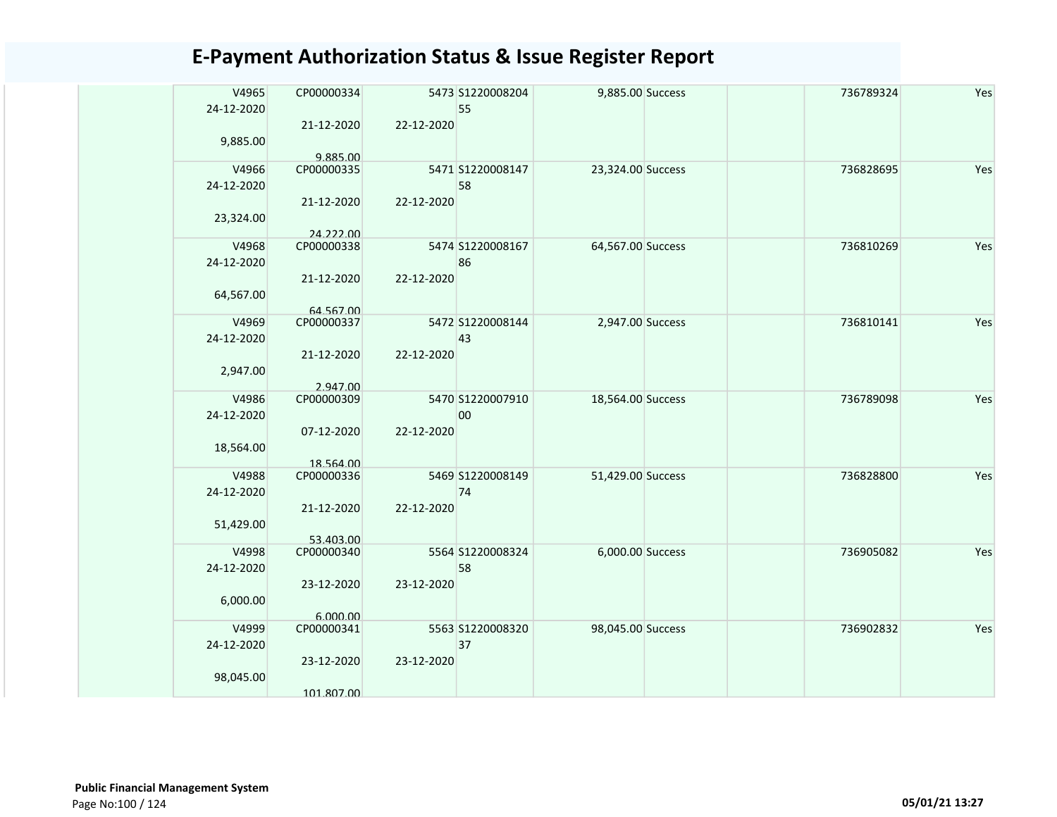| V4965<br>24-12-2020 | CP00000334<br>21-12-2020 | 22-12-2020 | 5473 S1220008204<br>55 | 9,885.00 Success  |  | 736789324 | Yes |
|---------------------|--------------------------|------------|------------------------|-------------------|--|-----------|-----|
| 9,885.00            | 9.885.00                 |            |                        |                   |  |           |     |
| V4966<br>24-12-2020 | CP00000335               |            | 5471 S1220008147<br>58 | 23,324.00 Success |  | 736828695 | Yes |
| 23,324.00           | 21-12-2020<br>24.222.00  | 22-12-2020 |                        |                   |  |           |     |
| V4968<br>24-12-2020 | CP00000338               |            | 5474 S1220008167<br>86 | 64,567.00 Success |  | 736810269 | Yes |
| 64,567.00           | 21-12-2020               | 22-12-2020 |                        |                   |  |           |     |
|                     | 64.567.00                |            |                        |                   |  |           |     |
| V4969<br>24-12-2020 | CP00000337               |            | 5472 S1220008144<br>43 | 2,947.00 Success  |  | 736810141 | Yes |
| 2,947.00            | 21-12-2020               | 22-12-2020 |                        |                   |  |           |     |
|                     | 2.947.00                 |            |                        |                   |  |           |     |
| V4986<br>24-12-2020 | CP00000309               |            | 5470 S1220007910<br>00 | 18,564.00 Success |  | 736789098 | Yes |
| 18,564.00           | 07-12-2020               | 22-12-2020 |                        |                   |  |           |     |
|                     | 18.564.00                |            |                        |                   |  |           |     |
| V4988<br>24-12-2020 | CP00000336               |            | 5469 S1220008149<br>74 | 51,429.00 Success |  | 736828800 | Yes |
|                     | 21-12-2020               | 22-12-2020 |                        |                   |  |           |     |
| 51,429.00           |                          |            |                        |                   |  |           |     |
| V4998               | 53.403.00<br>CP00000340  |            | 5564 S1220008324       | 6,000.00 Success  |  | 736905082 | Yes |
| 24-12-2020          |                          |            | 58                     |                   |  |           |     |
|                     |                          |            |                        |                   |  |           |     |
| 6,000.00            | 23-12-2020               | 23-12-2020 |                        |                   |  |           |     |
|                     | 6.000.00                 |            |                        |                   |  |           |     |
| V4999               | CP00000341               |            | 5563 S1220008320       | 98,045.00 Success |  | 736902832 | Yes |
| 24-12-2020          |                          |            | 37                     |                   |  |           |     |
|                     | 23-12-2020               | 23-12-2020 |                        |                   |  |           |     |
| 98,045.00           |                          |            |                        |                   |  |           |     |
|                     | 101.807.00               |            |                        |                   |  |           |     |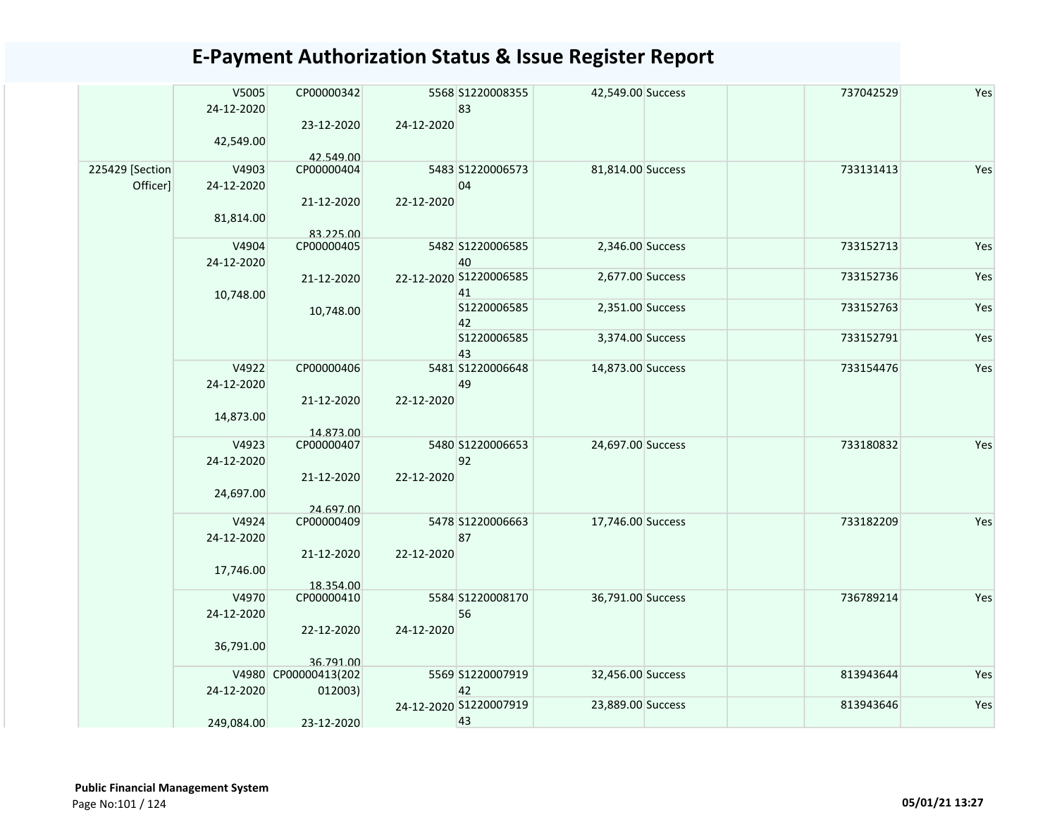|  |                             | V5005<br>24-12-2020<br>42,549.00               | CP00000342<br>23-12-2020        | 24-12-2020             | 5568 S1220008355<br>83       | 42,549.00 Success | 737042529 | Yes |
|--|-----------------------------|------------------------------------------------|---------------------------------|------------------------|------------------------------|-------------------|-----------|-----|
|  | 225429 [Section<br>Officer] | V4903<br>24-12-2020                            | 42.549.00<br>CP00000404         |                        | 5483 S1220006573<br>04       | 81,814.00 Success | 733131413 | Yes |
|  |                             | 81,814.00                                      | 21-12-2020<br>83.225.00         | 22-12-2020             |                              |                   |           |     |
|  |                             | V4904<br>24-12-2020                            | CP00000405                      |                        | 5482 S1220006585<br>40       | 2,346.00 Success  | 733152713 | Yes |
|  |                             | 10,748.00                                      | 21-12-2020                      |                        | 22-12-2020 S1220006585<br>41 | 2,677.00 Success  | 733152736 | Yes |
|  |                             |                                                | 10,748.00                       |                        | S1220006585<br>42            | 2,351.00 Success  | 733152763 | Yes |
|  |                             |                                                |                                 |                        | S1220006585<br>43            | 3,374.00 Success  | 733152791 | Yes |
|  |                             | V4922<br>24-12-2020                            | CP00000406                      |                        | 5481 S1220006648<br>49       | 14,873.00 Success | 733154476 | Yes |
|  |                             | 14,873.00                                      | 21-12-2020<br>14.873.00         | 22-12-2020             |                              |                   |           |     |
|  |                             | V4923<br>CP00000407<br>24-12-2020<br>24,697.00 |                                 | 5480 S1220006653<br>92 | 24,697.00 Success            | 733180832         | Yes       |     |
|  |                             |                                                | 21-12-2020                      | 22-12-2020             |                              |                   |           |     |
|  |                             | V4924<br>24-12-2020                            | 24.697.00<br>CP00000409         |                        | 5478 S1220006663<br>87       | 17,746.00 Success | 733182209 | Yes |
|  |                             | 17,746.00                                      | 21-12-2020                      | 22-12-2020             |                              |                   |           |     |
|  |                             | V4970                                          | 18.354.00<br>CP00000410         |                        | 5584 S1220008170             | 36,791.00 Success | 736789214 | Yes |
|  |                             | 24-12-2020                                     | 22-12-2020                      | 24-12-2020             | 56                           |                   |           |     |
|  |                             | 36,791.00                                      | 36.791.00                       |                        |                              |                   |           |     |
|  |                             | 24-12-2020                                     | V4980 CP00000413(202<br>012003) |                        | 5569 S1220007919<br>42       | 32,456.00 Success | 813943644 | Yes |
|  |                             | 249,084.00<br>23-12-2020                       | 24-12-2020 S1220007919<br>43    | 23,889.00 Success      | 813943646                    | Yes               |           |     |
|  |                             |                                                |                                 |                        |                              |                   |           |     |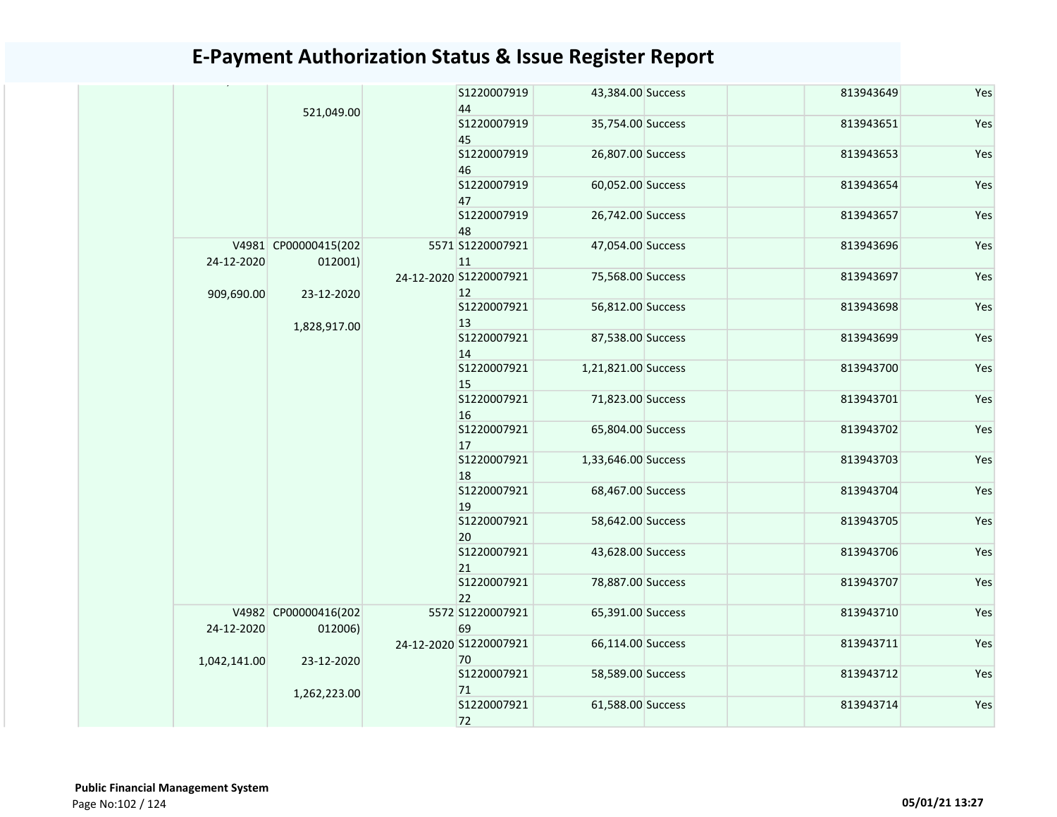|              |                                 |              | S1220007919                    | 43,384.00 Success   | 813943649 | Yes |
|--------------|---------------------------------|--------------|--------------------------------|---------------------|-----------|-----|
|              | 521,049.00                      |              | 44                             |                     |           | Yes |
|              |                                 |              | S1220007919<br>45              | 35,754.00 Success   | 813943651 |     |
|              |                                 |              | S1220007919<br>46              | 26,807.00 Success   | 813943653 | Yes |
|              |                                 |              | S1220007919                    | 60,052.00 Success   | 813943654 | Yes |
|              |                                 |              | 47                             |                     |           |     |
|              |                                 |              | S1220007919                    | 26,742.00 Success   | 813943657 | Yes |
|              |                                 |              | 48                             |                     |           |     |
| 24-12-2020   | V4981 CP00000415(202<br>012001) |              | 5571 S1220007921<br>11         | 47,054.00 Success   | 813943696 | Yes |
|              |                                 |              | 24-12-2020 S1220007921         | 75,568.00 Success   | 813943697 | Yes |
| 909,690.00   | 23-12-2020                      |              | 12 <sup>2</sup><br>S1220007921 |                     |           | Yes |
|              |                                 | 1,828,917.00 | 13                             | 56,812.00 Success   | 813943698 |     |
|              |                                 |              | S1220007921                    | 87,538.00 Success   | 813943699 | Yes |
|              |                                 |              | 14                             |                     |           |     |
|              |                                 |              | S1220007921                    | 1,21,821.00 Success | 813943700 | Yes |
|              |                                 |              | 15                             |                     |           |     |
|              |                                 |              | S1220007921                    | 71,823.00 Success   | 813943701 | Yes |
|              |                                 |              | 16                             |                     |           |     |
|              |                                 |              | S1220007921                    | 65,804.00 Success   | 813943702 | Yes |
|              |                                 |              | 17                             |                     |           |     |
|              |                                 |              | S1220007921                    | 1,33,646.00 Success | 813943703 | Yes |
|              |                                 |              | 18                             |                     |           |     |
|              |                                 |              | S1220007921<br>19              | 68,467.00 Success   | 813943704 | Yes |
|              |                                 |              | S1220007921                    | 58,642.00 Success   | 813943705 | Yes |
|              |                                 |              | 20                             |                     |           |     |
|              |                                 |              | S1220007921                    | 43,628.00 Success   | 813943706 | Yes |
|              |                                 |              | 21                             |                     |           |     |
|              |                                 |              | S1220007921                    | 78,887.00 Success   | 813943707 | Yes |
|              |                                 |              | 22                             |                     |           |     |
|              | V4982 CP00000416(202            |              | 5572 S1220007921               | 65,391.00 Success   | 813943710 | Yes |
| 24-12-2020   | 012006)                         |              | 69                             |                     |           |     |
|              |                                 |              | 24-12-2020 S1220007921         | 66,114.00 Success   | 813943711 | Yes |
| 1,042,141.00 | 23-12-2020                      |              | 70                             |                     |           |     |
|              |                                 |              | S1220007921                    | 58,589.00 Success   | 813943712 | Yes |
|              | 1,262,223.00                    | 71           |                                |                     |           |     |
|              |                                 |              | S1220007921                    | 61,588.00 Success   | 813943714 | Yes |
|              |                                 |              | 72                             |                     |           |     |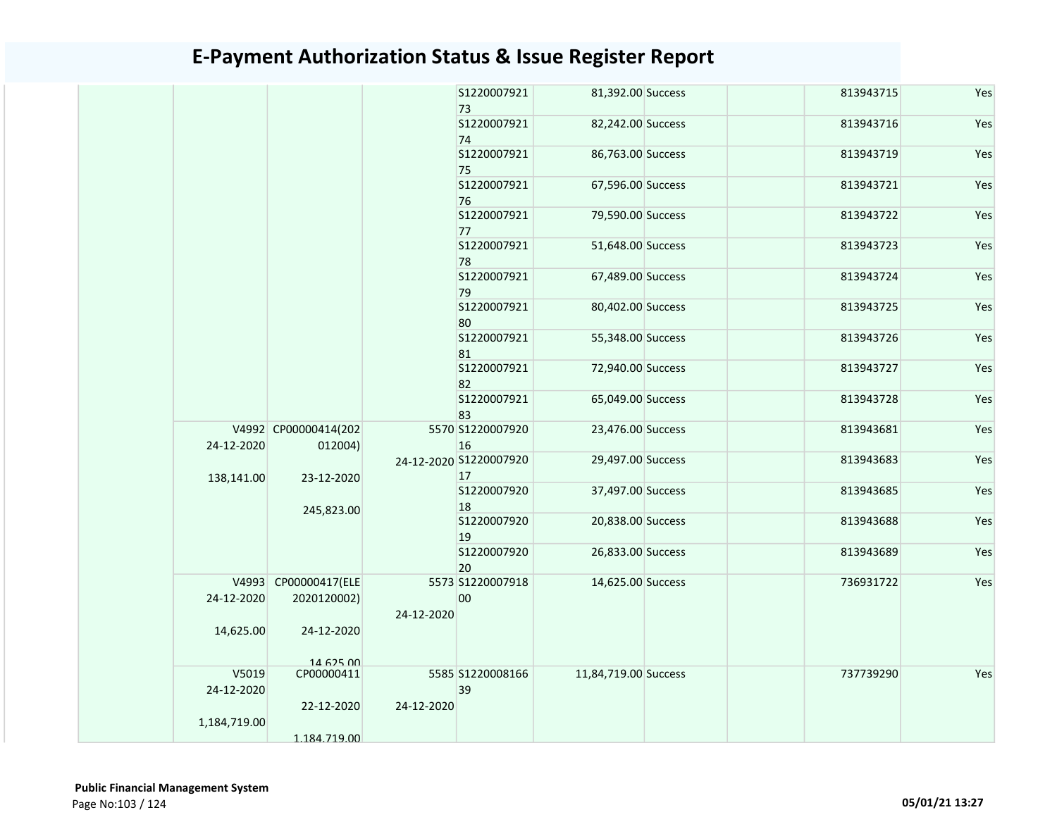|                     |                                     |            | S1220007921<br>73            | 81,392.00 Success    | 813943715 | Yes |
|---------------------|-------------------------------------|------------|------------------------------|----------------------|-----------|-----|
|                     |                                     |            | S1220007921<br>74            | 82,242.00 Success    | 813943716 | Yes |
|                     |                                     |            | S1220007921<br>75            | 86,763.00 Success    | 813943719 | Yes |
|                     |                                     |            | S1220007921<br>76            | 67,596.00 Success    | 813943721 | Yes |
|                     |                                     |            | S1220007921<br>77            | 79,590.00 Success    | 813943722 | Yes |
|                     |                                     |            | S1220007921<br>78            | 51,648.00 Success    | 813943723 | Yes |
|                     |                                     |            | S1220007921<br>79            | 67,489.00 Success    | 813943724 | Yes |
|                     |                                     |            | S1220007921<br>80            | 80,402.00 Success    | 813943725 | Yes |
|                     |                                     |            | S1220007921<br>81            | 55,348.00 Success    | 813943726 | Yes |
|                     |                                     |            | S1220007921<br>82            | 72,940.00 Success    | 813943727 | Yes |
|                     |                                     |            | S1220007921<br>83            | 65,049.00 Success    | 813943728 | Yes |
| 24-12-2020          | V4992 CP00000414(202<br>012004)     |            | 5570 S1220007920<br>16       | 23,476.00 Success    | 813943681 | Yes |
| 138,141.00          | 23-12-2020                          |            | 24-12-2020 S1220007920<br>17 | 29,497.00 Success    | 813943683 | Yes |
|                     | 245,823.00                          |            | S1220007920<br>18            | 37,497.00 Success    | 813943685 | Yes |
|                     |                                     |            | S1220007920<br>19            | 20,838.00 Success    | 813943688 | Yes |
|                     |                                     |            | S1220007920<br>20            | 26,833.00 Success    | 813943689 | Yes |
| 24-12-2020          | V4993 CP00000417(ELE<br>2020120002) | 24-12-2020 | 5573 S1220007918<br>00       | 14,625.00 Success    | 736931722 | Yes |
| 14,625.00           | 24-12-2020<br>14 625 00             |            |                              |                      |           |     |
| V5019<br>24-12-2020 | CP00000411<br>22-12-2020            | 24-12-2020 | 5585 S1220008166<br>39       | 11,84,719.00 Success | 737739290 | Yes |
| 1,184,719.00        | 1.184.719.00                        |            |                              |                      |           |     |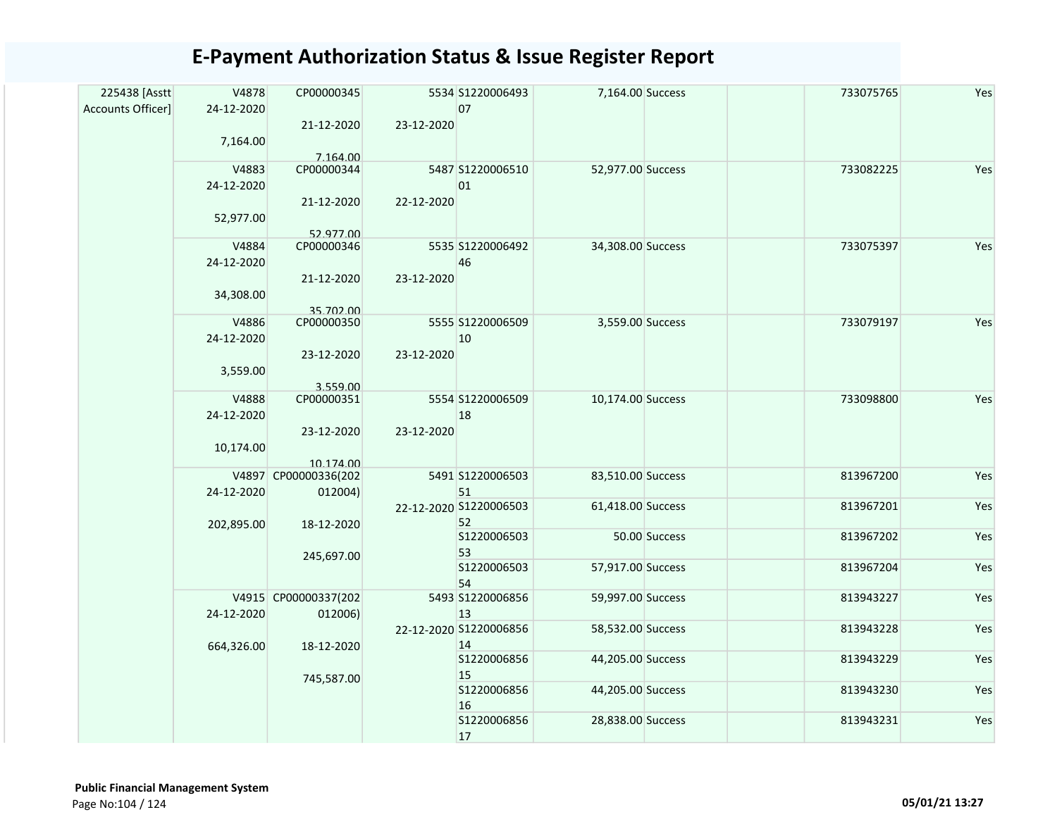| 225438 [Asstt     | V4878      | CP00000345                        |            | 5534 S1220006493       | 7,164.00 Success  |               | 733075765 | Yes |
|-------------------|------------|-----------------------------------|------------|------------------------|-------------------|---------------|-----------|-----|
| Accounts Officer] | 24-12-2020 |                                   |            | 07                     |                   |               |           |     |
|                   |            | 21-12-2020                        | 23-12-2020 |                        |                   |               |           |     |
|                   | 7,164.00   |                                   |            |                        |                   |               |           |     |
|                   | V4883      | 7.164.00<br>CP00000344            |            | 5487 S1220006510       | 52,977.00 Success |               | 733082225 | Yes |
|                   | 24-12-2020 |                                   |            | 01                     |                   |               |           |     |
|                   |            | 21-12-2020                        | 22-12-2020 |                        |                   |               |           |     |
|                   | 52,977.00  |                                   |            |                        |                   |               |           |     |
|                   |            | 52.977.00                         |            |                        |                   |               |           |     |
|                   | V4884      | CP00000346                        |            | 5535 S1220006492       | 34,308.00 Success |               | 733075397 | Yes |
|                   | 24-12-2020 |                                   |            | 46                     |                   |               |           |     |
|                   |            | 21-12-2020                        | 23-12-2020 |                        |                   |               |           |     |
|                   | 34,308.00  |                                   |            |                        |                   |               |           |     |
|                   |            | 35.702.00                         |            |                        |                   |               |           |     |
|                   | V4886      | CP00000350                        |            | 5555 S1220006509       | 3,559.00 Success  |               | 733079197 | Yes |
|                   | 24-12-2020 |                                   |            | 10                     |                   |               |           |     |
|                   |            | 23-12-2020                        | 23-12-2020 |                        |                   |               |           |     |
|                   | 3,559.00   |                                   |            |                        |                   |               |           |     |
|                   |            | 3.559.00                          |            |                        |                   |               |           |     |
|                   | V4888      | CP00000351                        |            | 5554 S1220006509       | 10,174.00 Success |               | 733098800 | Yes |
|                   | 24-12-2020 |                                   |            | 18                     |                   |               |           |     |
|                   |            | 23-12-2020                        | 23-12-2020 |                        |                   |               |           |     |
|                   | 10,174.00  |                                   |            |                        |                   |               |           |     |
|                   |            | 10.174.00<br>V4897 CP00000336(202 |            | 5491 S1220006503       | 83,510.00 Success |               | 813967200 | Yes |
|                   | 24-12-2020 | 012004)                           |            | 51                     |                   |               |           |     |
|                   |            |                                   |            | 22-12-2020 S1220006503 | 61,418.00 Success |               | 813967201 | Yes |
|                   | 202,895.00 | 18-12-2020                        |            | 52                     |                   |               |           |     |
|                   |            |                                   |            | \$1220006503           |                   | 50.00 Success | 813967202 | Yes |
|                   |            | 245,697.00                        |            | 53                     |                   |               |           |     |
|                   |            |                                   |            | S1220006503            | 57,917.00 Success |               | 813967204 | Yes |
|                   |            |                                   |            | 54                     |                   |               |           |     |
|                   |            | V4915 CP00000337(202              |            | 5493 S1220006856       | 59,997.00 Success |               | 813943227 | Yes |
|                   | 24-12-2020 | 012006)                           |            | 13                     |                   |               |           |     |
|                   |            |                                   |            | 22-12-2020 S1220006856 | 58,532.00 Success |               | 813943228 | Yes |
|                   | 664,326.00 | 18-12-2020                        |            | 14<br>S1220006856      | 44,205.00 Success |               | 813943229 | Yes |
|                   |            |                                   |            | 15                     |                   |               |           |     |
|                   |            | 745,587.00                        |            | S1220006856            | 44,205.00 Success |               | 813943230 | Yes |
|                   |            |                                   |            | 16                     |                   |               |           |     |
|                   |            |                                   |            | S1220006856            | 28,838.00 Success |               | 813943231 | Yes |
|                   |            |                                   |            | 17                     |                   |               |           |     |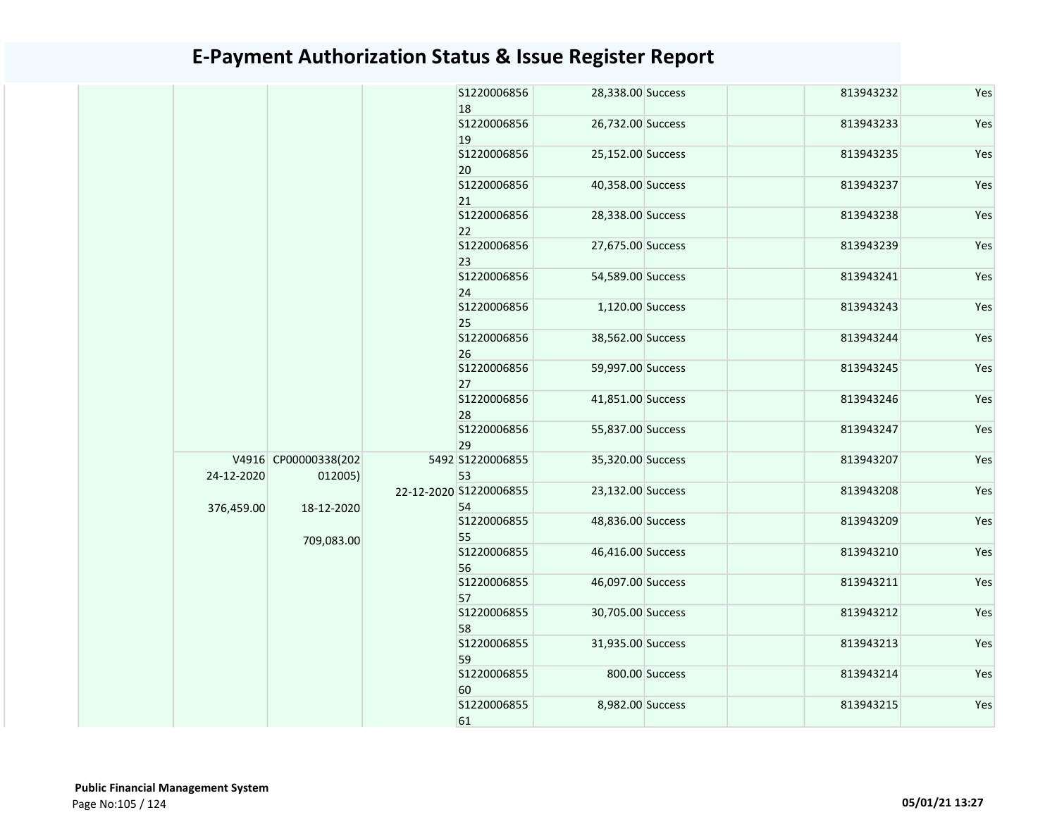|  |            |                                 |  | S1220006856<br>18            | 28,338.00 Success |                | 813943232         | Yes               |  |           |     |
|--|------------|---------------------------------|--|------------------------------|-------------------|----------------|-------------------|-------------------|--|-----------|-----|
|  |            |                                 |  | \$1220006856<br>19           | 26,732.00 Success |                | 813943233         | Yes               |  |           |     |
|  |            |                                 |  | S1220006856                  | 25,152.00 Success |                | 813943235         | Yes               |  |           |     |
|  |            |                                 |  | 20<br>S1220006856            | 40,358.00 Success |                | 813943237         | Yes               |  |           |     |
|  |            |                                 |  | 21<br>S1220006856            | 28,338.00 Success |                | 813943238         | Yes               |  |           |     |
|  |            |                                 |  | 22<br>\$1220006856           | 27,675.00 Success |                | 813943239         | Yes               |  |           |     |
|  |            |                                 |  | 23<br>S1220006856            | 54,589.00 Success |                | 813943241         | Yes               |  |           |     |
|  |            |                                 |  | 24<br>S1220006856            | 1,120.00 Success  |                | 813943243         | Yes               |  |           |     |
|  |            |                                 |  | 25                           |                   |                |                   |                   |  |           |     |
|  |            |                                 |  |                              |                   |                | S1220006856<br>26 | 38,562.00 Success |  | 813943244 | Yes |
|  |            |                                 |  | S1220006856<br>27            | 59,997.00 Success |                | 813943245         | Yes               |  |           |     |
|  |            |                                 |  | S1220006856<br>28            | 41,851.00 Success |                | 813943246         | Yes               |  |           |     |
|  |            |                                 |  | \$1220006856<br>29           | 55,837.00 Success |                | 813943247         | Yes               |  |           |     |
|  | 24-12-2020 | V4916 CP00000338(202<br>012005) |  | 5492 S1220006855<br>53       | 35,320.00 Success |                | 813943207         | Yes               |  |           |     |
|  | 376,459.00 | 18-12-2020                      |  | 22-12-2020 S1220006855<br>54 | 23,132.00 Success |                | 813943208         | Yes               |  |           |     |
|  |            | 709,083.00                      |  | S1220006855<br>55            | 48,836.00 Success |                | 813943209         | Yes               |  |           |     |
|  |            |                                 |  | \$1220006855<br>56           | 46,416.00 Success |                | 813943210         | Yes               |  |           |     |
|  |            |                                 |  | S1220006855<br>57            | 46,097.00 Success |                | 813943211         | Yes               |  |           |     |
|  |            |                                 |  | S1220006855<br>58            | 30,705.00 Success |                | 813943212         | Yes               |  |           |     |
|  |            |                                 |  | S1220006855<br>59            | 31,935.00 Success |                | 813943213         | Yes               |  |           |     |
|  |            |                                 |  | S1220006855<br>60            |                   | 800.00 Success | 813943214         | Yes               |  |           |     |
|  |            |                                 |  | S1220006855                  | 8,982.00 Success  |                | 813943215         | Yes               |  |           |     |
|  |            |                                 |  | 61                           |                   |                |                   |                   |  |           |     |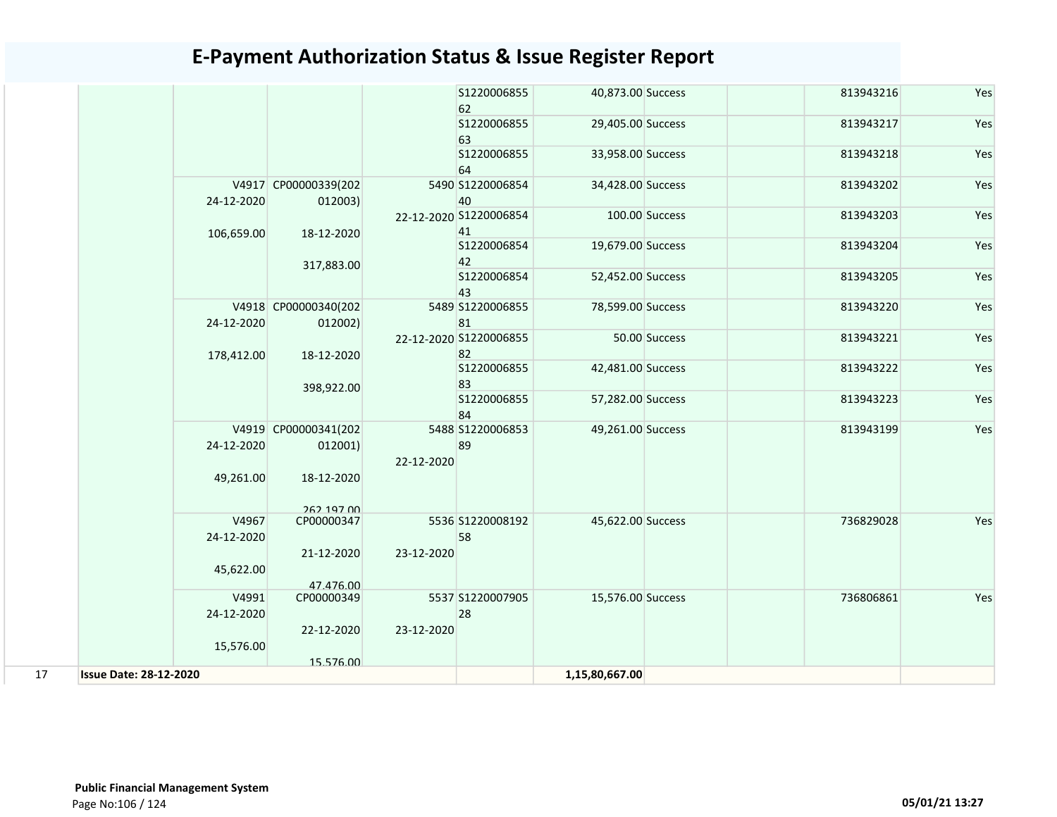|                               |                                 |            | S1220006855<br>62            | 40,873.00 Success |                | 813943216 | Yes |
|-------------------------------|---------------------------------|------------|------------------------------|-------------------|----------------|-----------|-----|
|                               |                                 |            | S1220006855                  | 29,405.00 Success |                | 813943217 | Yes |
|                               |                                 |            | 63<br>S1220006855            | 33,958.00 Success |                | 813943218 | Yes |
|                               |                                 |            | 64                           |                   |                |           |     |
| 24-12-2020                    | V4917 CP00000339(202<br>012003) |            | 5490 S1220006854<br>40       | 34,428.00 Success |                | 813943202 | Yes |
|                               |                                 |            | 22-12-2020 S1220006854<br>41 |                   | 100.00 Success | 813943203 | Yes |
| 106,659.00                    | 18-12-2020                      |            | S1220006854                  | 19,679.00 Success |                | 813943204 | Yes |
|                               | 317,883.00                      |            | 42                           |                   |                |           |     |
|                               |                                 |            | S1220006854<br>43            | 52,452.00 Success |                | 813943205 | Yes |
|                               | V4918 CP00000340(202            |            | 5489 S1220006855<br>81       | 78,599.00 Success |                | 813943220 | Yes |
| 24-12-2020                    | 012002)                         |            | 22-12-2020 S1220006855       |                   | 50.00 Success  | 813943221 | Yes |
| 178,412.00                    | 18-12-2020                      |            | 82                           |                   |                |           |     |
|                               |                                 |            | S1220006855                  | 42,481.00 Success |                | 813943222 | Yes |
|                               | 398,922.00                      |            | 83<br>S1220006855            |                   |                |           | Yes |
|                               |                                 |            | 84                           | 57,282.00 Success |                | 813943223 |     |
|                               | V4919 CP00000341(202            |            | 5488 S1220006853             | 49,261.00 Success |                | 813943199 | Yes |
| 24-12-2020                    | 012001)                         | 22-12-2020 | 89                           |                   |                |           |     |
| 49,261.00                     | 18-12-2020                      |            |                              |                   |                |           |     |
|                               | 262 197 00                      |            |                              |                   |                |           |     |
| V4967                         | CP00000347                      |            | 5536 S1220008192             | 45,622.00 Success |                | 736829028 | Yes |
| 24-12-2020                    |                                 |            | 58                           |                   |                |           |     |
| 45,622.00                     | 21-12-2020                      | 23-12-2020 |                              |                   |                |           |     |
|                               | 47.476.00                       |            |                              |                   |                |           |     |
| V4991                         | CP00000349                      |            | 5537 S1220007905             | 15,576.00 Success |                | 736806861 | Yes |
| 24-12-2020                    |                                 |            | 28                           |                   |                |           |     |
|                               | 22-12-2020                      | 23-12-2020 |                              |                   |                |           |     |
| 15,576.00                     | 15.576.00                       |            |                              |                   |                |           |     |
| <b>Issue Date: 28-12-2020</b> |                                 |            |                              | 1,15,80,667.00    |                |           |     |
|                               |                                 |            |                              |                   |                |           |     |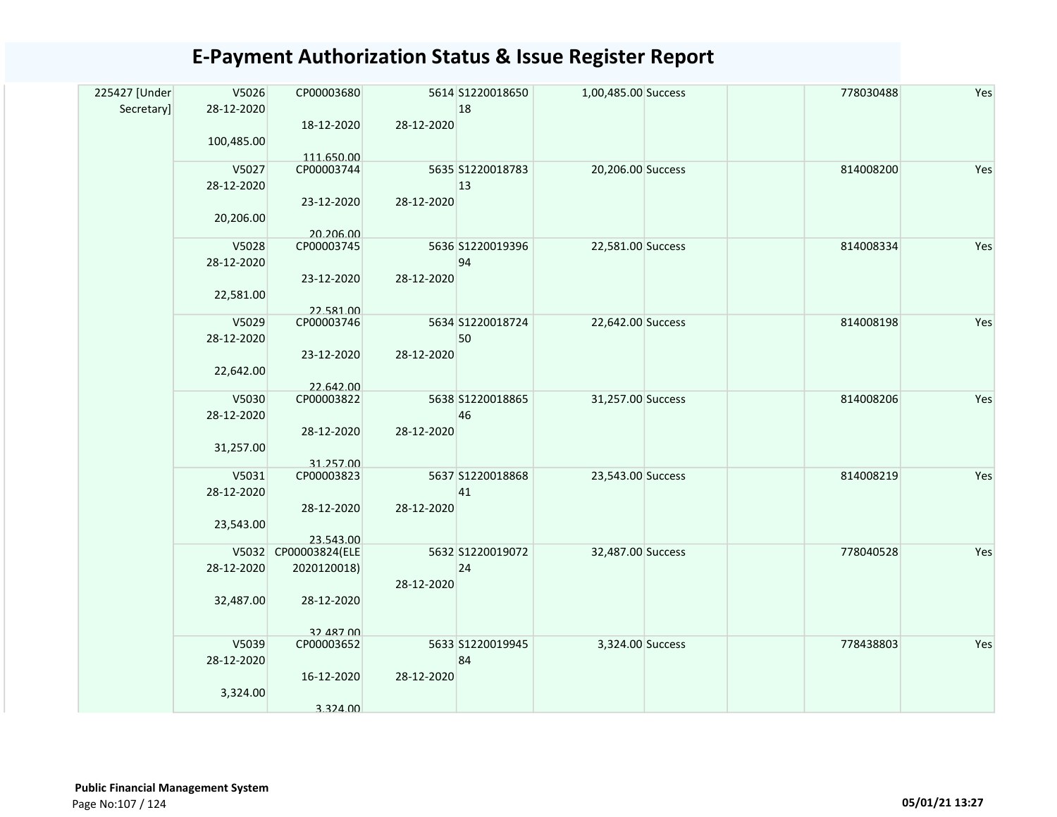| 225427 [Under | V5026      | CP00003680                        |            | 5614 S1220018650 | 1,00,485.00 Success | 778030488 | Yes |
|---------------|------------|-----------------------------------|------------|------------------|---------------------|-----------|-----|
| Secretary]    | 28-12-2020 |                                   |            | 18               |                     |           |     |
|               |            | 18-12-2020                        | 28-12-2020 |                  |                     |           |     |
|               | 100,485.00 |                                   |            |                  |                     |           |     |
|               |            | 111.650.00                        |            |                  |                     |           |     |
|               | V5027      | CP00003744                        |            | 5635 S1220018783 | 20,206.00 Success   | 814008200 | Yes |
|               | 28-12-2020 |                                   |            | 13               |                     |           |     |
|               |            | 23-12-2020                        | 28-12-2020 |                  |                     |           |     |
|               | 20,206.00  |                                   |            |                  |                     |           |     |
|               |            | 20.206.00                         |            |                  |                     |           |     |
|               | V5028      | CP00003745                        |            | 5636 S1220019396 | 22,581.00 Success   | 814008334 | Yes |
|               | 28-12-2020 |                                   |            | 94               |                     |           |     |
|               |            | 23-12-2020                        | 28-12-2020 |                  |                     |           |     |
|               | 22,581.00  |                                   |            |                  |                     |           |     |
|               |            | 22.581.00                         |            |                  |                     |           |     |
|               | V5029      | CP00003746                        |            | 5634 S1220018724 | 22,642.00 Success   | 814008198 | Yes |
|               | 28-12-2020 |                                   |            | 50               |                     |           |     |
|               |            | 23-12-2020                        | 28-12-2020 |                  |                     |           |     |
|               | 22,642.00  |                                   |            |                  |                     |           |     |
|               |            | 22.642.00                         |            |                  |                     |           |     |
|               | V5030      | CP00003822                        |            | 5638 S1220018865 | 31,257.00 Success   | 814008206 | Yes |
|               | 28-12-2020 |                                   |            | 46               |                     |           |     |
|               |            | 28-12-2020                        | 28-12-2020 |                  |                     |           |     |
|               | 31,257.00  |                                   |            |                  |                     |           |     |
|               | V5031      | 31.257.00<br>CP00003823           |            | 5637 S1220018868 | 23,543.00 Success   | 814008219 | Yes |
|               | 28-12-2020 |                                   |            | 41               |                     |           |     |
|               |            |                                   |            |                  |                     |           |     |
|               |            | 28-12-2020                        | 28-12-2020 |                  |                     |           |     |
|               | 23,543.00  |                                   |            |                  |                     |           |     |
|               |            | 23.543.00<br>V5032 CP00003824(ELE |            | 5632 S1220019072 | 32,487.00 Success   | 778040528 | Yes |
|               | 28-12-2020 | 2020120018)                       |            | 24               |                     |           |     |
|               |            |                                   | 28-12-2020 |                  |                     |           |     |
|               | 32,487.00  | 28-12-2020                        |            |                  |                     |           |     |
|               |            |                                   |            |                  |                     |           |     |
|               |            | 32 487 00                         |            |                  |                     |           |     |
|               | V5039      | CP00003652                        |            | 5633 S1220019945 | 3,324.00 Success    | 778438803 | Yes |
|               | 28-12-2020 |                                   |            | 84               |                     |           |     |
|               |            | 16-12-2020                        | 28-12-2020 |                  |                     |           |     |
|               | 3,324.00   |                                   |            |                  |                     |           |     |
|               |            | 3.324.00                          |            |                  |                     |           |     |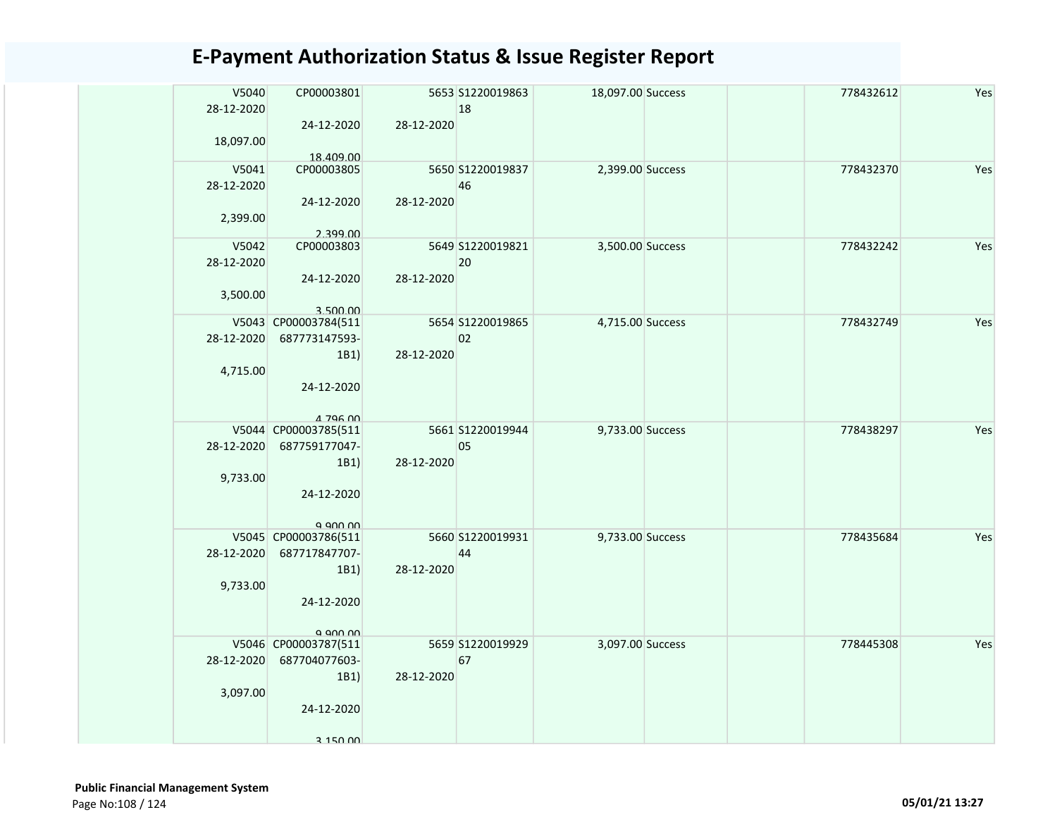| V5040<br>28-12-2020<br>18,097.00 | CP00003801<br>24-12-2020                                                            | 28-12-2020 | 5653 S1220019863<br>18 | 18,097.00 Success | 778432612 | Yes |
|----------------------------------|-------------------------------------------------------------------------------------|------------|------------------------|-------------------|-----------|-----|
| V5041<br>28-12-2020<br>2,399.00  | 18.409.00<br>CP00003805<br>24-12-2020<br>2.399.00                                   | 28-12-2020 | 5650 S1220019837<br>46 | 2,399.00 Success  | 778432370 | Yes |
| V5042<br>28-12-2020<br>3,500.00  | CP00003803<br>24-12-2020<br>3.500.00                                                | 28-12-2020 | 5649 S1220019821<br>20 | 3,500.00 Success  | 778432242 | Yes |
| 28-12-2020<br>4,715.00           | V5043 CP00003784(511<br>687773147593-<br>1B1)<br>24-12-2020<br>A 796 00             | 28-12-2020 | 5654 S1220019865<br>02 | 4,715.00 Success  | 778432749 | Yes |
| 28-12-2020<br>9,733.00           | V5044 CP00003785(511<br>687759177047-<br>1B1)<br>24-12-2020                         | 28-12-2020 | 5661 S1220019944<br>05 | 9,733.00 Success  | 778438297 | Yes |
| 28-12-2020<br>9,733.00           | a ann nn<br>V5045 CP00003786(511<br>687717847707-<br>1B1)<br>24-12-2020<br>a ann nn | 28-12-2020 | 5660 S1220019931<br>44 | 9,733.00 Success  | 778435684 | Yes |
| 28-12-2020<br>3,097.00           | V5046 CP00003787(511<br>687704077603-<br>1B1)<br>24-12-2020<br>3 150 DD             | 28-12-2020 | 5659 S1220019929<br>67 | 3,097.00 Success  | 778445308 | Yes |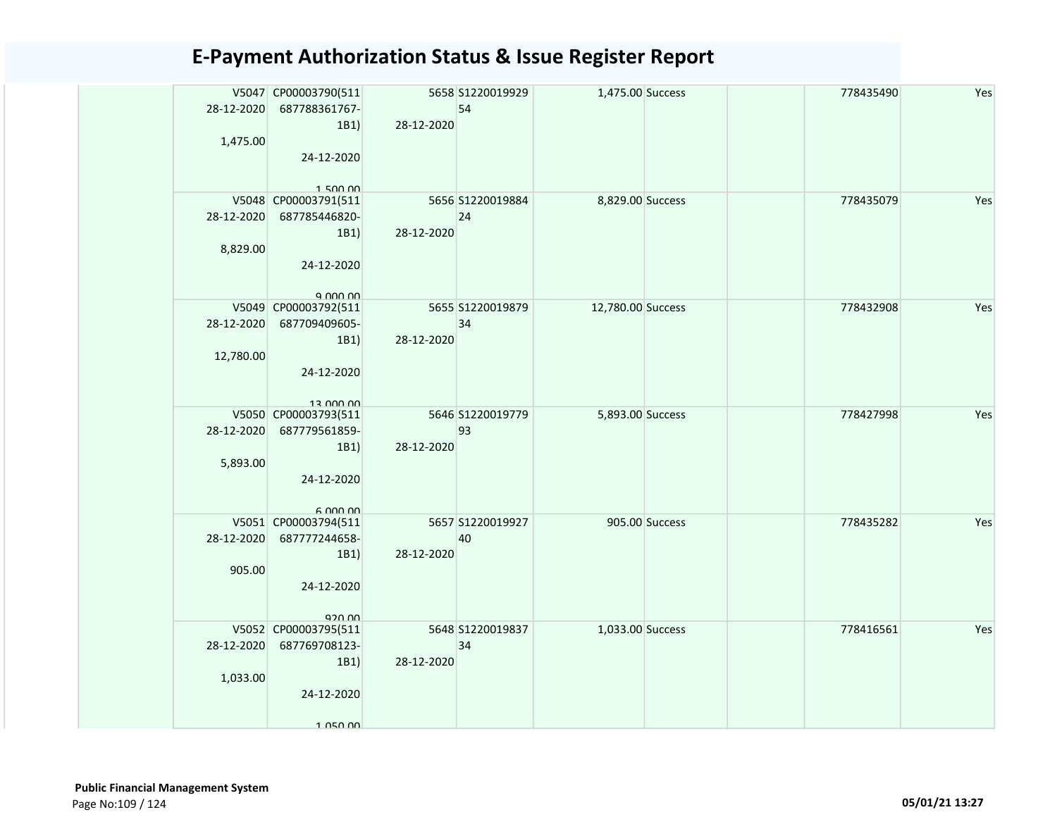| 28-12-2020 | V5047 CP00003790(511<br>687788361767- |            | 5658 S1220019929<br>54 | 1,475.00 Success  |                | 778435490 | Yes |
|------------|---------------------------------------|------------|------------------------|-------------------|----------------|-----------|-----|
|            | 1B1)                                  | 28-12-2020 |                        |                   |                |           |     |
| 1,475.00   |                                       |            |                        |                   |                |           |     |
|            | 24-12-2020                            |            |                        |                   |                |           |     |
|            |                                       |            |                        |                   |                |           |     |
|            | 150000<br>V5048 CP00003791(511        |            | 5656 S1220019884       | 8,829.00 Success  |                | 778435079 | Yes |
| 28-12-2020 | 687785446820-                         |            | 24                     |                   |                |           |     |
|            | 1B1)                                  | 28-12-2020 |                        |                   |                |           |     |
| 8,829.00   |                                       |            |                        |                   |                |           |     |
|            | 24-12-2020                            |            |                        |                   |                |           |     |
|            |                                       |            |                        |                   |                |           |     |
|            | $Q$ $Q$ $Q$ $Q$ $Q$ $Q$ $Q$           |            |                        |                   |                |           |     |
|            | V5049 CP00003792(511                  |            | 5655 S1220019879       | 12,780.00 Success |                | 778432908 | Yes |
|            | 28-12-2020 687709409605-              |            | 34                     |                   |                |           |     |
|            | 1B1)                                  | 28-12-2020 |                        |                   |                |           |     |
| 12,780.00  | 24-12-2020                            |            |                        |                   |                |           |     |
|            |                                       |            |                        |                   |                |           |     |
|            | 13 000 00                             |            |                        |                   |                |           |     |
|            | V5050 CP00003793(511                  |            | 5646 S1220019779       | 5,893.00 Success  |                | 778427998 | Yes |
| 28-12-2020 | 687779561859-                         |            | 93                     |                   |                |           |     |
|            | 1B1)                                  | 28-12-2020 |                        |                   |                |           |     |
| 5,893.00   |                                       |            |                        |                   |                |           |     |
|            | 24-12-2020                            |            |                        |                   |                |           |     |
|            | 6.00000                               |            |                        |                   |                |           |     |
|            | V5051 CP00003794(511                  |            | 5657 S1220019927       |                   | 905.00 Success | 778435282 | Yes |
| 28-12-2020 | 687777244658-                         |            | 40                     |                   |                |           |     |
|            | 1B1)                                  | 28-12-2020 |                        |                   |                |           |     |
| 905.00     |                                       |            |                        |                   |                |           |     |
|            | 24-12-2020                            |            |                        |                   |                |           |     |
|            | 920.00                                |            |                        |                   |                |           |     |
|            | V5052 CP00003795(511                  |            | 5648 S1220019837       | 1,033.00 Success  |                | 778416561 | Yes |
| 28-12-2020 | 687769708123-                         |            | 34                     |                   |                |           |     |
|            | 1B1)                                  | 28-12-2020 |                        |                   |                |           |     |
| 1,033.00   |                                       |            |                        |                   |                |           |     |
|            | 24-12-2020                            |            |                        |                   |                |           |     |
|            | 1 050 00                              |            |                        |                   |                |           |     |
|            |                                       |            |                        |                   |                |           |     |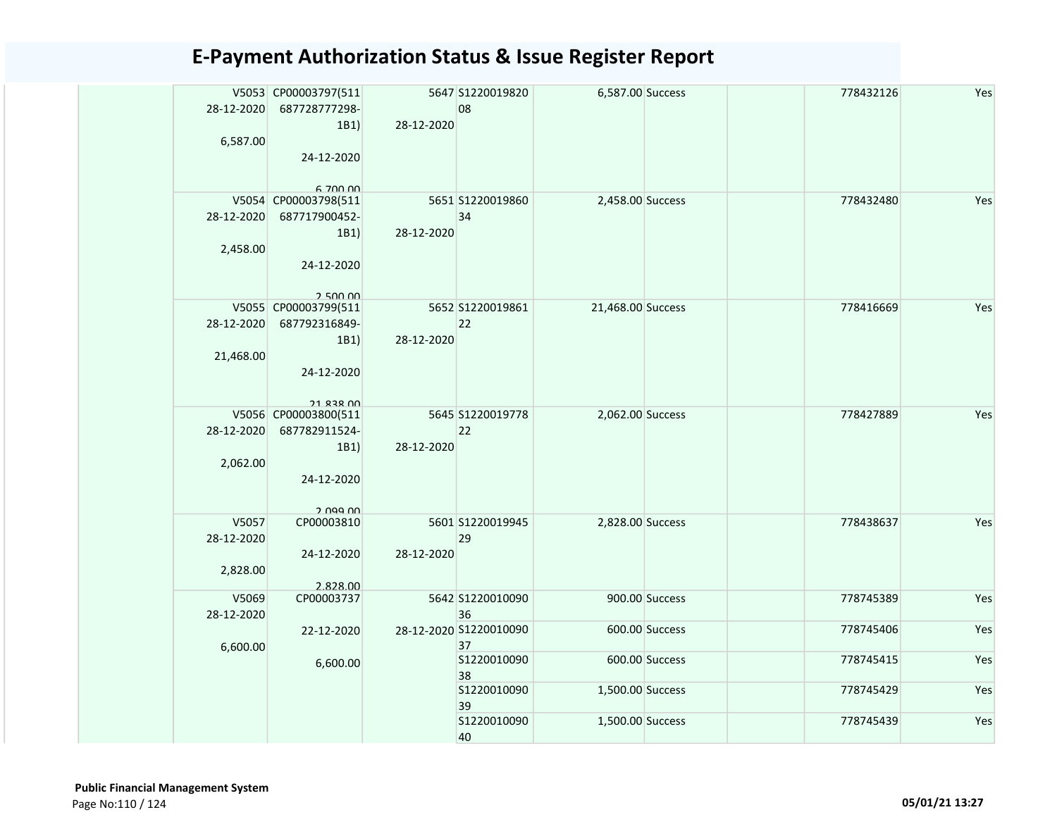| 28-12-2020<br>6,587.00          | V5053 CP00003797(511<br>687728777298-<br>1B1<br>24-12-2020<br>6.700.00          | 28-12-2020 | 5647 S1220019820<br>08       | 6,587.00 Success  |                | 778432126 | Yes |
|---------------------------------|---------------------------------------------------------------------------------|------------|------------------------------|-------------------|----------------|-----------|-----|
| 28-12-2020<br>2,458.00          | V5054 CP00003798(511<br>687717900452-<br>1B1)<br>24-12-2020<br>250000           | 28-12-2020 | 5651 S1220019860<br>34       | 2,458.00 Success  |                | 778432480 | Yes |
| 28-12-2020<br>21,468.00         | V5055 CP00003799(511<br>687792316849-<br>1B1)<br>24-12-2020<br><b>21 838 00</b> | 28-12-2020 | 5652 S1220019861<br>22       | 21,468.00 Success |                | 778416669 | Yes |
| 28-12-2020<br>2,062.00          | V5056 CP00003800(511<br>687782911524-<br>1B1)<br>24-12-2020<br>2 Udd UU         | 28-12-2020 | 5645 S1220019778<br>22       | 2,062.00 Success  |                | 778427889 | Yes |
| V5057<br>28-12-2020<br>2,828.00 | CP00003810<br>24-12-2020<br>2.828.00                                            | 28-12-2020 | 5601 S1220019945<br>29       | 2,828.00 Success  |                | 778438637 | Yes |
| V5069<br>28-12-2020             | CP00003737                                                                      |            | 5642 S1220010090<br>36       |                   | 900.00 Success | 778745389 | Yes |
| 6,600.00                        | 22-12-2020                                                                      |            | 28-12-2020 S1220010090<br>37 |                   | 600.00 Success | 778745406 | Yes |
|                                 | 6,600.00                                                                        |            | S1220010090<br>38            |                   | 600.00 Success | 778745415 | Yes |
|                                 |                                                                                 |            | S1220010090<br>39            | 1,500.00 Success  |                | 778745429 | Yes |
|                                 |                                                                                 |            | S1220010090<br>40            | 1,500.00 Success  |                | 778745439 | Yes |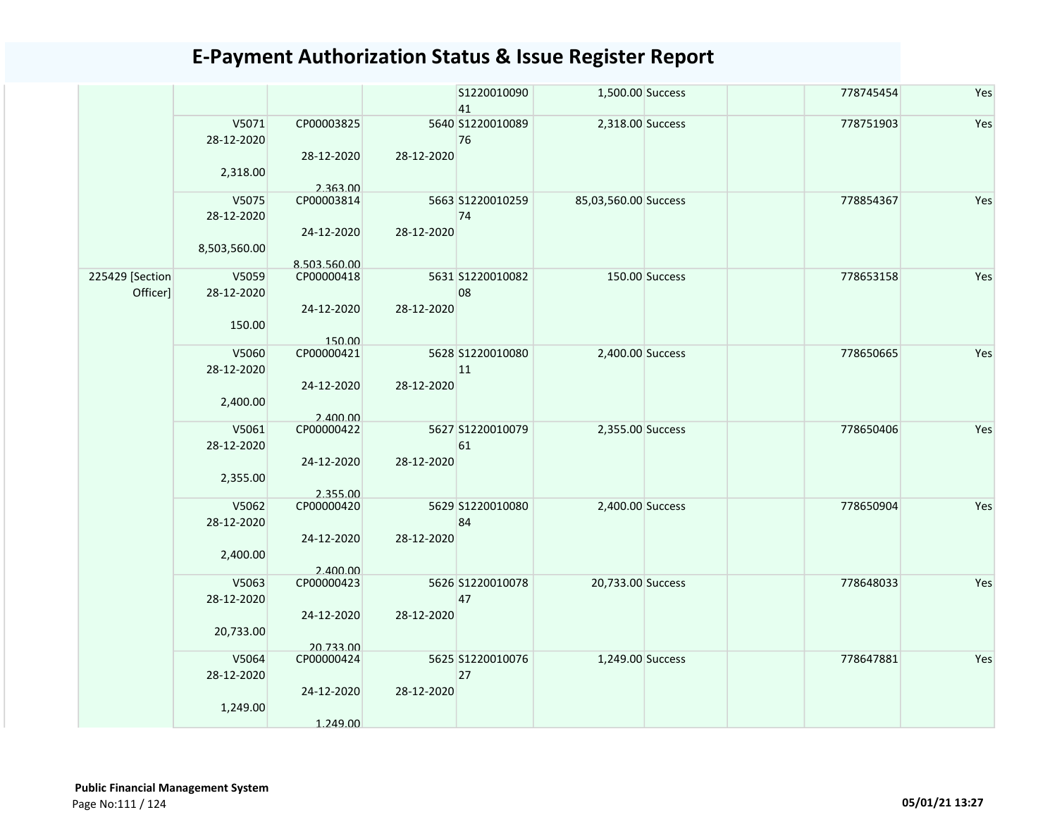|                             |                                     |                                          |            | S1220010090<br>41      | 1,500.00 Success     |                | 778745454 | Yes |
|-----------------------------|-------------------------------------|------------------------------------------|------------|------------------------|----------------------|----------------|-----------|-----|
|                             | V5071<br>28-12-2020<br>2,318.00     | CP00003825<br>28-12-2020<br>2.363.00     | 28-12-2020 | 5640 S1220010089<br>76 | 2,318.00 Success     |                | 778751903 | Yes |
|                             | V5075<br>28-12-2020<br>8,503,560.00 | CP00003814<br>24-12-2020<br>8.503.560.00 | 28-12-2020 | 5663 S1220010259<br>74 | 85,03,560.00 Success |                | 778854367 | Yes |
| 225429 [Section<br>Officer] | V5059<br>28-12-2020<br>150.00       | CP00000418<br>24-12-2020<br>150.00       | 28-12-2020 | 5631 S1220010082<br>08 |                      | 150.00 Success | 778653158 | Yes |
|                             | V5060<br>28-12-2020<br>2,400.00     | CP00000421<br>24-12-2020<br>2.400.00     | 28-12-2020 | 5628 S1220010080<br>11 | 2,400.00 Success     |                | 778650665 | Yes |
|                             | V5061<br>28-12-2020<br>2,355.00     | CP00000422<br>24-12-2020<br>2.355.00     | 28-12-2020 | 5627 S1220010079<br>61 | 2,355.00 Success     |                | 778650406 | Yes |
|                             | V5062<br>28-12-2020<br>2,400.00     | CP00000420<br>24-12-2020<br>2.400.00     | 28-12-2020 | 5629 S1220010080<br>84 | 2,400.00 Success     |                | 778650904 | Yes |
|                             | V5063<br>28-12-2020<br>20,733.00    | CP00000423<br>24-12-2020<br>20.733.00    | 28-12-2020 | 5626 S1220010078<br>47 | 20,733.00 Success    |                | 778648033 | Yes |
|                             | V5064<br>28-12-2020<br>1,249.00     | CP00000424<br>24-12-2020<br>1.249.00     | 28-12-2020 | 5625 S1220010076<br>27 | 1,249.00 Success     |                | 778647881 | Yes |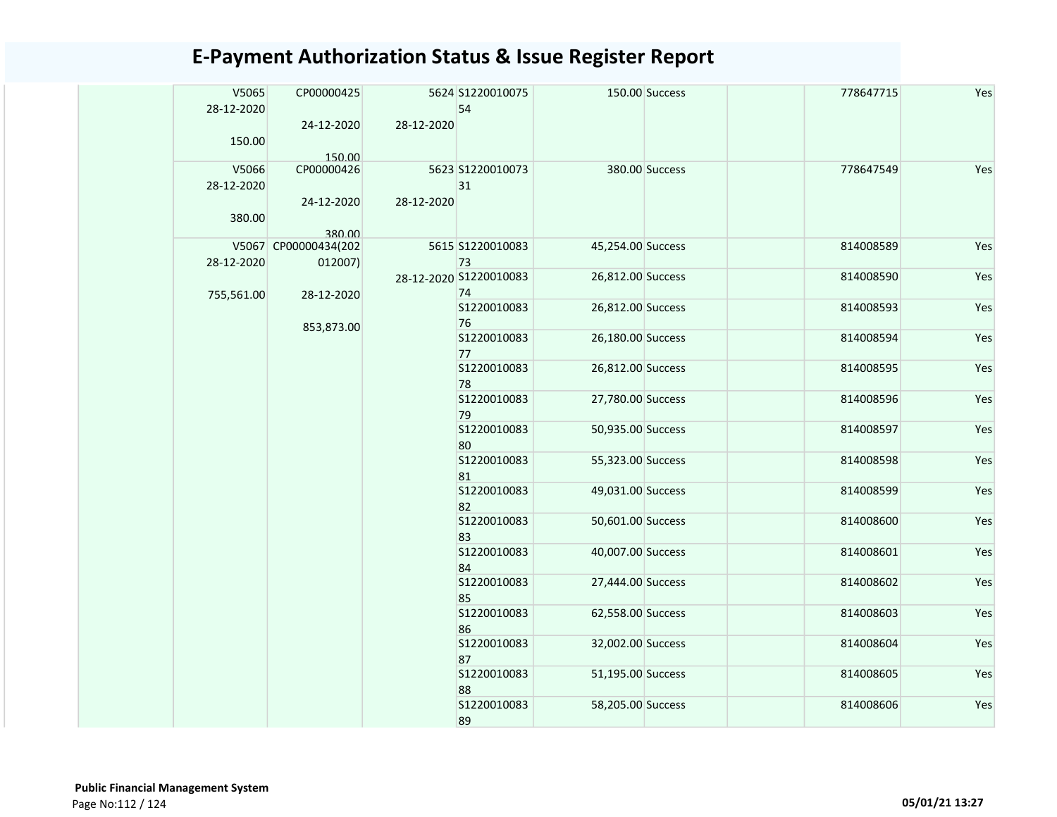| V5065<br>28-12-2020 | CP00000425<br>24-12-2020        | 28-12-2020 | 5624 S1220010075<br>54       |                   | 150.00 Success    | 778647715         | Yes |           |     |  |  |  |  |  |  |  |  |  |  |  |  |  |  |  |                   |                   |  |           |     |
|---------------------|---------------------------------|------------|------------------------------|-------------------|-------------------|-------------------|-----|-----------|-----|--|--|--|--|--|--|--|--|--|--|--|--|--|--|--|-------------------|-------------------|--|-----------|-----|
| 150.00              | 150.00                          |            |                              |                   |                   |                   |     |           |     |  |  |  |  |  |  |  |  |  |  |  |  |  |  |  |                   |                   |  |           |     |
| V5066<br>28-12-2020 | CP00000426                      |            | 5623 S1220010073<br>31       |                   | 380.00 Success    | 778647549         | Yes |           |     |  |  |  |  |  |  |  |  |  |  |  |  |  |  |  |                   |                   |  |           |     |
| 380.00              | 24-12-2020<br>380.00            | 28-12-2020 |                              |                   |                   |                   |     |           |     |  |  |  |  |  |  |  |  |  |  |  |  |  |  |  |                   |                   |  |           |     |
| 28-12-2020          | V5067 CP00000434(202<br>012007) |            | 5615 S1220010083<br>73       | 45,254.00 Success |                   | 814008589         | Yes |           |     |  |  |  |  |  |  |  |  |  |  |  |  |  |  |  |                   |                   |  |           |     |
| 755,561.00          | 28-12-2020                      |            | 28-12-2020 S1220010083<br>74 | 26,812.00 Success |                   | 814008590         | Yes |           |     |  |  |  |  |  |  |  |  |  |  |  |  |  |  |  |                   |                   |  |           |     |
|                     | 853,873.00                      |            | S1220010083<br>76            | 26,812.00 Success |                   | 814008593         | Yes |           |     |  |  |  |  |  |  |  |  |  |  |  |  |  |  |  |                   |                   |  |           |     |
|                     |                                 |            | S1220010083<br>77            | 26,180.00 Success |                   | 814008594         | Yes |           |     |  |  |  |  |  |  |  |  |  |  |  |  |  |  |  |                   |                   |  |           |     |
|                     |                                 |            | S1220010083<br>78            | 26,812.00 Success |                   | 814008595         | Yes |           |     |  |  |  |  |  |  |  |  |  |  |  |  |  |  |  |                   |                   |  |           |     |
|                     |                                 |            | S1220010083<br>79            | 27,780.00 Success |                   | 814008596         | Yes |           |     |  |  |  |  |  |  |  |  |  |  |  |  |  |  |  |                   |                   |  |           |     |
|                     |                                 |            | S1220010083<br>80            | 50,935.00 Success |                   | 814008597         | Yes |           |     |  |  |  |  |  |  |  |  |  |  |  |  |  |  |  |                   |                   |  |           |     |
|                     |                                 |            | S1220010083<br>81            | 55,323.00 Success |                   | 814008598         | Yes |           |     |  |  |  |  |  |  |  |  |  |  |  |  |  |  |  |                   |                   |  |           |     |
|                     |                                 |            | S1220010083<br>82            | 49,031.00 Success |                   | 814008599         | Yes |           |     |  |  |  |  |  |  |  |  |  |  |  |  |  |  |  |                   |                   |  |           |     |
|                     |                                 |            | S1220010083<br>83            | 50,601.00 Success |                   | 814008600         | Yes |           |     |  |  |  |  |  |  |  |  |  |  |  |  |  |  |  |                   |                   |  |           |     |
|                     |                                 |            | S1220010083<br>84            | 40,007.00 Success |                   | 814008601         | Yes |           |     |  |  |  |  |  |  |  |  |  |  |  |  |  |  |  |                   |                   |  |           |     |
|                     |                                 |            |                              |                   |                   |                   |     |           |     |  |  |  |  |  |  |  |  |  |  |  |  |  |  |  | S1220010083<br>85 | 27,444.00 Success |  | 814008602 | Yes |
|                     |                                 |            | S1220010083<br>86            | 62,558.00 Success |                   | 814008603         | Yes |           |     |  |  |  |  |  |  |  |  |  |  |  |  |  |  |  |                   |                   |  |           |     |
|                     |                                 |            | S1220010083<br>87            | 32,002.00 Success |                   | 814008604         | Yes |           |     |  |  |  |  |  |  |  |  |  |  |  |  |  |  |  |                   |                   |  |           |     |
|                     |                                 |            |                              |                   | S1220010083<br>88 | 51,195.00 Success |     | 814008605 | Yes |  |  |  |  |  |  |  |  |  |  |  |  |  |  |  |                   |                   |  |           |     |
|                     |                                 |            |                              |                   | S1220010083<br>89 | 58,205.00 Success |     | 814008606 | Yes |  |  |  |  |  |  |  |  |  |  |  |  |  |  |  |                   |                   |  |           |     |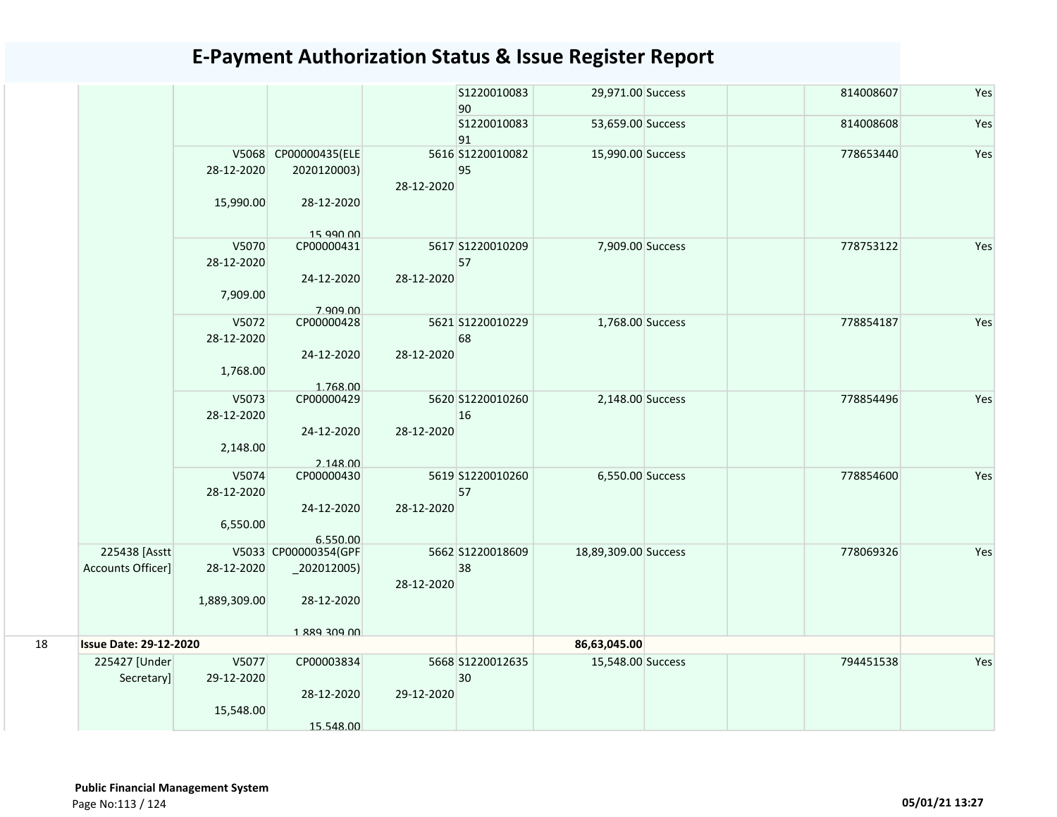|    |                               |              |                         |            | S1220010083<br>90 | 29,971.00 Success    | 814008607 | Yes |
|----|-------------------------------|--------------|-------------------------|------------|-------------------|----------------------|-----------|-----|
|    |                               |              |                         |            | S1220010083<br>91 | 53,659.00 Success    | 814008608 | Yes |
|    |                               |              | V5068 CP00000435(ELE    |            | 5616 S1220010082  | 15,990.00 Success    | 778653440 | Yes |
|    |                               | 28-12-2020   | 2020120003)             | 28-12-2020 | 95                |                      |           |     |
|    |                               | 15,990.00    | 28-12-2020<br>15 990 00 |            |                   |                      |           |     |
|    |                               | V5070        | CP00000431              |            | 5617 S1220010209  | 7,909.00 Success     | 778753122 | Yes |
|    |                               | 28-12-2020   |                         |            | 57                |                      |           |     |
|    |                               |              | 24-12-2020              | 28-12-2020 |                   |                      |           |     |
|    |                               | 7,909.00     | 7.909.00                |            |                   |                      |           |     |
|    |                               | V5072        | CP00000428              |            | 5621 S1220010229  | 1,768.00 Success     | 778854187 | Yes |
|    |                               | 28-12-2020   |                         |            | 68                |                      |           |     |
|    |                               |              | 24-12-2020              | 28-12-2020 |                   |                      |           |     |
|    |                               | 1,768.00     | 1.768.00                |            |                   |                      |           |     |
|    |                               | V5073        | CP00000429              |            | 5620 S1220010260  | 2,148.00 Success     | 778854496 | Yes |
|    |                               | 28-12-2020   |                         |            | 16                |                      |           |     |
|    |                               |              | 24-12-2020              | 28-12-2020 |                   |                      |           |     |
|    |                               | 2,148.00     |                         |            |                   |                      |           |     |
|    |                               |              | 2.148.00                |            |                   |                      |           |     |
|    |                               | V5074        | CP00000430              |            | 5619 S1220010260  | 6,550.00 Success     | 778854600 | Yes |
|    |                               | 28-12-2020   | 24-12-2020              | 28-12-2020 | 57                |                      |           |     |
|    |                               | 6,550.00     |                         |            |                   |                      |           |     |
|    |                               |              | 6.550.00                |            |                   |                      |           |     |
|    | 225438 [Asstt]                |              | V5033 CP00000354(GPF    |            | 5662 S1220018609  | 18,89,309.00 Success | 778069326 | Yes |
|    | Accounts Officer]             | 28-12-2020   | $_2$ 202012005)         |            | 38                |                      |           |     |
|    |                               |              |                         | 28-12-2020 |                   |                      |           |     |
|    |                               | 1,889,309.00 | 28-12-2020              |            |                   |                      |           |     |
|    |                               |              |                         |            |                   |                      |           |     |
| 18 | <b>Issue Date: 29-12-2020</b> |              | 1 889 309 00            |            |                   | 86,63,045.00         |           |     |
|    |                               |              |                         |            |                   |                      |           |     |
|    | 225427 [Under                 | V5077        | CP00003834              |            | 5668 S1220012635  | 15,548.00 Success    | 794451538 | Yes |
|    | Secretary]                    | 29-12-2020   |                         |            | 30                |                      |           |     |
|    |                               |              | 28-12-2020              | 29-12-2020 |                   |                      |           |     |
|    |                               | 15,548.00    |                         |            |                   |                      |           |     |
|    |                               |              | 15.548.00               |            |                   |                      |           |     |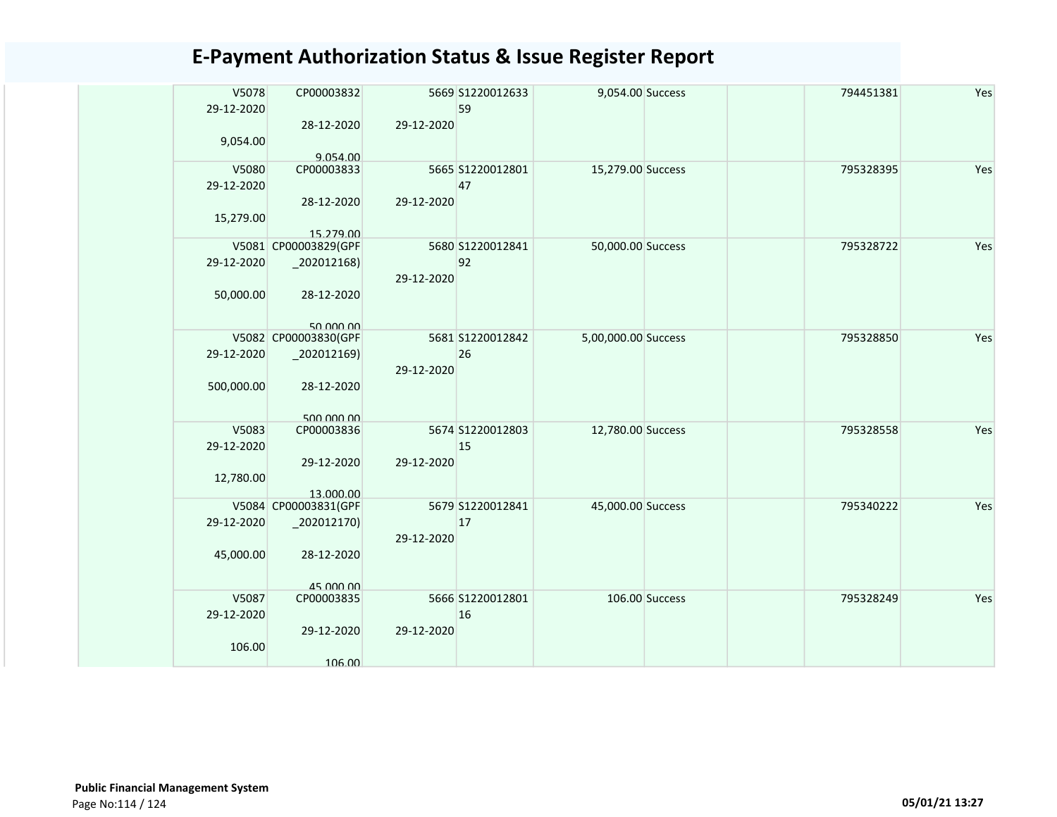| V5078      | CP00003832                        |            | 5669 S1220012633 | 9,054.00 Success    |                | 794451381 | Yes |
|------------|-----------------------------------|------------|------------------|---------------------|----------------|-----------|-----|
| 29-12-2020 |                                   |            | 59               |                     |                |           |     |
|            | 28-12-2020                        | 29-12-2020 |                  |                     |                |           |     |
| 9,054.00   |                                   |            |                  |                     |                |           |     |
|            | 9.054.00                          |            |                  |                     |                |           |     |
| V5080      | CP00003833                        |            | 5665 S1220012801 | 15,279.00 Success   |                | 795328395 | Yes |
| 29-12-2020 |                                   |            | 47               |                     |                |           |     |
|            | 28-12-2020                        | 29-12-2020 |                  |                     |                |           |     |
| 15,279.00  |                                   |            |                  |                     |                |           |     |
|            | 15.279.00                         |            |                  |                     |                |           |     |
|            | V5081 CP00003829(GPF              |            | 5680 S1220012841 | 50,000.00 Success   |                | 795328722 | Yes |
| 29-12-2020 | $_2$ 02012168)                    |            | 92               |                     |                |           |     |
|            |                                   | 29-12-2020 |                  |                     |                |           |     |
| 50,000.00  | 28-12-2020                        |            |                  |                     |                |           |     |
|            |                                   |            |                  |                     |                |           |     |
|            |                                   |            |                  |                     |                |           |     |
|            | 50.000.00<br>V5082 CP00003830(GPF |            | 5681 S1220012842 | 5,00,000.00 Success |                | 795328850 | Yes |
| 29-12-2020 | $-202012169$                      |            | 26               |                     |                |           |     |
|            |                                   |            |                  |                     |                |           |     |
|            |                                   | 29-12-2020 |                  |                     |                |           |     |
| 500,000.00 | 28-12-2020                        |            |                  |                     |                |           |     |
|            |                                   |            |                  |                     |                |           |     |
|            | 500,000,00                        |            |                  |                     |                |           |     |
| V5083      | CP00003836                        |            | 5674 S1220012803 | 12,780.00 Success   |                | 795328558 | Yes |
| 29-12-2020 |                                   |            | 15               |                     |                |           |     |
|            | 29-12-2020                        | 29-12-2020 |                  |                     |                |           |     |
| 12,780.00  |                                   |            |                  |                     |                |           |     |
|            | 13.000.00                         |            |                  |                     |                |           |     |
|            | V5084 CP00003831(GPF              |            | 5679 S1220012841 | 45,000.00 Success   |                | 795340222 | Yes |
| 29-12-2020 | 202012170)                        |            | 17               |                     |                |           |     |
|            |                                   | 29-12-2020 |                  |                     |                |           |     |
| 45,000.00  | 28-12-2020                        |            |                  |                     |                |           |     |
|            |                                   |            |                  |                     |                |           |     |
|            | 45,000,00                         |            |                  |                     |                |           |     |
| V5087      | CP00003835                        |            | 5666 S1220012801 |                     | 106.00 Success | 795328249 | Yes |
| 29-12-2020 |                                   |            | 16               |                     |                |           |     |
|            | 29-12-2020                        | 29-12-2020 |                  |                     |                |           |     |
| 106.00     |                                   |            |                  |                     |                |           |     |
|            | 106.00                            |            |                  |                     |                |           |     |
|            |                                   |            |                  |                     |                |           |     |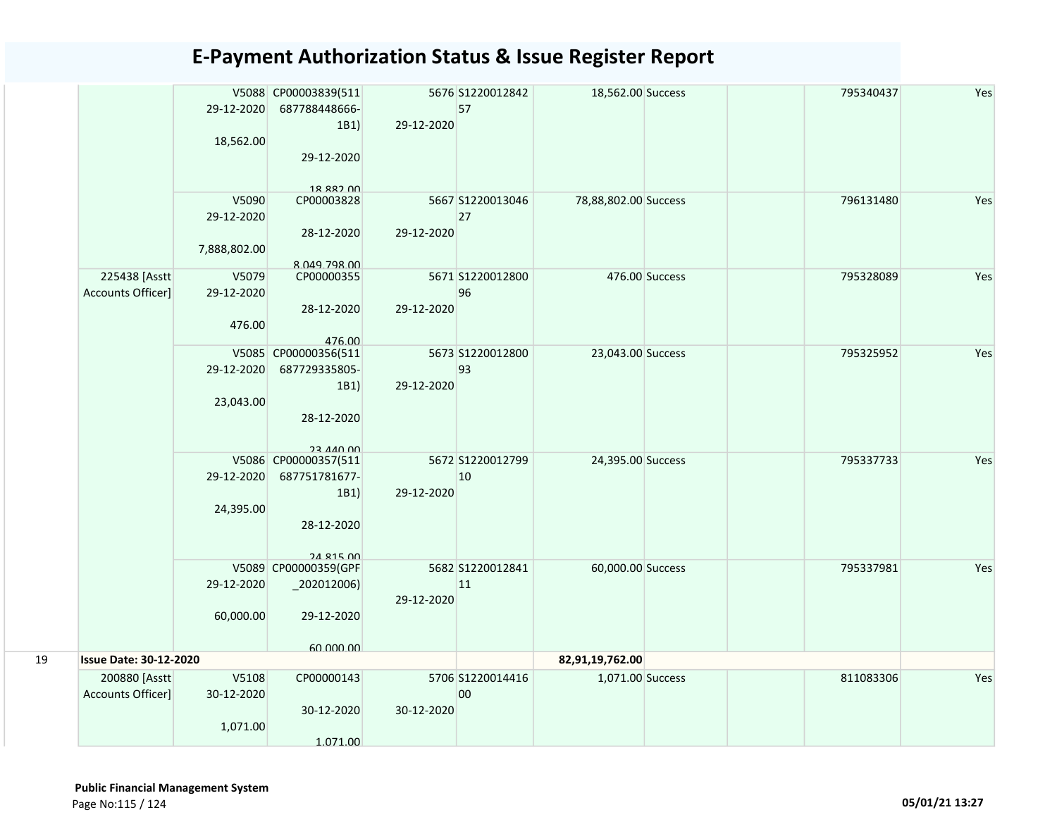|    |                               | 29-12-2020   | V5088 CP00003839(511<br>687788448666-  |            | 5676 S1220012842<br>57 | 18,562.00 Success    |                | 795340437 | Yes |
|----|-------------------------------|--------------|----------------------------------------|------------|------------------------|----------------------|----------------|-----------|-----|
|    |                               |              | 1B1)                                   | 29-12-2020 |                        |                      |                |           |     |
|    |                               | 18,562.00    |                                        |            |                        |                      |                |           |     |
|    |                               |              | 29-12-2020                             |            |                        |                      |                |           |     |
|    |                               |              | 18 882 NO                              |            |                        |                      |                |           |     |
|    |                               | V5090        | CP00003828                             |            | 5667 S1220013046       | 78,88,802.00 Success |                | 796131480 | Yes |
|    |                               | 29-12-2020   |                                        |            | 27                     |                      |                |           |     |
|    |                               |              | 28-12-2020                             | 29-12-2020 |                        |                      |                |           |     |
|    |                               | 7,888,802.00 |                                        |            |                        |                      |                |           |     |
|    | 225438 [Asstt]                | V5079        | 8.049.798.00<br>CP00000355             |            | 5671 S1220012800       |                      | 476.00 Success | 795328089 | Yes |
|    | Accounts Officer]             | 29-12-2020   |                                        |            | 96                     |                      |                |           |     |
|    |                               |              | 28-12-2020                             | 29-12-2020 |                        |                      |                |           |     |
|    |                               | 476.00       |                                        |            |                        |                      |                |           |     |
|    |                               |              | 476.00                                 |            |                        |                      |                |           |     |
|    |                               |              | V5085 CP00000356(511                   |            | 5673 S1220012800       | 23,043.00 Success    |                | 795325952 | Yes |
|    |                               | 29-12-2020   | 687729335805-<br>1B1)                  | 29-12-2020 | 93                     |                      |                |           |     |
|    |                               | 23,043.00    |                                        |            |                        |                      |                |           |     |
|    |                               |              | 28-12-2020                             |            |                        |                      |                |           |     |
|    |                               |              |                                        |            |                        |                      |                |           |     |
|    |                               |              | <b>23 440 00</b>                       |            |                        |                      |                |           |     |
|    |                               | 29-12-2020   | V5086 CP00000357(511<br>687751781677-  |            | 5672 S1220012799<br>10 | 24,395.00 Success    |                | 795337733 | Yes |
|    |                               |              | 1B1)                                   | 29-12-2020 |                        |                      |                |           |     |
|    |                               | 24,395.00    |                                        |            |                        |                      |                |           |     |
|    |                               |              | 28-12-2020                             |            |                        |                      |                |           |     |
|    |                               |              |                                        |            |                        |                      |                |           |     |
|    |                               |              | <b>24 815 00</b>                       |            |                        |                      |                |           |     |
|    |                               | 29-12-2020   | V5089 CP00000359(GPF<br>$_2$ 02012006) |            | 5682 S1220012841<br>11 | 60,000.00 Success    |                | 795337981 | Yes |
|    |                               |              |                                        | 29-12-2020 |                        |                      |                |           |     |
|    |                               | 60,000.00    | 29-12-2020                             |            |                        |                      |                |           |     |
|    |                               |              |                                        |            |                        |                      |                |           |     |
|    |                               |              | 60,000,00                              |            |                        |                      |                |           |     |
| 19 | <b>Issue Date: 30-12-2020</b> |              |                                        |            |                        | 82,91,19,762.00      |                |           |     |
|    | 200880 [Asstt]                | V5108        | CP00000143                             |            | 5706 S1220014416       | 1,071.00 Success     |                | 811083306 | Yes |
|    | Accounts Officer]             | 30-12-2020   | 30-12-2020                             | 30-12-2020 | 00                     |                      |                |           |     |
|    |                               | 1,071.00     |                                        |            |                        |                      |                |           |     |
|    |                               |              | 1.071.00                               |            |                        |                      |                |           |     |
|    |                               |              |                                        |            |                        |                      |                |           |     |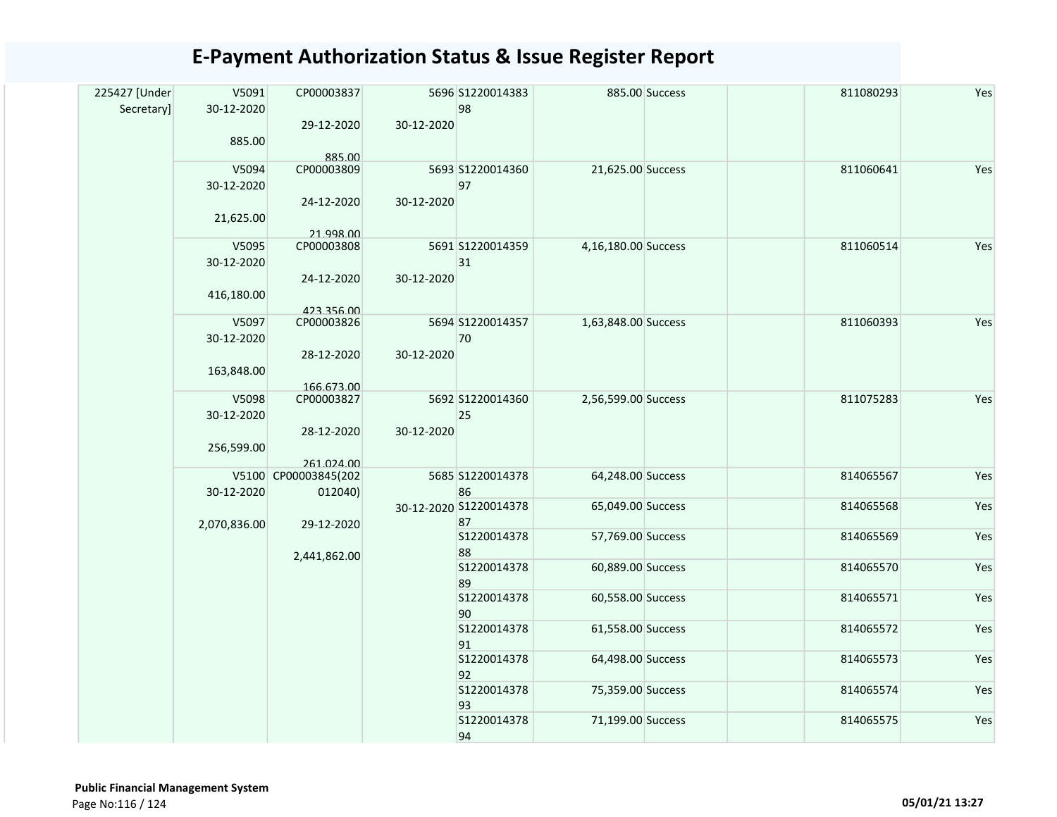| 225427 [Under | V5091        | CP00003837           |            | 5696 S1220014383       |                     | 885.00 Success | 811080293 | Yes |
|---------------|--------------|----------------------|------------|------------------------|---------------------|----------------|-----------|-----|
| Secretary]    | 30-12-2020   |                      |            | 98                     |                     |                |           |     |
|               | 885.00       | 29-12-2020           | 30-12-2020 |                        |                     |                |           |     |
|               | V5094        | 885.00<br>CP00003809 |            | 5693 S1220014360       | 21,625.00 Success   |                | 811060641 | Yes |
|               | 30-12-2020   |                      |            | 97                     |                     |                |           |     |
|               | 21,625.00    | 24-12-2020           | 30-12-2020 |                        |                     |                |           |     |
|               |              | 21.998.00            |            |                        |                     |                |           |     |
|               | V5095        | CP00003808           |            | 5691 S1220014359       | 4,16,180.00 Success |                | 811060514 | Yes |
|               | 30-12-2020   |                      |            | 31                     |                     |                |           |     |
|               |              | 24-12-2020           | 30-12-2020 |                        |                     |                |           |     |
|               | 416,180.00   |                      |            |                        |                     |                |           |     |
|               |              | 423.356.00           |            |                        |                     |                |           |     |
|               | V5097        | CP00003826           |            | 5694 S1220014357       | 1,63,848.00 Success |                | 811060393 | Yes |
|               | 30-12-2020   |                      |            | 70                     |                     |                |           |     |
|               |              | 28-12-2020           | 30-12-2020 |                        |                     |                |           |     |
|               | 163,848.00   | 166.673.00           |            |                        |                     |                |           |     |
|               | V5098        | CP00003827           |            | 5692 S1220014360       | 2,56,599.00 Success |                | 811075283 | Yes |
|               | 30-12-2020   |                      |            | 25                     |                     |                |           |     |
|               |              | 28-12-2020           | 30-12-2020 |                        |                     |                |           |     |
|               | 256,599.00   |                      |            |                        |                     |                |           |     |
|               |              | 261.024.00           |            |                        |                     |                |           |     |
|               |              | V5100 CP00003845(202 |            | 5685 S1220014378       | 64,248.00 Success   |                | 814065567 | Yes |
|               | 30-12-2020   | 012040)              |            | 86                     |                     |                |           |     |
|               |              |                      |            | 30-12-2020 S1220014378 | 65,049.00 Success   |                | 814065568 | Yes |
|               | 2,070,836.00 | 29-12-2020           |            | 87                     |                     |                |           |     |
|               |              |                      |            | S1220014378            | 57,769.00 Success   |                | 814065569 | Yes |
|               |              | 2,441,862.00         |            | 88                     |                     |                |           |     |
|               |              |                      |            | S1220014378<br>89      | 60,889.00 Success   |                | 814065570 | Yes |
|               |              |                      |            | S1220014378            | 60,558.00 Success   |                | 814065571 | Yes |
|               |              |                      |            | 90                     |                     |                |           |     |
|               |              |                      |            | S1220014378            | 61,558.00 Success   |                | 814065572 | Yes |
|               |              |                      |            | 91                     |                     |                |           |     |
|               |              |                      |            | S1220014378            | 64,498.00 Success   |                | 814065573 | Yes |
|               |              |                      |            | 92                     |                     |                |           |     |
|               |              |                      |            | \$1220014378           | 75,359.00 Success   |                | 814065574 | Yes |
|               |              |                      | 93         |                        |                     |                |           |     |
|               |              |                      |            | S1220014378            | 71,199.00 Success   |                | 814065575 | Yes |
|               |              |                      |            | 94                     |                     |                |           |     |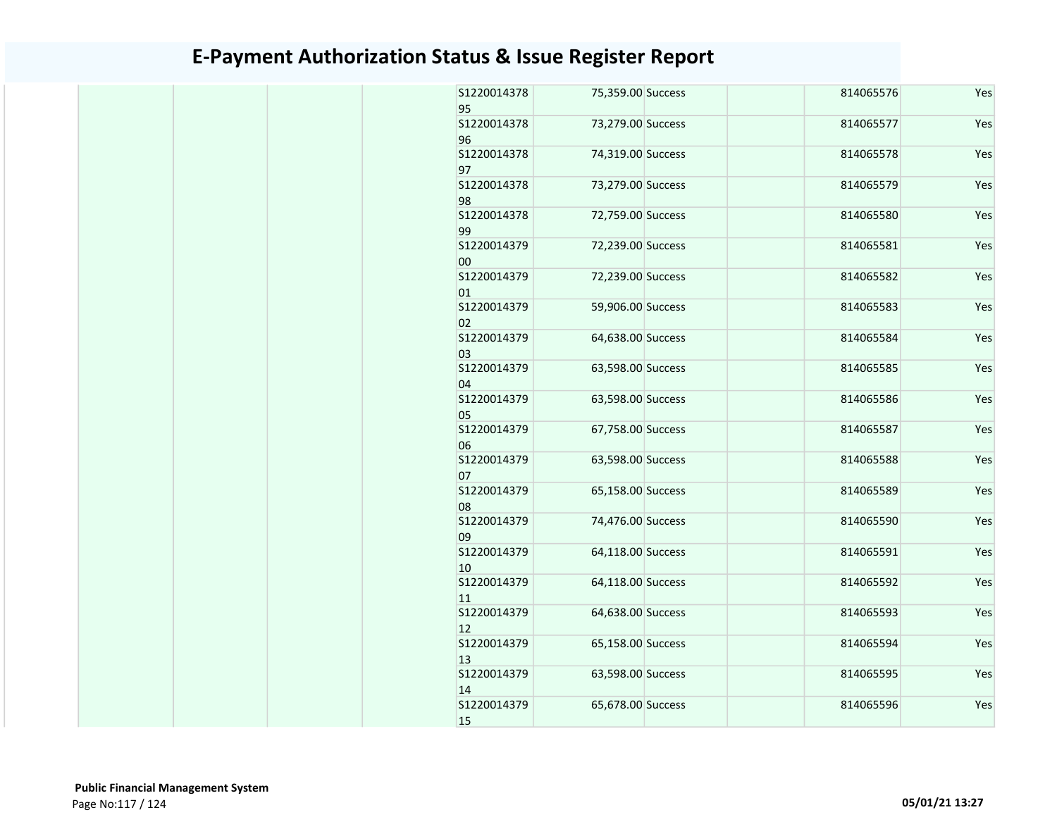| S1220014378<br>95  | 75,359.00 Success | 814065576 | Yes |
|--------------------|-------------------|-----------|-----|
| S1220014378<br>96  | 73,279.00 Success | 814065577 | Yes |
| S1220014378<br>97  | 74,319.00 Success | 814065578 | Yes |
| S1220014378<br>98  | 73,279.00 Success | 814065579 | Yes |
| S1220014378<br>99  | 72,759.00 Success | 814065580 | Yes |
| S1220014379<br>00  | 72,239.00 Success | 814065581 | Yes |
| S1220014379<br>01  | 72,239.00 Success | 814065582 | Yes |
| \$1220014379<br>02 | 59,906.00 Success | 814065583 | Yes |
| S1220014379<br>03  | 64,638.00 Success | 814065584 | Yes |
| S1220014379<br>04  | 63,598.00 Success | 814065585 | Yes |
| S1220014379<br>05  | 63,598.00 Success | 814065586 | Yes |
| S1220014379<br>06  | 67,758.00 Success | 814065587 | Yes |
| S1220014379<br>07  | 63,598.00 Success | 814065588 | Yes |
| S1220014379<br>08  | 65,158.00 Success | 814065589 | Yes |
| S1220014379<br>09  | 74,476.00 Success | 814065590 | Yes |
| S1220014379<br>10  | 64,118.00 Success | 814065591 | Yes |
| S1220014379<br>11  | 64,118.00 Success | 814065592 | Yes |
| S1220014379<br>12  | 64,638.00 Success | 814065593 | Yes |
| S1220014379<br>13  | 65,158.00 Success | 814065594 | Yes |
| S1220014379<br>14  | 63,598.00 Success | 814065595 | Yes |
| S1220014379<br>15  | 65,678.00 Success | 814065596 | Yes |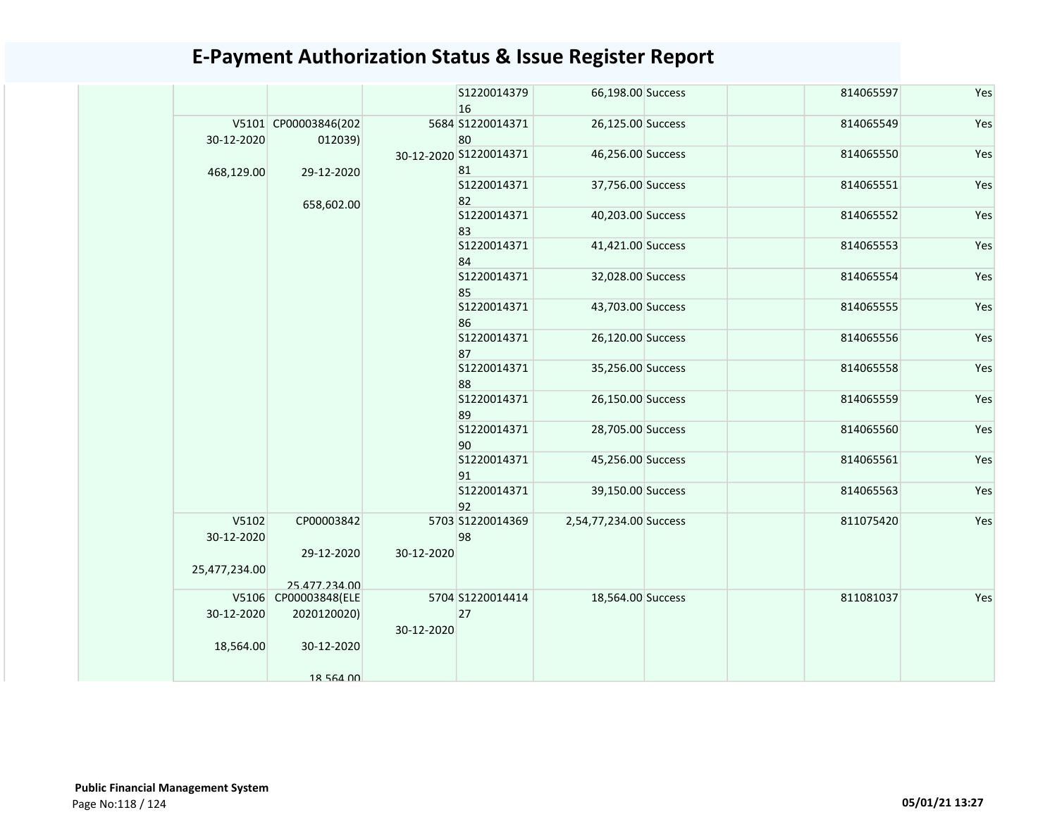|                     |                                 |            | S1220014379<br>16            | 66,198.00 Success      | 814065597 | Yes |
|---------------------|---------------------------------|------------|------------------------------|------------------------|-----------|-----|
| 30-12-2020          | V5101 CP00003846(202<br>012039) |            | 5684 S1220014371<br>80       | 26,125.00 Success      | 814065549 | Yes |
| 468,129.00          | 29-12-2020                      |            | 30-12-2020 S1220014371<br>81 | 46,256.00 Success      | 814065550 | Yes |
|                     | 658,602.00                      |            | S1220014371<br>82            | 37,756.00 Success      | 814065551 | Yes |
|                     |                                 |            | S1220014371<br>83            | 40,203.00 Success      | 814065552 | Yes |
|                     |                                 |            | S1220014371<br>84            | 41,421.00 Success      | 814065553 | Yes |
|                     |                                 |            | S1220014371<br>85            | 32,028.00 Success      | 814065554 | Yes |
|                     |                                 |            | S1220014371<br>86            | 43,703.00 Success      | 814065555 | Yes |
|                     |                                 |            | S1220014371<br>87            | 26,120.00 Success      | 814065556 | Yes |
|                     |                                 |            | S1220014371<br>88            | 35,256.00 Success      | 814065558 | Yes |
|                     |                                 |            | S1220014371<br>89            | 26,150.00 Success      | 814065559 | Yes |
|                     |                                 |            | S1220014371<br>90            | 28,705.00 Success      | 814065560 | Yes |
|                     |                                 |            | S1220014371<br>91            | 45,256.00 Success      | 814065561 | Yes |
|                     |                                 |            | S1220014371<br>92            | 39,150.00 Success      | 814065563 | Yes |
| V5102<br>30-12-2020 | CP00003842                      |            | 5703 S1220014369<br>98       | 2,54,77,234.00 Success | 811075420 | Yes |
| 25,477,234.00       | 29-12-2020                      | 30-12-2020 |                              |                        |           |     |
|                     | 25.477.234.00                   |            |                              |                        |           |     |
|                     | V5106 CP00003848(ELE            |            | 5704 S1220014414             | 18,564.00 Success      | 811081037 | Yes |
| 30-12-2020          | 2020120020)                     |            | 27                           |                        |           |     |
| 18,564.00           | 30-12-2020                      | 30-12-2020 |                              |                        |           |     |
|                     | 18 564 00                       |            |                              |                        |           |     |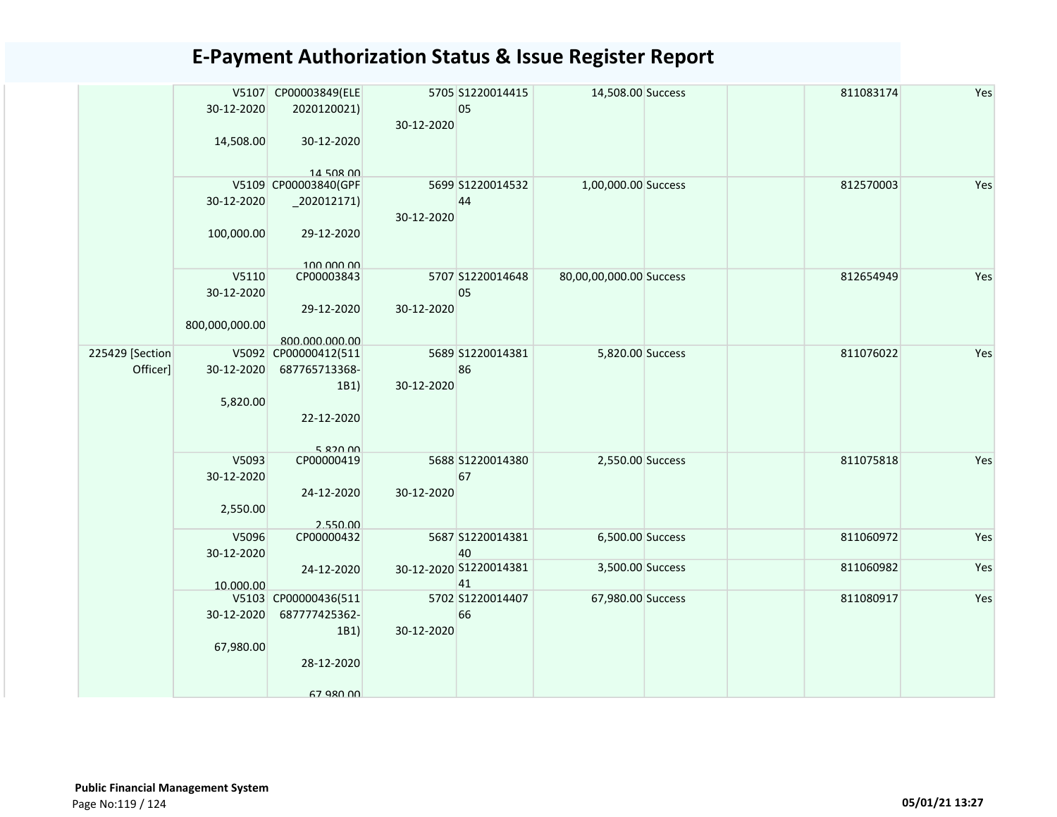|                  |                | V5107 CP00003849(ELE   |            | 5705 S1220014415       | 14,508.00 Success       | 811083174 | Yes |
|------------------|----------------|------------------------|------------|------------------------|-------------------------|-----------|-----|
|                  | 30-12-2020     | 2020120021)            | 30-12-2020 | 05                     |                         |           |     |
|                  | 14,508.00      | 30-12-2020             |            |                        |                         |           |     |
|                  |                |                        |            |                        |                         |           |     |
|                  |                | 14 508 00              |            |                        |                         |           |     |
|                  |                | V5109 CP00003840(GPF   |            | 5699 S1220014532       | 1,00,000.00 Success     | 812570003 | Yes |
|                  | 30-12-2020     | $_2$ 202012171)        |            | 44                     |                         |           |     |
|                  |                |                        | 30-12-2020 |                        |                         |           |     |
|                  | 100,000.00     | 29-12-2020             |            |                        |                         |           |     |
|                  |                | 100.000.00             |            |                        |                         |           |     |
|                  | V5110          | CP00003843             |            | 5707 S1220014648       | 80,00,00,000.00 Success | 812654949 | Yes |
|                  | 30-12-2020     |                        |            | 05                     |                         |           |     |
|                  |                | 29-12-2020             | 30-12-2020 |                        |                         |           |     |
|                  | 800,000,000.00 |                        |            |                        |                         |           |     |
|                  |                | 800.000.000.00         |            |                        |                         |           |     |
| 225429 [Section] |                | V5092 CP00000412(511   |            | 5689 S1220014381       | 5,820.00 Success        | 811076022 | Yes |
| Officer]         | 30-12-2020     | 687765713368-          |            | 86                     |                         |           |     |
|                  |                | 1B1)                   | 30-12-2020 |                        |                         |           |     |
|                  | 5,820.00       |                        |            |                        |                         |           |     |
|                  |                | 22-12-2020             |            |                        |                         |           |     |
|                  |                |                        |            |                        |                         |           |     |
|                  | V5093          | 5 820 00<br>CP00000419 |            | 5688 S1220014380       | 2,550.00 Success        | 811075818 | Yes |
|                  | 30-12-2020     |                        |            | 67                     |                         |           |     |
|                  |                | 24-12-2020             | 30-12-2020 |                        |                         |           |     |
|                  | 2,550.00       |                        |            |                        |                         |           |     |
|                  |                | 2.550.00               |            |                        |                         |           |     |
|                  | V5096          | CP00000432             |            | 5687 S1220014381       | 6,500.00 Success        | 811060972 | Yes |
|                  | 30-12-2020     |                        |            | 40                     |                         |           |     |
|                  |                | 24-12-2020             |            | 30-12-2020 S1220014381 | 3,500.00 Success        | 811060982 | Yes |
|                  | 10.000.00      |                        |            | 41                     |                         |           |     |
|                  |                | V5103 CP00000436(511   |            | 5702 S1220014407       | 67,980.00 Success       | 811080917 | Yes |
|                  | 30-12-2020     | 687777425362-          |            | 66                     |                         |           |     |
|                  |                | 1B1)                   | 30-12-2020 |                        |                         |           |     |
|                  | 67,980.00      |                        |            |                        |                         |           |     |
|                  |                | 28-12-2020             |            |                        |                         |           |     |
|                  |                |                        |            |                        |                         |           |     |
|                  |                | 67 980 00              |            |                        |                         |           |     |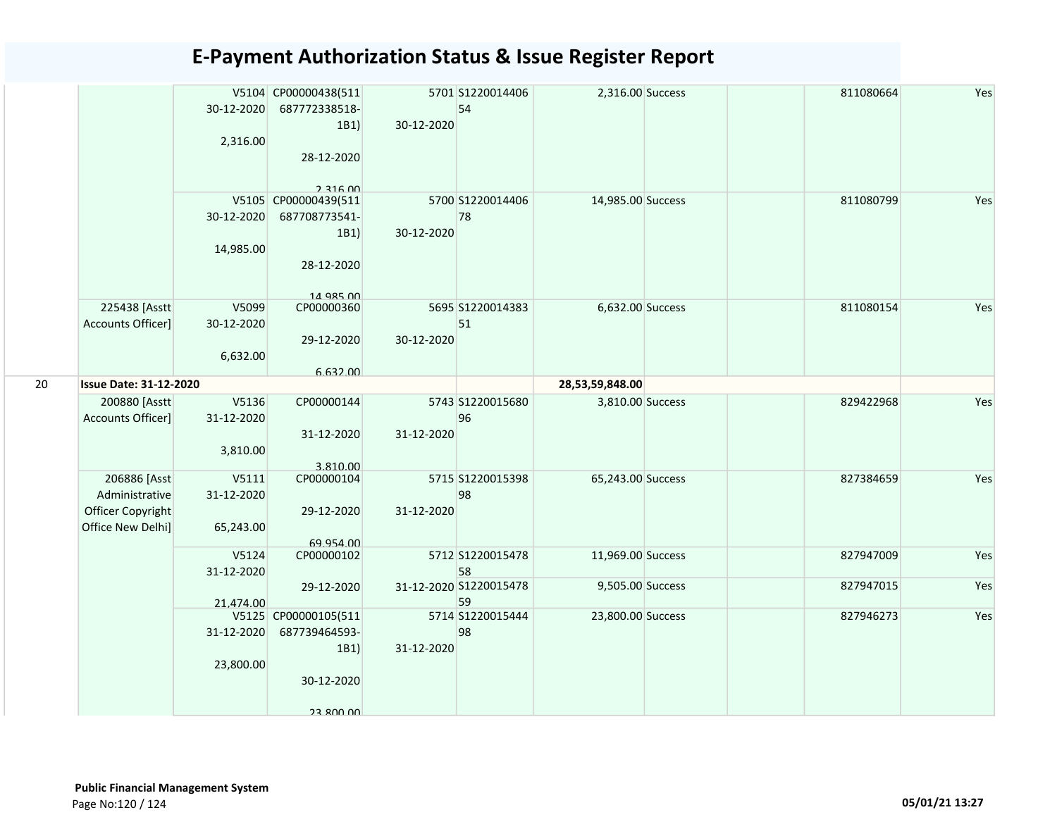|    |                               |            | V5104 CP00000438(511    |            | 5701 S1220014406       | 2,316.00 Success  | 811080664 | Yes |
|----|-------------------------------|------------|-------------------------|------------|------------------------|-------------------|-----------|-----|
|    |                               | 30-12-2020 | 687772338518-           |            | 54                     |                   |           |     |
|    |                               |            | 1B1                     | 30-12-2020 |                        |                   |           |     |
|    |                               | 2,316.00   |                         |            |                        |                   |           |     |
|    |                               |            | 28-12-2020              |            |                        |                   |           |     |
|    |                               |            |                         |            |                        |                   |           |     |
|    |                               |            | $2.316$ $00$            |            |                        |                   |           |     |
|    |                               |            | V5105 CP00000439(511    |            | 5700 S1220014406       | 14,985.00 Success | 811080799 | Yes |
|    |                               | 30-12-2020 | 687708773541-           |            | 78                     |                   |           |     |
|    |                               |            | 1B1                     | 30-12-2020 |                        |                   |           |     |
|    |                               | 14,985.00  |                         |            |                        |                   |           |     |
|    |                               |            | 28-12-2020              |            |                        |                   |           |     |
|    |                               |            |                         |            |                        |                   |           |     |
|    | 225438 [Asstt                 | V5099      | 14 QR5 00<br>CP00000360 |            | 5695 S1220014383       | 6,632.00 Success  | 811080154 | Yes |
|    | Accounts Officer]             | 30-12-2020 |                         |            | 51                     |                   |           |     |
|    |                               |            | 29-12-2020              | 30-12-2020 |                        |                   |           |     |
|    |                               | 6,632.00   |                         |            |                        |                   |           |     |
|    |                               |            | 6.632.00                |            |                        |                   |           |     |
| 20 | <b>Issue Date: 31-12-2020</b> |            |                         |            |                        | 28,53,59,848.00   |           |     |
|    | 200880 [Asstt                 | V5136      | CP00000144              |            | 5743 S1220015680       | 3,810.00 Success  | 829422968 | Yes |
|    | Accounts Officer]             | 31-12-2020 |                         |            | 96                     |                   |           |     |
|    |                               |            | 31-12-2020              | 31-12-2020 |                        |                   |           |     |
|    |                               | 3,810.00   |                         |            |                        |                   |           |     |
|    |                               |            | 3.810.00                |            |                        |                   |           |     |
|    | 206886 [Asst                  | V5111      | CP00000104              |            | 5715 S1220015398       | 65,243.00 Success | 827384659 | Yes |
|    | Administrative                | 31-12-2020 |                         |            | 98                     |                   |           |     |
|    | Officer Copyright             |            | 29-12-2020              | 31-12-2020 |                        |                   |           |     |
|    | Office New Delhi]             | 65,243.00  |                         |            |                        |                   |           |     |
|    |                               |            | 69.954.00               |            |                        |                   |           |     |
|    |                               | V5124      | CP00000102              |            | 5712 S1220015478       | 11,969.00 Success | 827947009 | Yes |
|    |                               | 31-12-2020 |                         |            | 58                     |                   |           |     |
|    |                               |            | 29-12-2020              |            | 31-12-2020 S1220015478 | 9,505.00 Success  | 827947015 | Yes |
|    |                               | 21.474.00  | V5125 CP00000105(511    |            | 59<br>5714 S1220015444 | 23,800.00 Success | 827946273 | Yes |
|    |                               | 31-12-2020 | 687739464593-           |            | 98                     |                   |           |     |
|    |                               |            | 1B1)                    | 31-12-2020 |                        |                   |           |     |
|    |                               | 23,800.00  |                         |            |                        |                   |           |     |
|    |                               |            | 30-12-2020              |            |                        |                   |           |     |
|    |                               |            |                         |            |                        |                   |           |     |
|    |                               |            | <b>23 800 00</b>        |            |                        |                   |           |     |
|    |                               |            |                         |            |                        |                   |           |     |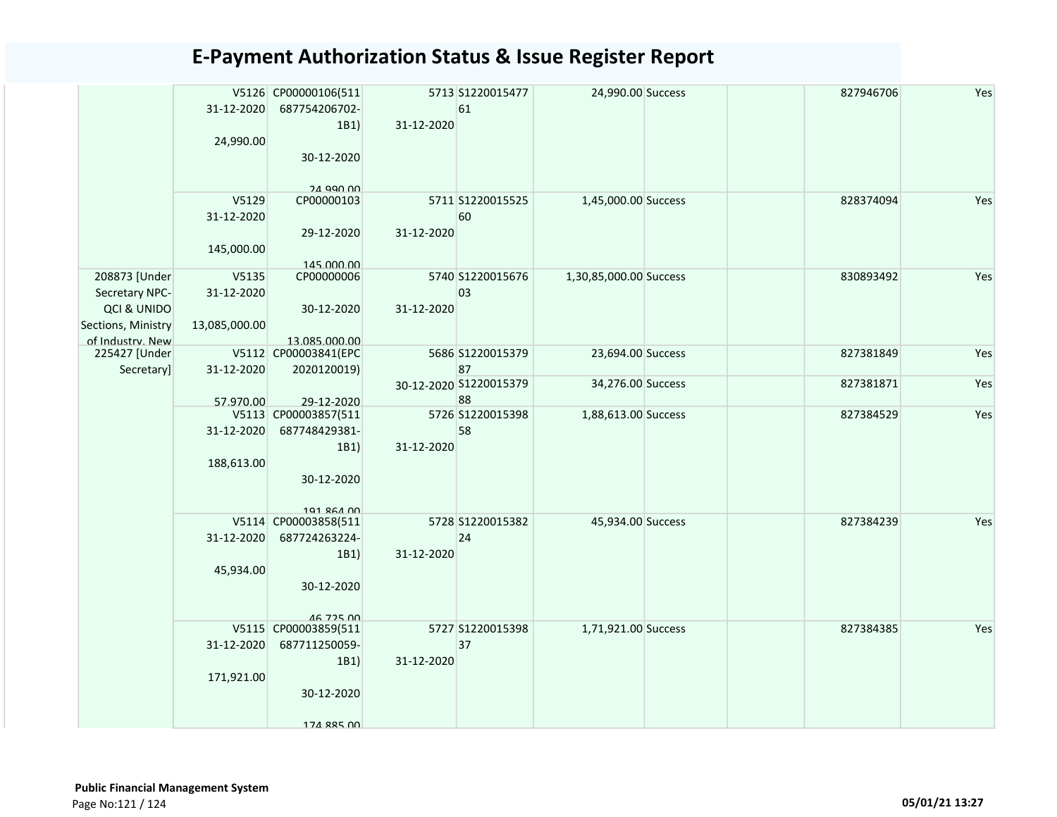|                                                                                          | 31-12-2020<br>24,990.00               | V5126 CP00000106(511<br>687754206702-<br>1B1)<br>30-12-2020<br><b>24 QQN NN</b> | 31-12-2020 | 5713 S1220015477<br>61       | 24,990.00 Success      | 827946706 | Yes |
|------------------------------------------------------------------------------------------|---------------------------------------|---------------------------------------------------------------------------------|------------|------------------------------|------------------------|-----------|-----|
|                                                                                          | V5129<br>31-12-2020<br>145,000.00     | CP00000103<br>29-12-2020<br>145.000.00                                          | 31-12-2020 | 5711 S1220015525<br>60       | 1,45,000.00 Success    | 828374094 | Yes |
| 208873 [Under<br>Secretary NPC-<br>QCI & UNIDO<br>Sections, Ministry<br>of Industry. New | V5135<br>31-12-2020<br>13,085,000.00  | CP00000006<br>30-12-2020<br>13.085.000.00                                       | 31-12-2020 | 5740 S1220015676<br>03       | 1,30,85,000.00 Success | 830893492 | Yes |
| 225427 [Under<br>Secretary]                                                              | 31-12-2020                            | V5112 CP00003841(EPC<br>2020120019)                                             |            | 5686 S1220015379<br>87       | 23,694.00 Success      | 827381849 | Yes |
|                                                                                          |                                       | 29-12-2020                                                                      |            | 30-12-2020 S1220015379<br>88 | 34,276.00 Success      | 827381871 | Yes |
|                                                                                          | 57.970.00<br>31-12-2020<br>188,613.00 | V5113 CP00003857(511<br>687748429381-<br>1B1)<br>30-12-2020<br>101 864 00       | 31-12-2020 | 5726 S1220015398<br>58       | 1,88,613.00 Success    | 827384529 | Yes |
|                                                                                          | 31-12-2020<br>45,934.00               | V5114 CP00003858(511<br>687724263224-<br>1B1)<br>30-12-2020<br><b>46 725 00</b> | 31-12-2020 | 5728 S1220015382<br>24       | 45,934.00 Success      | 827384239 | Yes |
|                                                                                          | 31-12-2020<br>171,921.00              | V5115 CP00003859(511<br>687711250059-<br>1B1)<br>30-12-2020<br>174 885 NO       | 31-12-2020 | 5727 S1220015398<br>37       | 1,71,921.00 Success    | 827384385 | Yes |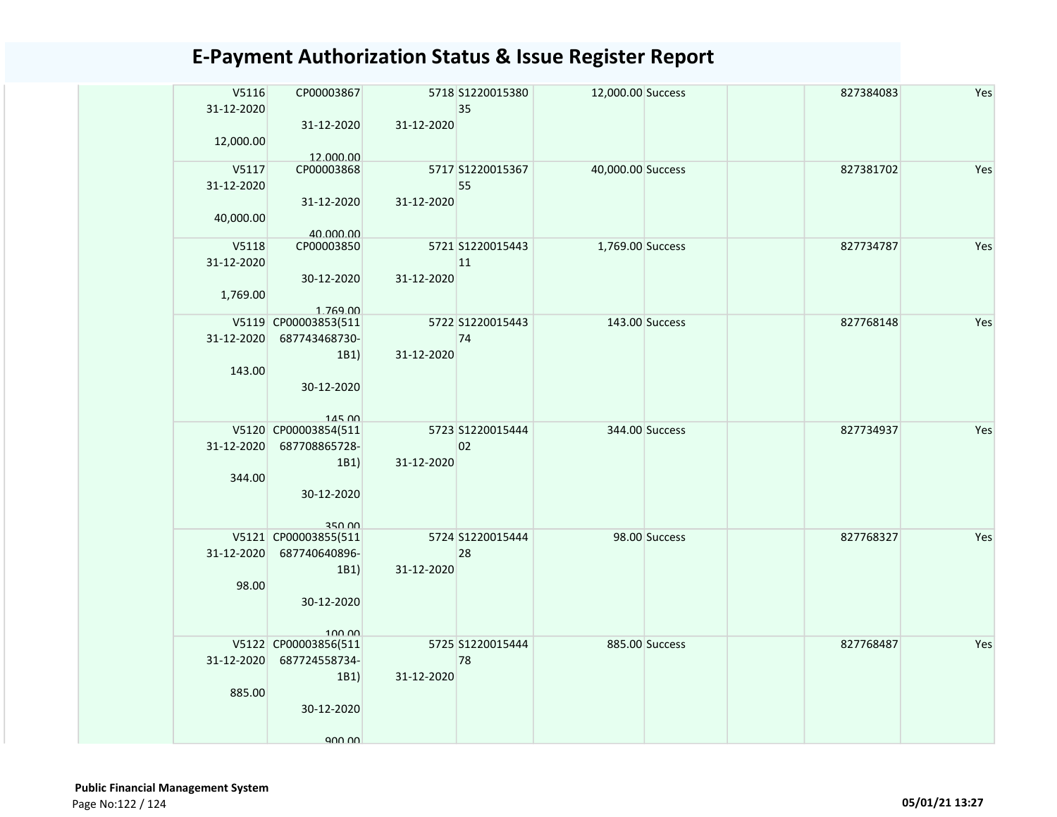| V5116<br>31-12-2020 | CP00003867<br>31-12-2020 | 31-12-2020 | 5718 S1220015380<br>35 | 12,000.00 Success |                | 827384083 | Yes |
|---------------------|--------------------------|------------|------------------------|-------------------|----------------|-----------|-----|
| 12,000.00           | 12.000.00                |            |                        |                   |                |           |     |
| V5117<br>31-12-2020 | CP00003868               |            | 5717 S1220015367<br>55 | 40,000.00 Success |                | 827381702 | Yes |
| 40,000.00           | 31-12-2020<br>40.000.00  | 31-12-2020 |                        |                   |                |           |     |
| V5118               | CP00003850               |            | 5721 S1220015443       | 1,769.00 Success  |                | 827734787 | Yes |
| 31-12-2020          |                          |            | 11                     |                   |                |           |     |
|                     | 30-12-2020               | 31-12-2020 |                        |                   |                |           |     |
| 1,769.00            | 1.769.00                 |            |                        |                   |                |           |     |
|                     | V5119 CP00003853(511     |            | 5722 S1220015443       |                   | 143.00 Success | 827768148 | Yes |
| 31-12-2020          | 687743468730-            |            | 74                     |                   |                |           |     |
|                     | 1B1)                     | 31-12-2020 |                        |                   |                |           |     |
| 143.00              |                          |            |                        |                   |                |           |     |
|                     | 30-12-2020               |            |                        |                   |                |           |     |
|                     | 14500                    |            |                        |                   |                |           |     |
|                     | V5120 CP00003854(511     |            | 5723 S1220015444       |                   | 344.00 Success | 827734937 | Yes |
| 31-12-2020          | 687708865728-            |            | 02                     |                   |                |           |     |
|                     | 1B1)                     | 31-12-2020 |                        |                   |                |           |     |
| 344.00              |                          |            |                        |                   |                |           |     |
|                     | 30-12-2020               |            |                        |                   |                |           |     |
|                     | 350 00                   |            |                        |                   |                |           |     |
|                     | V5121 CP00003855(511     |            | 5724 S1220015444       |                   | 98.00 Success  | 827768327 | Yes |
| 31-12-2020          | 687740640896-            |            | 28                     |                   |                |           |     |
|                     | 1B1)                     | 31-12-2020 |                        |                   |                |           |     |
| 98.00               | 30-12-2020               |            |                        |                   |                |           |     |
|                     |                          |            |                        |                   |                |           |     |
|                     | 100,00                   |            |                        |                   |                |           |     |
|                     | V5122 CP00003856(511     |            | 5725 S1220015444       |                   | 885.00 Success | 827768487 | Yes |
| 31-12-2020          | 687724558734-            |            | 78                     |                   |                |           |     |
| 885.00              | 1B1)                     | 31-12-2020 |                        |                   |                |           |     |
|                     | 30-12-2020               |            |                        |                   |                |           |     |
|                     |                          |            |                        |                   |                |           |     |
|                     | ann nn                   |            |                        |                   |                |           |     |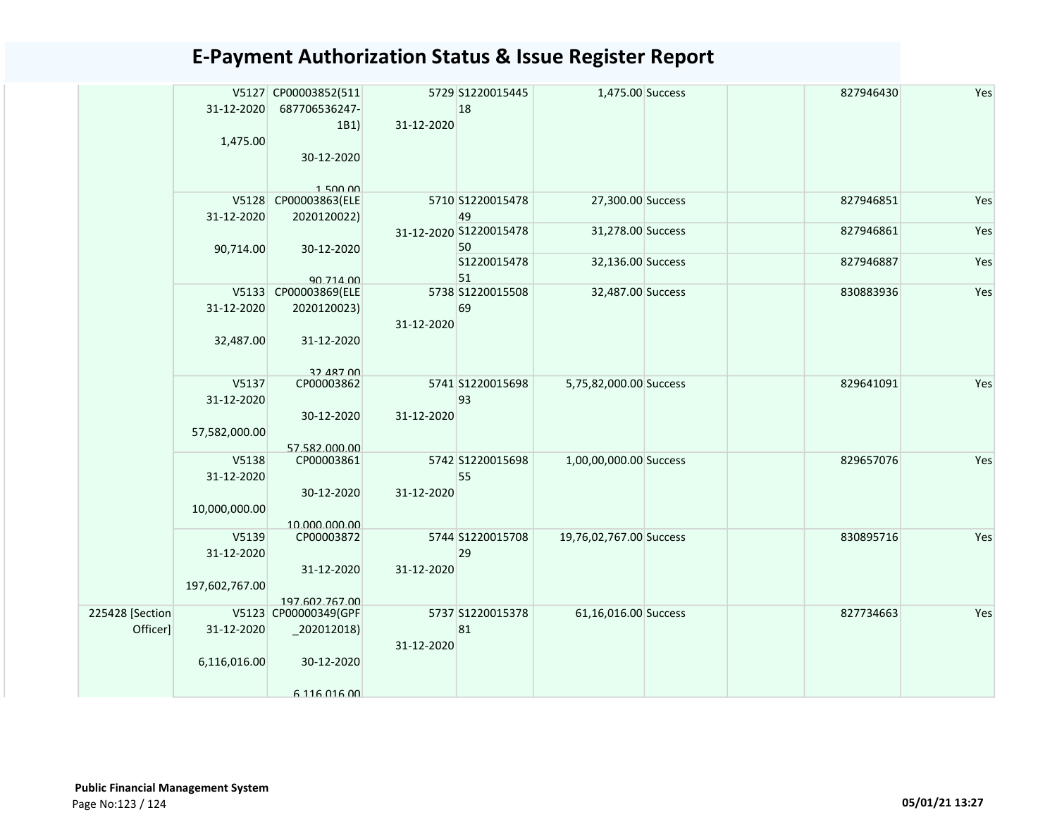|          |                | V5127 CP00003852(511 |            | 5729 S1220015445       | 1,475.00 Success        | 827946430 | Yes |
|----------|----------------|----------------------|------------|------------------------|-------------------------|-----------|-----|
|          | 31-12-2020     | 687706536247-        |            | 18                     |                         |           |     |
|          |                | 1B1)                 | 31-12-2020 |                        |                         |           |     |
|          | 1,475.00       |                      |            |                        |                         |           |     |
|          |                | 30-12-2020           |            |                        |                         |           |     |
|          |                |                      |            |                        |                         |           |     |
|          |                | 1500.00              |            |                        |                         |           |     |
|          |                | V5128 CP00003863(ELE |            | 5710 S1220015478       | 27,300.00 Success       | 827946851 | Yes |
|          | 31-12-2020     | 2020120022)          |            | 49                     |                         |           |     |
|          |                |                      |            | 31-12-2020 S1220015478 | 31,278.00 Success       | 827946861 | Yes |
|          | 90,714.00      | 30-12-2020           |            | 50                     |                         |           |     |
|          |                |                      |            | S1220015478            | 32,136.00 Success       | 827946887 | Yes |
|          |                | 90 714 00            |            | 51                     |                         |           |     |
|          |                | V5133 CP00003869(ELE |            | 5738 S1220015508       | 32,487.00 Success       | 830883936 | Yes |
|          | 31-12-2020     | 2020120023)          |            | 69                     |                         |           |     |
|          |                | 31-12-2020           | 31-12-2020 |                        |                         |           |     |
|          | 32,487.00      |                      |            |                        |                         |           |     |
|          |                |                      |            |                        |                         |           |     |
|          |                | 32 487 00            |            |                        |                         |           |     |
|          | V5137          | CP00003862           |            | 5741 S1220015698       | 5,75,82,000.00 Success  | 829641091 | Yes |
|          | 31-12-2020     |                      |            | 93                     |                         |           |     |
|          |                | 30-12-2020           | 31-12-2020 |                        |                         |           |     |
|          | 57,582,000.00  |                      |            |                        |                         |           |     |
|          |                | 57.582.000.00        |            |                        |                         |           |     |
|          | V5138          | CP00003861           |            | 5742 S1220015698       | 1,00,00,000.00 Success  | 829657076 | Yes |
|          | 31-12-2020     |                      |            | 55                     |                         |           |     |
|          |                | 30-12-2020           | 31-12-2020 |                        |                         |           |     |
|          | 10,000,000.00  |                      |            |                        |                         |           |     |
|          |                | 10.000.000.00        |            |                        |                         |           |     |
|          | V5139          | CP00003872           |            | 5744 S1220015708       | 19,76,02,767.00 Success | 830895716 | Yes |
|          | 31-12-2020     |                      |            | 29                     |                         |           |     |
|          |                | 31-12-2020           | 31-12-2020 |                        |                         |           |     |
|          | 197,602,767.00 |                      |            |                        |                         |           |     |
|          |                | 197.602.767.00       |            |                        |                         |           |     |
| Section  |                | V5123 CP00000349(GPF |            | 5737 S1220015378       | 61,16,016.00 Success    | 827734663 | Yes |
| Officer] | 31-12-2020     | $_2$ 202012018)      |            | 81                     |                         |           |     |
|          |                |                      | 31-12-2020 |                        |                         |           |     |
|          | 6,116,016.00   | 30-12-2020           |            |                        |                         |           |     |
|          |                |                      |            |                        |                         |           |     |
|          |                | 6 116 016 00         |            |                        |                         |           |     |

225428